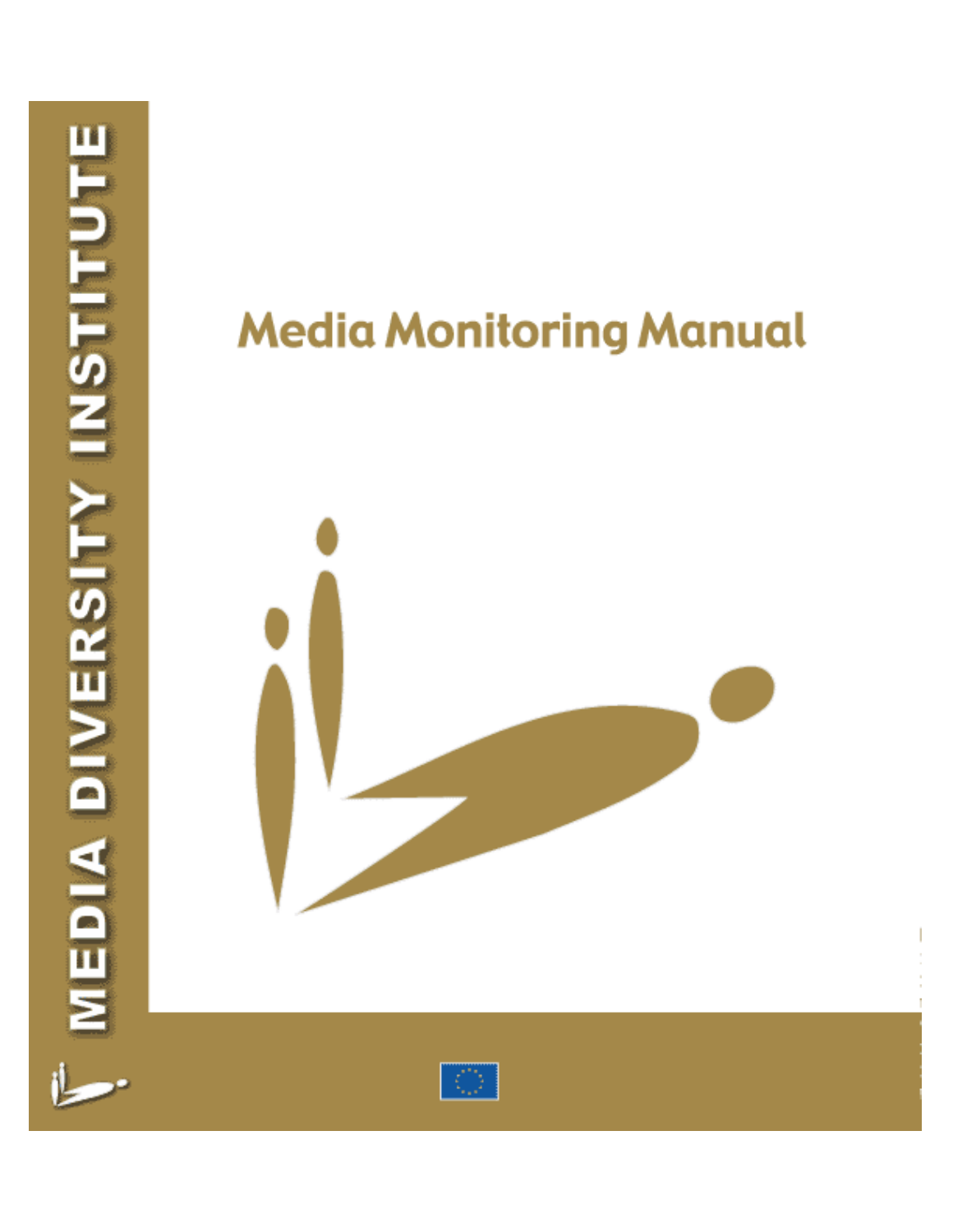# **Media Monitoring Manual**



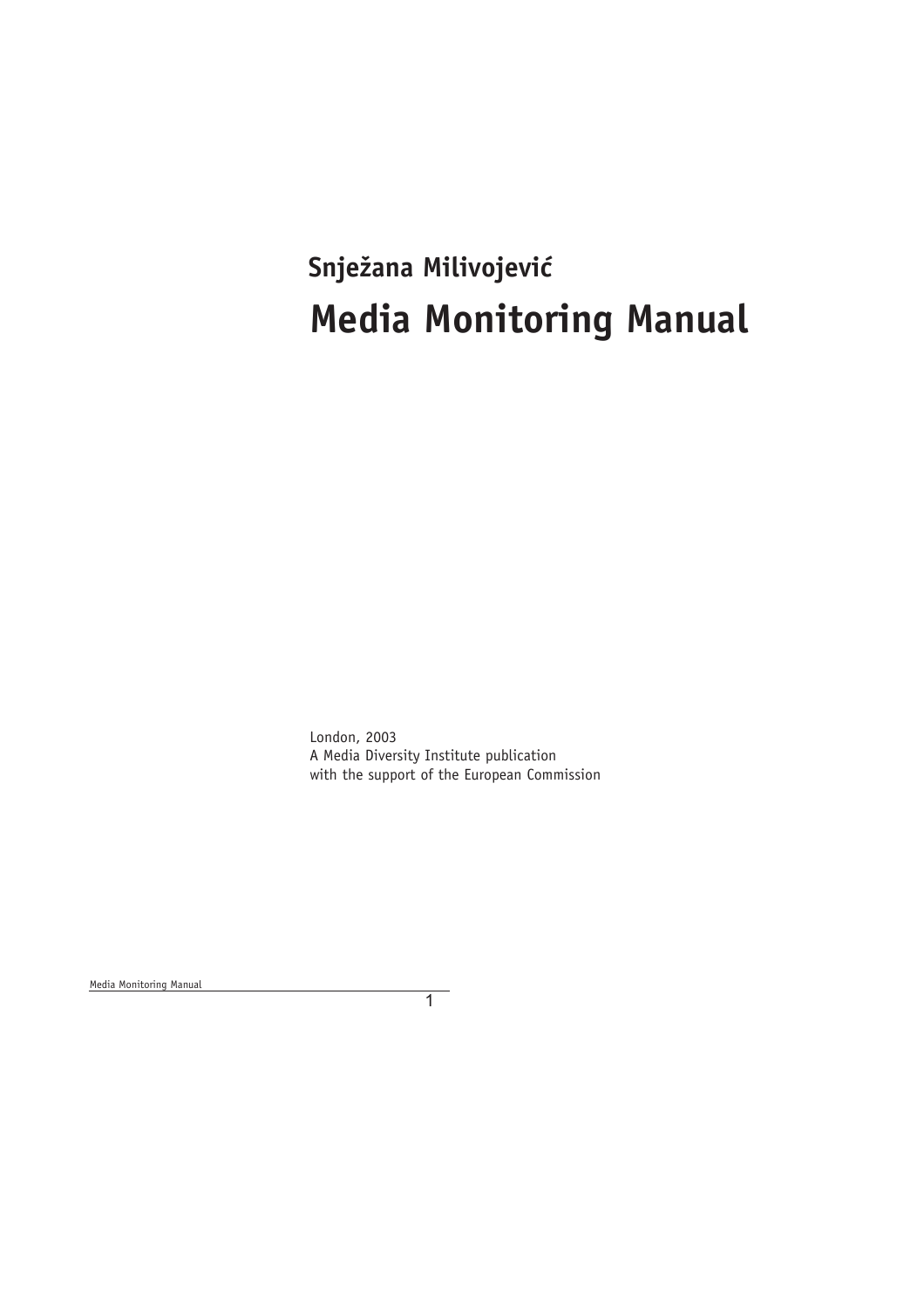## Snježana Milivojević **Media Monitoring Manual**

London, 2003 A Media Diversity Institute publication with the support of the European Commission

Media Monitoring Manual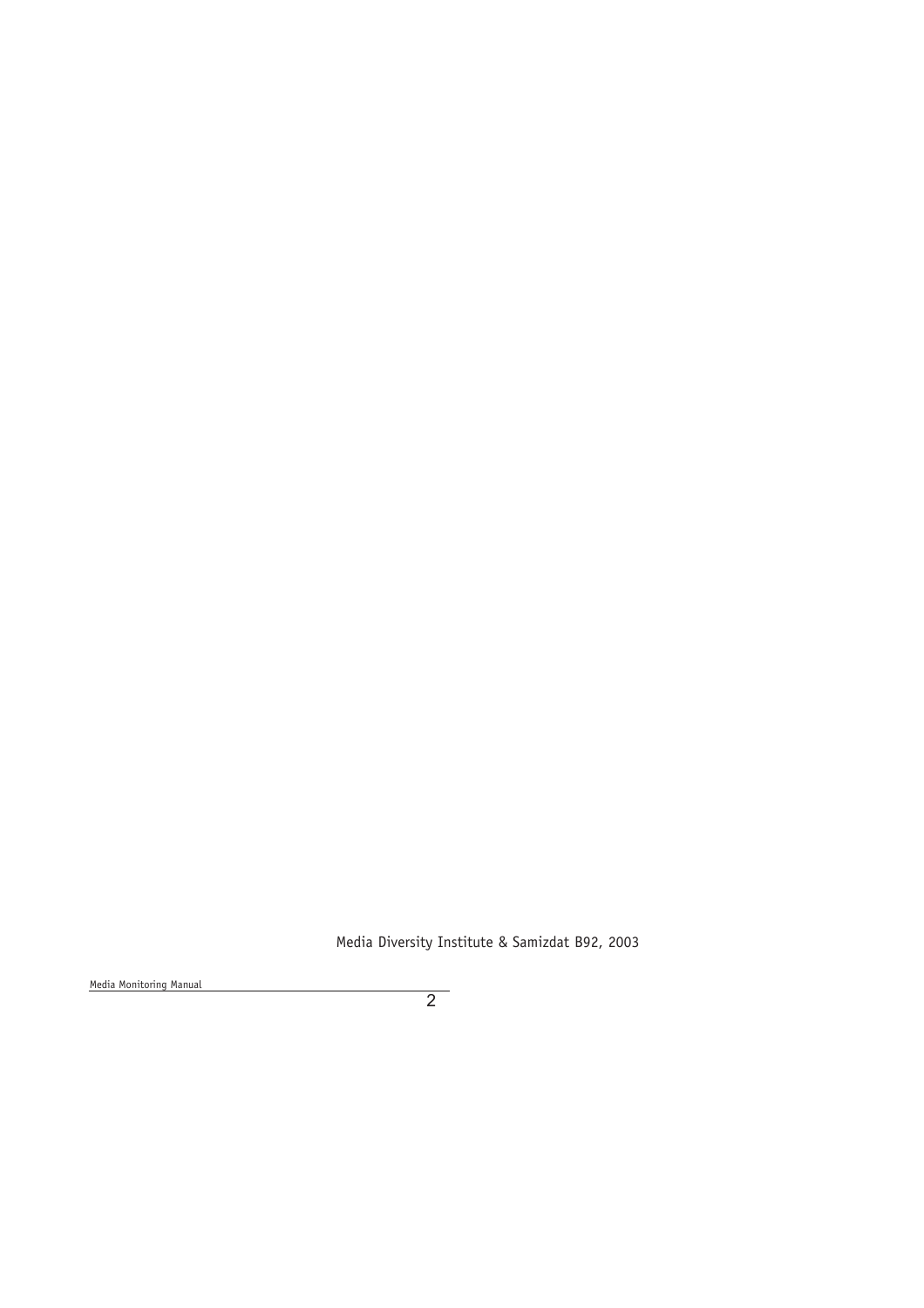Media Diversity Institute & Samizdat B92, 2003

Media Monitoring Manual

 $\overline{2}$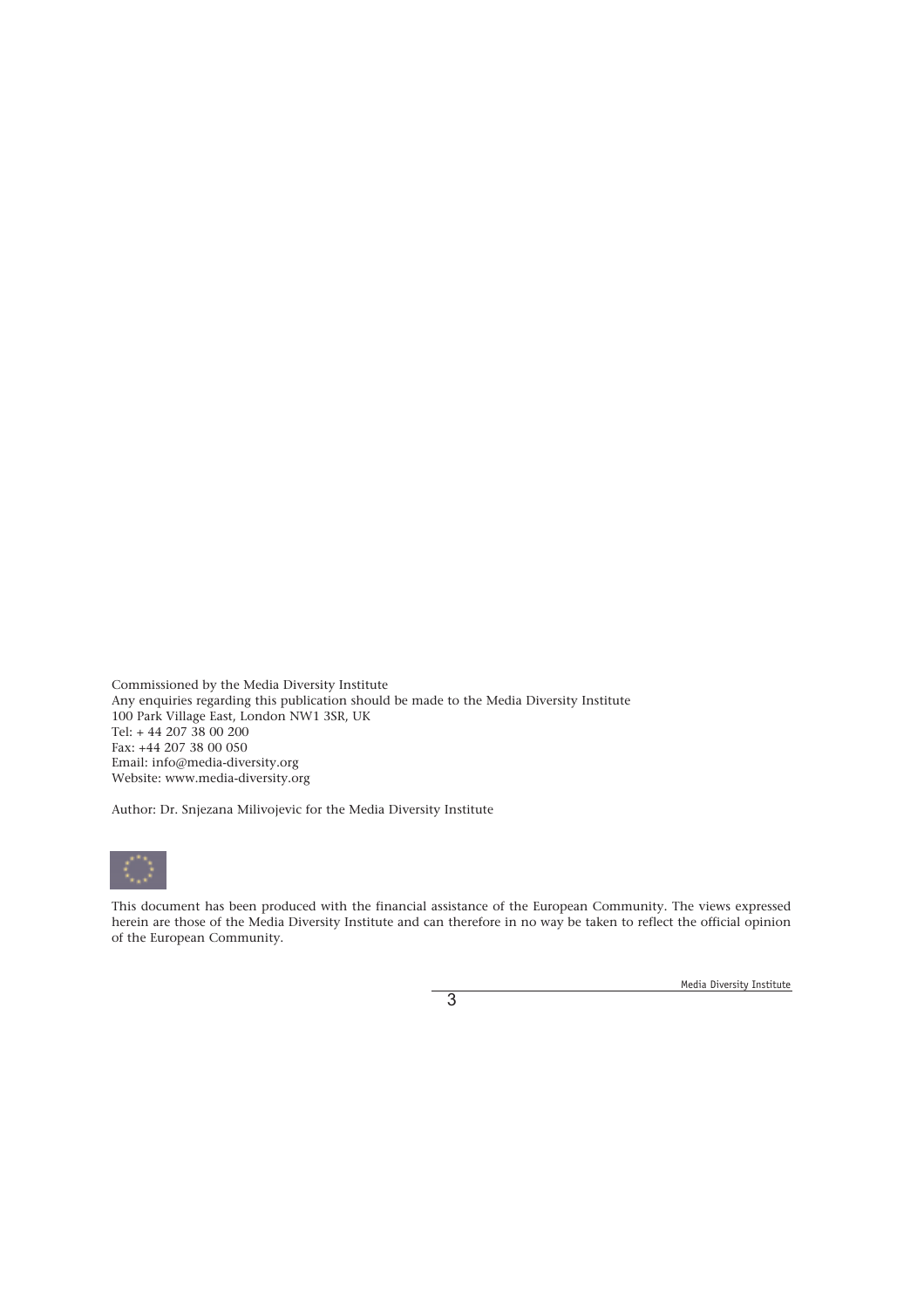Commissioned by the Media Diversity Institute Any enquiries regarding this publication should be made to the Media Diversity Institute 100 Park Village East, London NW1 3SR, UK Tel: + 44 207 38 00 200 Fax: +44 207 38 00 050 Email: info@media-diversity.org Website: www.media-diversity.org

Author: Dr. Snjezana Milivojevic for the Media Diversity Institute



This document has been produced with the financial assistance of the European Community. The views expressed herein are those of the Media Diversity Institute and can therefore in no way be taken to reflect the official opinion of the European Community.

Media Diversity Institute

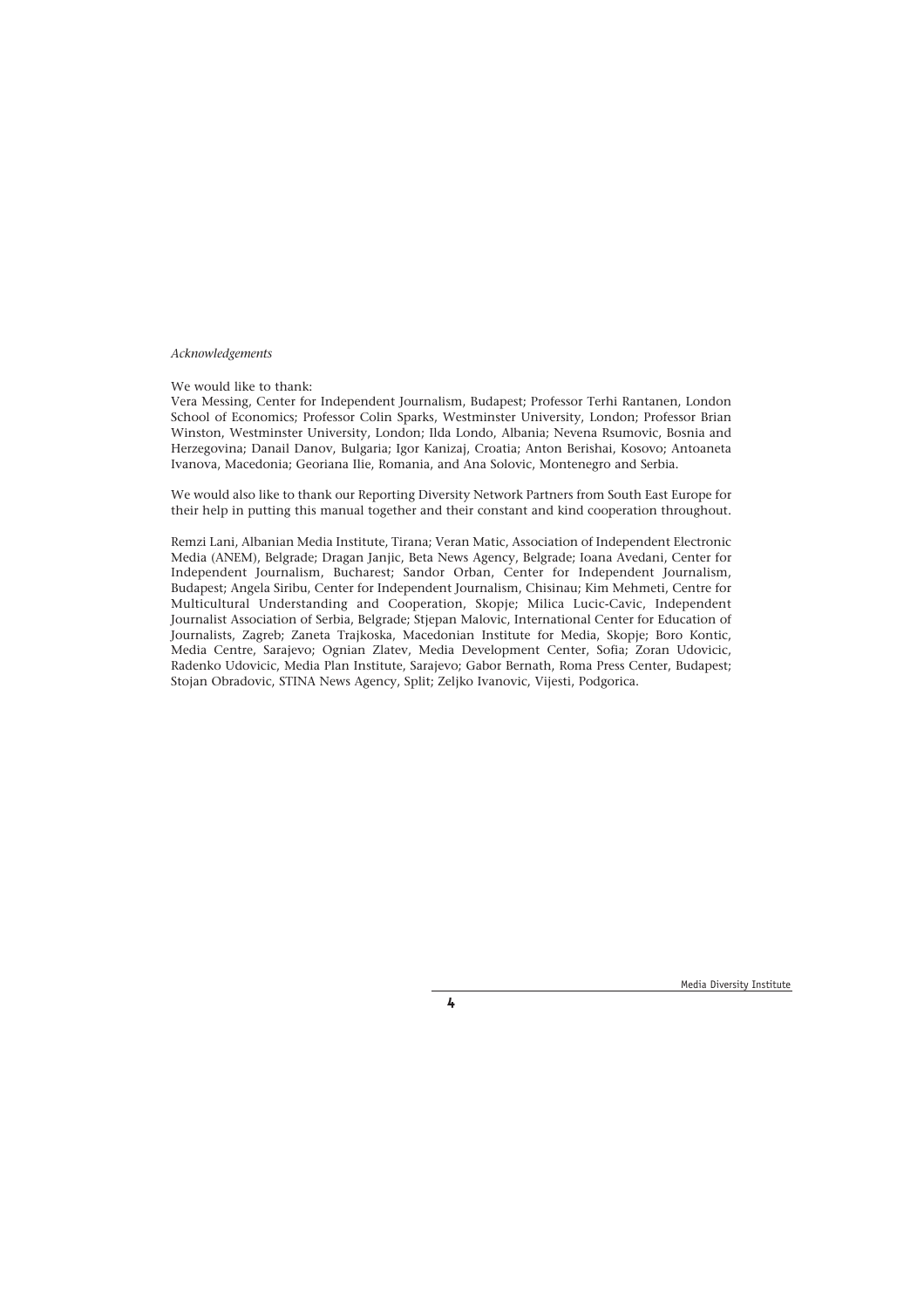#### *Acknowledgements*

We would like to thank:

Vera Messing, Center for Independent Journalism, Budapest; Professor Terhi Rantanen, London School of Economics; Professor Colin Sparks, Westminster University, London; Professor Brian Winston, Westminster University, London; Ilda Londo, Albania; Nevena Rsumovic, Bosnia and Herzegovina; Danail Danov, Bulgaria; Igor Kanizaj, Croatia; Anton Berishai, Kosovo; Antoaneta Ivanova, Macedonia; Georiana Ilie, Romania, and Ana Solovic, Montenegro and Serbia.

We would also like to thank our Reporting Diversity Network Partners from South East Europe for their help in putting this manual together and their constant and kind cooperation throughout.

Remzi Lani, Albanian Media Institute, Tirana; Veran Matic, Association of Independent Electronic Media (ANEM), Belgrade; Dragan Janjic, Beta News Agency, Belgrade; Ioana Avedani, Center for Independent Journalism, Bucharest; Sandor Orban, Center for Independent Journalism, Budapest; Angela Siribu, Center for Independent Journalism, Chisinau; Kim Mehmeti, Centre for Multicultural Understanding and Cooperation, Skopje; Milica Lucic-Cavic, Independent Journalist Association of Serbia, Belgrade; Stjepan Malovic, International Center for Education of Journalists, Zagreb; Zaneta Trajkoska, Macedonian Institute for Media, Skopje; Boro Kontic, Media Centre, Sarajevo; Ognian Zlatev, Media Development Center, Sofia; Zoran Udovicic, Radenko Udovicic, Media Plan Institute, Sarajevo; Gabor Bernath, Roma Press Center, Budapest; Stojan Obradovic, STINA News Agency, Split; Zeljko Ivanovic, Vijesti, Podgorica.

Media Diversity Institute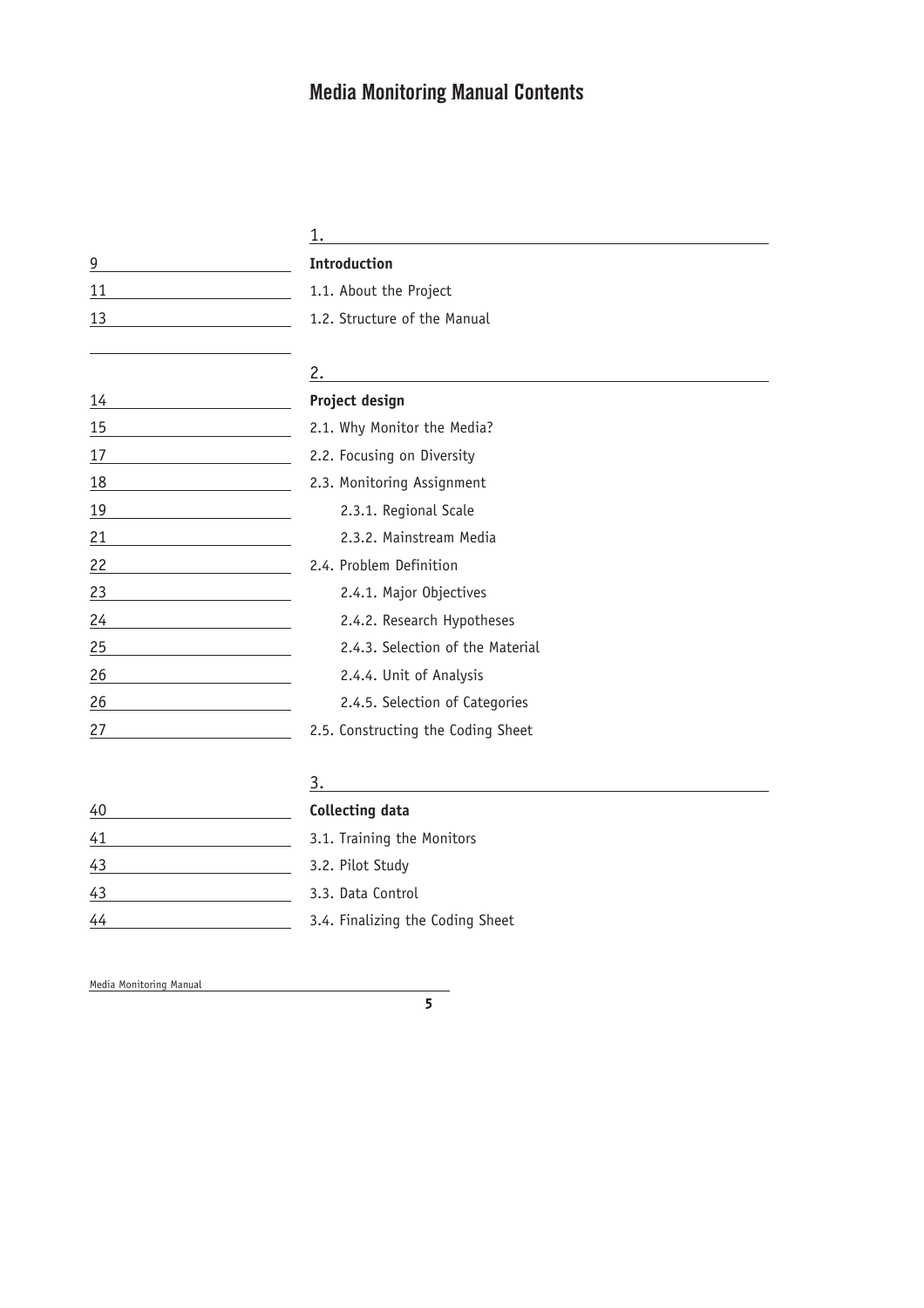## Media Monitoring Manual Contents

|    | 1.                                 |
|----|------------------------------------|
| 9  | <b>Introduction</b>                |
| 11 | 1.1. About the Project             |
| 13 | 1.2. Structure of the Manual       |
|    | 2.                                 |
| 14 | Project design                     |
| 15 | 2.1. Why Monitor the Media?        |
| 17 | 2.2. Focusing on Diversity         |
| 18 | 2.3. Monitoring Assignment         |
| 19 | 2.3.1. Regional Scale              |
| 21 | 2.3.2. Mainstream Media            |
| 22 | 2.4. Problem Definition            |
| 23 | 2.4.1. Major Objectives            |
| 24 | 2.4.2. Research Hypotheses         |
| 25 | 2.4.3. Selection of the Material   |
| 26 | 2.4.4. Unit of Analysis            |
| 26 | 2.4.5. Selection of Categories     |
| 27 | 2.5. Constructing the Coding Sheet |
|    | C                                  |

#### 3.

| 40 | Collecting data                  |
|----|----------------------------------|
| 41 | 3.1. Training the Monitors       |
| 43 | 3.2. Pilot Study                 |
| 43 | 3.3. Data Control                |
| 44 | 3.4. Finalizing the Coding Sheet |

Media Monitoring Manual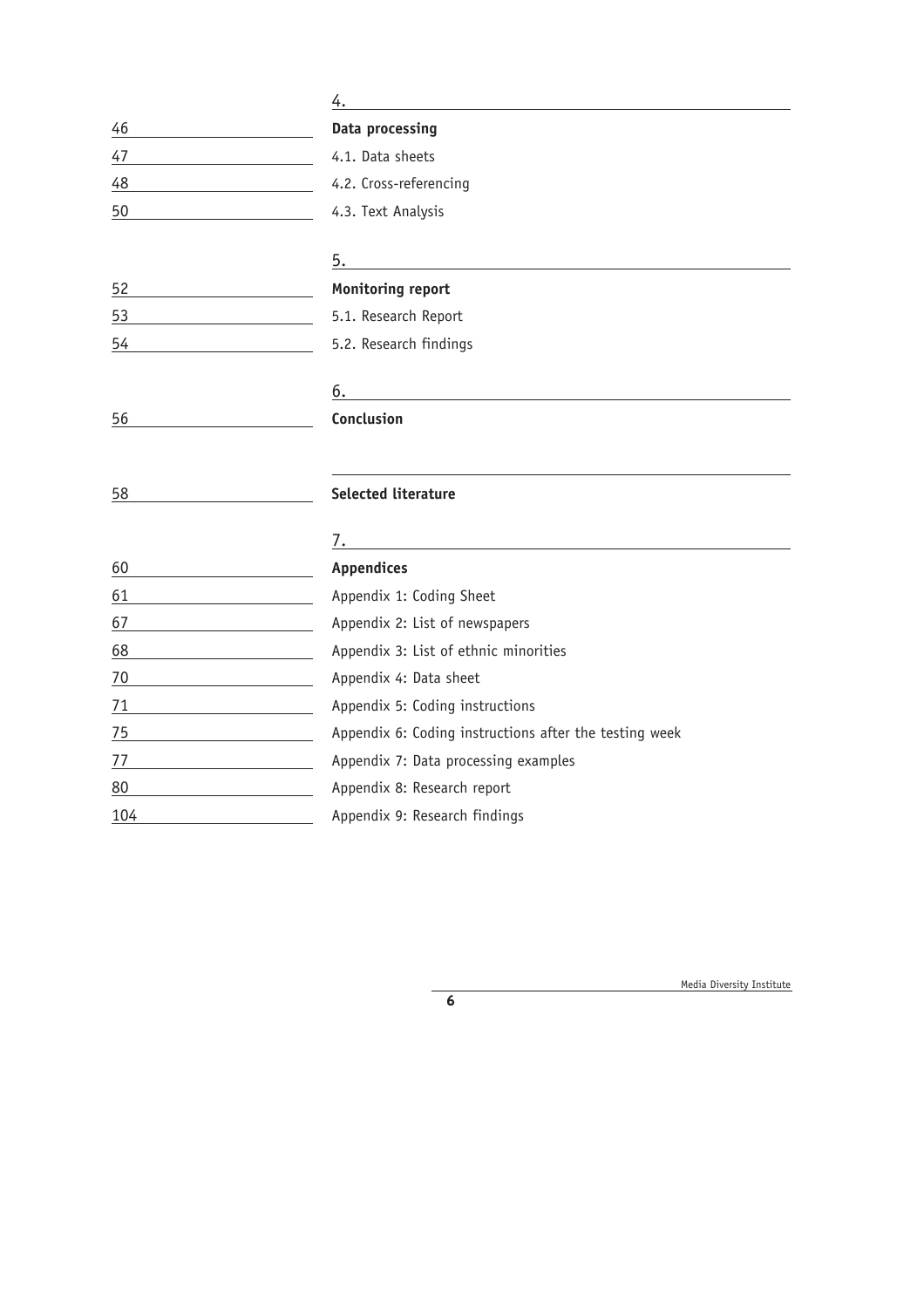|                                               | 4.                                                     |  |
|-----------------------------------------------|--------------------------------------------------------|--|
| 46                                            | Data processing                                        |  |
| 47                                            | 4.1. Data sheets                                       |  |
| 48                                            | 4.2. Cross-referencing                                 |  |
| 50                                            | 4.3. Text Analysis                                     |  |
|                                               | 5.                                                     |  |
| 52                                            | <b>Monitoring report</b>                               |  |
| 53                                            | 5.1. Research Report                                   |  |
| 54                                            | 5.2. Research findings                                 |  |
|                                               | 6.                                                     |  |
| 56                                            | Conclusion                                             |  |
| 58                                            | <b>Selected literature</b>                             |  |
|                                               |                                                        |  |
|                                               | $\sqrt{ }$ .                                           |  |
| 60                                            | <b>Appendices</b>                                      |  |
| 61<br><u> 1989 - Johann Barbara, martxa a</u> | Appendix 1: Coding Sheet                               |  |
| 67                                            | Appendix 2: List of newspapers                         |  |
| 68                                            | Appendix 3: List of ethnic minorities                  |  |
| 70<br><u> 1980 - Johann Barbara, martin a</u> | Appendix 4: Data sheet                                 |  |
| 71                                            | Appendix 5: Coding instructions                        |  |
| 75                                            | Appendix 6: Coding instructions after the testing week |  |
| 77                                            | Appendix 7: Data processing examples                   |  |
| 80                                            | Appendix 8: Research report                            |  |
| 104                                           | Appendix 9: Research findings                          |  |

Media Diversity Institute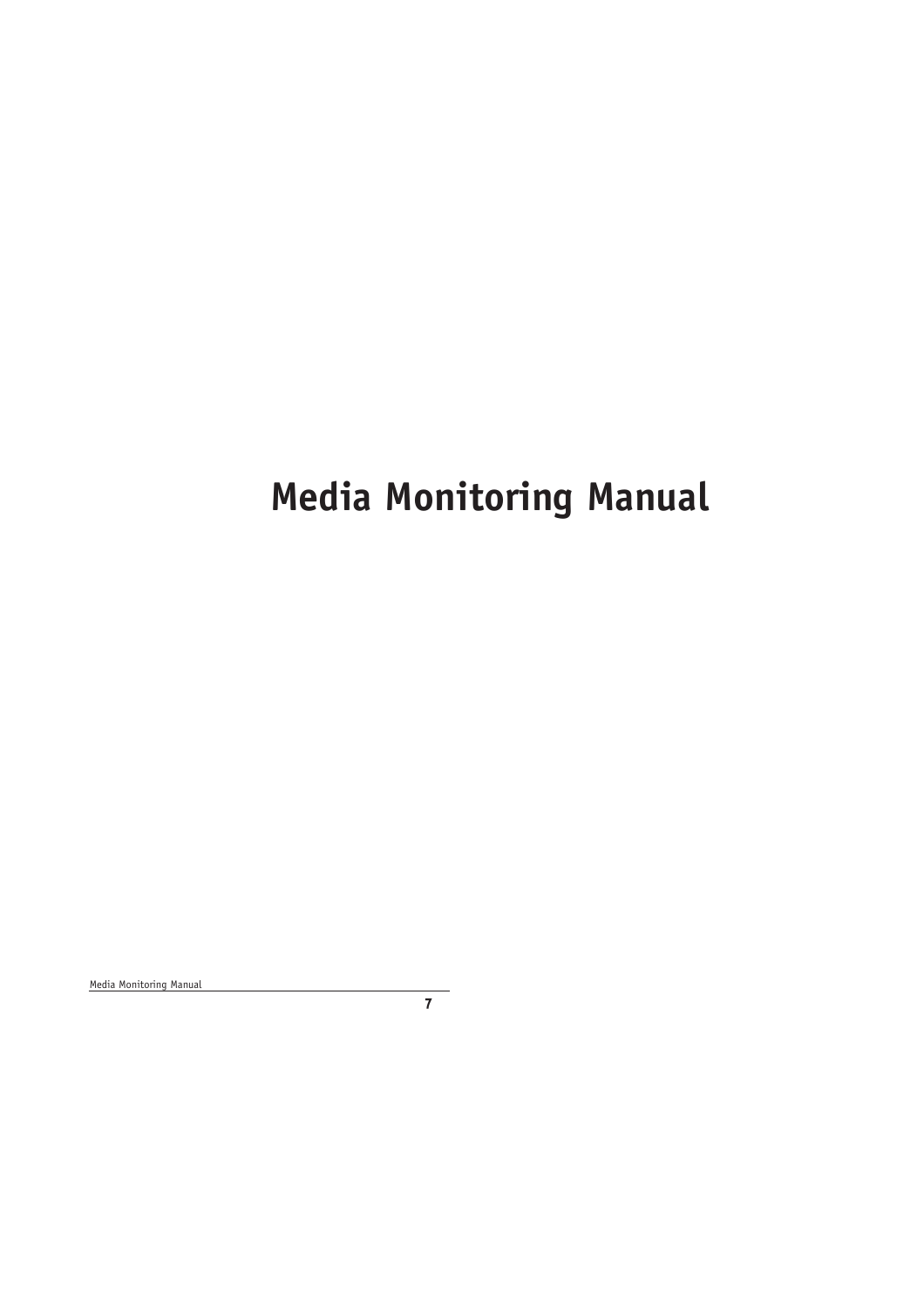## **Media Monitoring Manual**

Media Monitoring Manual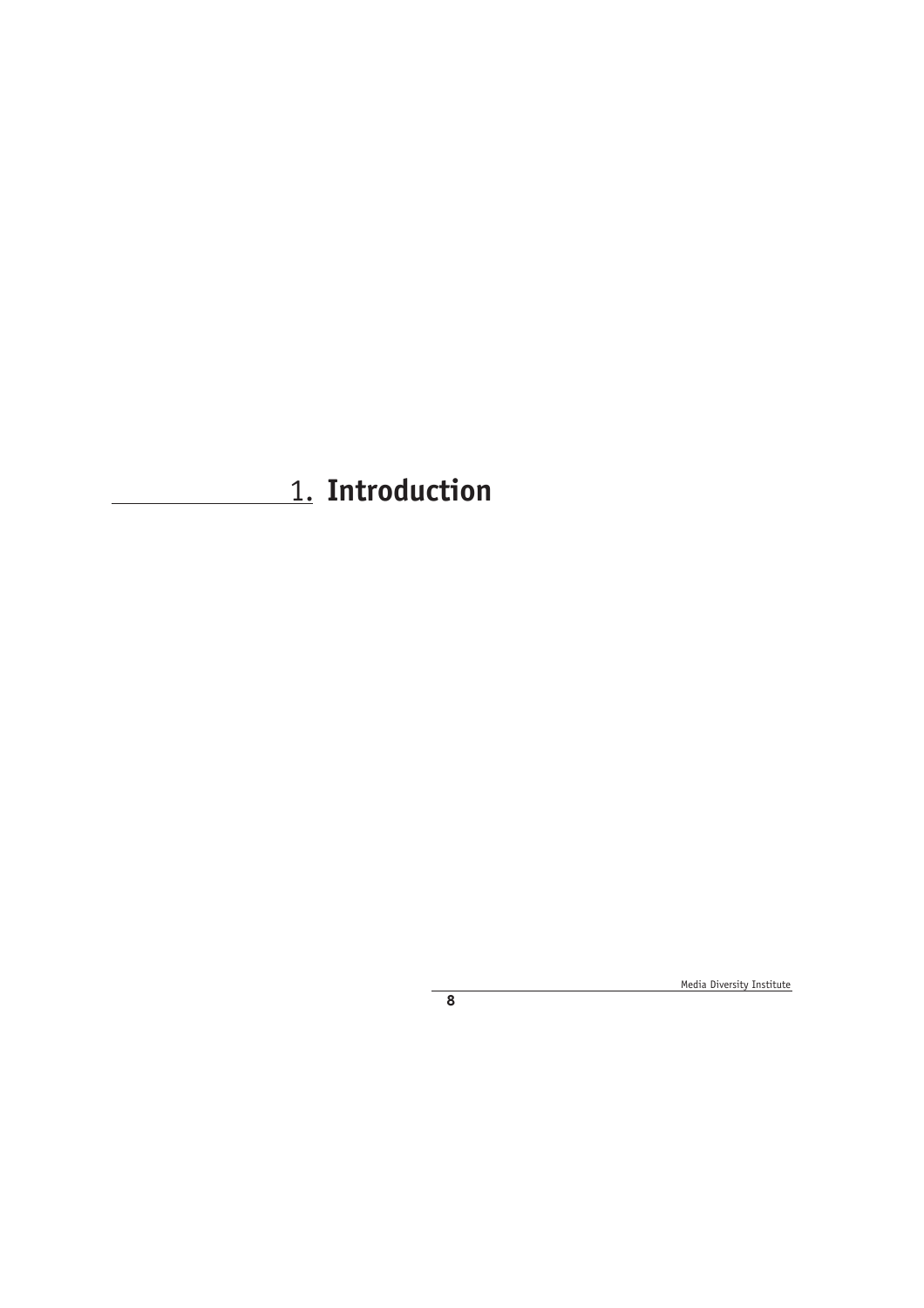1. **Introduction**

Media Diversity Institute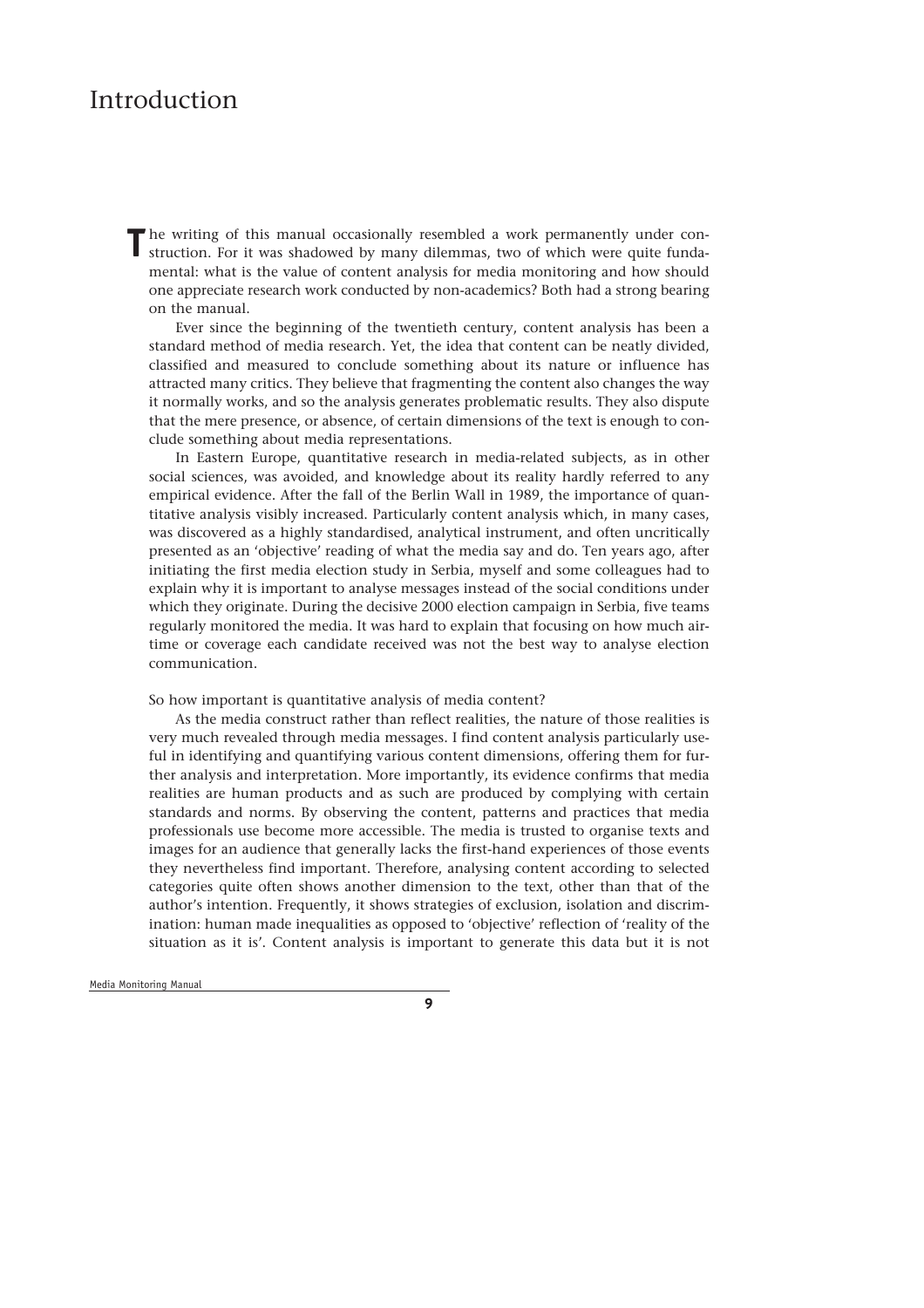### Introduction

The writing of this manual occasionally resembled a work permanently under construction. For it was shadowed by many dilemmas, two of which were quite fundastruction. For it was shadowed by many dilemmas, two of which were quite fundamental: what is the value of content analysis for media monitoring and how should one appreciate research work conducted by non-academics? Both had a strong bearing on the manual.

Ever since the beginning of the twentieth century, content analysis has been a standard method of media research. Yet, the idea that content can be neatly divided, classified and measured to conclude something about its nature or influence has attracted many critics. They believe that fragmenting the content also changes the way it normally works, and so the analysis generates problematic results. They also dispute that the mere presence, or absence, of certain dimensions of the text is enough to conclude something about media representations.

In Eastern Europe, quantitative research in media-related subjects, as in other social sciences, was avoided, and knowledge about its reality hardly referred to any empirical evidence. After the fall of the Berlin Wall in 1989, the importance of quantitative analysis visibly increased. Particularly content analysis which, in many cases, was discovered as a highly standardised, analytical instrument, and often uncritically presented as an 'objective' reading of what the media say and do. Ten years ago, after initiating the first media election study in Serbia, myself and some colleagues had to explain why it is important to analyse messages instead of the social conditions under which they originate. During the decisive 2000 election campaign in Serbia, five teams regularly monitored the media. It was hard to explain that focusing on how much airtime or coverage each candidate received was not the best way to analyse election communication.

So how important is quantitative analysis of media content?

As the media construct rather than reflect realities, the nature of those realities is very much revealed through media messages. I find content analysis particularly useful in identifying and quantifying various content dimensions, offering them for further analysis and interpretation. More importantly, its evidence confirms that media realities are human products and as such are produced by complying with certain standards and norms. By observing the content, patterns and practices that media professionals use become more accessible. The media is trusted to organise texts and images for an audience that generally lacks the first-hand experiences of those events they nevertheless find important. Therefore, analysing content according to selected categories quite often shows another dimension to the text, other than that of the author's intention. Frequently, it shows strategies of exclusion, isolation and discrimination: human made inequalities as opposed to 'objective' reflection of 'reality of the situation as it is'. Content analysis is important to generate this data but it is not

Media Monitoring Manual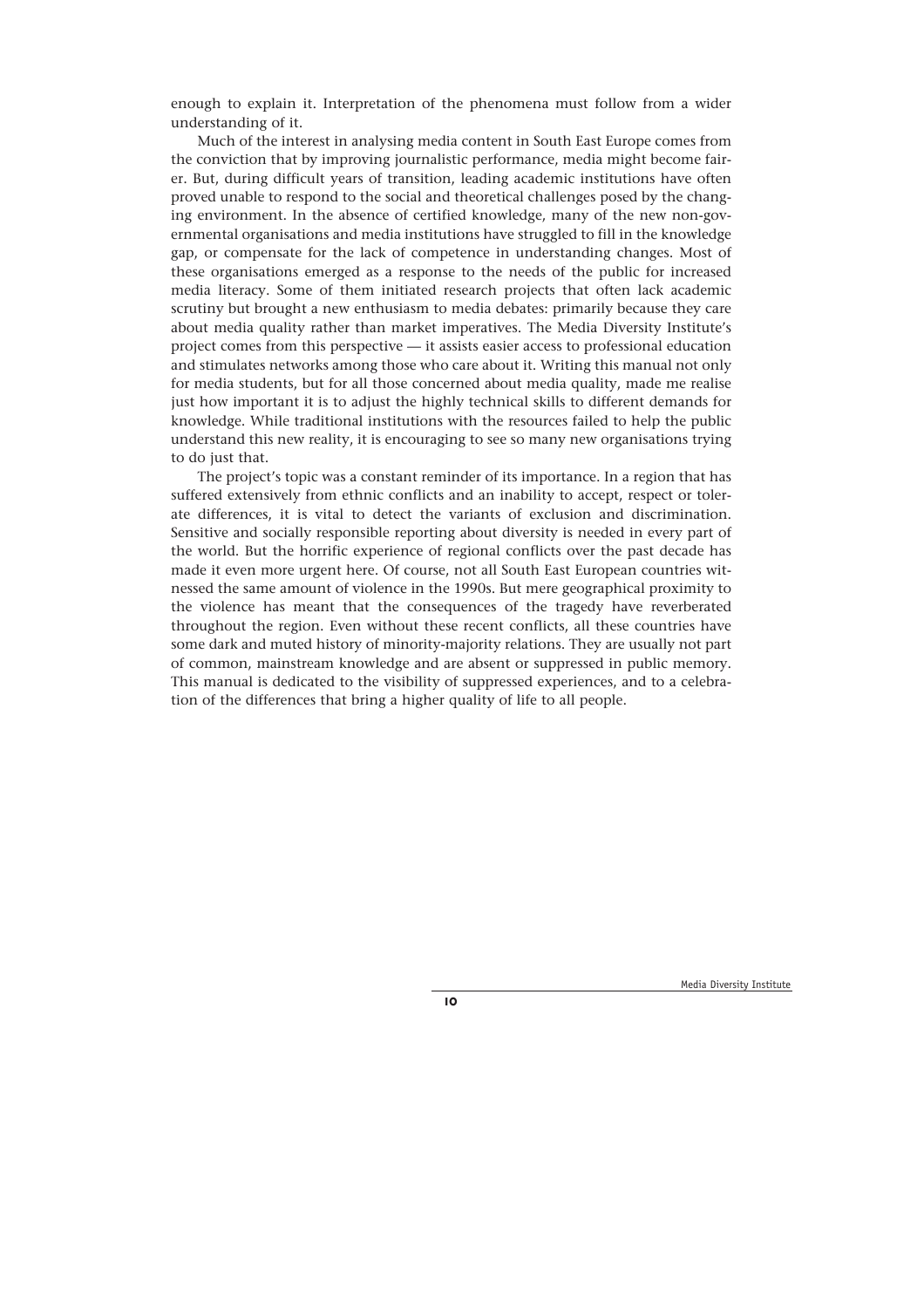enough to explain it. Interpretation of the phenomena must follow from a wider understanding of it.

Much of the interest in analysing media content in South East Europe comes from the conviction that by improving journalistic performance, media might become fairer. But, during difficult years of transition, leading academic institutions have often proved unable to respond to the social and theoretical challenges posed by the changing environment. In the absence of certified knowledge, many of the new non-governmental organisations and media institutions have struggled to fill in the knowledge gap, or compensate for the lack of competence in understanding changes. Most of these organisations emerged as a response to the needs of the public for increased media literacy. Some of them initiated research projects that often lack academic scrutiny but brought a new enthusiasm to media debates: primarily because they care about media quality rather than market imperatives. The Media Diversity Institute's project comes from this perspective – it assists easier access to professional education and stimulates networks among those who care about it. Writing this manual not only for media students, but for all those concerned about media quality, made me realise just how important it is to adjust the highly technical skills to different demands for knowledge. While traditional institutions with the resources failed to help the public understand this new reality, it is encouraging to see so many new organisations trying to do just that.

The project's topic was a constant reminder of its importance. In a region that has suffered extensively from ethnic conflicts and an inability to accept, respect or tolerate differences, it is vital to detect the variants of exclusion and discrimination. Sensitive and socially responsible reporting about diversity is needed in every part of the world. But the horrific experience of regional conflicts over the past decade has made it even more urgent here. Of course, not all South East European countries witnessed the same amount of violence in the 1990s. But mere geographical proximity to the violence has meant that the consequences of the tragedy have reverberated throughout the region. Even without these recent conflicts, all these countries have some dark and muted history of minority-majority relations. They are usually not part of common, mainstream knowledge and are absent or suppressed in public memory. This manual is dedicated to the visibility of suppressed experiences, and to a celebration of the differences that bring a higher quality of life to all people.

Media Diversity Institute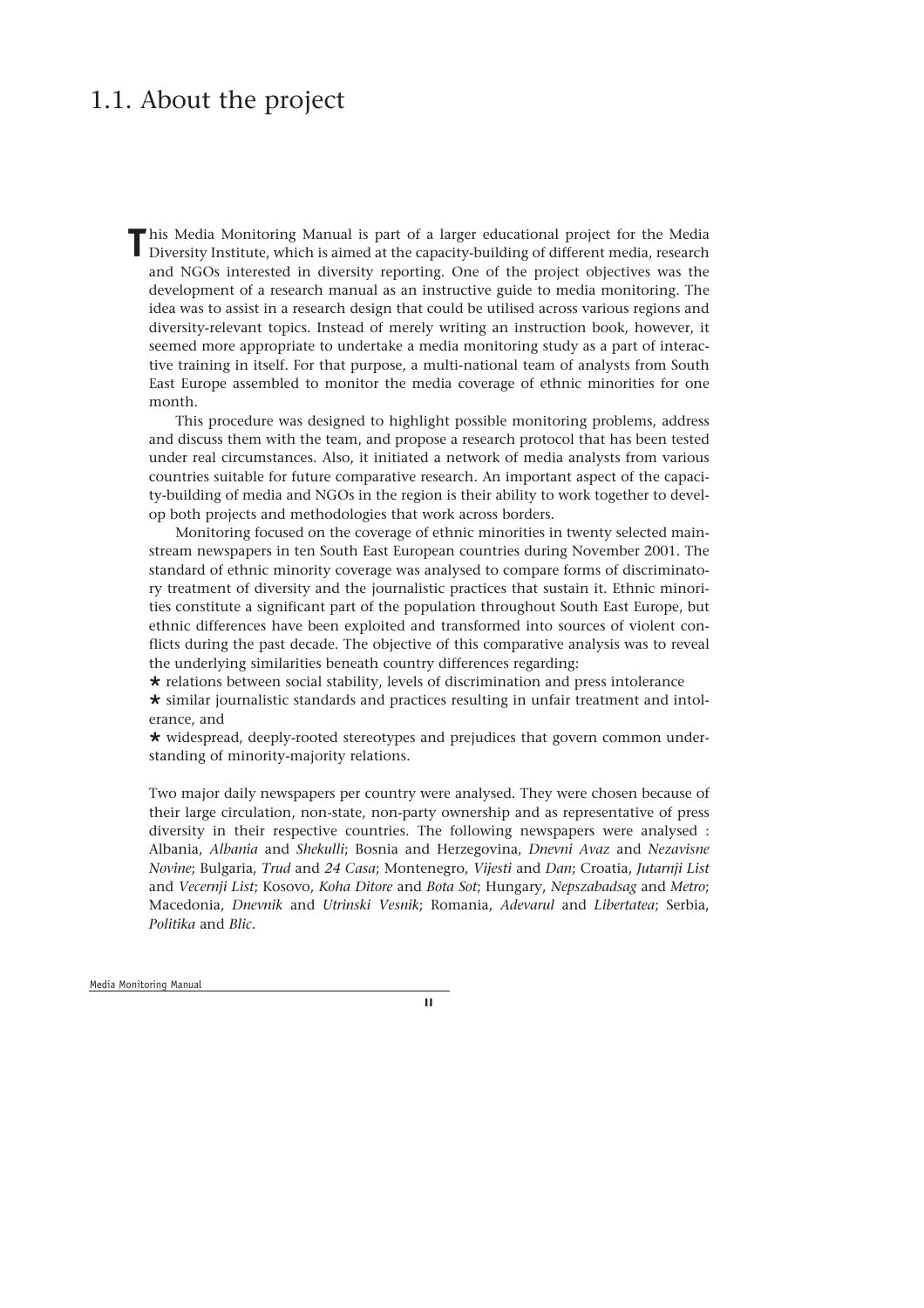## 1.1. About the project

his Media Monitoring Manual is part of a larger educational project for the Media This Media Monitoring Manual is part of a larger educational project for the Media Diversity Institute, which is aimed at the capacity-building of different media, research and NGOs interested in diversity reporting. One of the project objectives was the development of a research manual as an instructive guide to media monitoring. The idea was to assist in a research design that could be utilised across various regions and diversity-relevant topics. Instead of merely writing an instruction book, however, it seemed more appropriate to undertake a media monitoring study as a part of interactive training in itself. For that purpose, a multi-national team of analysts from South East Europe assembled to monitor the media coverage of ethnic minorities for one month.

This procedure was designed to highlight possible monitoring problems, address and discuss them with the team, and propose a research protocol that has been tested under real circumstances. Also, it initiated a network of media analysts from various countries suitable for future comparative research. An important aspect of the capacity-building of media and NGOs in the region is their ability to work together to develop both projects and methodologies that work across borders.

Monitoring focused on the coverage of ethnic minorities in twenty selected mainstream newspapers in ten South East European countries during November 2001. The standard of ethnic minority coverage was analysed to compare forms of discriminatory treatment of diversity and the journalistic practices that sustain it. Ethnic minorities constitute a significant part of the population throughout South East Europe, but ethnic differences have been exploited and transformed into sources of violent conflicts during the past decade. The objective of this comparative analysis was to reveal the underlying similarities beneath country differences regarding:

 $\star$  relations between social stability, levels of discrimination and press intolerance

\* similar journalistic standards and practices resulting in unfair treatment and intolerance, and

\* widespread, deeply-rooted stereotypes and prejudices that govern common understanding of minority-majority relations.

Two major daily newspapers per country were analysed. They were chosen because of their large circulation, non-state, non-party ownership and as representative of press diversity in their respective countries. The following newspapers were analysed : Albania, *Albania* and *Shekulli*; Bosnia and Herzegovina, *Dnevni Avaz* and *Nezavisne Novine*; Bulgaria, *Trud* and *24 Casa*; Montenegro, *Vijesti* and *Dan*; Croatia, *Jutarnji List* and *Vecernji List*; Kosovo, *Koha Ditore* and *Bota Sot*; Hungary, *Nepszabadsag* and *Metro*; Macedonia, *Dnevnik* and *Utrinski Vesnik*; Romania, *Adevarul* and *Libertatea*; Serbia, *Politika* and *Blic*.

Media Monitoring Manual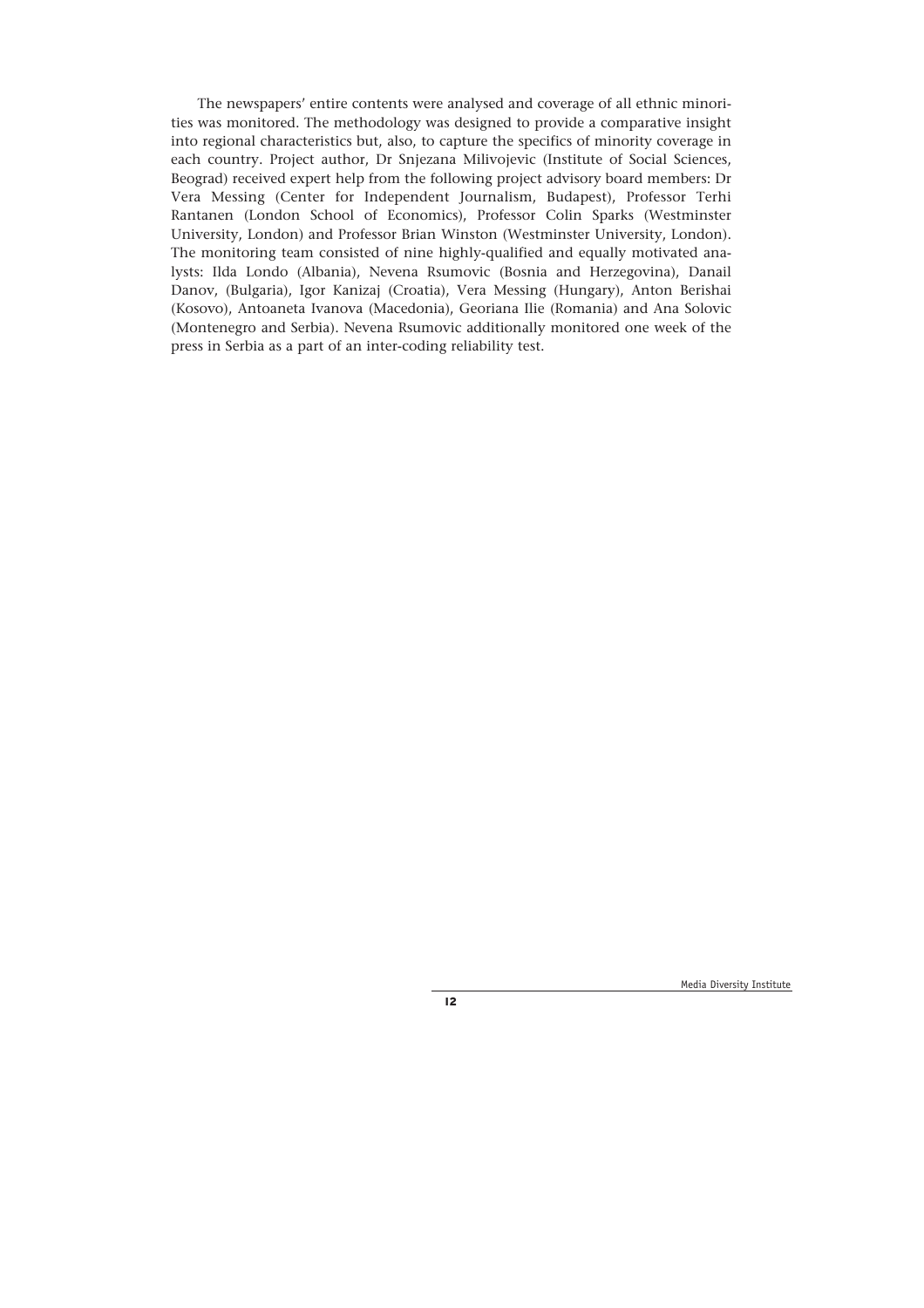The newspapers' entire contents were analysed and coverage of all ethnic minorities was monitored. The methodology was designed to provide a comparative insight into regional characteristics but, also, to capture the specifics of minority coverage in each country. Project author, Dr Snjezana Milivojevic (Institute of Social Sciences, Beograd) received expert help from the following project advisory board members: Dr Vera Messing (Center for Independent Journalism, Budapest), Professor Terhi Rantanen (London School of Economics), Professor Colin Sparks (Westminster University, London) and Professor Brian Winston (Westminster University, London). The monitoring team consisted of nine highly-qualified and equally motivated analysts: Ilda Londo (Albania), Nevena Rsumovic (Bosnia and Herzegovina), Danail Danov, (Bulgaria), Igor Kanizaj (Croatia), Vera Messing (Hungary), Anton Berishai (Kosovo), Antoaneta Ivanova (Macedonia), Georiana Ilie (Romania) and Ana Solovic (Montenegro and Serbia). Nevena Rsumovic additionally monitored one week of the press in Serbia as a part of an inter-coding reliability test.

Media Diversity Institute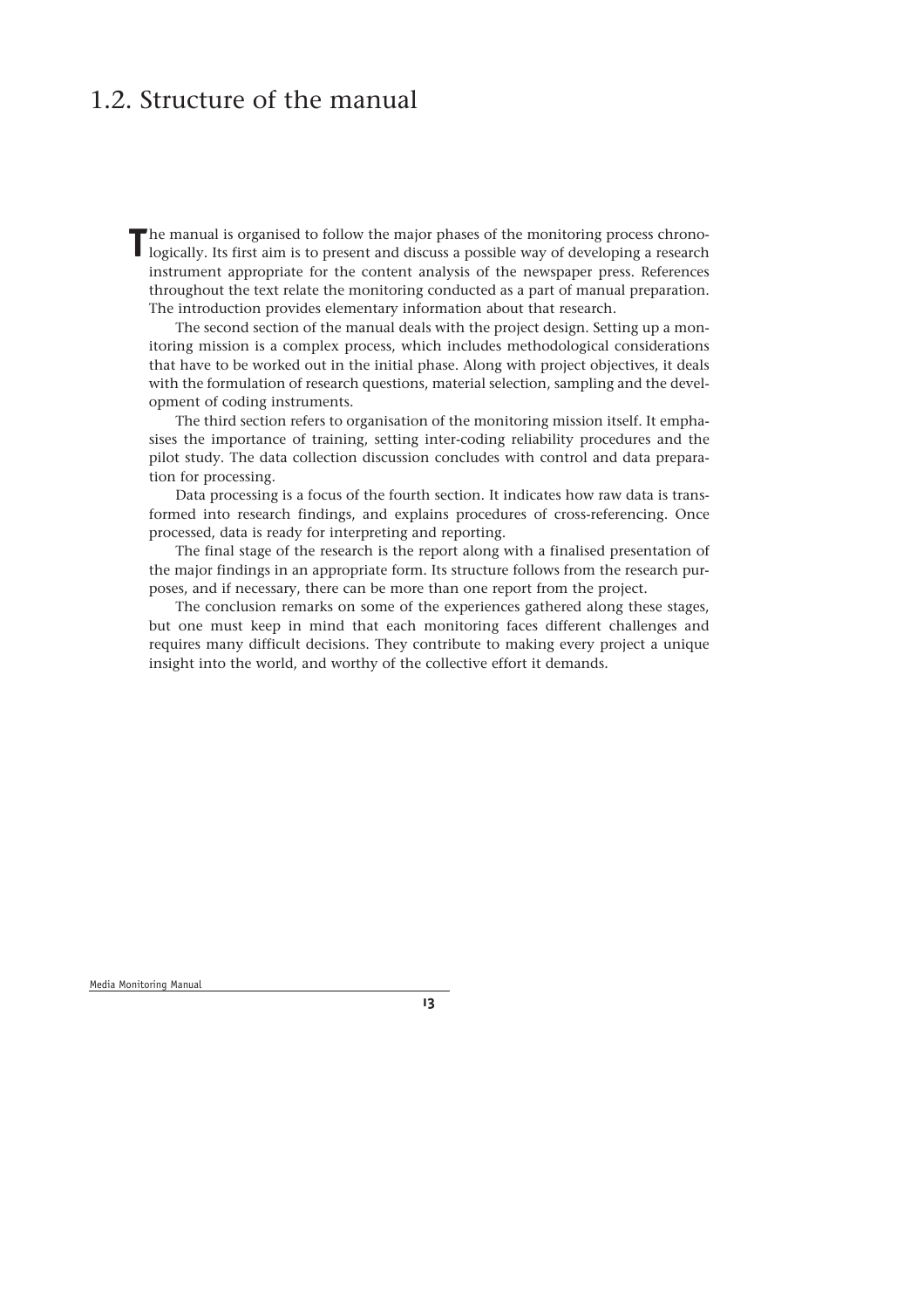### 1.2. Structure of the manual

The manual is organised to follow the major phases of the monitoring process chronologically. Its first aim is to present and discuss a possible way of developing a research instrument appropriate for the content analysis of the newspaper press. References throughout the text relate the monitoring conducted as a part of manual preparation. The introduction provides elementary information about that research. **T**

The second section of the manual deals with the project design. Setting up a monitoring mission is a complex process, which includes methodological considerations that have to be worked out in the initial phase. Along with project objectives, it deals with the formulation of research questions, material selection, sampling and the development of coding instruments.

The third section refers to organisation of the monitoring mission itself. It emphasises the importance of training, setting inter-coding reliability procedures and the pilot study. The data collection discussion concludes with control and data preparation for processing.

Data processing is a focus of the fourth section. It indicates how raw data is transformed into research findings, and explains procedures of cross-referencing. Once processed, data is ready for interpreting and reporting.

The final stage of the research is the report along with a finalised presentation of the major findings in an appropriate form*.* Its structure follows from the research purposes, and if necessary, there can be more than one report from the project.

The conclusion remarks on some of the experiences gathered along these stages, but one must keep in mind that each monitoring faces different challenges and requires many difficult decisions. They contribute to making every project a unique insight into the world, and worthy of the collective effort it demands.

Media Monitoring Manual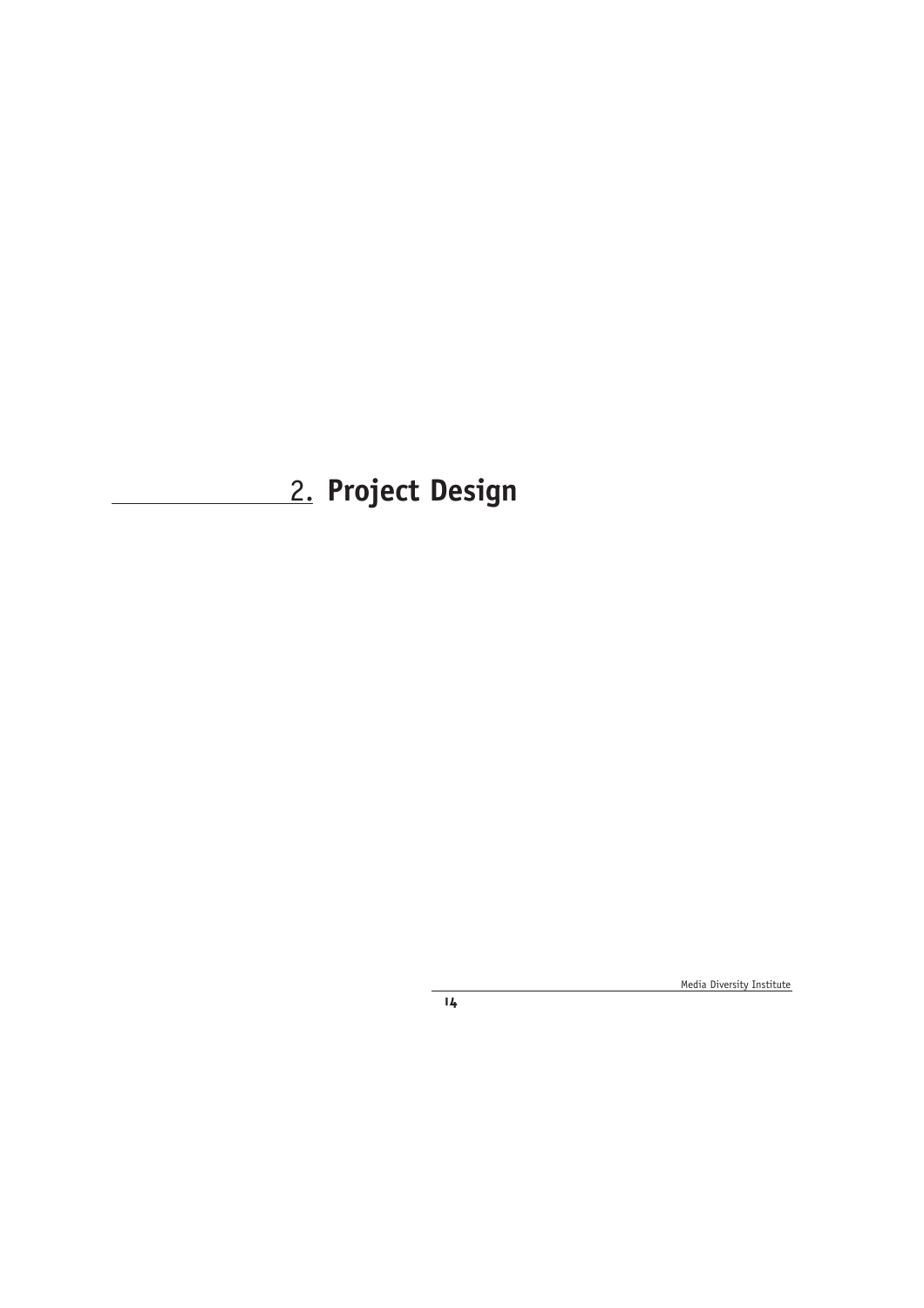2. **Project Design**

Media Diversity Institute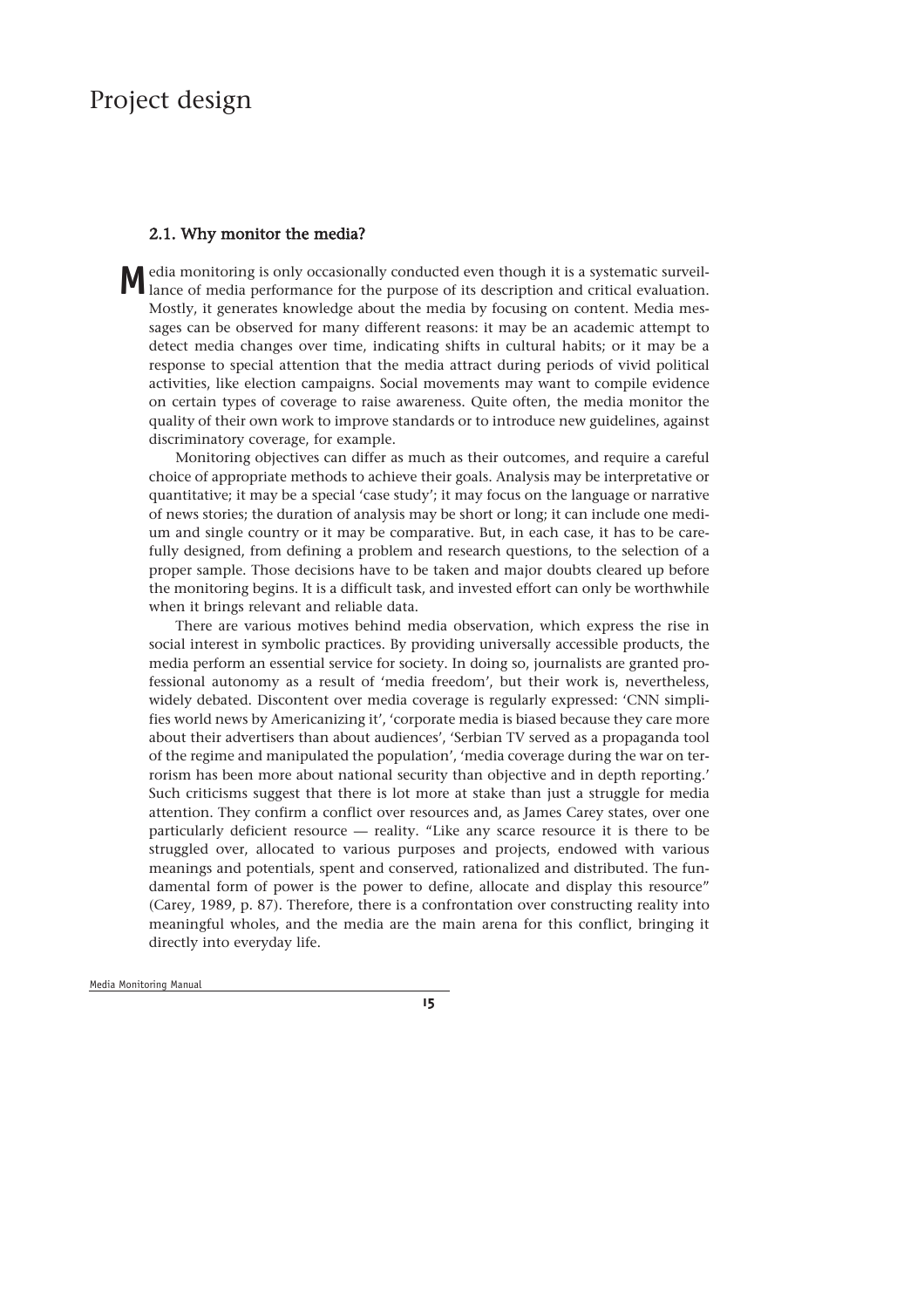## Project design

#### 2.1. Why monitor the media?

edia monitoring is only occasionally conducted even though it is a systematic surveillance of media performance for the purpose of its description and critical evaluation. Mostly, it generates knowledge about the media by focusing on content. Media messages can be observed for many different reasons: it may be an academic attempt to detect media changes over time, indicating shifts in cultural habits; or it may be a response to special attention that the media attract during periods of vivid political activities, like election campaigns. Social movements may want to compile evidence on certain types of coverage to raise awareness. Quite often, the media monitor the quality of their own work to improve standards or to introduce new guidelines, against discriminatory coverage, for example. **M**

Monitoring objectives can differ as much as their outcomes, and require a careful choice of appropriate methods to achieve their goals. Analysis may be interpretative or quantitative; it may be a special 'case study'; it may focus on the language or narrative of news stories; the duration of analysis may be short or long; it can include one medium and single country or it may be comparative. But, in each case, it has to be carefully designed, from defining a problem and research questions, to the selection of a proper sample. Those decisions have to be taken and major doubts cleared up before the monitoring begins. It is a difficult task, and invested effort can only be worthwhile when it brings relevant and reliable data.

There are various motives behind media observation, which express the rise in social interest in symbolic practices. By providing universally accessible products, the media perform an essential service for society. In doing so, journalists are granted professional autonomy as a result of 'media freedom', but their work is, nevertheless, widely debated. Discontent over media coverage is regularly expressed: ëCNN simplifies world news by Americanizing it', 'corporate media is biased because they care more about their advertisers than about audiences', 'Serbian TV served as a propaganda tool of the regime and manipulated the population', 'media coverage during the war on terrorism has been more about national security than objective and in depth reporting. Such criticisms suggest that there is lot more at stake than just a struggle for media attention. They confirm a conflict over resources and, as James Carey states, over one particularly deficient resource  $-$  reality. "Like any scarce resource it is there to be struggled over, allocated to various purposes and projects, endowed with various meanings and potentials, spent and conserved, rationalized and distributed. The fundamental form of power is the power to define, allocate and display this resource" (Carey, 1989, p. 87). Therefore, there is a confrontation over constructing reality into meaningful wholes, and the media are the main arena for this conflict, bringing it directly into everyday life.

Media Monitoring Manual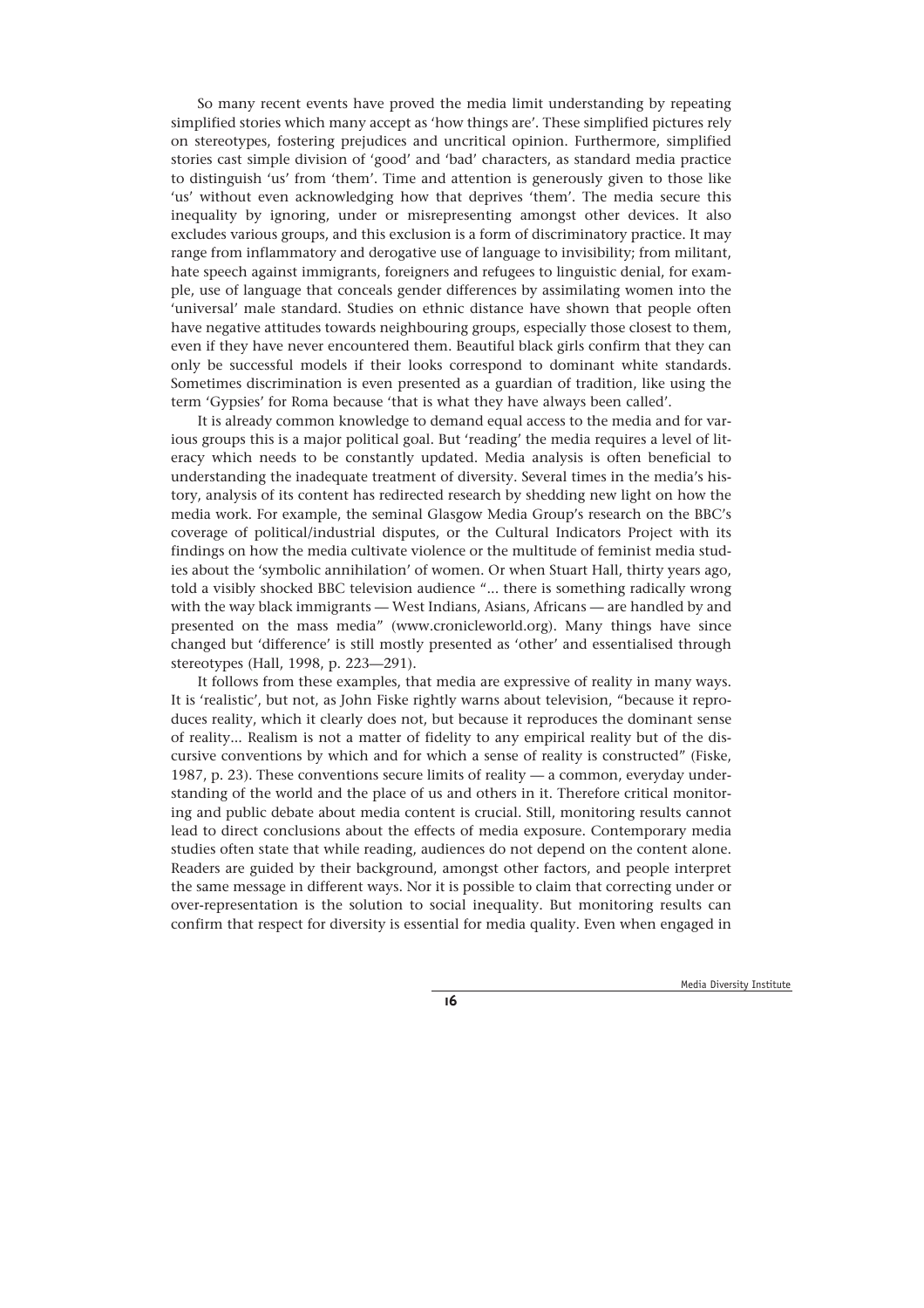So many recent events have proved the media limit understanding by repeating simplified stories which many accept as 'how things are'. These simplified pictures rely on stereotypes, fostering prejudices and uncritical opinion. Furthermore, simplified stories cast simple division of 'good' and 'bad' characters, as standard media practice to distinguish 'us' from 'them'. Time and attention is generously given to those like 'us' without even acknowledging how that deprives 'them'. The media secure this inequality by ignoring, under or misrepresenting amongst other devices. It also excludes various groups, and this exclusion is a form of discriminatory practice. It may range from inflammatory and derogative use of language to invisibility; from militant, hate speech against immigrants, foreigners and refugees to linguistic denial, for example, use of language that conceals gender differences by assimilating women into the 'universal' male standard. Studies on ethnic distance have shown that people often have negative attitudes towards neighbouring groups, especially those closest to them, even if they have never encountered them. Beautiful black girls confirm that they can only be successful models if their looks correspond to dominant white standards. Sometimes discrimination is even presented as a guardian of tradition, like using the term 'Gypsies' for Roma because 'that is what they have always been called'.

It is already common knowledge to demand equal access to the media and for various groups this is a major political goal. But 'reading' the media requires a level of literacy which needs to be constantly updated. Media analysis is often beneficial to understanding the inadequate treatment of diversity. Several times in the media's history, analysis of its content has redirected research by shedding new light on how the media work. For example, the seminal Glasgow Media Group's research on the BBC's coverage of political/industrial disputes, or the Cultural Indicators Project with its findings on how the media cultivate violence or the multitude of feminist media studies about the 'symbolic annihilation' of women. Or when Stuart Hall, thirty years ago, told a visibly shocked BBC television audience "... there is something radically wrong with the way black immigrants — West Indians, Asians, Africans — are handled by and presented on the mass mediaî (www.cronicleworld.org). Many things have since changed but 'difference' is still mostly presented as 'other' and essentialised through stereotypes (Hall, 1998, p. 223-291).

It follows from these examples, that media are expressive of reality in many ways. It is 'realistic', but not, as John Fiske rightly warns about television, "because it reproduces reality, which it clearly does not, but because it reproduces the dominant sense of reality... Realism is not a matter of fidelity to any empirical reality but of the discursive conventions by which and for which a sense of reality is constructed" (Fiske, 1987, p. 23). These conventions secure limits of reality  $\frac{1}{2}$  common, everyday understanding of the world and the place of us and others in it. Therefore critical monitoring and public debate about media content is crucial. Still, monitoring results cannot lead to direct conclusions about the effects of media exposure. Contemporary media studies often state that while reading, audiences do not depend on the content alone. Readers are guided by their background, amongst other factors, and people interpret the same message in different ways. Nor it is possible to claim that correcting under or over-representation is the solution to social inequality. But monitoring results can confirm that respect for diversity is essential for media quality. Even when engaged in

Media Diversity Institute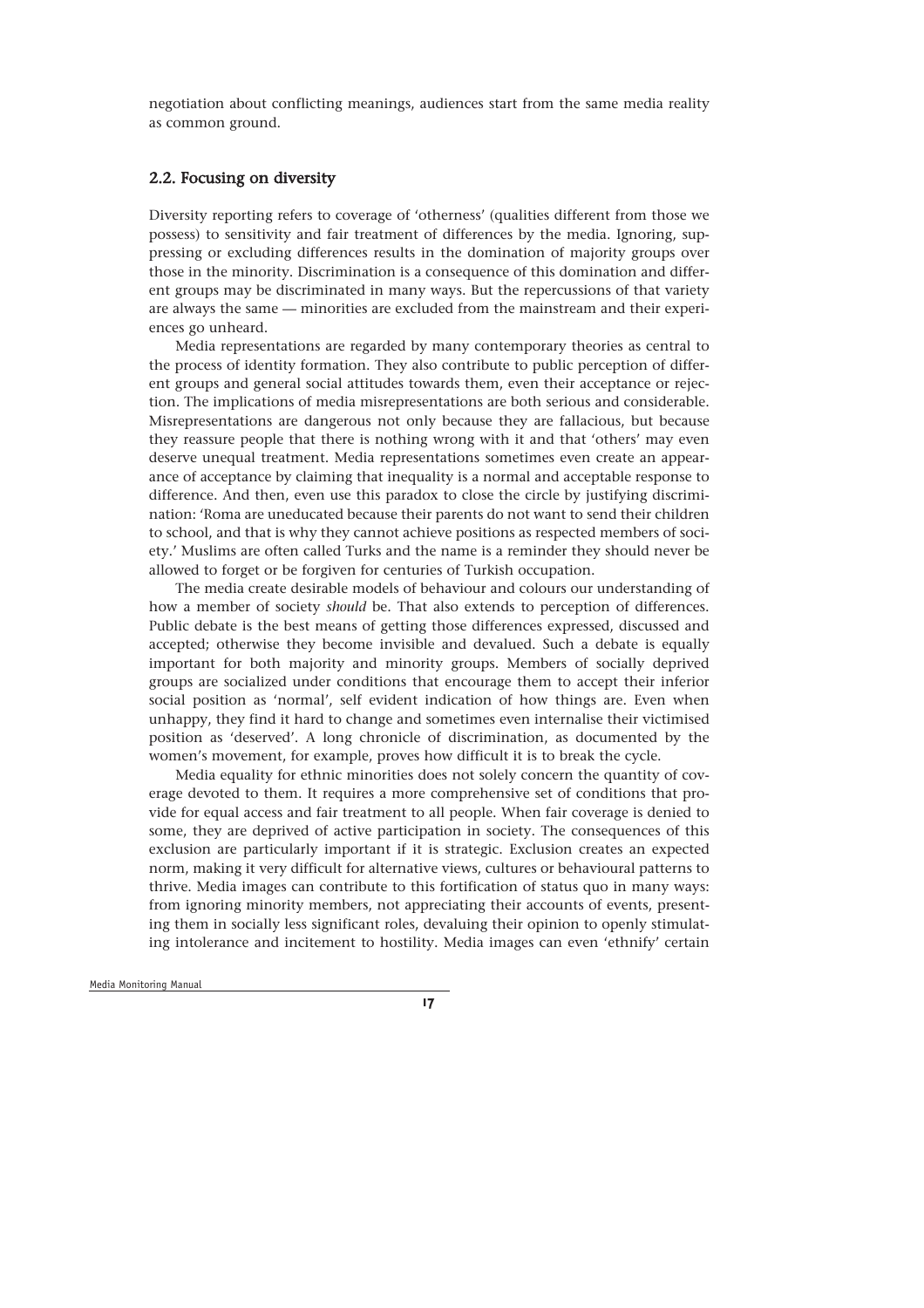negotiation about conflicting meanings, audiences start from the same media reality as common ground.

#### 2.2. Focusing on diversity

Diversity reporting refers to coverage of 'otherness' (qualities different from those we possess) to sensitivity and fair treatment of differences by the media. Ignoring, suppressing or excluding differences results in the domination of majority groups over those in the minority. Discrimination is a consequence of this domination and different groups may be discriminated in many ways. But the repercussions of that variety are always the same — minorities are excluded from the mainstream and their experiences go unheard.

Media representations are regarded by many contemporary theories as central to the process of identity formation. They also contribute to public perception of different groups and general social attitudes towards them, even their acceptance or rejection. The implications of media misrepresentations are both serious and considerable. Misrepresentations are dangerous not only because they are fallacious, but because they reassure people that there is nothing wrong with it and that 'others' may even deserve unequal treatment. Media representations sometimes even create an appearance of acceptance by claiming that inequality is a normal and acceptable response to difference. And then, even use this paradox to close the circle by justifying discrimination: 'Roma are uneducated because their parents do not want to send their children to school, and that is why they cannot achieve positions as respected members of society.' Muslims are often called Turks and the name is a reminder they should never be allowed to forget or be forgiven for centuries of Turkish occupation.

The media create desirable models of behaviour and colours our understanding of how a member of society *should* be. That also extends to perception of differences. Public debate is the best means of getting those differences expressed, discussed and accepted; otherwise they become invisible and devalued. Such a debate is equally important for both majority and minority groups. Members of socially deprived groups are socialized under conditions that encourage them to accept their inferior social position as 'normal', self evident indication of how things are. Even when unhappy, they find it hard to change and sometimes even internalise their victimised position as 'deserved'. A long chronicle of discrimination, as documented by the women's movement, for example, proves how difficult it is to break the cycle.

Media equality for ethnic minorities does not solely concern the quantity of coverage devoted to them. It requires a more comprehensive set of conditions that provide for equal access and fair treatment to all people. When fair coverage is denied to some, they are deprived of active participation in society. The consequences of this exclusion are particularly important if it is strategic. Exclusion creates an expected norm, making it very difficult for alternative views, cultures or behavioural patterns to thrive. Media images can contribute to this fortification of status quo in many ways: from ignoring minority members, not appreciating their accounts of events, presenting them in socially less significant roles, devaluing their opinion to openly stimulating intolerance and incitement to hostility. Media images can even 'ethnify' certain

Media Monitoring Manual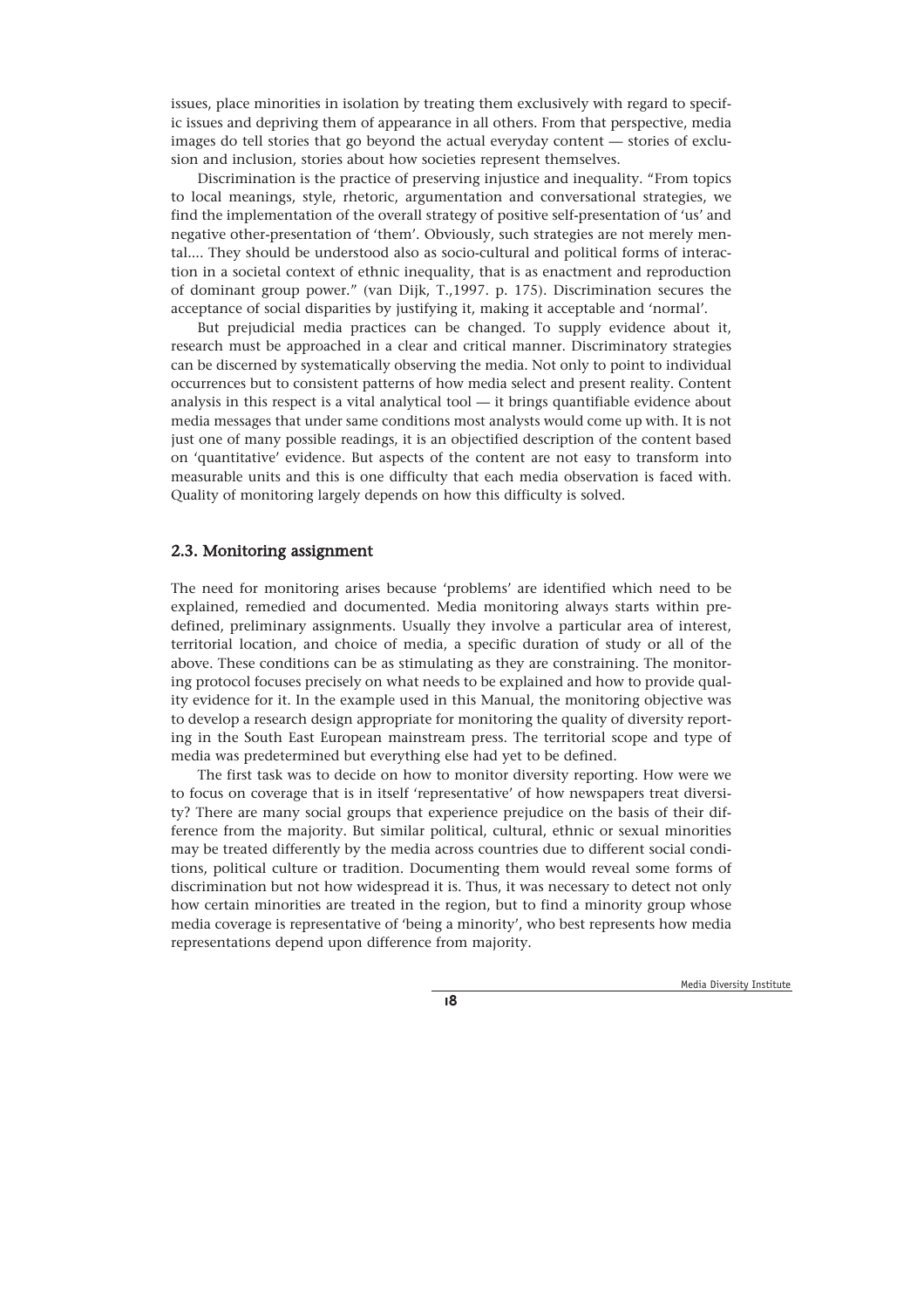issues, place minorities in isolation by treating them exclusively with regard to specific issues and depriving them of appearance in all others. From that perspective, media images do tell stories that go beyond the actual everyday content — stories of exclusion and inclusion, stories about how societies represent themselves.

Discrimination is the practice of preserving injustice and inequality. "From topics to local meanings, style, rhetoric, argumentation and conversational strategies, we find the implementation of the overall strategy of positive self-presentation of 'us' and negative other-presentation of 'them'. Obviously, such strategies are not merely mental.... They should be understood also as socio-cultural and political forms of interaction in a societal context of ethnic inequality, that is as enactment and reproduction of dominant group power.î (van Dijk, T.,1997. p. 175). Discrimination secures the acceptance of social disparities by justifying it, making it acceptable and 'normal'.

But prejudicial media practices can be changed. To supply evidence about it, research must be approached in a clear and critical manner. Discriminatory strategies can be discerned by systematically observing the media. Not only to point to individual occurrences but to consistent patterns of how media select and present reality. Content analysis in this respect is a vital analytical tool  $-$  it brings quantifiable evidence about media messages that under same conditions most analysts would come up with. It is not just one of many possible readings, it is an objectified description of the content based on ëquantitativeí evidence. But aspects of the content are not easy to transform into measurable units and this is one difficulty that each media observation is faced with. Quality of monitoring largely depends on how this difficulty is solved.

#### 2.3. Monitoring assignment

The need for monitoring arises because 'problems' are identified which need to be explained, remedied and documented. Media monitoring always starts within predefined, preliminary assignments. Usually they involve a particular area of interest, territorial location, and choice of media, a specific duration of study or all of the above. These conditions can be as stimulating as they are constraining. The monitoring protocol focuses precisely on what needs to be explained and how to provide quality evidence for it. In the example used in this Manual, the monitoring objective was to develop a research design appropriate for monitoring the quality of diversity reporting in the South East European mainstream press. The territorial scope and type of media was predetermined but everything else had yet to be defined.

The first task was to decide on how to monitor diversity reporting. How were we to focus on coverage that is in itself 'representative' of how newspapers treat diversity? There are many social groups that experience prejudice on the basis of their difference from the majority. But similar political, cultural, ethnic or sexual minorities may be treated differently by the media across countries due to different social conditions, political culture or tradition. Documenting them would reveal some forms of discrimination but not how widespread it is. Thus, it was necessary to detect not only how certain minorities are treated in the region, but to find a minority group whose media coverage is representative of 'being a minority', who best represents how media representations depend upon difference from majority.

Media Diversity Institute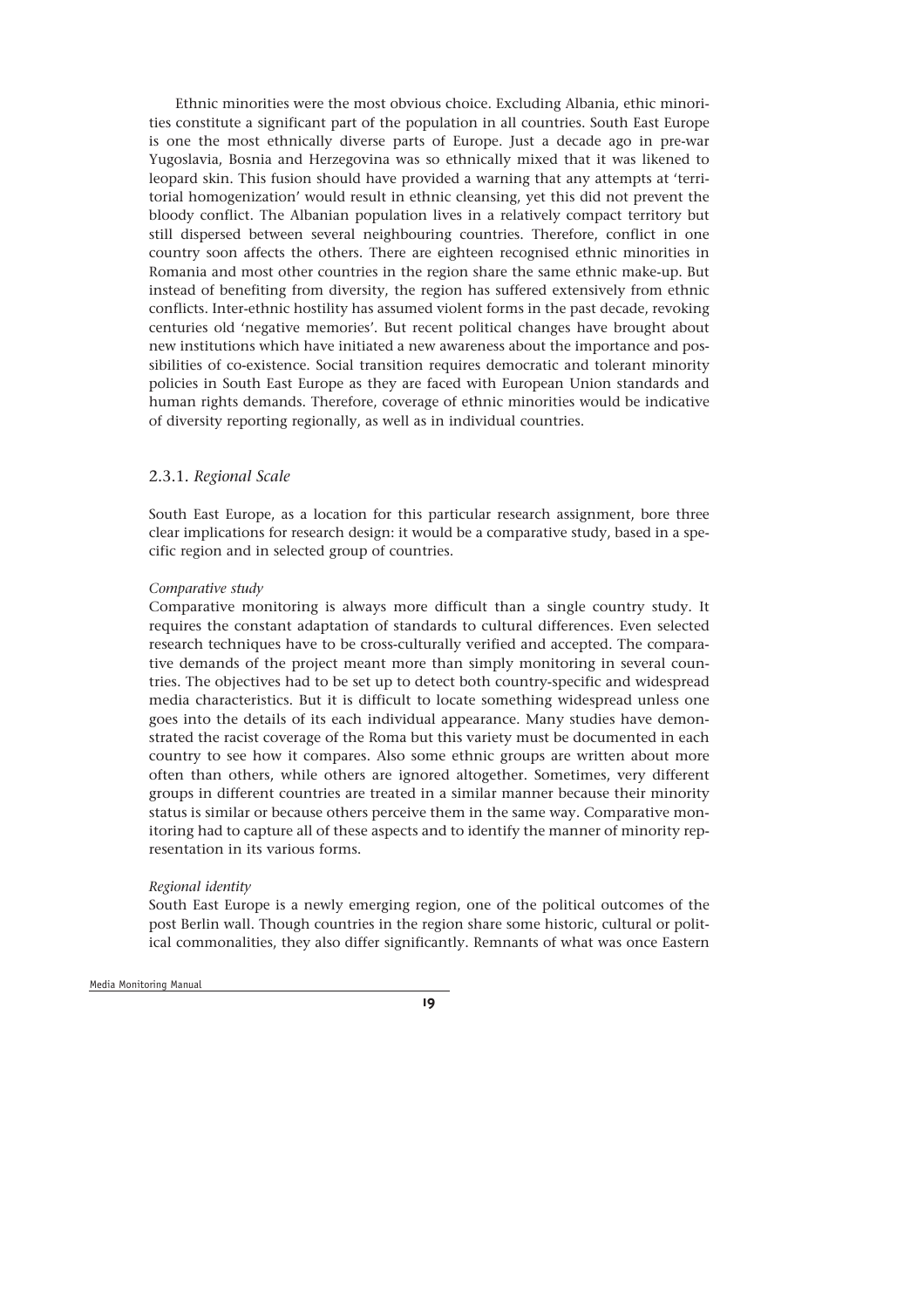Ethnic minorities were the most obvious choice. Excluding Albania, ethic minorities constitute a significant part of the population in all countries. South East Europe is one the most ethnically diverse parts of Europe. Just a decade ago in pre-war Yugoslavia, Bosnia and Herzegovina was so ethnically mixed that it was likened to leopard skin. This fusion should have provided a warning that any attempts at 'territorial homogenizationí would result in ethnic cleansing, yet this did not prevent the bloody conflict. The Albanian population lives in a relatively compact territory but still dispersed between several neighbouring countries. Therefore, conflict in one country soon affects the others. There are eighteen recognised ethnic minorities in Romania and most other countries in the region share the same ethnic make-up. But instead of benefiting from diversity, the region has suffered extensively from ethnic conflicts. Inter-ethnic hostility has assumed violent forms in the past decade, revoking centuries old ënegative memoriesí. But recent political changes have brought about new institutions which have initiated a new awareness about the importance and possibilities of co-existence. Social transition requires democratic and tolerant minority policies in South East Europe as they are faced with European Union standards and human rights demands. Therefore, coverage of ethnic minorities would be indicative of diversity reporting regionally, as well as in individual countries.

#### 2.3.1*. Regional Scale*

South East Europe, as a location for this particular research assignment, bore three clear implications for research design: it would be a comparative study, based in a specific region and in selected group of countries.

#### *Comparative study*

Comparative monitoring is always more difficult than a single country study. It requires the constant adaptation of standards to cultural differences. Even selected research techniques have to be cross-culturally verified and accepted. The comparative demands of the project meant more than simply monitoring in several countries. The objectives had to be set up to detect both country-specific and widespread media characteristics. But it is difficult to locate something widespread unless one goes into the details of its each individual appearance. Many studies have demonstrated the racist coverage of the Roma but this variety must be documented in each country to see how it compares. Also some ethnic groups are written about more often than others, while others are ignored altogether. Sometimes, very different groups in different countries are treated in a similar manner because their minority status is similar or because others perceive them in the same way. Comparative monitoring had to capture all of these aspects and to identify the manner of minority representation in its various forms.

#### *Regional identity*

South East Europe is a newly emerging region, one of the political outcomes of the post Berlin wall. Though countries in the region share some historic, cultural or political commonalities, they also differ significantly. Remnants of what was once Eastern

Media Monitoring Manual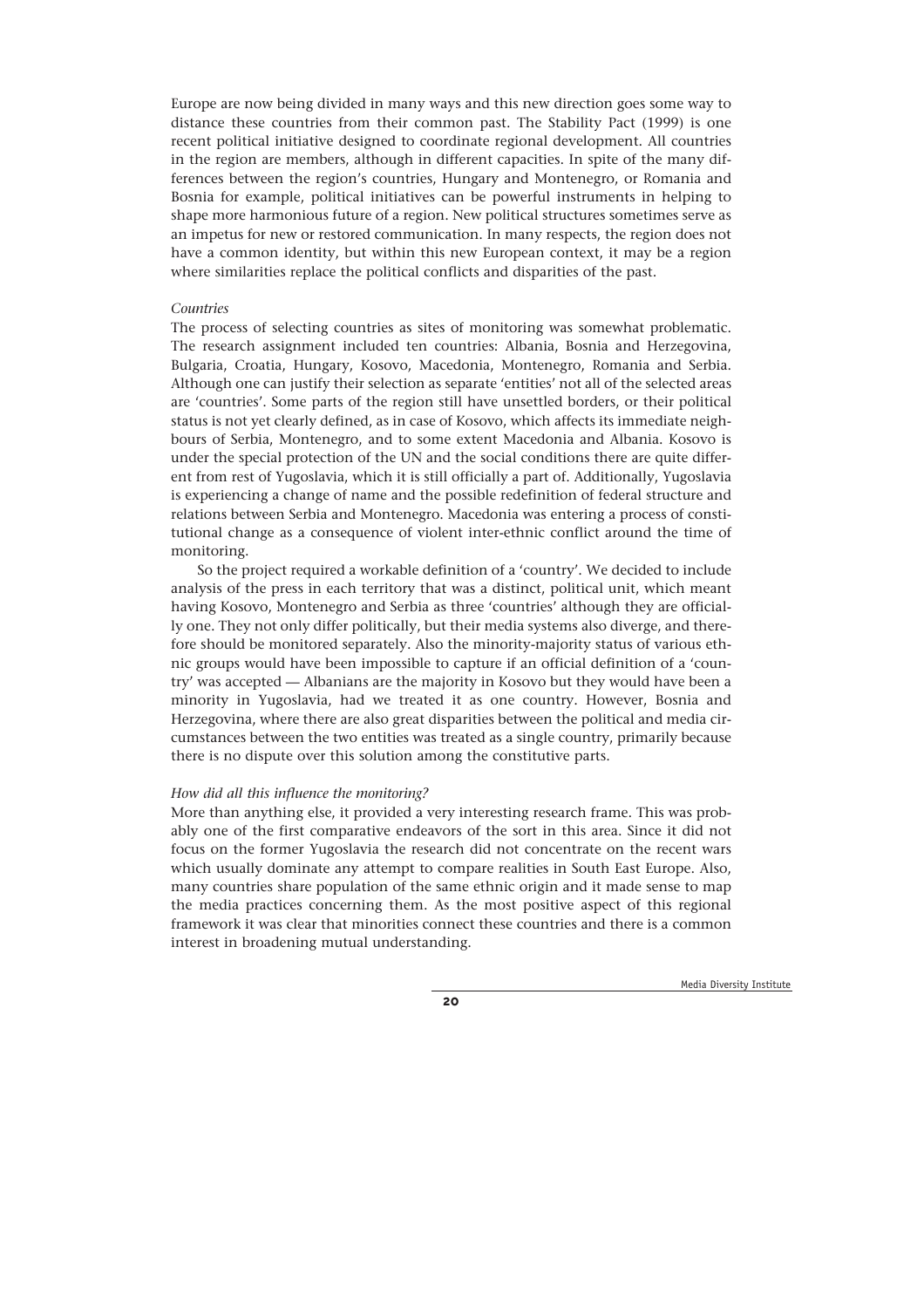Europe are now being divided in many ways and this new direction goes some way to distance these countries from their common past. The Stability Pact (1999) is one recent political initiative designed to coordinate regional development. All countries in the region are members, although in different capacities. In spite of the many differences between the region's countries, Hungary and Montenegro, or Romania and Bosnia for example, political initiatives can be powerful instruments in helping to shape more harmonious future of a region. New political structures sometimes serve as an impetus for new or restored communication. In many respects, the region does not have a common identity, but within this new European context, it may be a region where similarities replace the political conflicts and disparities of the past.

#### *Countries*

The process of selecting countries as sites of monitoring was somewhat problematic. The research assignment included ten countries: Albania, Bosnia and Herzegovina, Bulgaria, Croatia, Hungary, Kosovo, Macedonia, Montenegro, Romania and Serbia. Although one can justify their selection as separate 'entities' not all of the selected areas are ëcountriesí. Some parts of the region still have unsettled borders, or their political status is not yet clearly defined, as in case of Kosovo, which affects its immediate neighbours of Serbia, Montenegro, and to some extent Macedonia and Albania. Kosovo is under the special protection of the UN and the social conditions there are quite different from rest of Yugoslavia, which it is still officially a part of. Additionally, Yugoslavia is experiencing a change of name and the possible redefinition of federal structure and relations between Serbia and Montenegro. Macedonia was entering a process of constitutional change as a consequence of violent inter-ethnic conflict around the time of monitoring.

So the project required a workable definition of a ëcountryí. We decided to include analysis of the press in each territory that was a distinct, political unit, which meant having Kosovo, Montenegro and Serbia as three 'countries' although they are officially one. They not only differ politically, but their media systems also diverge, and therefore should be monitored separately. Also the minority-majority status of various ethnic groups would have been impossible to capture if an official definition of a 'country' was accepted — Albanians are the majority in Kosovo but they would have been a minority in Yugoslavia, had we treated it as one country. However, Bosnia and Herzegovina, where there are also great disparities between the political and media circumstances between the two entities was treated as a single country, primarily because there is no dispute over this solution among the constitutive parts.

#### *How did all this influence the monitoring?*

More than anything else, it provided a very interesting research frame. This was probably one of the first comparative endeavors of the sort in this area. Since it did not focus on the former Yugoslavia the research did not concentrate on the recent wars which usually dominate any attempt to compare realities in South East Europe. Also, many countries share population of the same ethnic origin and it made sense to map the media practices concerning them. As the most positive aspect of this regional framework it was clear that minorities connect these countries and there is a common interest in broadening mutual understanding.

Media Diversity Institute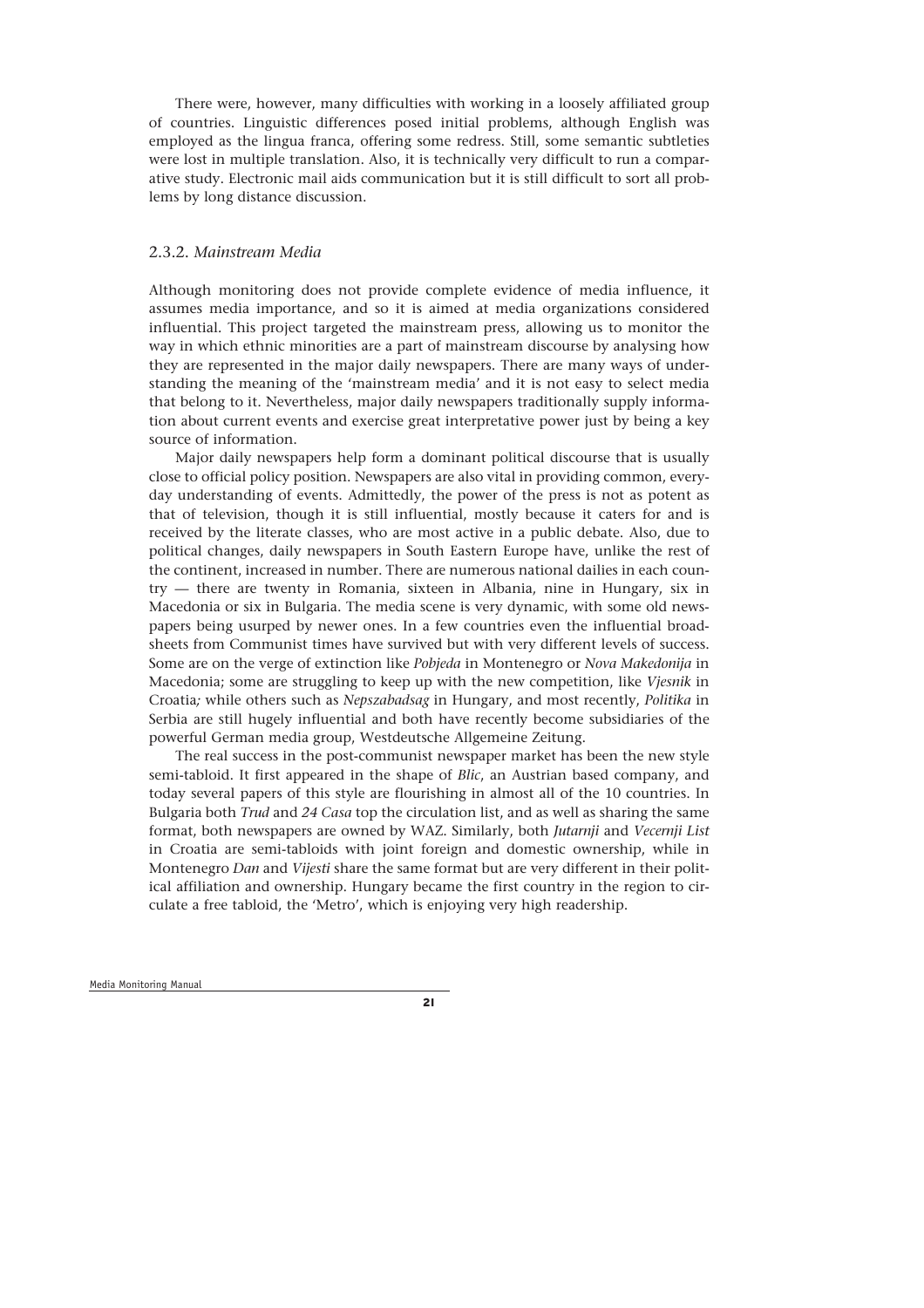There were, however, many difficulties with working in a loosely affiliated group of countries. Linguistic differences posed initial problems, although English was employed as the lingua franca, offering some redress. Still, some semantic subtleties were lost in multiple translation. Also, it is technically very difficult to run a comparative study. Electronic mail aids communication but it is still difficult to sort all problems by long distance discussion.

#### 2.3.2. *Mainstream Media*

Although monitoring does not provide complete evidence of media influence, it assumes media importance, and so it is aimed at media organizations considered influential*.* This project targeted the mainstream press, allowing us to monitor the way in which ethnic minorities are a part of mainstream discourse by analysing how they are represented in the major daily newspapers. There are many ways of understanding the meaning of the 'mainstream media' and it is not easy to select media that belong to it. Nevertheless, major daily newspapers traditionally supply information about current events and exercise great interpretative power just by being a key source of information.

Major daily newspapers help form a dominant political discourse that is usually close to official policy position. Newspapers are also vital in providing common, everyday understanding of events. Admittedly, the power of the press is not as potent as that of television, though it is still influential, mostly because it caters for and is received by the literate classes, who are most active in a public debate. Also, due to political changes, daily newspapers in South Eastern Europe have, unlike the rest of the continent, increased in number. There are numerous national dailies in each country – there are twenty in Romania, sixteen in Albania, nine in Hungary, six in Macedonia or six in Bulgaria. The media scene is very dynamic, with some old newspapers being usurped by newer ones. In a few countries even the influential broadsheets from Communist times have survived but with very different levels of success. Some are on the verge of extinction like *Pobjeda* in Montenegro or *Nova Makedonija* in Macedonia; some are struggling to keep up with the new competition, like *Vjesnik* in Croatia*;* while others such as *Nepszabadsag* in Hungary, and most recently, *Politika* in Serbia are still hugely influential and both have recently become subsidiaries of the powerful German media group, Westdeutsche Allgemeine Zeitung.

The real success in the post-communist newspaper market has been the new style semi-tabloid. It first appeared in the shape of *Blic*, an Austrian based company, and today several papers of this style are flourishing in almost all of the 10 countries. In Bulgaria both *Trud* and *24 Casa* top the circulation list, and as well as sharing the same format, both newspapers are owned by WAZ. Similarly, both *Jutarnji* and *Vecernji List* in Croatia are semi-tabloids with joint foreign and domestic ownership, while in Montenegro *Dan* and *Vijesti* share the same format but are very different in their political affiliation and ownership. Hungary became the first country in the region to circulate a free tabloid, the 'Metro', which is enjoying very high readership.

Media Monitoring Manual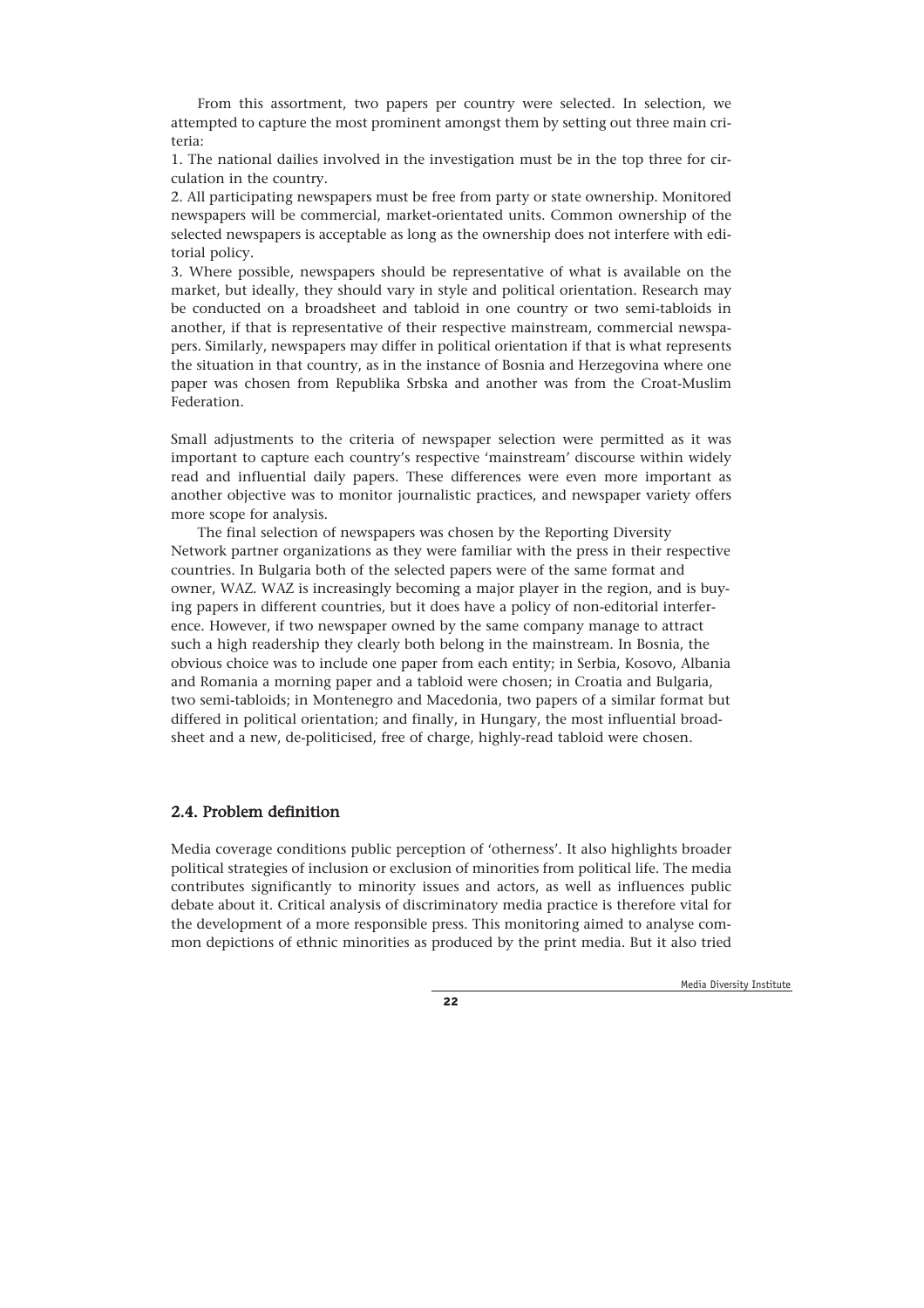From this assortment, two papers per country were selected. In selection, we attempted to capture the most prominent amongst them by setting out three main criteria:

1. The national dailies involved in the investigation must be in the top three for circulation in the country.

2. All participating newspapers must be free from party or state ownership. Monitored newspapers will be commercial, market-orientated units. Common ownership of the selected newspapers is acceptable as long as the ownership does not interfere with editorial policy.

3. Where possible, newspapers should be representative of what is available on the market, but ideally, they should vary in style and political orientation. Research may be conducted on a broadsheet and tabloid in one country or two semi-tabloids in another, if that is representative of their respective mainstream, commercial newspapers. Similarly, newspapers may differ in political orientation if that is what represents the situation in that country, as in the instance of Bosnia and Herzegovina where one paper was chosen from Republika Srbska and another was from the Croat-Muslim Federation.

Small adjustments to the criteria of newspaper selection were permitted as it was important to capture each country's respective 'mainstream' discourse within widely read and influential daily papers. These differences were even more important as another objective was to monitor journalistic practices, and newspaper variety offers more scope for analysis.

The final selection of newspapers was chosen by the Reporting Diversity Network partner organizations as they were familiar with the press in their respective countries. In Bulgaria both of the selected papers were of the same format and owner, WAZ. WAZ is increasingly becoming a major player in the region, and is buying papers in different countries, but it does have a policy of non-editorial interference. However, if two newspaper owned by the same company manage to attract such a high readership they clearly both belong in the mainstream. In Bosnia, the obvious choice was to include one paper from each entity; in Serbia, Kosovo, Albania and Romania a morning paper and a tabloid were chosen; in Croatia and Bulgaria, two semi-tabloids; in Montenegro and Macedonia, two papers of a similar format but differed in political orientation; and finally, in Hungary, the most influential broadsheet and a new, de-politicised, free of charge, highly-read tabloid were chosen.

#### 2.4. Problem definition

Media coverage conditions public perception of 'otherness'. It also highlights broader political strategies of inclusion or exclusion of minorities from political life. The media contributes significantly to minority issues and actors, as well as influences public debate about it. Critical analysis of discriminatory media practice is therefore vital for the development of a more responsible press. This monitoring aimed to analyse common depictions of ethnic minorities as produced by the print media. But it also tried

Media Diversity Institute

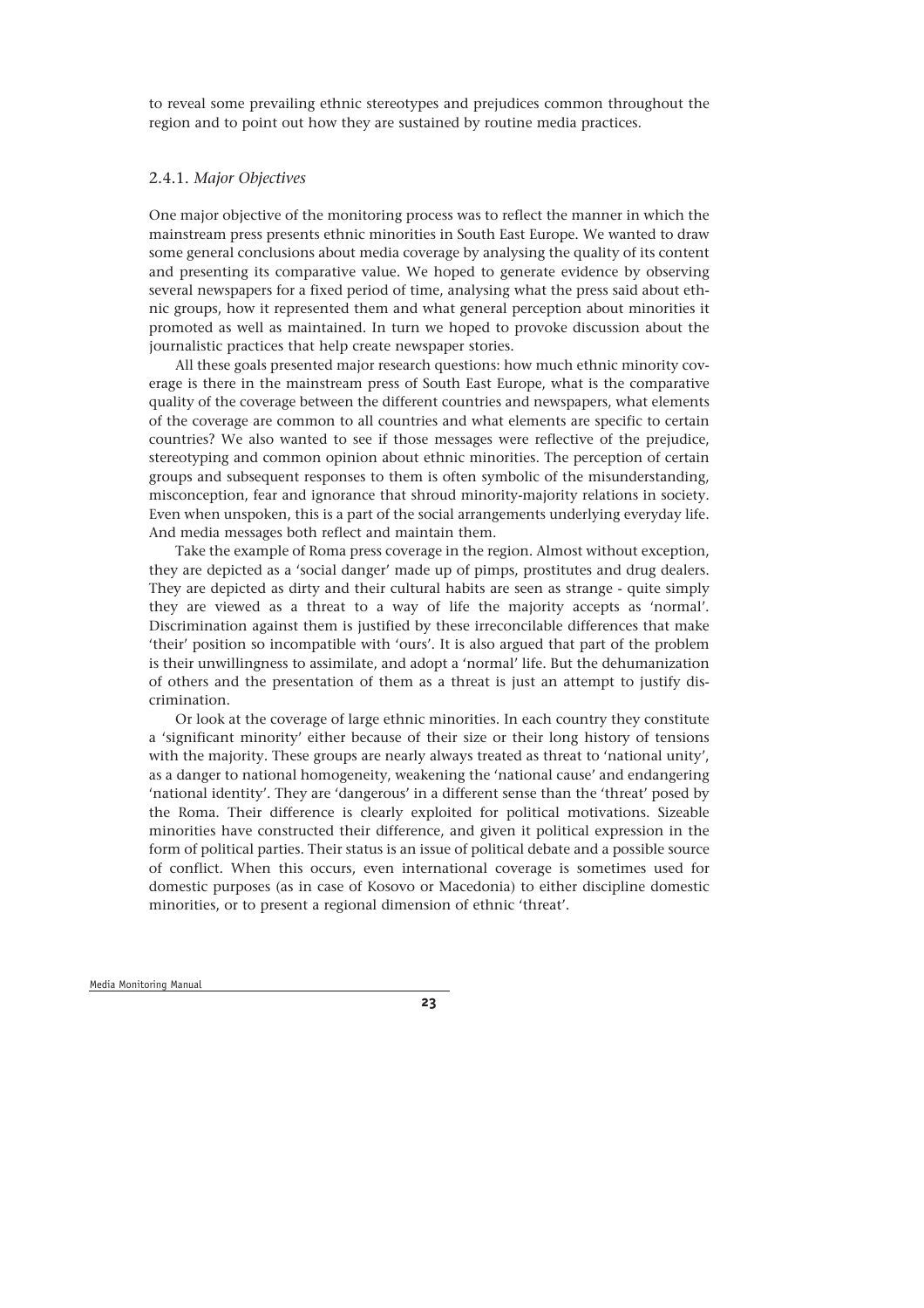to reveal some prevailing ethnic stereotypes and prejudices common throughout the region and to point out how they are sustained by routine media practices.

#### 2.4.1. *Major Objectives*

One major objective of the monitoring process was to reflect the manner in which the mainstream press presents ethnic minorities in South East Europe. We wanted to draw some general conclusions about media coverage by analysing the quality of its content and presenting its comparative value. We hoped to generate evidence by observing several newspapers for a fixed period of time, analysing what the press said about ethnic groups, how it represented them and what general perception about minorities it promoted as well as maintained. In turn we hoped to provoke discussion about the journalistic practices that help create newspaper stories.

All these goals presented major research questions: how much ethnic minority coverage is there in the mainstream press of South East Europe, what is the comparative quality of the coverage between the different countries and newspapers, what elements of the coverage are common to all countries and what elements are specific to certain countries? We also wanted to see if those messages were reflective of the prejudice, stereotyping and common opinion about ethnic minorities. The perception of certain groups and subsequent responses to them is often symbolic of the misunderstanding, misconception, fear and ignorance that shroud minority-majority relations in society. Even when unspoken, this is a part of the social arrangements underlying everyday life. And media messages both reflect and maintain them.

Take the example of Roma press coverage in the region. Almost without exception, they are depicted as a 'social danger' made up of pimps, prostitutes and drug dealers. They are depicted as dirty and their cultural habits are seen as strange - quite simply they are viewed as a threat to a way of life the majority accepts as 'normal'. Discrimination against them is justified by these irreconcilable differences that make their' position so incompatible with 'ours'. It is also argued that part of the problem is their unwillingness to assimilate, and adopt a 'normal' life. But the dehumanization of others and the presentation of them as a threat is just an attempt to justify discrimination.

Or look at the coverage of large ethnic minorities. In each country they constitute a 'significant minority' either because of their size or their long history of tensions with the majority. These groups are nearly always treated as threat to 'national unity', as a danger to national homogeneity, weakening the 'national cause' and endangering 'national identity'. They are 'dangerous' in a different sense than the 'threat' posed by the Roma. Their difference is clearly exploited for political motivations. Sizeable minorities have constructed their difference, and given it political expression in the form of political parties. Their status is an issue of political debate and a possible source of conflict. When this occurs, even international coverage is sometimes used for domestic purposes (as in case of Kosovo or Macedonia) to either discipline domestic minorities, or to present a regional dimension of ethnic 'threat'.

Media Monitoring Manual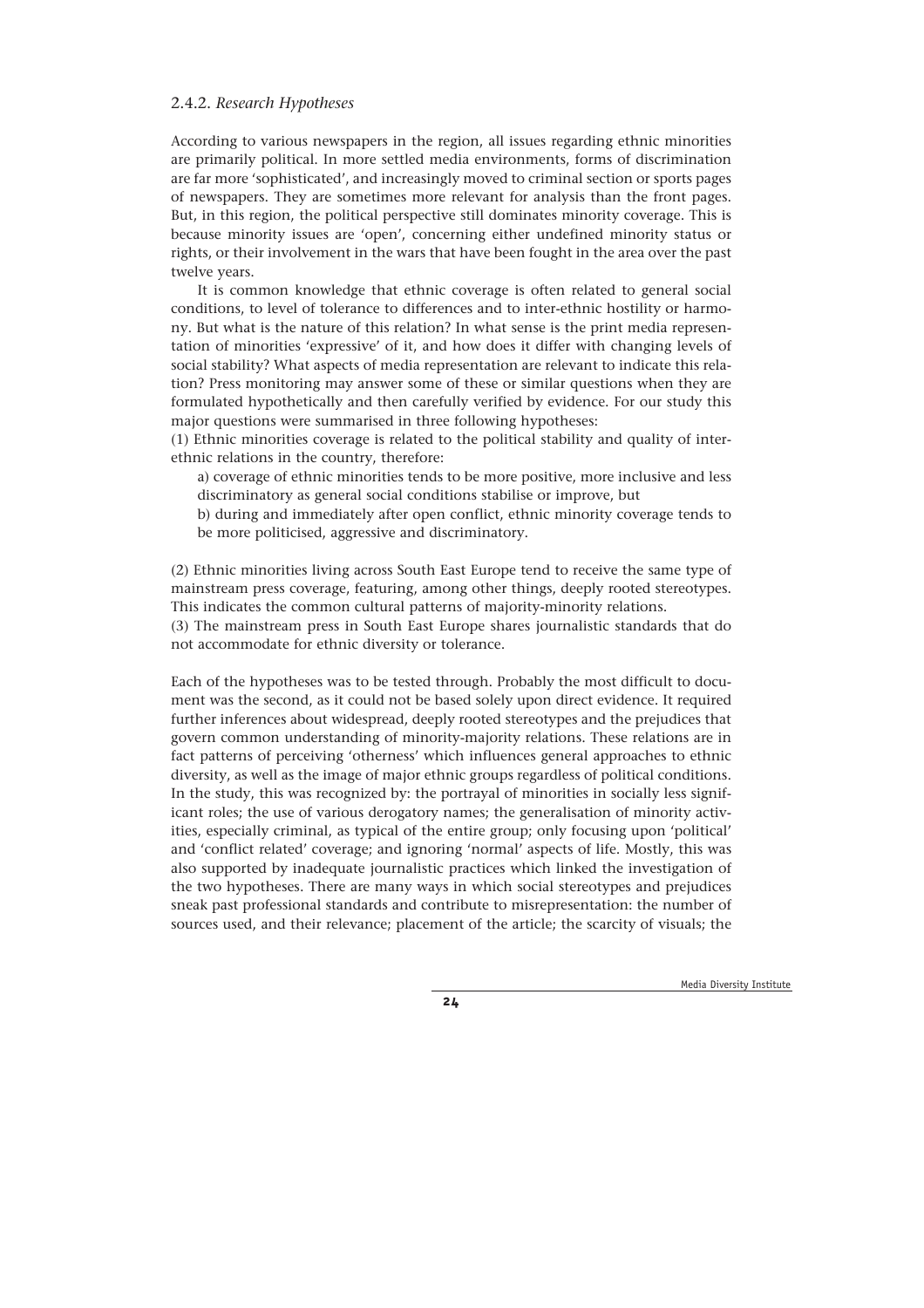#### 2.4.2. *Research Hypotheses*

According to various newspapers in the region, all issues regarding ethnic minorities are primarily political. In more settled media environments, forms of discrimination are far more 'sophisticated', and increasingly moved to criminal section or sports pages of newspapers. They are sometimes more relevant for analysis than the front pages. But, in this region, the political perspective still dominates minority coverage. This is because minority issues are 'open', concerning either undefined minority status or rights, or their involvement in the wars that have been fought in the area over the past twelve years.

It is common knowledge that ethnic coverage is often related to general social conditions, to level of tolerance to differences and to inter-ethnic hostility or harmony. But what is the nature of this relation? In what sense is the print media representation of minorities 'expressive' of it, and how does it differ with changing levels of social stability? What aspects of media representation are relevant to indicate this relation? Press monitoring may answer some of these or similar questions when they are formulated hypothetically and then carefully verified by evidence. For our study this major questions were summarised in three following hypotheses:

(1) Ethnic minorities coverage is related to the political stability and quality of interethnic relations in the country, therefore:

a) coverage of ethnic minorities tends to be more positive, more inclusive and less discriminatory as general social conditions stabilise or improve, but

b) during and immediately after open conflict, ethnic minority coverage tends to be more politicised, aggressive and discriminatory.

(2) Ethnic minorities living across South East Europe tend to receive the same type of mainstream press coverage, featuring, among other things, deeply rooted stereotypes. This indicates the common cultural patterns of majority-minority relations.

(3) The mainstream press in South East Europe shares journalistic standards that do not accommodate for ethnic diversity or tolerance.

Each of the hypotheses was to be tested through. Probably the most difficult to document was the second, as it could not be based solely upon direct evidence. It required further inferences about widespread, deeply rooted stereotypes and the prejudices that govern common understanding of minority-majority relations. These relations are in fact patterns of perceiving 'otherness' which influences general approaches to ethnic diversity, as well as the image of major ethnic groups regardless of political conditions. In the study, this was recognized by: the portrayal of minorities in socially less significant roles; the use of various derogatory names; the generalisation of minority activities, especially criminal, as typical of the entire group; only focusing upon 'political' and 'conflict related' coverage; and ignoring 'normal' aspects of life. Mostly, this was also supported by inadequate journalistic practices which linked the investigation of the two hypotheses. There are many ways in which social stereotypes and prejudices sneak past professional standards and contribute to misrepresentation: the number of sources used, and their relevance; placement of the article; the scarcity of visuals; the

Media Diversity Institute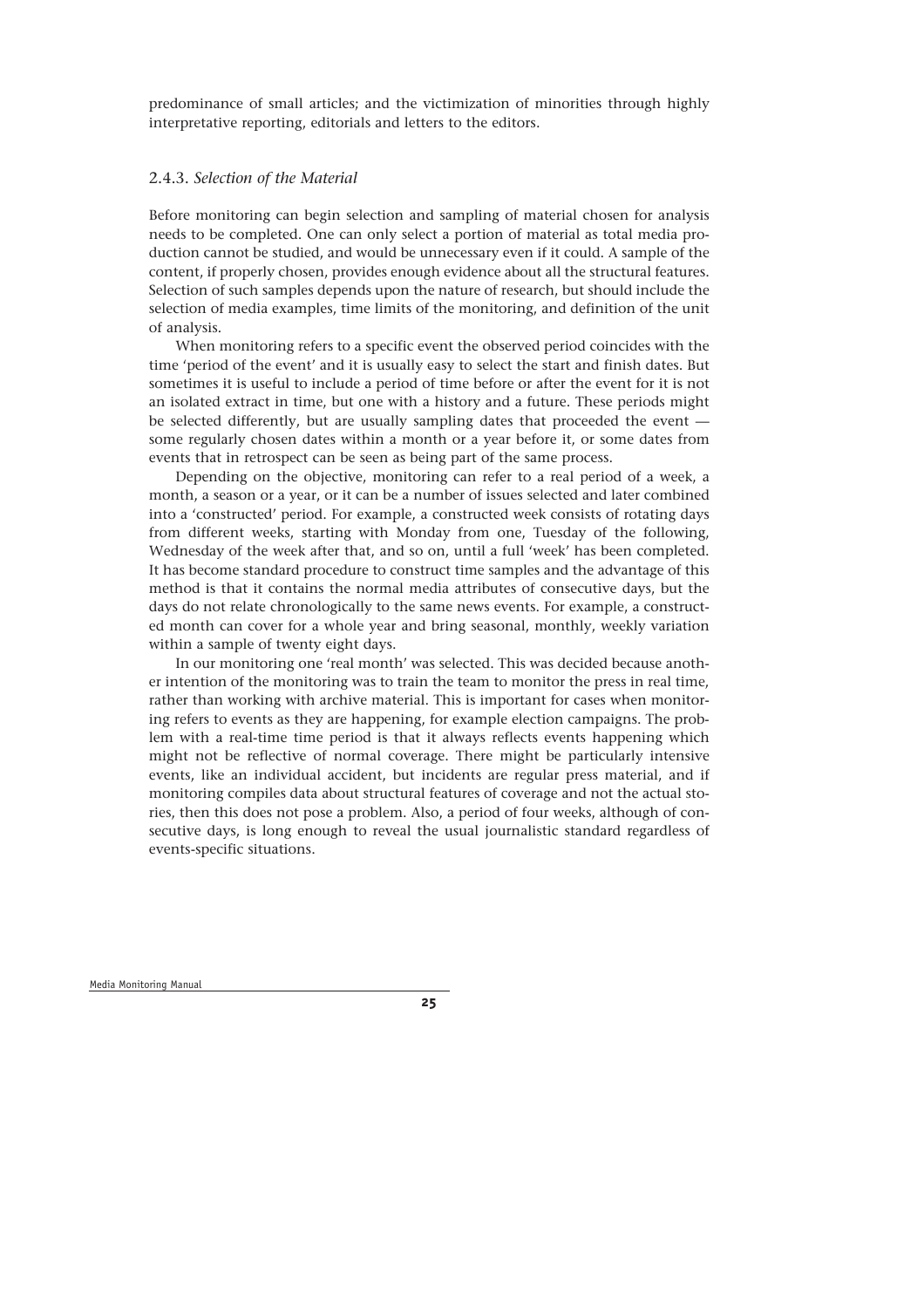predominance of small articles; and the victimization of minorities through highly interpretative reporting, editorials and letters to the editors.

#### 2.4.3. *Selection of the Material*

Before monitoring can begin selection and sampling of material chosen for analysis needs to be completed. One can only select a portion of material as total media production cannot be studied, and would be unnecessary even if it could. A sample of the content, if properly chosen, provides enough evidence about all the structural features. Selection of such samples depends upon the nature of research, but should include the selection of media examples, time limits of the monitoring, and definition of the unit of analysis*.* 

When monitoring refers to a specific event the observed period coincides with the time 'period of the event' and it is usually easy to select the start and finish dates. But sometimes it is useful to include a period of time before or after the event for it is not an isolated extract in time, but one with a history and a future. These periods might be selected differently, but are usually sampling dates that proceeded the event  $$ some regularly chosen dates within a month or a year before it, or some dates from events that in retrospect can be seen as being part of the same process.

Depending on the objective, monitoring can refer to a real period of a week, a month, a season or a year, or it can be a number of issues selected and later combined into a 'constructed' period. For example, a constructed week consists of rotating days from different weeks, starting with Monday from one, Tuesday of the following, Wednesday of the week after that, and so on, until a full 'week' has been completed. It has become standard procedure to construct time samples and the advantage of this method is that it contains the normal media attributes of consecutive days, but the days do not relate chronologically to the same news events. For example, a constructed month can cover for a whole year and bring seasonal, monthly, weekly variation within a sample of twenty eight days.

In our monitoring one 'real month' was selected. This was decided because another intention of the monitoring was to train the team to monitor the press in real time, rather than working with archive material. This is important for cases when monitoring refers to events as they are happening, for example election campaigns. The problem with a real-time time period is that it always reflects events happening which might not be reflective of normal coverage. There might be particularly intensive events, like an individual accident, but incidents are regular press material, and if monitoring compiles data about structural features of coverage and not the actual stories, then this does not pose a problem. Also, a period of four weeks, although of consecutive days, is long enough to reveal the usual journalistic standard regardless of events-specific situations.

Media Monitoring Manual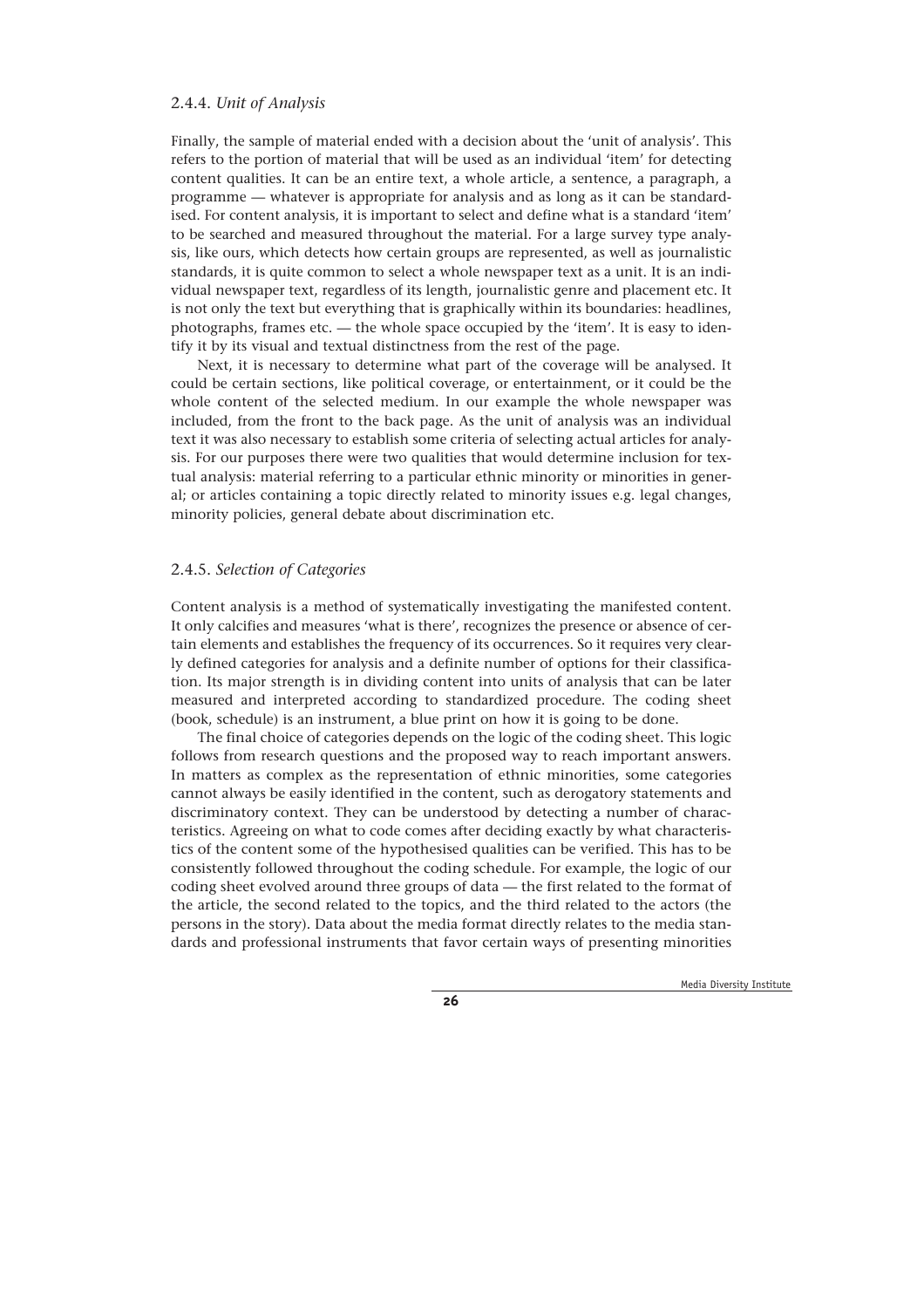#### 2.4.4. *Unit of Analysis*

Finally, the sample of material ended with a decision about the 'unit of analysis'. This refers to the portion of material that will be used as an individual 'item' for detecting content qualities. It can be an entire text, a whole article, a sentence, a paragraph, a programme — whatever is appropriate for analysis and as long as it can be standardised. For content analysis, it is important to select and define what is a standard 'item' to be searched and measured throughout the material. For a large survey type analysis, like ours, which detects how certain groups are represented, as well as journalistic standards, it is quite common to select a whole newspaper text as a unit. It is an individual newspaper text, regardless of its length, journalistic genre and placement etc. It is not only the text but everything that is graphically within its boundaries: headlines, photographs, frames etc.  $-$  the whole space occupied by the 'item'. It is easy to identify it by its visual and textual distinctness from the rest of the page.

Next, it is necessary to determine what part of the coverage will be analysed. It could be certain sections, like political coverage, or entertainment, or it could be the whole content of the selected medium. In our example the whole newspaper was included, from the front to the back page. As the unit of analysis was an individual text it was also necessary to establish some criteria of selecting actual articles for analysis. For our purposes there were two qualities that would determine inclusion for textual analysis: material referring to a particular ethnic minority or minorities in general; or articles containing a topic directly related to minority issues e.g. legal changes, minority policies, general debate about discrimination etc.

#### 2.4.5. *Selection of Categories*

Content analysis is a method of systematically investigating the manifested content. It only calcifies and measures 'what is there', recognizes the presence or absence of certain elements and establishes the frequency of its occurrences. So it requires very clearly defined categories for analysis and a definite number of options for their classification. Its major strength is in dividing content into units of analysis that can be later measured and interpreted according to standardized procedure. The coding sheet (book, schedule) is an instrument, a blue print on how it is going to be done.

The final choice of categories depends on the logic of the coding sheet. This logic follows from research questions and the proposed way to reach important answers. In matters as complex as the representation of ethnic minorities, some categories cannot always be easily identified in the content, such as derogatory statements and discriminatory context. They can be understood by detecting a number of characteristics. Agreeing on what to code comes after deciding exactly by what characteristics of the content some of the hypothesised qualities can be verified. This has to be consistently followed throughout the coding schedule. For example, the logic of our coding sheet evolved around three groups of data — the first related to the format of the article, the second related to the topics, and the third related to the actors (the persons in the story)*.* Data about the media format directly relates to the media standards and professional instruments that favor certain ways of presenting minorities

Media Diversity Institute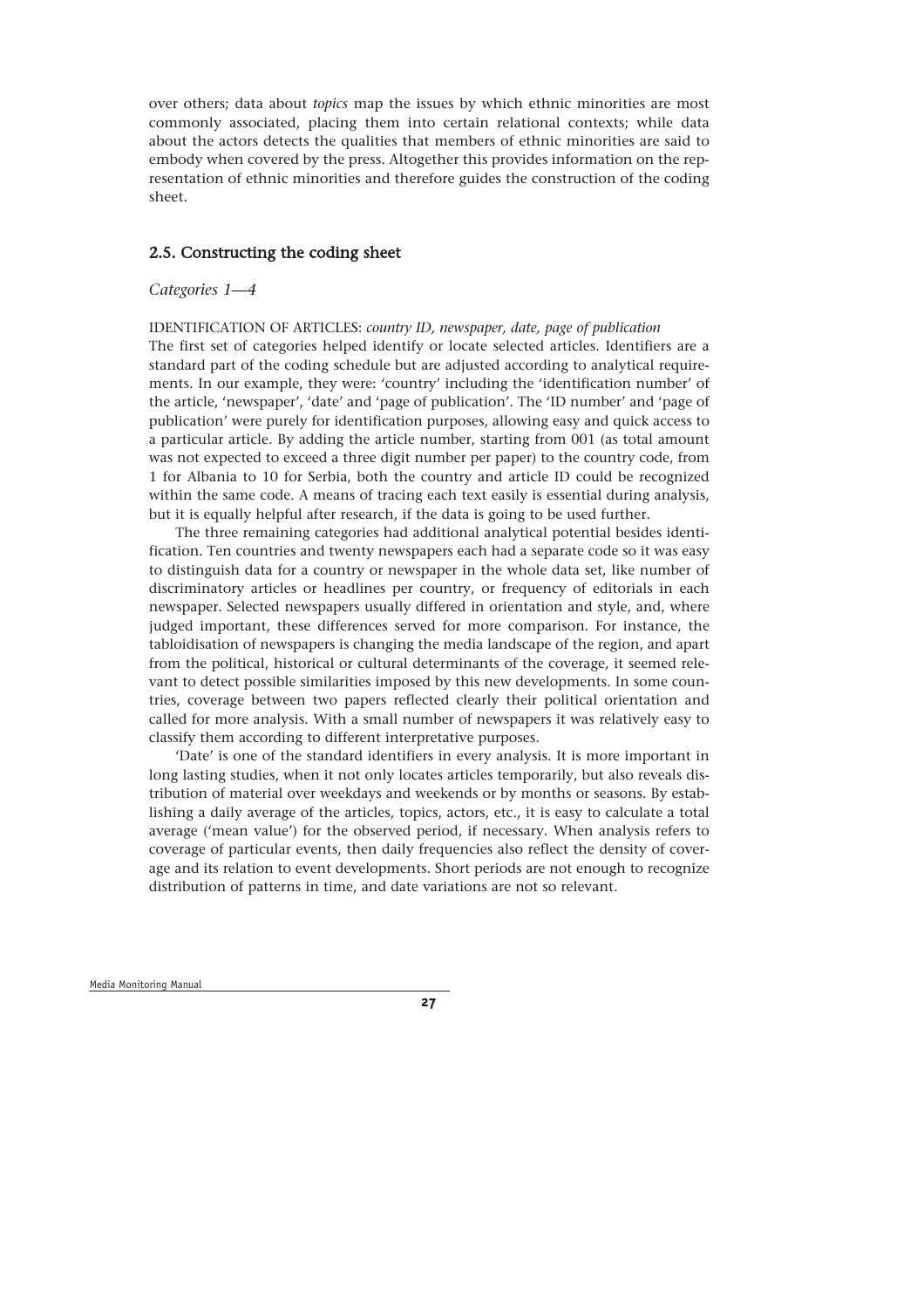over others; data about *topics* map the issues by which ethnic minorities are most commonly associated, placing them into certain relational contexts; while data about the actors detects the qualities that members of ethnic minorities are said to embody when covered by the press. Altogether this provides information on the representation of ethnic minorities and therefore guides the construction of the coding sheet.

#### 2.5. Constructing the coding sheet

#### Categories 1<sup>-4</sup>

IDENTIFICATION OF ARTICLES: *country ID, newspaper, date, page of publication* 

The first set of categories helped identify or locate selected articles. Identifiers are a standard part of the coding schedule but are adjusted according to analytical requirements. In our example, they were: 'country' including the 'identification number' of the article, 'newspaper', 'date' and 'page of publication'. The 'ID number' and 'page of publicationí were purely for identification purposes, allowing easy and quick access to a particular article. By adding the article number, starting from 001 (as total amount was not expected to exceed a three digit number per paper) to the country code, from 1 for Albania to 10 for Serbia, both the country and article ID could be recognized within the same code. A means of tracing each text easily is essential during analysis, but it is equally helpful after research, if the data is going to be used further.

The three remaining categories had additional analytical potential besides identification. Ten countries and twenty newspapers each had a separate code so it was easy to distinguish data for a country or newspaper in the whole data set, like number of discriminatory articles or headlines per country, or frequency of editorials in each newspaper. Selected newspapers usually differed in orientation and style, and, where judged important, these differences served for more comparison. For instance, the tabloidisation of newspapers is changing the media landscape of the region, and apart from the political, historical or cultural determinants of the coverage, it seemed relevant to detect possible similarities imposed by this new developments. In some countries, coverage between two papers reflected clearly their political orientation and called for more analysis. With a small number of newspapers it was relatively easy to classify them according to different interpretative purposes.

'Date' is one of the standard identifiers in every analysis. It is more important in long lasting studies, when it not only locates articles temporarily, but also reveals distribution of material over weekdays and weekends or by months or seasons. By establishing a daily average of the articles, topics, actors, etc., it is easy to calculate a total average ('mean value') for the observed period, if necessary. When analysis refers to coverage of particular events, then daily frequencies also reflect the density of coverage and its relation to event developments. Short periods are not enough to recognize distribution of patterns in time, and date variations are not so relevant.

Media Monitoring Manual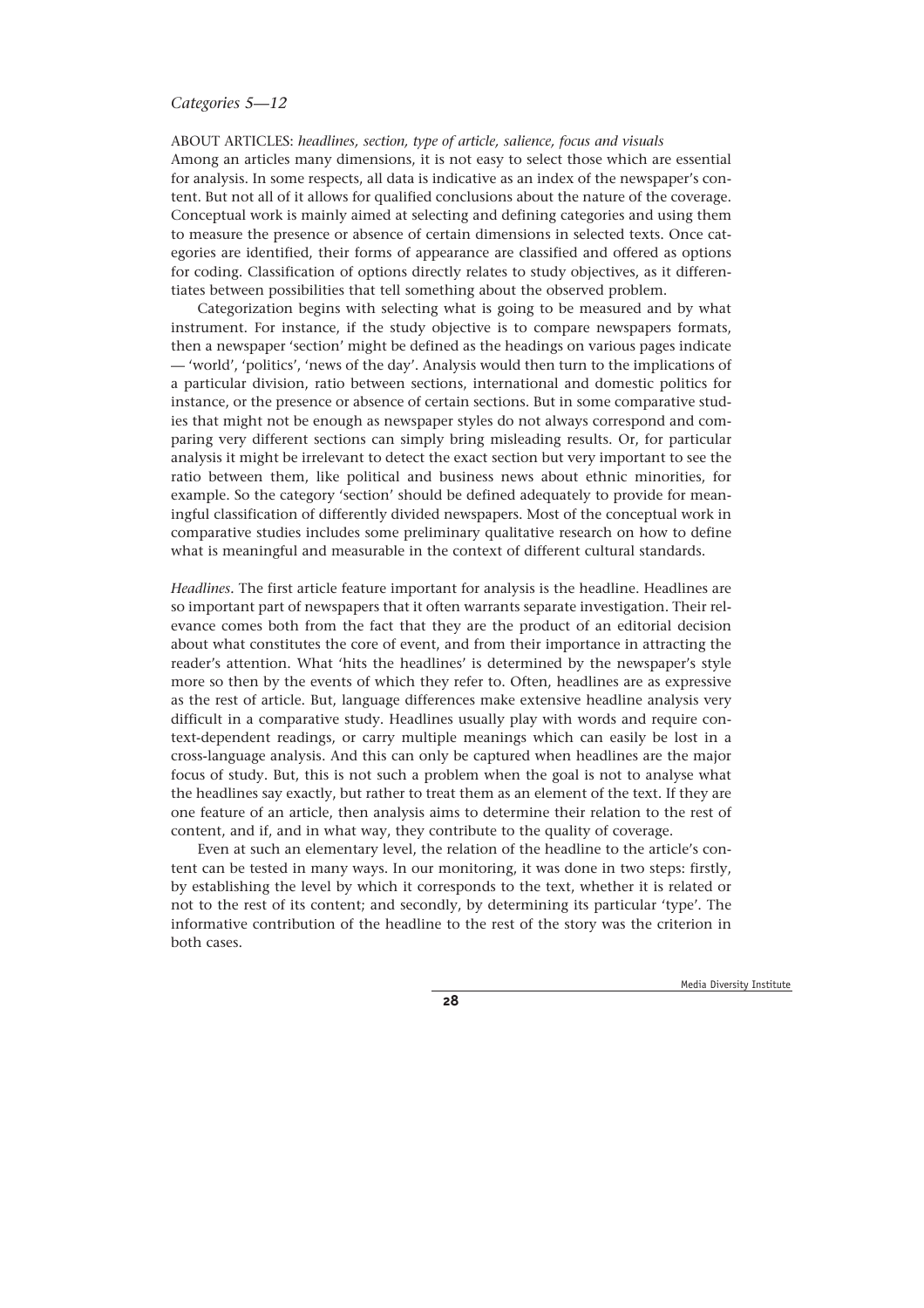#### Categories 5-12

ABOUT ARTICLES: *headlines, section, type of article, salience, focus and visuals* Among an articles many dimensions, it is not easy to select those which are essential for analysis. In some respects, all data is indicative as an index of the newspaper's content. But not all of it allows for qualified conclusions about the nature of the coverage. Conceptual work is mainly aimed at selecting and defining categories and using them to measure the presence or absence of certain dimensions in selected texts. Once categories are identified, their forms of appearance are classified and offered as options for coding. Classification of options directly relates to study objectives, as it differentiates between possibilities that tell something about the observed problem.

Categorization begins with selecting what is going to be measured and by what instrument. For instance, if the study objective is to compare newspapers formats, then a newspaper 'section' might be defined as the headings on various pages indicate ó ëworldí, ëpoliticsí, ënews of the dayí. Analysis would then turn to the implications of a particular division, ratio between sections, international and domestic politics for instance, or the presence or absence of certain sections. But in some comparative studies that might not be enough as newspaper styles do not always correspond and comparing very different sections can simply bring misleading results. Or, for particular analysis it might be irrelevant to detect the exact section but very important to see the ratio between them, like political and business news about ethnic minorities, for example. So the category 'section' should be defined adequately to provide for meaningful classification of differently divided newspapers. Most of the conceptual work in comparative studies includes some preliminary qualitative research on how to define what is meaningful and measurable in the context of different cultural standards.

*Headlines.* The first article feature important for analysis is the headline. Headlines are so important part of newspapers that it often warrants separate investigation. Their relevance comes both from the fact that they are the product of an editorial decision about what constitutes the core of event, and from their importance in attracting the reader's attention. What 'hits the headlines' is determined by the newspaper's style more so then by the events of which they refer to. Often, headlines are as expressive as the rest of article. But, language differences make extensive headline analysis very difficult in a comparative study. Headlines usually play with words and require context-dependent readings, or carry multiple meanings which can easily be lost in a cross-language analysis. And this can only be captured when headlines are the major focus of study. But, this is not such a problem when the goal is not to analyse what the headlines say exactly, but rather to treat them as an element of the text. If they are one feature of an article, then analysis aims to determine their relation to the rest of content, and if, and in what way, they contribute to the quality of coverage.

Even at such an elementary level, the relation of the headline to the article's content can be tested in many ways. In our monitoring, it was done in two steps: firstly, by establishing the level by which it corresponds to the text, whether it is related or not to the rest of its content; and secondly, by determining its particular 'type'. The informative contribution of the headline to the rest of the story was the criterion in both cases.

Media Diversity Institute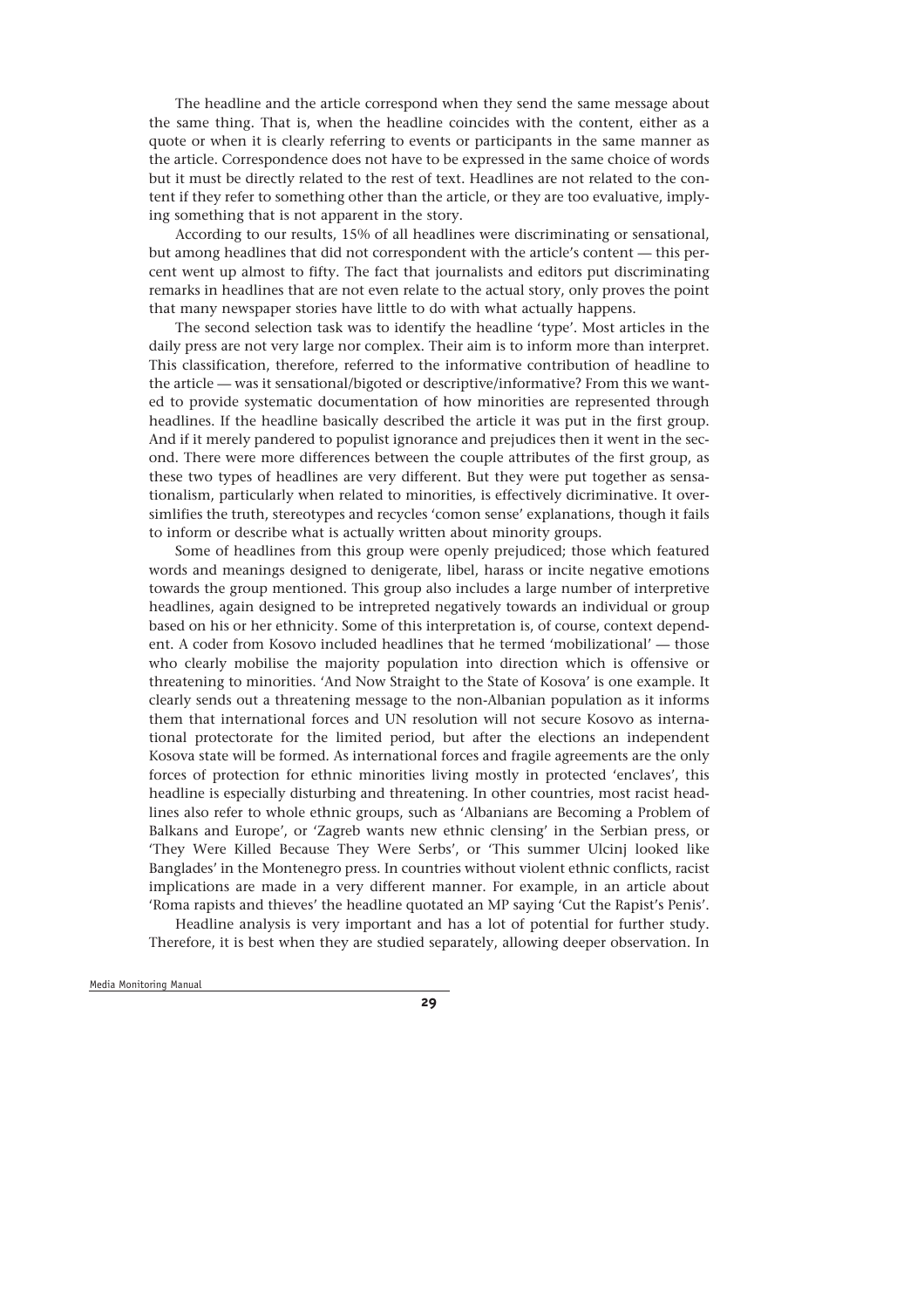The headline and the article correspond when they send the same message about the same thing. That is, when the headline coincides with the content, either as a quote or when it is clearly referring to events or participants in the same manner as the article. Correspondence does not have to be expressed in the same choice of words but it must be directly related to the rest of text. Headlines are not related to the content if they refer to something other than the article, or they are too evaluative, implying something that is not apparent in the story.

According to our results, 15% of all headlines were discriminating or sensational, but among headlines that did not correspondent with the article's content — this percent went up almost to fifty. The fact that journalists and editors put discriminating remarks in headlines that are not even relate to the actual story, only proves the point that many newspaper stories have little to do with what actually happens.

The second selection task was to identify the headline 'type'. Most articles in the daily press are not very large nor complex. Their aim is to inform more than interpret. This classification, therefore, referred to the informative contribution of headline to the article – was it sensational/bigoted or descriptive/informative? From this we wanted to provide systematic documentation of how minorities are represented through headlines. If the headline basically described the article it was put in the first group. And if it merely pandered to populist ignorance and prejudices then it went in the second. There were more differences between the couple attributes of the first group, as these two types of headlines are very different. But they were put together as sensationalism, particularly when related to minorities, is effectively dicriminative. It oversimlifies the truth, stereotypes and recycles 'comon sense' explanations, though it fails to inform or describe what is actually written about minority groups.

Some of headlines from this group were openly prejudiced; those which featured words and meanings designed to denigerate, libel, harass or incite negative emotions towards the group mentioned. This group also includes a large number of interpretive headlines, again designed to be intrepreted negatively towards an individual or group based on his or her ethnicity. Some of this interpretation is, of course, context dependent. A coder from Kosovo included headlines that he termed 'mobilizational' — those who clearly mobilise the majority population into direction which is offensive or threatening to minorities. 'And Now Straight to the State of Kosova' is one example. It clearly sends out a threatening message to the non-Albanian population as it informs them that international forces and UN resolution will not secure Kosovo as international protectorate for the limited period, but after the elections an independent Kosova state will be formed*.* As international forces and fragile agreements are the only forces of protection for ethnic minorities living mostly in protected 'enclaves', this headline is especially disturbing and threatening. In other countries, most racist headlines also refer to whole ethnic groups, such as ëAlbanians are Becoming a Problem of Balkans and Europe', or 'Zagreb wants new ethnic clensing' in the Serbian press, or 'They Were Killed Because They Were Serbs', or 'This summer Ulcinj looked like Banglades' in the Montenegro press. In countries without violent ethnic conflicts, racist implications are made in a very different manner. For example, in an article about 'Roma rapists and thieves' the headline quotated an MP saying 'Cut the Rapist's Penis'.

Headline analysis is very important and has a lot of potential for further study. Therefore, it is best when they are studied separately, allowing deeper observation. In

Media Monitoring Manual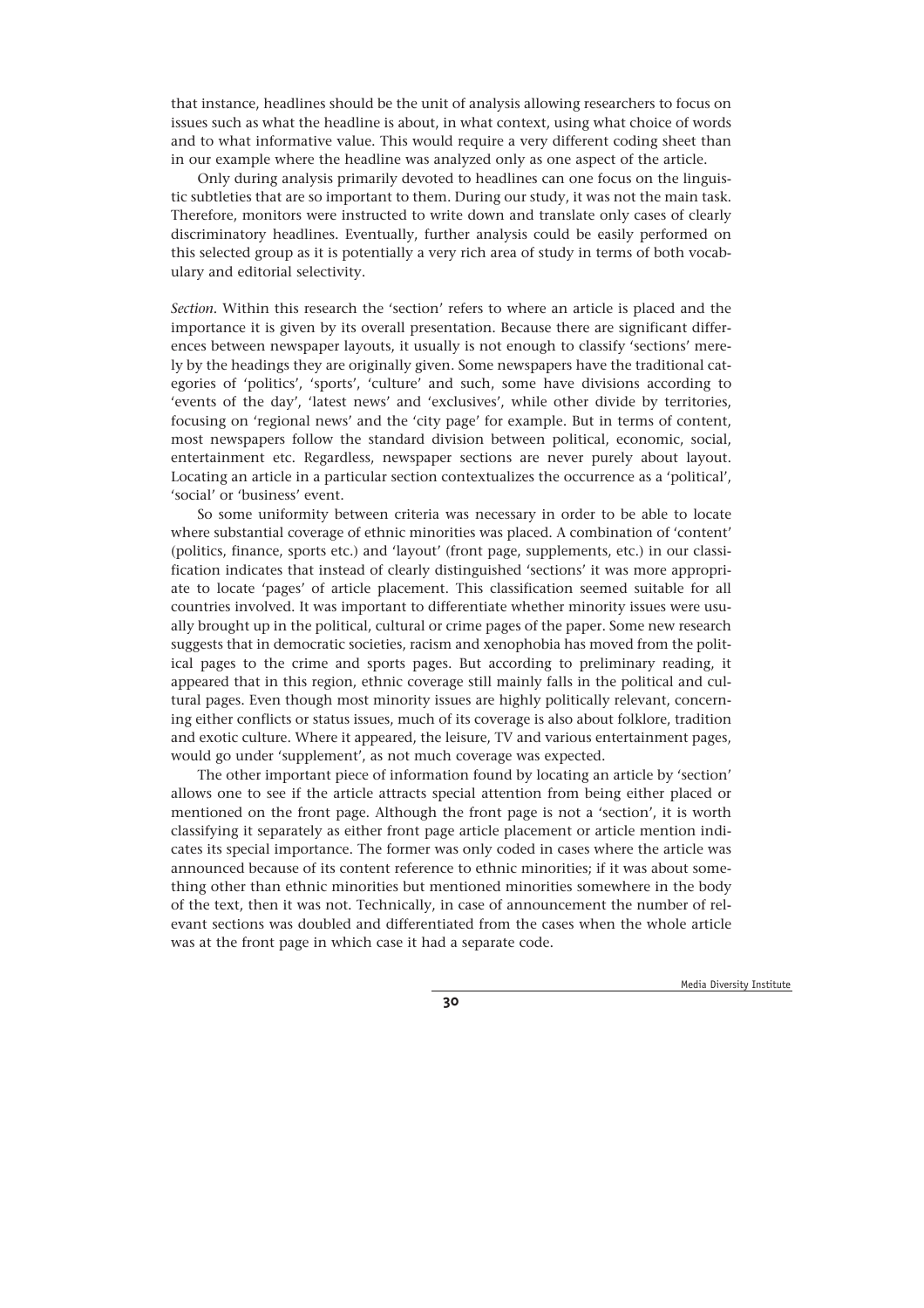that instance, headlines should be the unit of analysis allowing researchers to focus on issues such as what the headline is about, in what context, using what choice of words and to what informative value. This would require a very different coding sheet than in our example where the headline was analyzed only as one aspect of the article.

Only during analysis primarily devoted to headlines can one focus on the linguistic subtleties that are so important to them. During our study, it was not the main task. Therefore, monitors were instructed to write down and translate only cases of clearly discriminatory headlines. Eventually, further analysis could be easily performed on this selected group as it is potentially a very rich area of study in terms of both vocabulary and editorial selectivity.

*Section*. Within this research the 'section' refers to where an article is placed and the importance it is given by its overall presentation. Because there are significant differences between newspaper layouts, it usually is not enough to classify 'sections' merely by the headings they are originally given. Some newspapers have the traditional categories of 'politics', 'sports', 'culture' and such, some have divisions according to 'events of the day', 'latest news' and 'exclusives', while other divide by territories, focusing on 'regional news' and the 'city page' for example. But in terms of content, most newspapers follow the standard division between political, economic, social, entertainment etc. Regardless, newspaper sections are never purely about layout. Locating an article in a particular section contextualizes the occurrence as a 'political', 'social' or 'business' event.

So some uniformity between criteria was necessary in order to be able to locate where substantial coverage of ethnic minorities was placed. A combination of 'content' (politics, finance, sports etc.) and 'layout' (front page, supplements, etc.) in our classification indicates that instead of clearly distinguished 'sections' it was more appropriate to locate 'pages' of article placement. This classification seemed suitable for all countries involved. It was important to differentiate whether minority issues were usually brought up in the political, cultural or crime pages of the paper. Some new research suggests that in democratic societies, racism and xenophobia has moved from the political pages to the crime and sports pages. But according to preliminary reading, it appeared that in this region, ethnic coverage still mainly falls in the political and cultural pages. Even though most minority issues are highly politically relevant, concerning either conflicts or status issues, much of its coverage is also about folklore, tradition and exotic culture. Where it appeared, the leisure, TV and various entertainment pages, would go under 'supplement', as not much coverage was expected.

The other important piece of information found by locating an article by 'section' allows one to see if the article attracts special attention from being either placed or mentioned on the front page. Although the front page is not a 'section', it is worth classifying it separately as either front page article placement or article mention indicates its special importance. The former was only coded in cases where the article was announced because of its content reference to ethnic minorities; if it was about something other than ethnic minorities but mentioned minorities somewhere in the body of the text, then it was not. Technically, in case of announcement the number of relevant sections was doubled and differentiated from the cases when the whole article was at the front page in which case it had a separate code.

Media Diversity Institute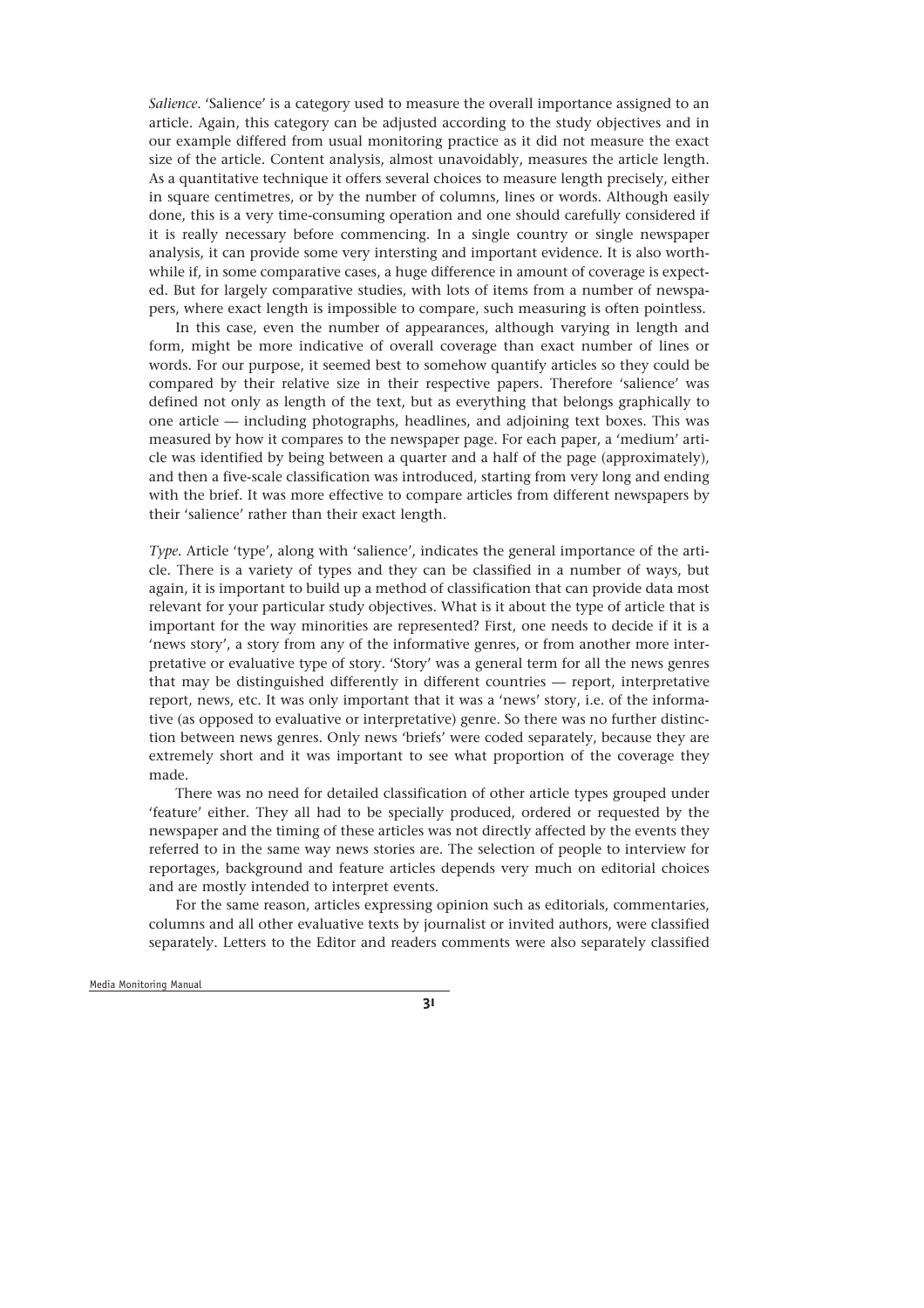Salience. 'Salience' is a category used to measure the overall importance assigned to an article. Again, this category can be adjusted according to the study objectives and in our example differed from usual monitoring practice as it did not measure the exact size of the article. Content analysis, almost unavoidably, measures the article length. As a quantitative technique it offers several choices to measure length precisely, either in square centimetres, or by the number of columns, lines or words. Although easily done, this is a very time-consuming operation and one should carefully considered if it is really necessary before commencing. In a single country or single newspaper analysis, it can provide some very intersting and important evidence. It is also worthwhile if, in some comparative cases, a huge difference in amount of coverage is expected. But for largely comparative studies, with lots of items from a number of newspapers, where exact length is impossible to compare, such measuring is often pointless.

In this case, even the number of appearances, although varying in length and form, might be more indicative of overall coverage than exact number of lines or words. For our purpose, it seemed best to somehow quantify articles so they could be compared by their relative size in their respective papers. Therefore 'salience' was defined not only as length of the text, but as everything that belongs graphically to one article – including photographs, headlines, and adjoining text boxes. This was measured by how it compares to the newspaper page. For each paper, a 'medium' article was identified by being between a quarter and a half of the page (approximately), and then a five-scale classification was introduced, starting from very long and ending with the brief. It was more effective to compare articles from different newspapers by their 'salience' rather than their exact length.

*Type*. Article 'type', along with 'salience', indicates the general importance of the article. There is a variety of types and they can be classified in a number of ways, but again, it is important to build up a method of classification that can provide data most relevant for your particular study objectives. What is it about the type of article that is important for the way minorities are represented? First, one needs to decide if it is a ënews storyí, a story from any of the informative genres, or from another more interpretative or evaluative type of story. 'Story' was a general term for all the news genres that may be distinguished differently in different countries — report, interpretative report, news, etc. It was only important that it was a 'news' story, i.e. of the informative (as opposed to evaluative or interpretative) genre. So there was no further distinction between news genres. Only news 'briefs' were coded separately, because they are extremely short and it was important to see what proportion of the coverage they made.

There was no need for detailed classification of other article types grouped under ëfeatureí either. They all had to be specially produced, ordered or requested by the newspaper and the timing of these articles was not directly affected by the events they referred to in the same way news stories are. The selection of people to interview for reportages, background and feature articles depends very much on editorial choices and are mostly intended to interpret events.

For the same reason, articles expressing opinion such as editorials, commentaries, columns and all other evaluative texts by journalist or invited authors, were classified separately. Letters to the Editor and readers comments were also separately classified

Media Monitoring Manual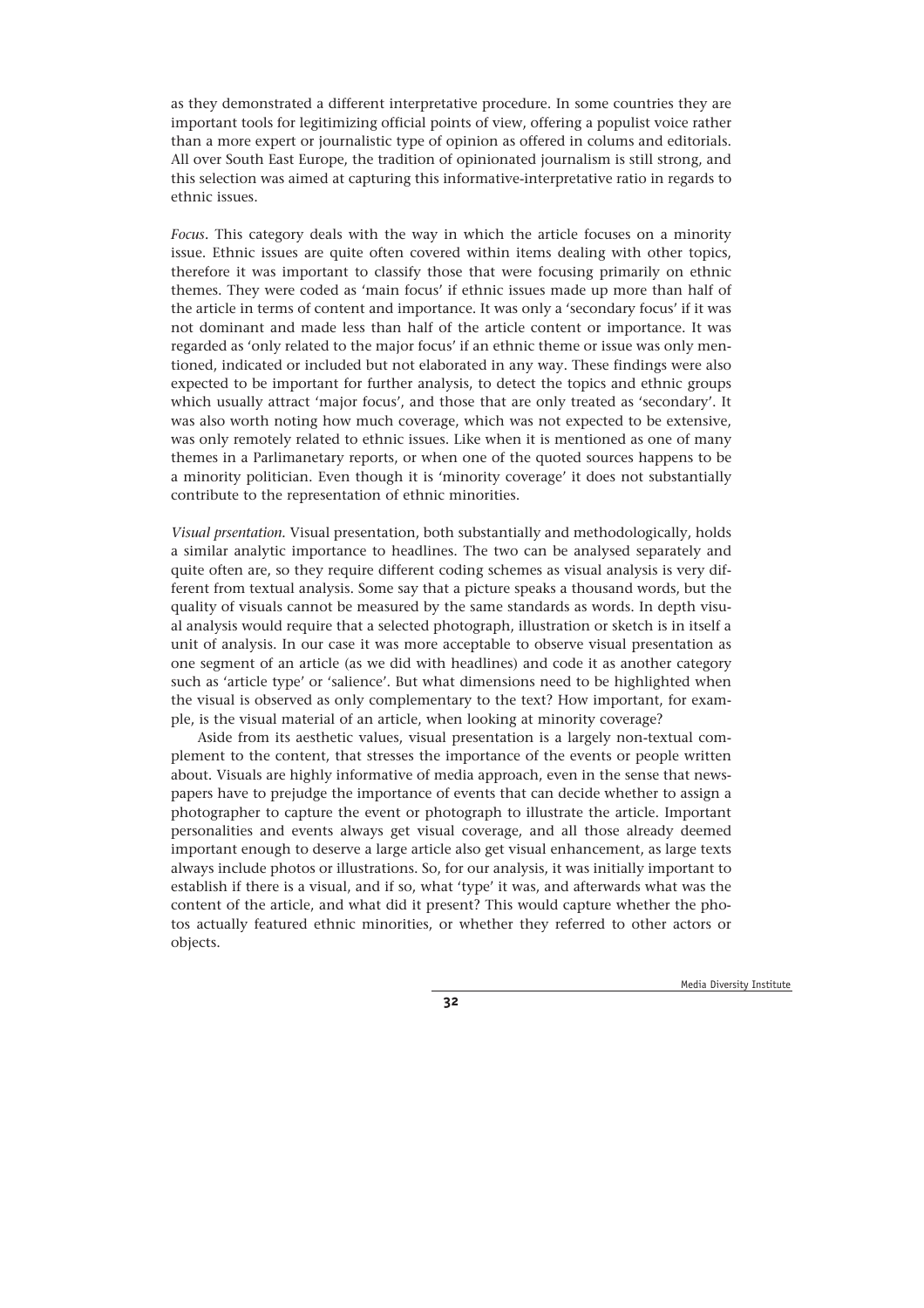as they demonstrated a different interpretative procedure. In some countries they are important tools for legitimizing official points of view, offering a populist voice rather than a more expert or journalistic type of opinion as offered in colums and editorials. All over South East Europe, the tradition of opinionated journalism is still strong, and this selection was aimed at capturing this informative-interpretative ratio in regards to ethnic issues.

*Focus.* This category deals with the way in which the article focuses on a minority issue. Ethnic issues are quite often covered within items dealing with other topics, therefore it was important to classify those that were focusing primarily on ethnic themes. They were coded as 'main focus' if ethnic issues made up more than half of the article in terms of content and importance. It was only a 'secondary focus' if it was not dominant and made less than half of the article content or importance. It was regarded as 'only related to the major focus' if an ethnic theme or issue was only mentioned, indicated or included but not elaborated in any way. These findings were also expected to be important for further analysis, to detect the topics and ethnic groups which usually attract 'major focus', and those that are only treated as 'secondary'. It was also worth noting how much coverage, which was not expected to be extensive, was only remotely related to ethnic issues. Like when it is mentioned as one of many themes in a Parlimanetary reports, or when one of the quoted sources happens to be a minority politician. Even though it is 'minority coverage' it does not substantially contribute to the representation of ethnic minorities.

*Visual prsentation.* Visual presentation, both substantially and methodologically, holds a similar analytic importance to headlines. The two can be analysed separately and quite often are, so they require different coding schemes as visual analysis is very different from textual analysis. Some say that a picture speaks a thousand words, but the quality of visuals cannot be measured by the same standards as words. In depth visual analysis would require that a selected photograph, illustration or sketch is in itself a unit of analysis. In our case it was more acceptable to observe visual presentation as one segment of an article (as we did with headlines) and code it as another category such as 'article type' or 'salience'. But what dimensions need to be highlighted when the visual is observed as only complementary to the text? How important, for example, is the visual material of an article, when looking at minority coverage?

Aside from its aesthetic values, visual presentation is a largely non-textual complement to the content, that stresses the importance of the events or people written about. Visuals are highly informative of media approach, even in the sense that newspapers have to prejudge the importance of events that can decide whether to assign a photographer to capture the event or photograph to illustrate the article. Important personalities and events always get visual coverage, and all those already deemed important enough to deserve a large article also get visual enhancement, as large texts always include photos or illustrations. So, for our analysis, it was initially important to establish if there is a visual, and if so, what 'type' it was, and afterwards what was the content of the article, and what did it present? This would capture whether the photos actually featured ethnic minorities, or whether they referred to other actors or objects.

Media Diversity Institute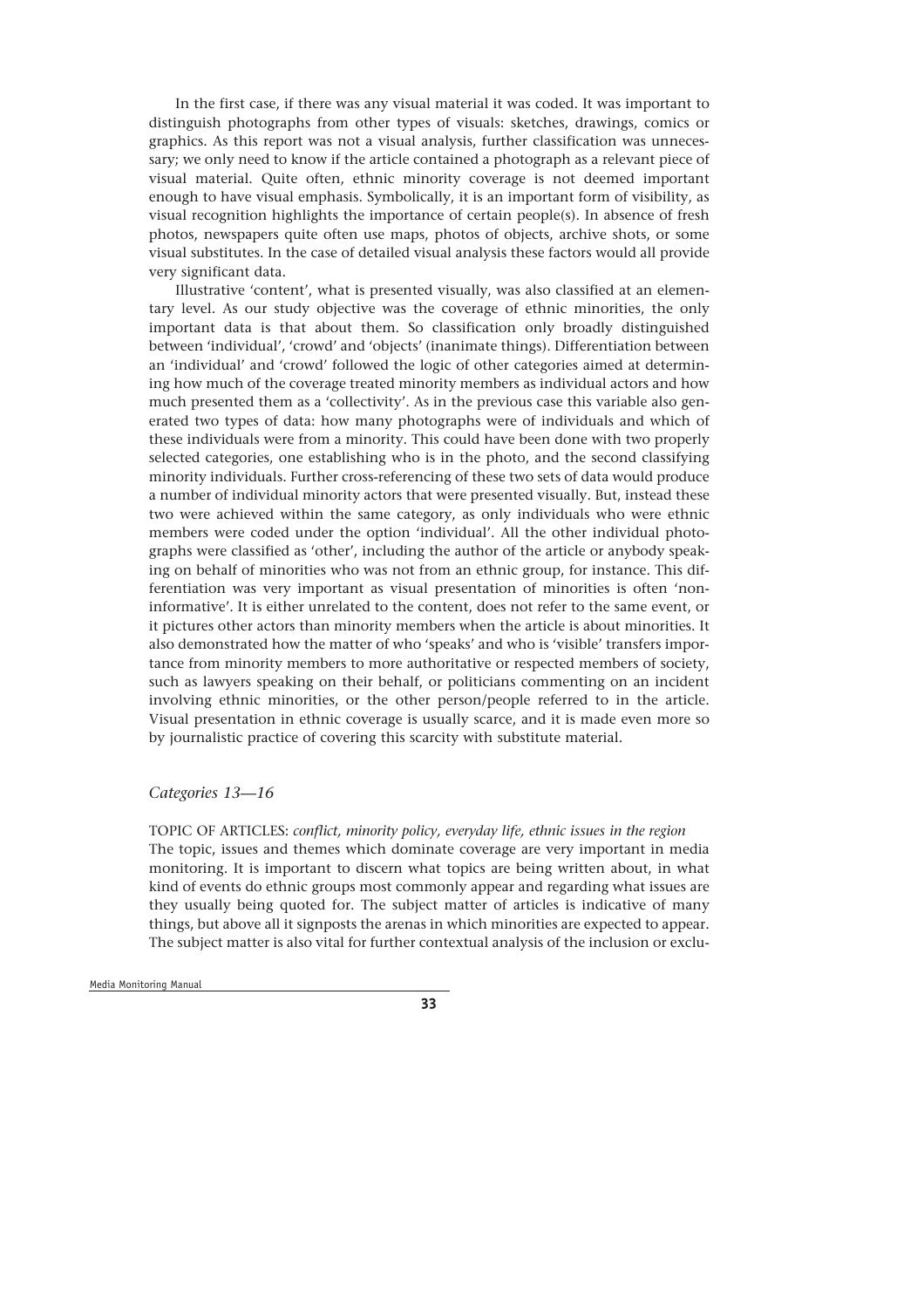In the first case, if there was any visual material it was coded. It was important to distinguish photographs from other types of visuals: sketches, drawings, comics or graphics. As this report was not a visual analysis, further classification was unnecessary; we only need to know if the article contained a photograph as a relevant piece of visual material. Quite often, ethnic minority coverage is not deemed important enough to have visual emphasis. Symbolically, it is an important form of visibility, as visual recognition highlights the importance of certain people(s). In absence of fresh photos, newspapers quite often use maps, photos of objects, archive shots, or some visual substitutes. In the case of detailed visual analysis these factors would all provide very significant data.

Illustrative 'content', what is presented visually, was also classified at an elementary level. As our study objective was the coverage of ethnic minorities, the only important data is that about them. So classification only broadly distinguished between 'individual', 'crowd' and 'objects' (inanimate things). Differentiation between an 'individual' and 'crowd' followed the logic of other categories aimed at determining how much of the coverage treated minority members as individual actors and how much presented them as a 'collectivity'. As in the previous case this variable also generated two types of data: how many photographs were of individuals and which of these individuals were from a minority. This could have been done with two properly selected categories, one establishing who is in the photo, and the second classifying minority individuals. Further cross-referencing of these two sets of data would produce a number of individual minority actors that were presented visually. But, instead these two were achieved within the same category, as only individuals who were ethnic members were coded under the option 'individual'. All the other individual photographs were classified as 'other', including the author of the article or anybody speaking on behalf of minorities who was not from an ethnic group, for instance. This differentiation was very important as visual presentation of minorities is often 'noninformative'. It is either unrelated to the content, does not refer to the same event, or it pictures other actors than minority members when the article is about minorities. It also demonstrated how the matter of who 'speaks' and who is 'visible' transfers importance from minority members to more authoritative or respected members of society, such as lawyers speaking on their behalf, or politicians commenting on an incident involving ethnic minorities, or the other person/people referred to in the article. Visual presentation in ethnic coverage is usually scarce, and it is made even more so by journalistic practice of covering this scarcity with substitute material.

#### Categories 13-16

TOPIC OF ARTICLES: *conflict, minority policy, everyday life, ethnic issues in the region* The topic, issues and themes which dominate coverage are very important in media monitoring. It is important to discern what topics are being written about, in what kind of events do ethnic groups most commonly appear and regarding what issues are they usually being quoted for. The subject matter of articles is indicative of many things, but above all it signposts the arenas in which minorities are expected to appear. The subject matter is also vital for further contextual analysis of the inclusion or exclu-

Media Monitoring Manual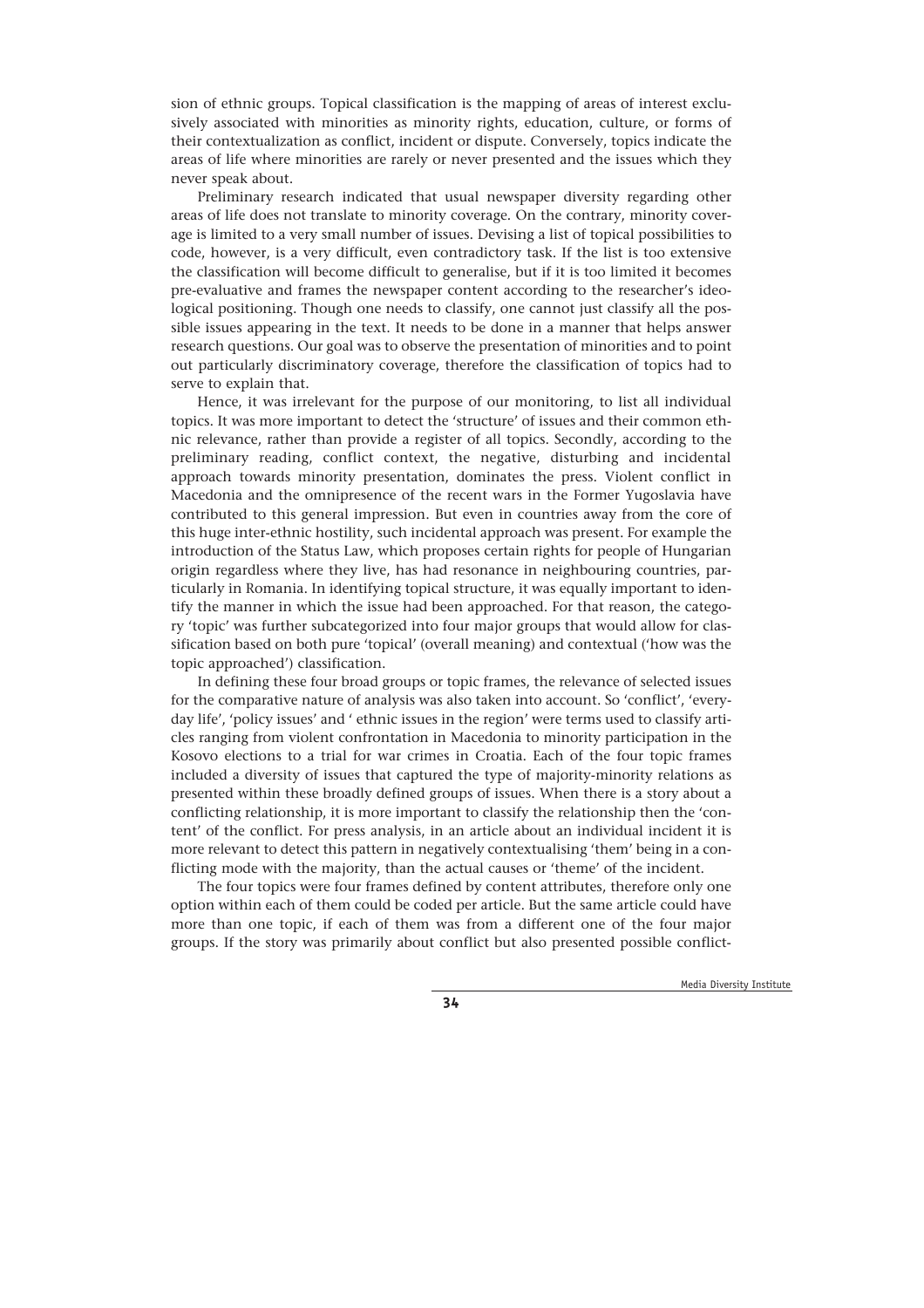sion of ethnic groups. Topical classification is the mapping of areas of interest exclusively associated with minorities as minority rights, education, culture, or forms of their contextualization as conflict, incident or dispute. Conversely, topics indicate the areas of life where minorities are rarely or never presented and the issues which they never speak about.

Preliminary research indicated that usual newspaper diversity regarding other areas of life does not translate to minority coverage*.* On the contrary, minority coverage is limited to a very small number of issues. Devising a list of topical possibilities to code, however, is a very difficult, even contradictory task. If the list is too extensive the classification will become difficult to generalise, but if it is too limited it becomes pre-evaluative and frames the newspaper content according to the researcher's ideological positioning. Though one needs to classify, one cannot just classify all the possible issues appearing in the text. It needs to be done in a manner that helps answer research questions. Our goal was to observe the presentation of minorities and to point out particularly discriminatory coverage, therefore the classification of topics had to serve to explain that.

Hence, it was irrelevant for the purpose of our monitoring, to list all individual topics. It was more important to detect the 'structure' of issues and their common ethnic relevance, rather than provide a register of all topics. Secondly, according to the preliminary reading, conflict context, the negative, disturbing and incidental approach towards minority presentation, dominates the press. Violent conflict in Macedonia and the omnipresence of the recent wars in the Former Yugoslavia have contributed to this general impression. But even in countries away from the core of this huge inter-ethnic hostility, such incidental approach was present. For example the introduction of the Status Law, which proposes certain rights for people of Hungarian origin regardless where they live, has had resonance in neighbouring countries, particularly in Romania. In identifying topical structure, it was equally important to identify the manner in which the issue had been approached. For that reason, the category 'topic' was further subcategorized into four major groups that would allow for classification based on both pure 'topical' (overall meaning) and contextual ('how was the topic approached') classification.

In defining these four broad groups or topic frames, the relevance of selected issues for the comparative nature of analysis was also taken into account. So 'conflict', 'everyday life', 'policy issues' and ' ethnic issues in the region' were terms used to classify articles ranging from violent confrontation in Macedonia to minority participation in the Kosovo elections to a trial for war crimes in Croatia. Each of the four topic frames included a diversity of issues that captured the type of majority-minority relations as presented within these broadly defined groups of issues. When there is a story about a conflicting relationship, it is more important to classify the relationship then the 'content' of the conflict. For press analysis, in an article about an individual incident it is more relevant to detect this pattern in negatively contextualising 'them' being in a conflicting mode with the majority, than the actual causes or 'theme' of the incident.

The four topics were four frames defined by content attributes, therefore only one option within each of them could be coded per article. But the same article could have more than one topic, if each of them was from a different one of the four major groups. If the story was primarily about conflict but also presented possible conflict-

Media Diversity Institute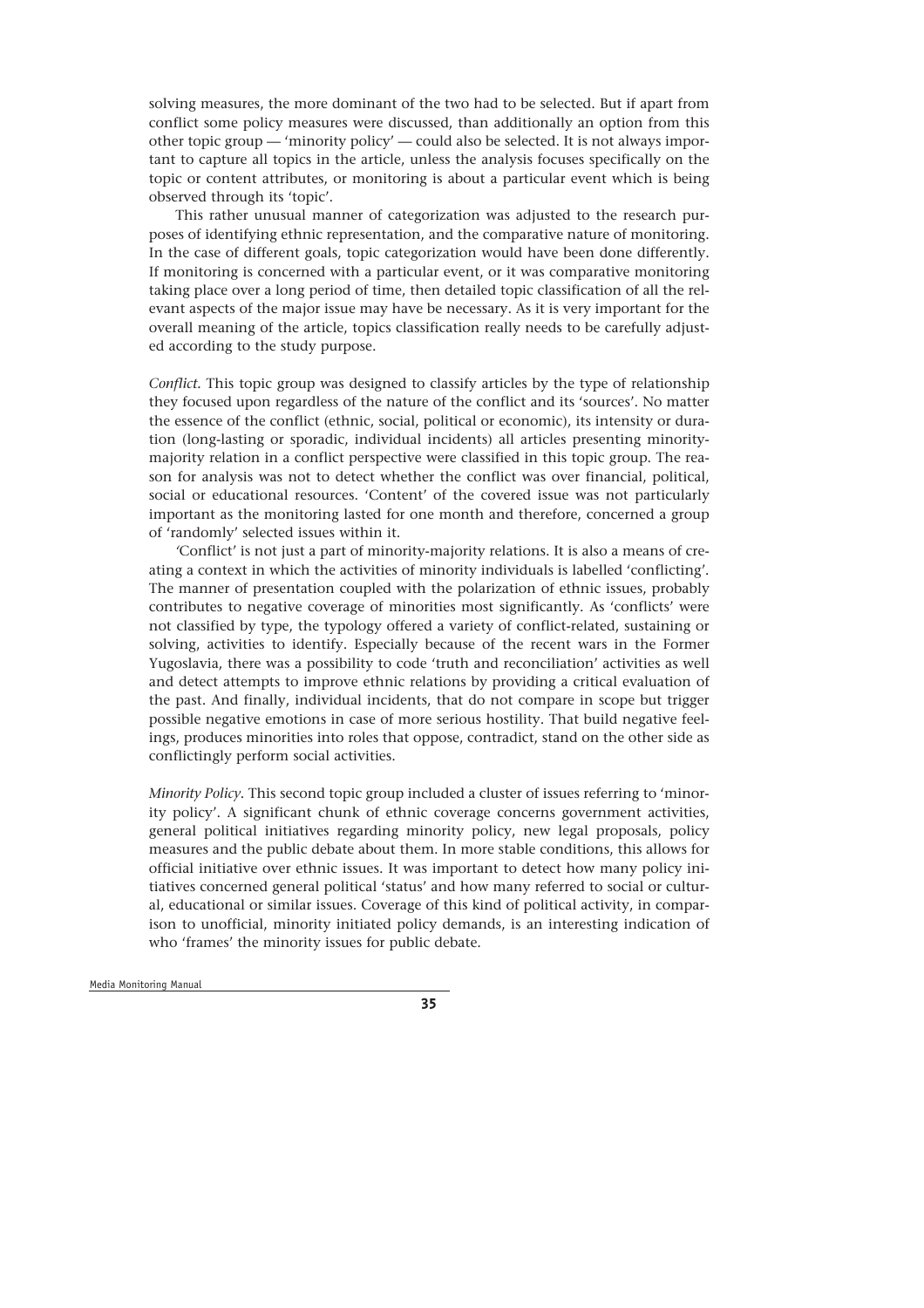solving measures, the more dominant of the two had to be selected. But if apart from conflict some policy measures were discussed, than additionally an option from this other topic group – 'minority policy' – could also be selected. It is not always important to capture all topics in the article, unless the analysis focuses specifically on the topic or content attributes, or monitoring is about a particular event which is being observed through its 'topic'.

This rather unusual manner of categorization was adjusted to the research purposes of identifying ethnic representation, and the comparative nature of monitoring. In the case of different goals, topic categorization would have been done differently. If monitoring is concerned with a particular event, or it was comparative monitoring taking place over a long period of time, then detailed topic classification of all the relevant aspects of the major issue may have be necessary. As it is very important for the overall meaning of the article, topics classification really needs to be carefully adjusted according to the study purpose.

*Conflict.* This topic group was designed to classify articles by the type of relationship they focused upon regardless of the nature of the conflict and its 'sources'. No matter the essence of the conflict (ethnic, social, political or economic), its intensity or duration (long-lasting or sporadic, individual incidents) all articles presenting minoritymajority relation in a conflict perspective were classified in this topic group. The reason for analysis was not to detect whether the conflict was over financial, political, social or educational resources. 'Content' of the covered issue was not particularly important as the monitoring lasted for one month and therefore, concerned a group of 'randomly' selected issues within it.

'Conflict' is not just a part of minority-majority relations. It is also a means of creating a context in which the activities of minority individuals is labelled ëconflictingí*.* The manner of presentation coupled with the polarization of ethnic issues, probably contributes to negative coverage of minorities most significantly. As 'conflicts' were not classified by type, the typology offered a variety of conflict-related, sustaining or solving, activities to identify. Especially because of the recent wars in the Former Yugoslavia, there was a possibility to code 'truth and reconciliation' activities as well and detect attempts to improve ethnic relations by providing a critical evaluation of the past. And finally, individual incidents, that do not compare in scope but trigger possible negative emotions in case of more serious hostility. That build negative feelings, produces minorities into roles that oppose, contradict, stand on the other side as conflictingly perform social activities.

*Minority Policy.* This second topic group included a cluster of issues referring to 'minority policyí. A significant chunk of ethnic coverage concerns government activities, general political initiatives regarding minority policy, new legal proposals, policy measures and the public debate about them. In more stable conditions, this allows for official initiative over ethnic issues. It was important to detect how many policy initiatives concerned general political 'status' and how many referred to social or cultural, educational or similar issues. Coverage of this kind of political activity, in comparison to unofficial, minority initiated policy demands, is an interesting indication of who 'frames' the minority issues for public debate.

Media Monitoring Manual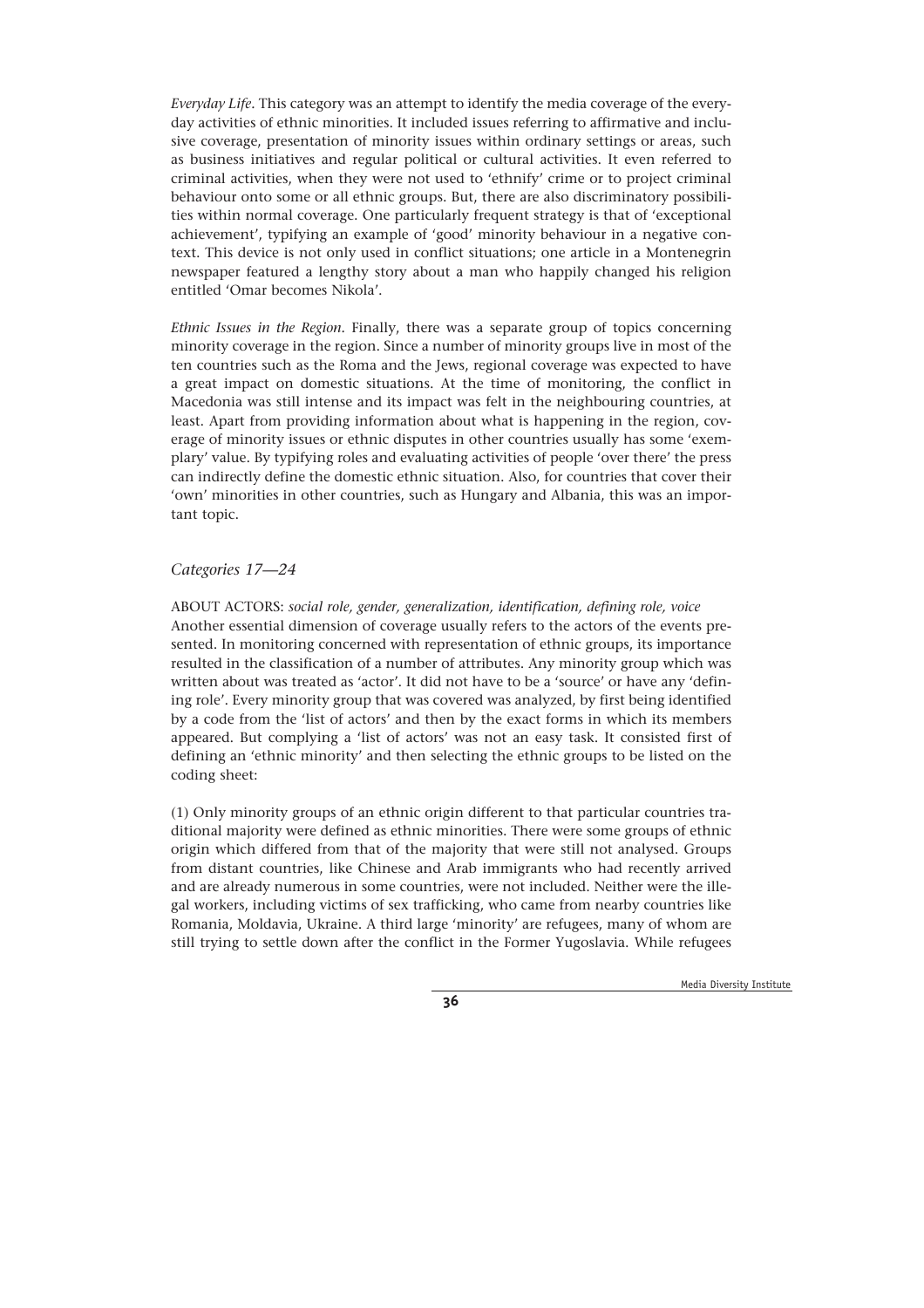*Everyday Life.* This category was an attempt to identify the media coverage of the everyday activities of ethnic minorities. It included issues referring to affirmative and inclusive coverage, presentation of minority issues within ordinary settings or areas, such as business initiatives and regular political or cultural activities. It even referred to criminal activities, when they were not used to 'ethnify' crime or to project criminal behaviour onto some or all ethnic groups. But, there are also discriminatory possibilities within normal coverage. One particularly frequent strategy is that of 'exceptional achievement', typifying an example of 'good' minority behaviour in a negative context. This device is not only used in conflict situations; one article in a Montenegrin newspaper featured a lengthy story about a man who happily changed his religion entitled 'Omar becomes Nikola'.

*Ethnic Issues in the Region.* Finally, there was a separate group of topics concerning minority coverage in the region. Since a number of minority groups live in most of the ten countries such as the Roma and the Jews, regional coverage was expected to have a great impact on domestic situations. At the time of monitoring, the conflict in Macedonia was still intense and its impact was felt in the neighbouring countries, at least. Apart from providing information about what is happening in the region, coverage of minority issues or ethnic disputes in other countries usually has some 'exemplary' value. By typifying roles and evaluating activities of people 'over there' the press can indirectly define the domestic ethnic situation. Also, for countries that cover their ëowní minorities in other countries, such as Hungary and Albania, this was an important topic.

#### Categories 17<sup>-24</sup>

ABOUT ACTORS: *social role, gender, generalization, identification, defining role, voice* Another essential dimension of coverage usually refers to the actors of the events presented. In monitoring concerned with representation of ethnic groups, its importance resulted in the classification of a number of attributes. Any minority group which was written about was treated as 'actor'. It did not have to be a 'source' or have any 'defining role'. Every minority group that was covered was analyzed, by first being identified by a code from the 'list of actors' and then by the exact forms in which its members appeared. But complying a 'list of actors' was not an easy task. It consisted first of defining an 'ethnic minority' and then selecting the ethnic groups to be listed on the coding sheet:

(1) Only minority groups of an ethnic origin different to that particular countries traditional majority were defined as ethnic minorities. There were some groups of ethnic origin which differed from that of the majority that were still not analysed. Groups from distant countries, like Chinese and Arab immigrants who had recently arrived and are already numerous in some countries, were not included. Neither were the illegal workers, including victims of sex trafficking, who came from nearby countries like Romania, Moldavia, Ukraine. A third large 'minority' are refugees, many of whom are still trying to settle down after the conflict in the Former Yugoslavia. While refugees

Media Diversity Institute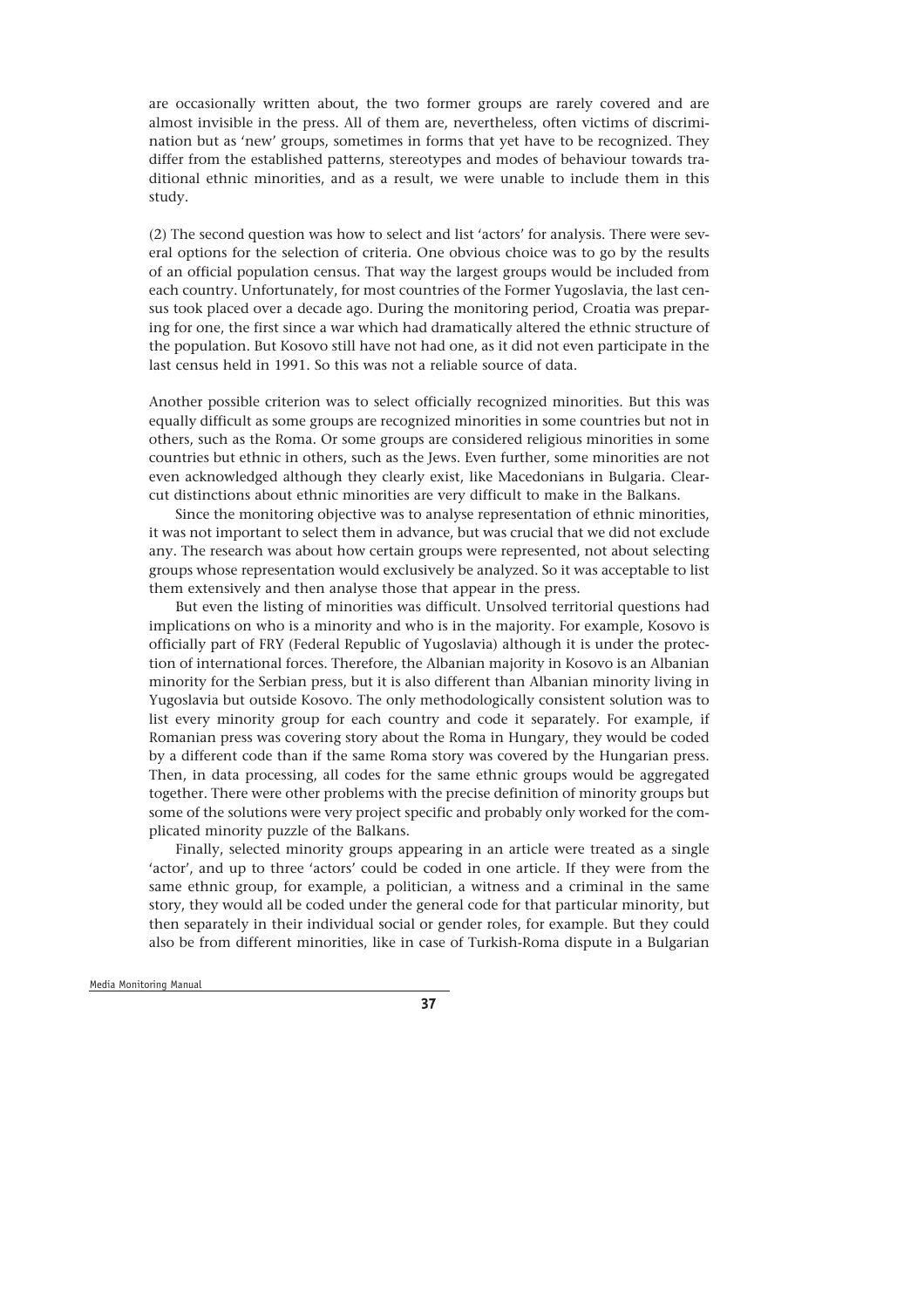are occasionally written about, the two former groups are rarely covered and are almost invisible in the press. All of them are, nevertheless, often victims of discrimination but as ënewí groups, sometimes in forms that yet have to be recognized. They differ from the established patterns, stereotypes and modes of behaviour towards traditional ethnic minorities, and as a result, we were unable to include them in this study.

 $(2)$  The second question was how to select and list 'actors' for analysis. There were several options for the selection of criteria. One obvious choice was to go by the results of an official population census. That way the largest groups would be included from each country. Unfortunately, for most countries of the Former Yugoslavia, the last census took placed over a decade ago. During the monitoring period, Croatia was preparing for one, the first since a war which had dramatically altered the ethnic structure of the population. But Kosovo still have not had one, as it did not even participate in the last census held in 1991. So this was not a reliable source of data.

Another possible criterion was to select officially recognized minorities. But this was equally difficult as some groups are recognized minorities in some countries but not in others, such as the Roma. Or some groups are considered religious minorities in some countries but ethnic in others, such as the Jews. Even further, some minorities are not even acknowledged although they clearly exist, like Macedonians in Bulgaria. Clearcut distinctions about ethnic minorities are very difficult to make in the Balkans.

Since the monitoring objective was to analyse representation of ethnic minorities, it was not important to select them in advance, but was crucial that we did not exclude any. The research was about how certain groups were represented, not about selecting groups whose representation would exclusively be analyzed. So it was acceptable to list them extensively and then analyse those that appear in the press.

But even the listing of minorities was difficult. Unsolved territorial questions had implications on who is a minority and who is in the majority. For example, Kosovo is officially part of FRY (Federal Republic of Yugoslavia) although it is under the protection of international forces. Therefore, the Albanian majority in Kosovo is an Albanian minority for the Serbian press, but it is also different than Albanian minority living in Yugoslavia but outside Kosovo. The only methodologically consistent solution was to list every minority group for each country and code it separately. For example, if Romanian press was covering story about the Roma in Hungary, they would be coded by a different code than if the same Roma story was covered by the Hungarian press. Then, in data processing, all codes for the same ethnic groups would be aggregated together. There were other problems with the precise definition of minority groups but some of the solutions were very project specific and probably only worked for the complicated minority puzzle of the Balkans.

Finally, selected minority groups appearing in an article were treated as a single 'actor', and up to three 'actors' could be coded in one article. If they were from the same ethnic group, for example, a politician, a witness and a criminal in the same story, they would all be coded under the general code for that particular minority, but then separately in their individual social or gender roles, for example. But they could also be from different minorities, like in case of Turkish-Roma dispute in a Bulgarian

Media Monitoring Manual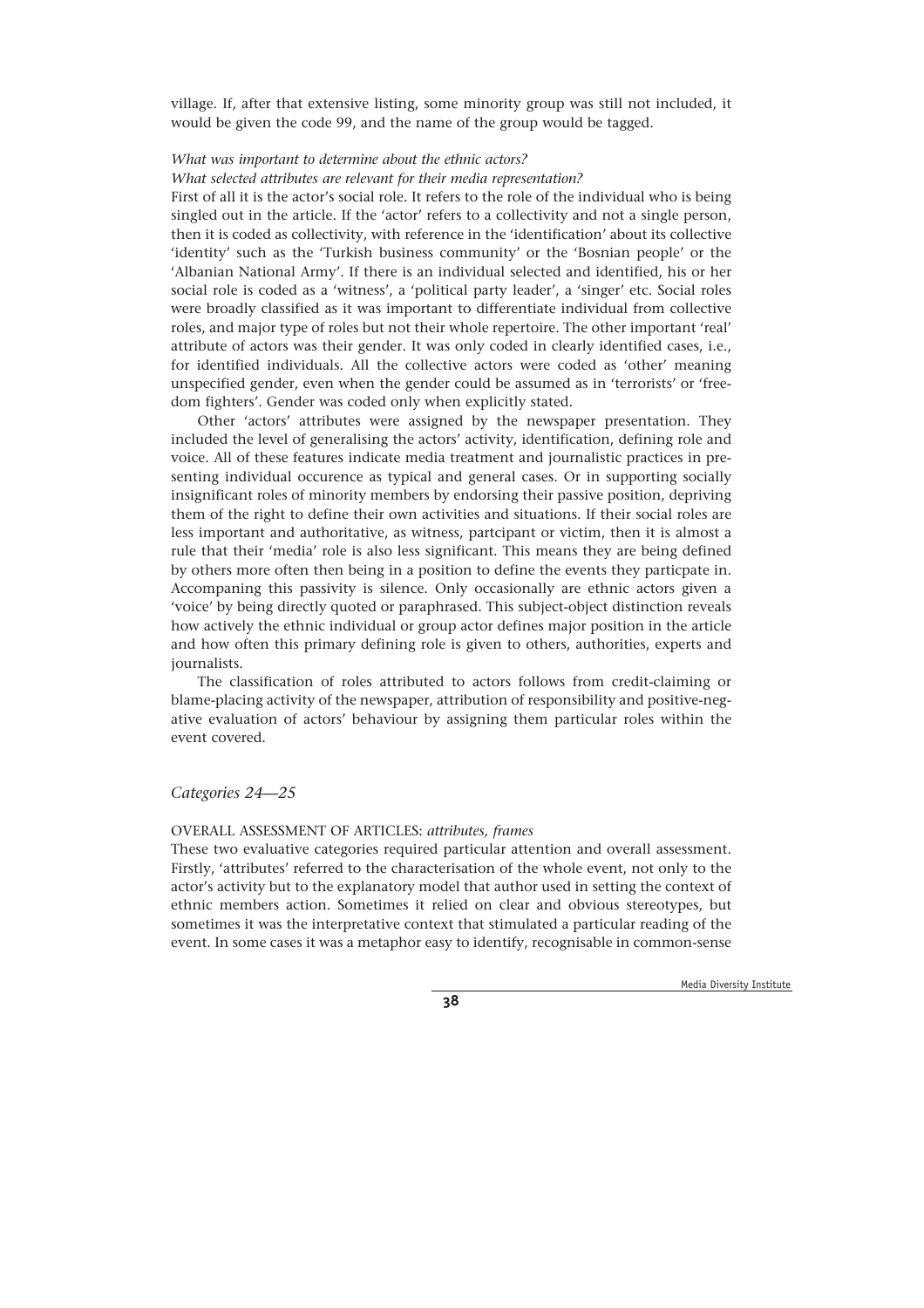village. If, after that extensive listing, some minority group was still not included, it would be given the code 99, and the name of the group would be tagged.

#### *What was important to determine about the ethnic actors? What selected attributes are relevant for their media representation?*

First of all it is the actor's social role. It refers to the role of the individual who is being singled out in the article. If the 'actor' refers to a collectivity and not a single person, then it is coded as collectivity, with reference in the 'identification' about its collective 'identity' such as the 'Turkish business community' or the 'Bosnian people' or the ëAlbanian National Armyí. If there is an individual selected and identified, his or her social role is coded as a 'witness', a 'political party leader', a 'singer' etc. Social roles were broadly classified as it was important to differentiate individual from collective roles, and major type of roles but not their whole repertoire. The other important 'real' attribute of actors was their gender. It was only coded in clearly identified cases, i.e., for identified individuals. All the collective actors were coded as 'other' meaning unspecified gender, even when the gender could be assumed as in 'terrorists' or 'freedom fighters'. Gender was coded only when explicitly stated.

Other 'actors' attributes were assigned by the newspaper presentation. They included the level of generalising the actors' activity, identification, defining role and voice. All of these features indicate media treatment and journalistic practices in presenting individual occurence as typical and general cases. Or in supporting socially insignificant roles of minority members by endorsing their passive position, depriving them of the right to define their own activities and situations. If their social roles are less important and authoritative, as witness, partcipant or victim, then it is almost a rule that their 'media' role is also less significant. This means they are being defined by others more often then being in a position to define the events they particpate in. Accompaning this passivity is silence. Only occasionally are ethnic actors given a 'voice' by being directly quoted or paraphrased. This subject-object distinction reveals how actively the ethnic individual or group actor defines major position in the article and how often this primary defining role is given to others, authorities, experts and journalists.

The classification of roles attributed to actors follows from credit-claiming or blame-placing activity of the newspaper, attribution of responsibility and positive-negative evaluation of actors' behaviour by assigning them particular roles within the event covered.

#### Categories 24<sup>-25</sup>

#### OVERALL ASSESSMENT OF ARTICLES: *attributes, frames*

These two evaluative categories required particular attention and overall assessment. Firstly, 'attributes' referred to the characterisation of the whole event, not only to the actor's activity but to the explanatory model that author used in setting the context of ethnic members action. Sometimes it relied on clear and obvious stereotypes, but sometimes it was the interpretative context that stimulated a particular reading of the event. In some cases it was a metaphor easy to identify, recognisable in common-sense

Media Diversity Institute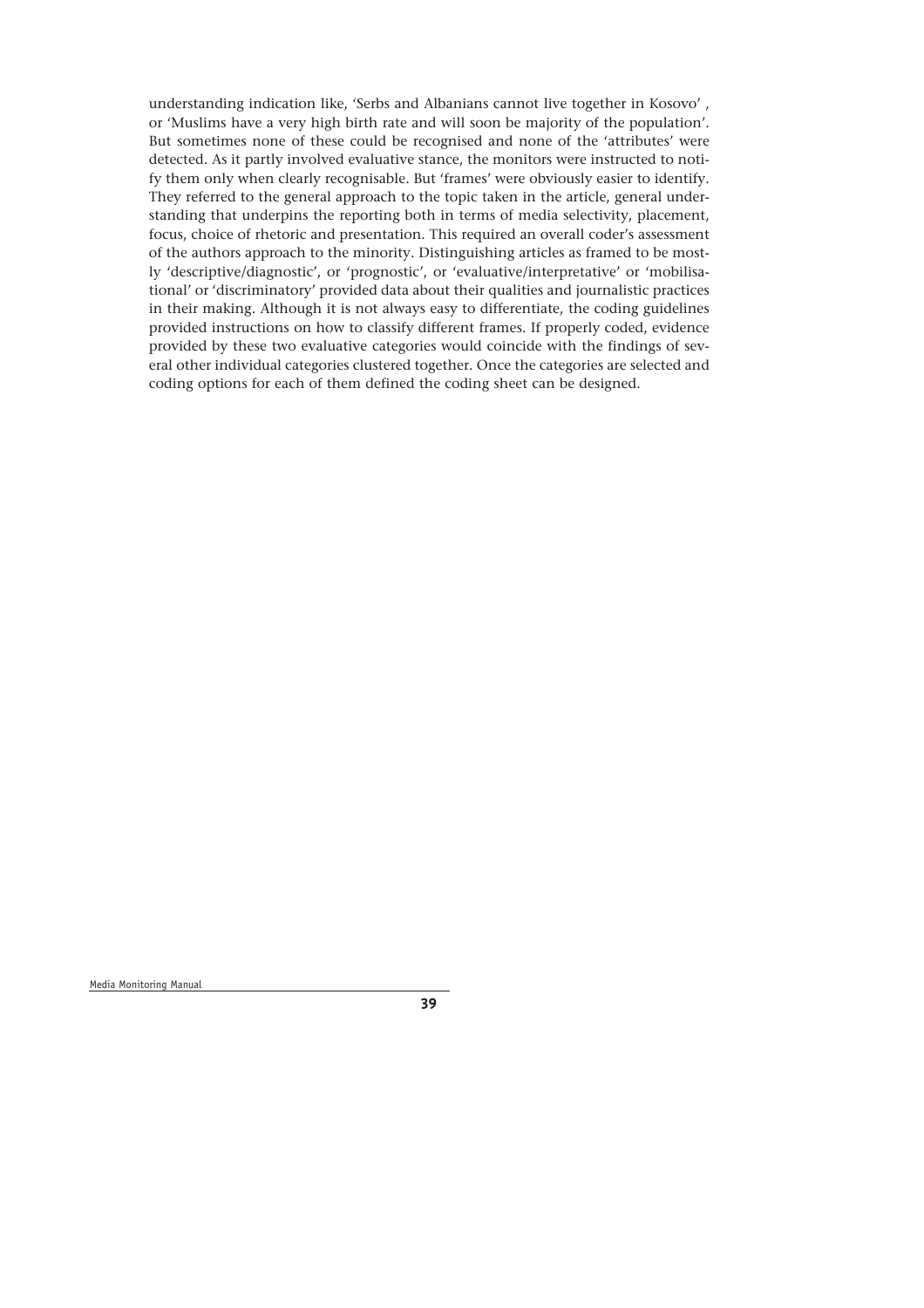understanding indication like, 'Serbs and Albanians cannot live together in Kosovo', or ëMuslims have a very high birth rate and will soon be majority of the populationí. But sometimes none of these could be recognised and none of the 'attributes' were detected. As it partly involved evaluative stance, the monitors were instructed to notify them only when clearly recognisable. But 'frames' were obviously easier to identify. They referred to the general approach to the topic taken in the article, general understanding that underpins the reporting both in terms of media selectivity, placement, focus, choice of rhetoric and presentation. This required an overall coderís assessment of the authors approach to the minority. Distinguishing articles as framed to be mostly 'descriptive/diagnostic', or 'prognostic', or 'evaluative/interpretative' or 'mobilisational' or 'discriminatory' provided data about their qualities and journalistic practices in their making. Although it is not always easy to differentiate, the coding guidelines provided instructions on how to classify different frames. If properly coded, evidence provided by these two evaluative categories would coincide with the findings of several other individual categories clustered together. Once the categories are selected and coding options for each of them defined the coding sheet can be designed.

Media Monitoring Manual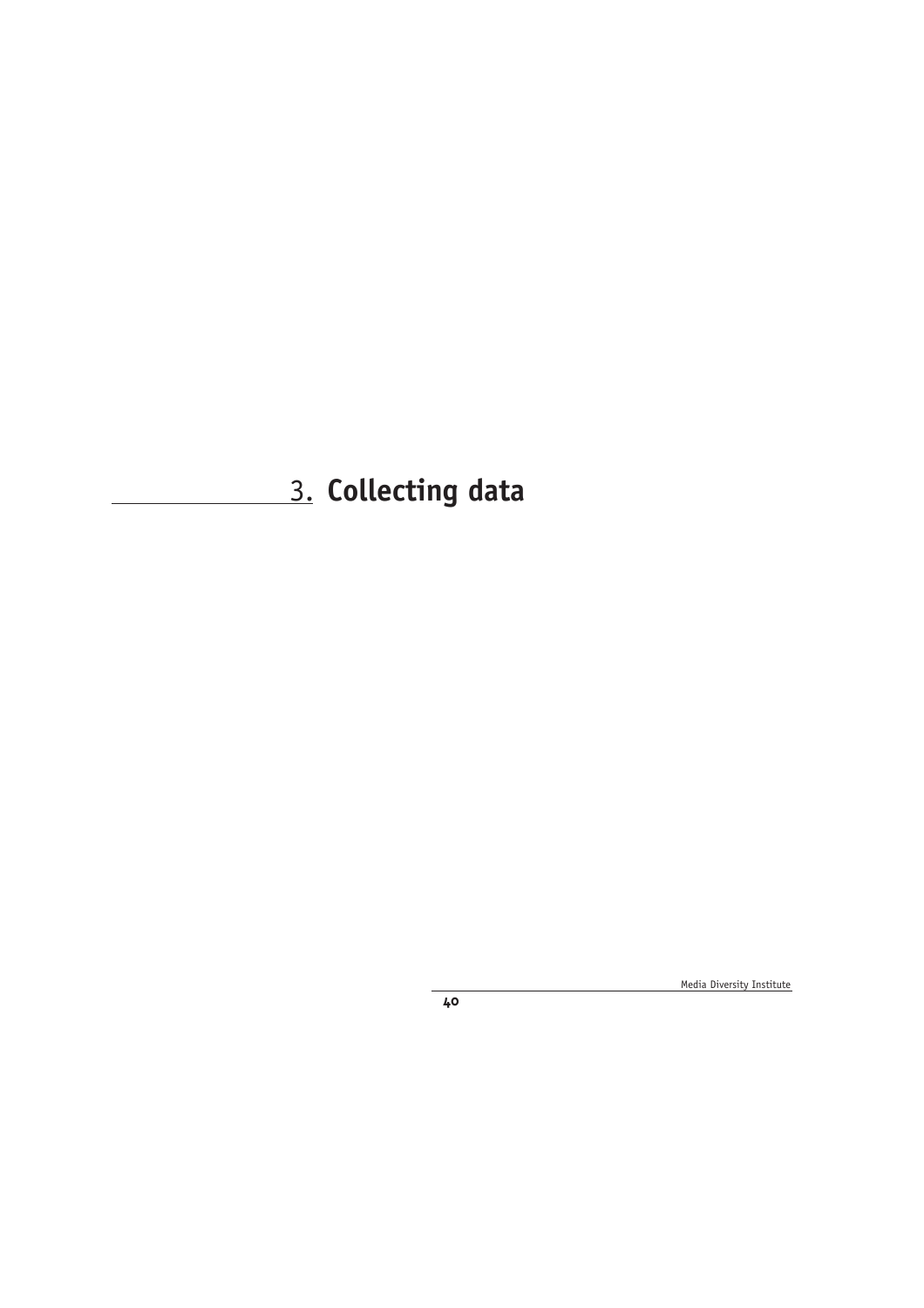3. **Collecting data**

Media Diversity Institute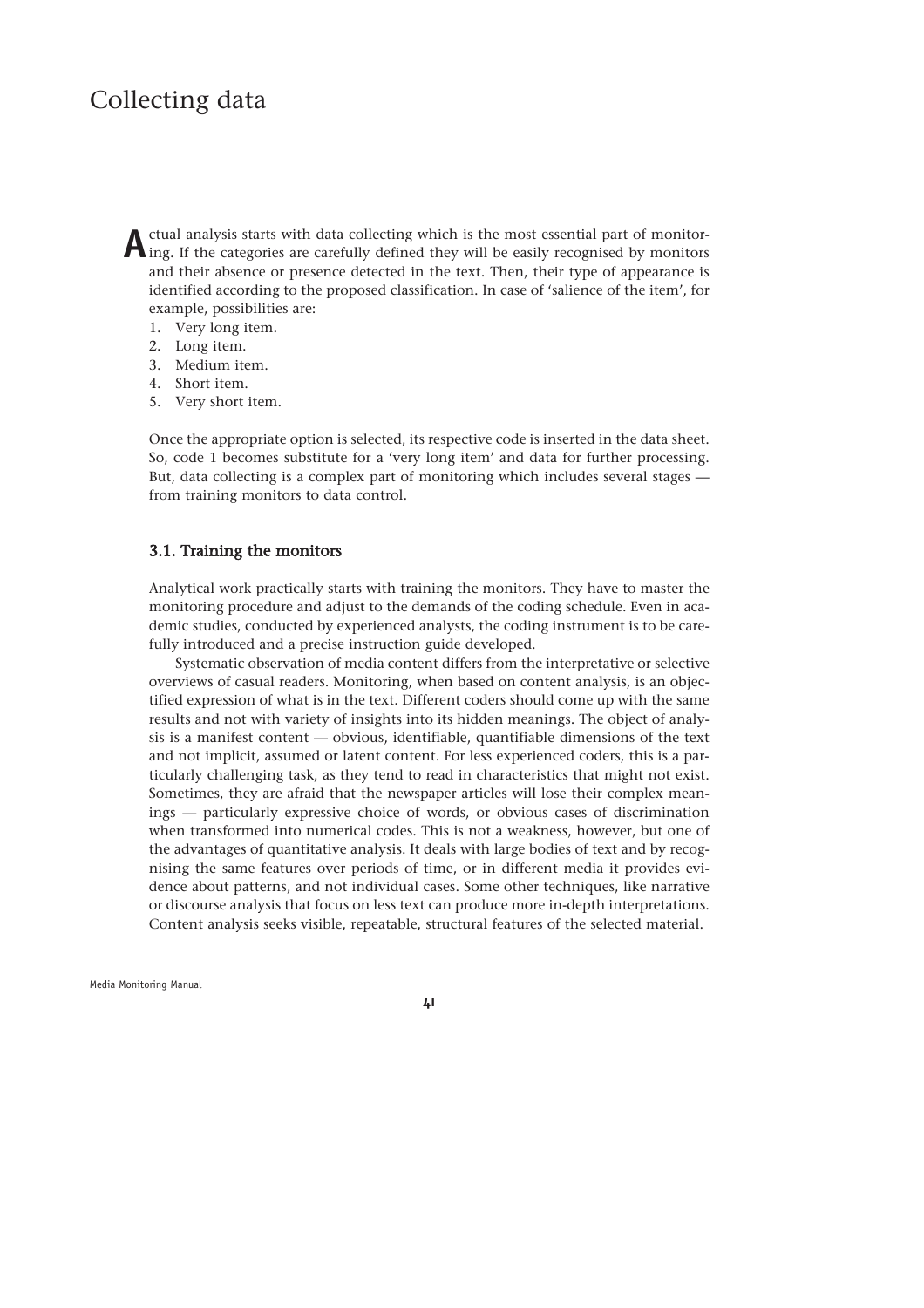# Collecting data

ctual analysis starts with data collecting which is the most essential part of monitor-A ctual analysis starts with data collecting which is the most essential part of monitoring. If the categories are carefully defined they will be easily recognised by monitors and their absence or presence detected in the text. Then, their type of appearance is identified according to the proposed classification. In case of 'salience of the item', for example, possibilities are:

- 1. Very long item.
- 2. Long item.
- 3. Medium item.
- 4. Short item.
- 5. Very short item.

Once the appropriate option is selected, its respective code is inserted in the data sheet. So, code 1 becomes substitute for a 'very long item' and data for further processing. But, data collecting is a complex part of monitoring which includes several stages  $$ from training monitors to data control.

#### 3.1. Training the monitors

Analytical work practically starts with training the monitors. They have to master the monitoring procedure and adjust to the demands of the coding schedule. Even in academic studies, conducted by experienced analysts, the coding instrument is to be carefully introduced and a precise instruction guide developed.

Systematic observation of media content differs from the interpretative or selective overviews of casual readers. Monitoring, when based on content analysis, is an objectified expression of what is in the text. Different coders should come up with the same results and not with variety of insights into its hidden meanings. The object of analysis is a manifest content — obvious, identifiable, quantifiable dimensions of the text and not implicit, assumed or latent content. For less experienced coders, this is a particularly challenging task, as they tend to read in characteristics that might not exist. Sometimes, they are afraid that the newspaper articles will lose their complex meanings — particularly expressive choice of words, or obvious cases of discrimination when transformed into numerical codes. This is not a weakness, however, but one of the advantages of quantitative analysis. It deals with large bodies of text and by recognising the same features over periods of time, or in different media it provides evidence about patterns, and not individual cases. Some other techniques, like narrative or discourse analysis that focus on less text can produce more in-depth interpretations. Content analysis seeks visible, repeatable, structural features of the selected material.

Media Monitoring Manual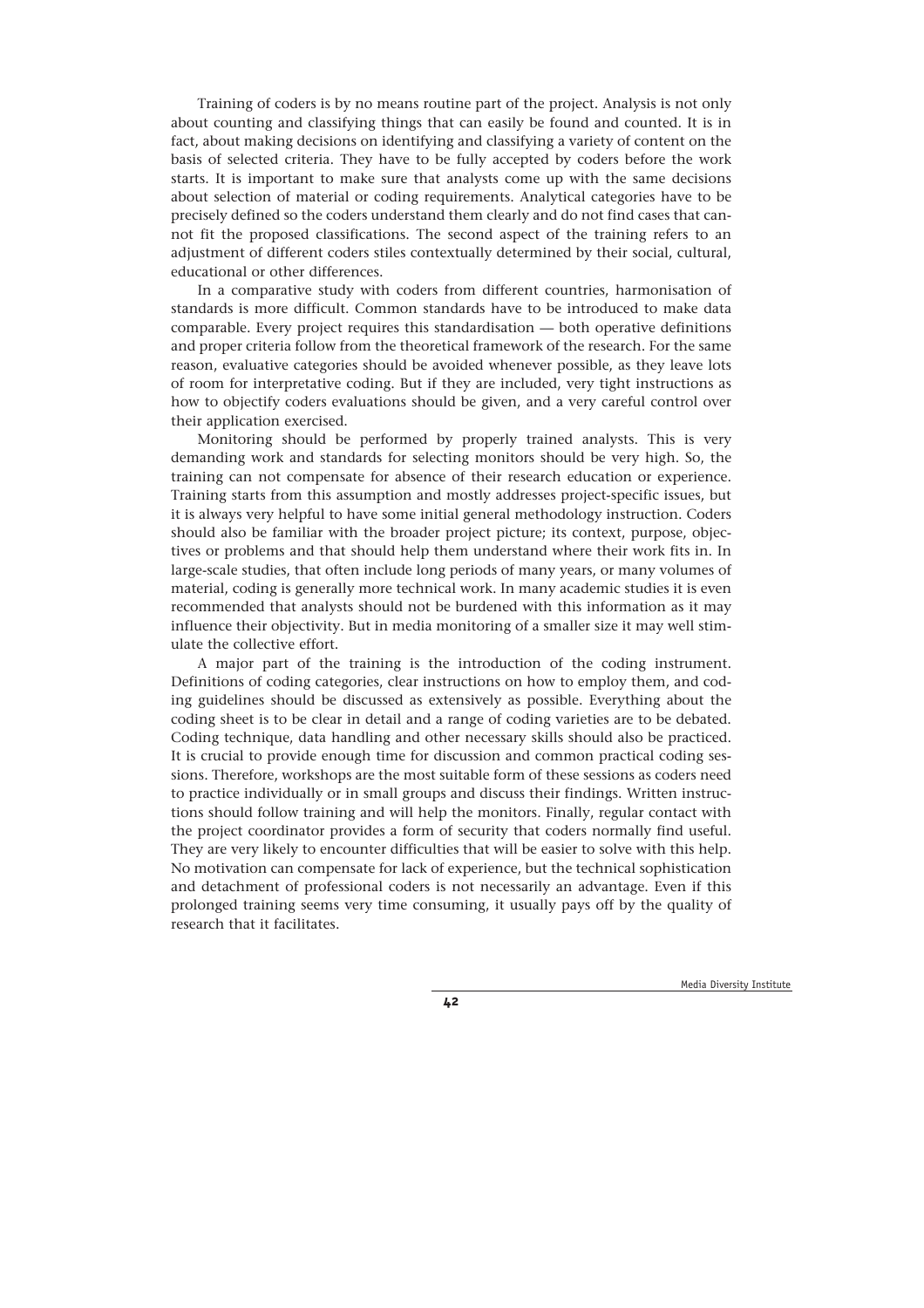Training of coders is by no means routine part of the project. Analysis is not only about counting and classifying things that can easily be found and counted. It is in fact, about making decisions on identifying and classifying a variety of content on the basis of selected criteria. They have to be fully accepted by coders before the work starts. It is important to make sure that analysts come up with the same decisions about selection of material or coding requirements. Analytical categories have to be precisely defined so the coders understand them clearly and do not find cases that cannot fit the proposed classifications. The second aspect of the training refers to an adjustment of different coders stiles contextually determined by their social, cultural, educational or other differences.

In a comparative study with coders from different countries, harmonisation of standards is more difficult. Common standards have to be introduced to make data comparable. Every project requires this standardisation  $-$  both operative definitions and proper criteria follow from the theoretical framework of the research. For the same reason, evaluative categories should be avoided whenever possible, as they leave lots of room for interpretative coding. But if they are included, very tight instructions as how to objectify coders evaluations should be given, and a very careful control over their application exercised.

Monitoring should be performed by properly trained analysts. This is very demanding work and standards for selecting monitors should be very high. So, the training can not compensate for absence of their research education or experience. Training starts from this assumption and mostly addresses project-specific issues, but it is always very helpful to have some initial general methodology instruction. Coders should also be familiar with the broader project picture; its context, purpose, objectives or problems and that should help them understand where their work fits in. In large-scale studies, that often include long periods of many years, or many volumes of material, coding is generally more technical work. In many academic studies it is even recommended that analysts should not be burdened with this information as it may influence their objectivity. But in media monitoring of a smaller size it may well stimulate the collective effort.

A major part of the training is the introduction of the coding instrument. Definitions of coding categories, clear instructions on how to employ them, and coding guidelines should be discussed as extensively as possible. Everything about the coding sheet is to be clear in detail and a range of coding varieties are to be debated. Coding technique, data handling and other necessary skills should also be practiced. It is crucial to provide enough time for discussion and common practical coding sessions. Therefore, workshops are the most suitable form of these sessions as coders need to practice individually or in small groups and discuss their findings. Written instructions should follow training and will help the monitors. Finally, regular contact with the project coordinator provides a form of security that coders normally find useful. They are very likely to encounter difficulties that will be easier to solve with this help. No motivation can compensate for lack of experience, but the technical sophistication and detachment of professional coders is not necessarily an advantage. Even if this prolonged training seems very time consuming, it usually pays off by the quality of research that it facilitates.

Media Diversity Institute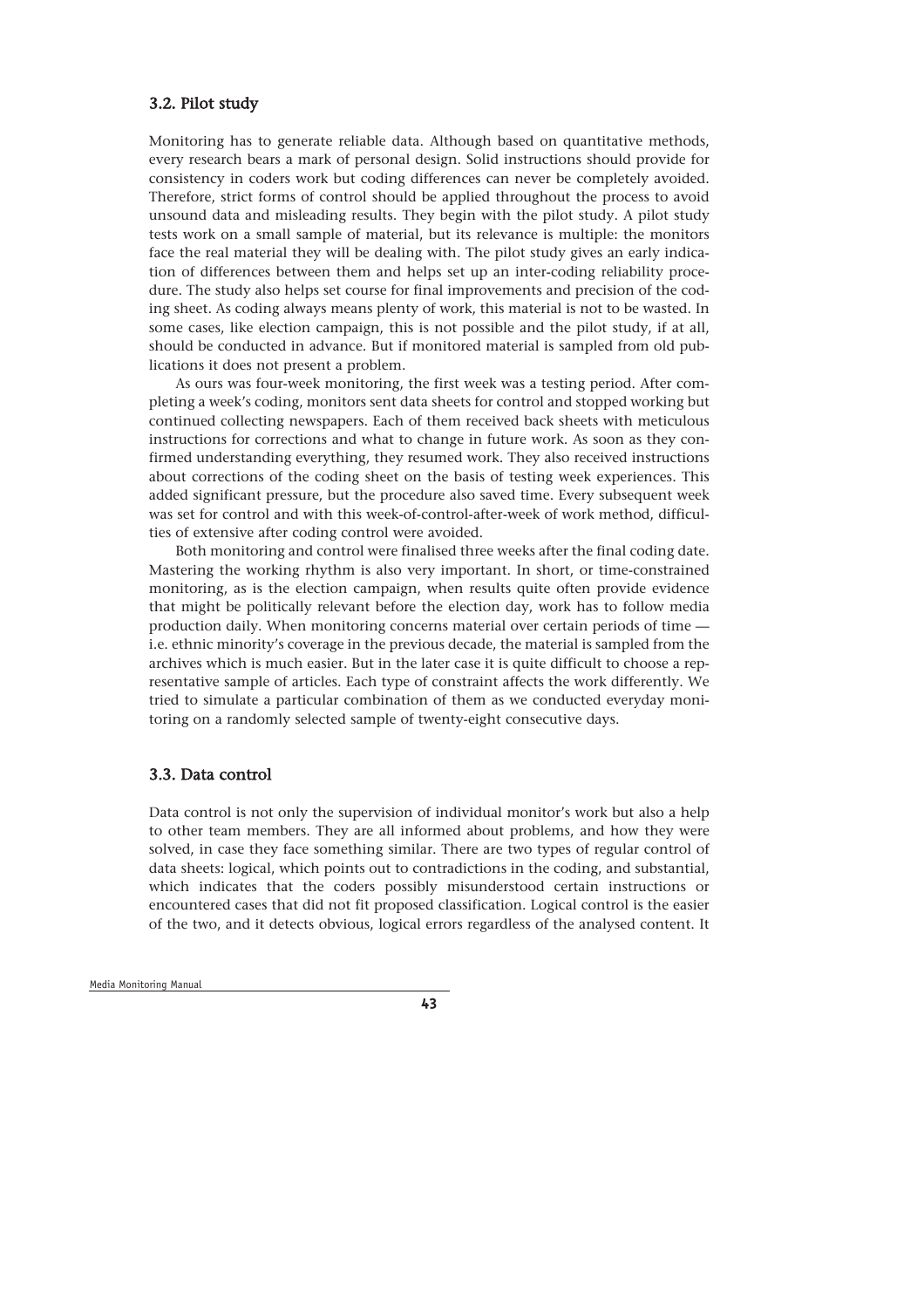#### 3.2. Pilot study

Monitoring has to generate reliable data. Although based on quantitative methods, every research bears a mark of personal design. Solid instructions should provide for consistency in coders work but coding differences can never be completely avoided. Therefore, strict forms of control should be applied throughout the process to avoid unsound data and misleading results. They begin with the pilot study. A pilot study tests work on a small sample of material, but its relevance is multiple: the monitors face the real material they will be dealing with. The pilot study gives an early indication of differences between them and helps set up an inter-coding reliability procedure. The study also helps set course for final improvements and precision of the coding sheet. As coding always means plenty of work, this material is not to be wasted. In some cases, like election campaign, this is not possible and the pilot study, if at all, should be conducted in advance. But if monitored material is sampled from old publications it does not present a problem.

As ours was four-week monitoring, the first week was a testing period. After completing a weekís coding, monitors sent data sheets for control and stopped working but continued collecting newspapers. Each of them received back sheets with meticulous instructions for corrections and what to change in future work. As soon as they confirmed understanding everything, they resumed work. They also received instructions about corrections of the coding sheet on the basis of testing week experiences. This added significant pressure, but the procedure also saved time. Every subsequent week was set for control and with this week-of-control-after-week of work method, difficulties of extensive after coding control were avoided.

Both monitoring and control were finalised three weeks after the final coding date. Mastering the working rhythm is also very important. In short, or time-constrained monitoring, as is the election campaign, when results quite often provide evidence that might be politically relevant before the election day, work has to follow media production daily. When monitoring concerns material over certain periods of time  $$ i.e. ethnic minorityís coverage in the previous decade, the material is sampled from the archives which is much easier. But in the later case it is quite difficult to choose a representative sample of articles. Each type of constraint affects the work differently. We tried to simulate a particular combination of them as we conducted everyday monitoring on a randomly selected sample of twenty-eight consecutive days.

#### 3.3. Data control

Data control is not only the supervision of individual monitor's work but also a help to other team members. They are all informed about problems, and how they were solved, in case they face something similar. There are two types of regular control of data sheets: logical, which points out to contradictions in the coding, and substantial, which indicates that the coders possibly misunderstood certain instructions or encountered cases that did not fit proposed classification. Logical control is the easier of the two, and it detects obvious, logical errors regardless of the analysed content. It

Media Monitoring Manual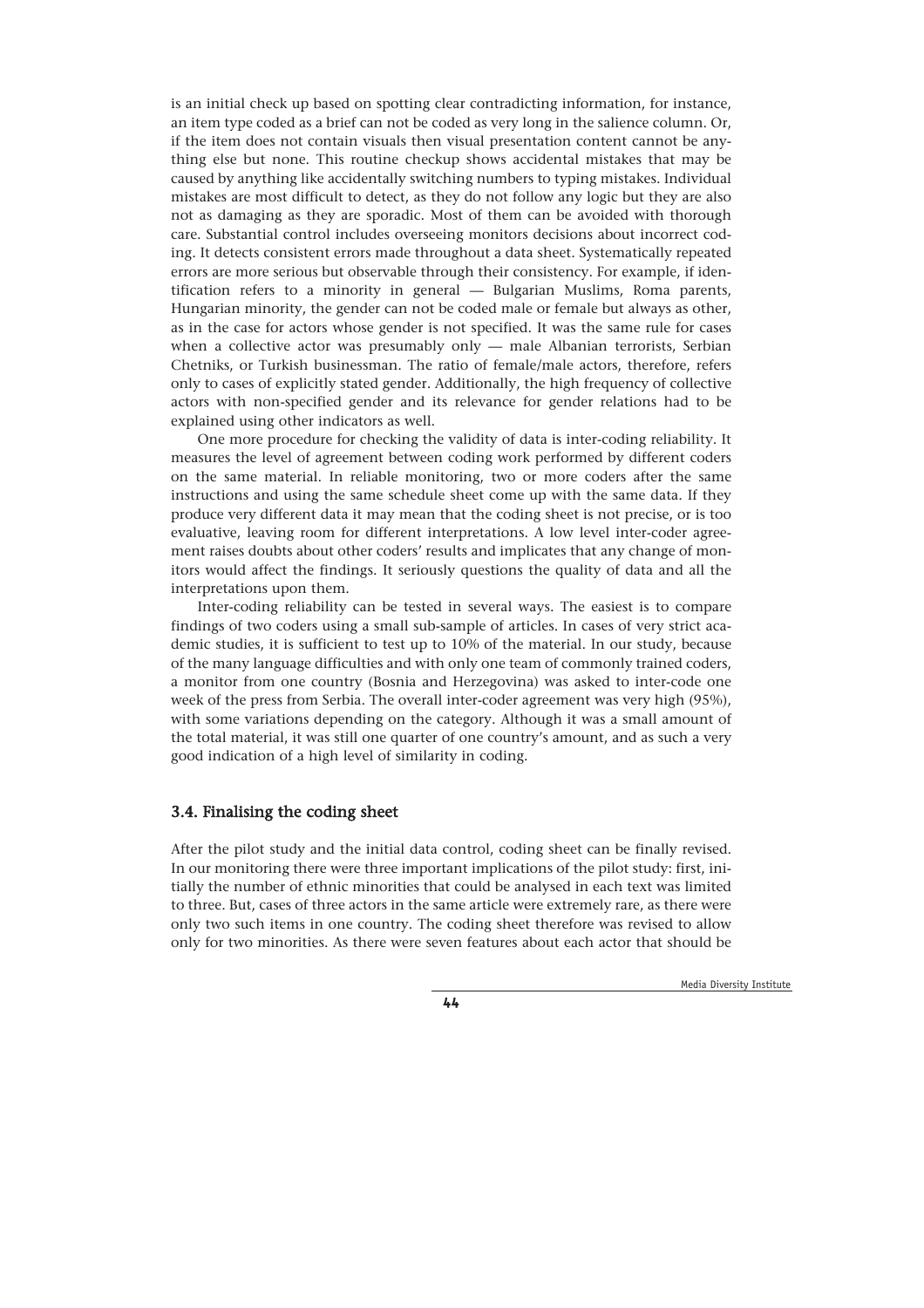is an initial check up based on spotting clear contradicting information, for instance, an item type coded as a brief can not be coded as very long in the salience column. Or, if the item does not contain visuals then visual presentation content cannot be anything else but none. This routine checkup shows accidental mistakes that may be caused by anything like accidentally switching numbers to typing mistakes. Individual mistakes are most difficult to detect, as they do not follow any logic but they are also not as damaging as they are sporadic. Most of them can be avoided with thorough care. Substantial control includes overseeing monitors decisions about incorrect coding. It detects consistent errors made throughout a data sheet. Systematically repeated errors are more serious but observable through their consistency. For example, if identification refers to a minority in general  $-$  Bulgarian Muslims, Roma parents, Hungarian minority, the gender can not be coded male or female but always as other, as in the case for actors whose gender is not specified. It was the same rule for cases when a collective actor was presumably only  $-$  male Albanian terrorists, Serbian Chetniks, or Turkish businessman. The ratio of female/male actors, therefore, refers only to cases of explicitly stated gender. Additionally, the high frequency of collective actors with non-specified gender and its relevance for gender relations had to be explained using other indicators as well.

One more procedure for checking the validity of data is inter-coding reliability. It measures the level of agreement between coding work performed by different coders on the same material. In reliable monitoring, two or more coders after the same instructions and using the same schedule sheet come up with the same data. If they produce very different data it may mean that the coding sheet is not precise, or is too evaluative, leaving room for different interpretations. A low level inter-coder agreement raises doubts about other coders' results and implicates that any change of monitors would affect the findings. It seriously questions the quality of data and all the interpretations upon them.

Inter-coding reliability can be tested in several ways. The easiest is to compare findings of two coders using a small sub-sample of articles. In cases of very strict academic studies, it is sufficient to test up to 10% of the material. In our study, because of the many language difficulties and with only one team of commonly trained coders, a monitor from one country (Bosnia and Herzegovina) was asked to inter-code one week of the press from Serbia. The overall inter-coder agreement was very high (95%), with some variations depending on the category. Although it was a small amount of the total material, it was still one quarter of one country's amount, and as such a very good indication of a high level of similarity in coding.

#### 3.4. Finalising the coding sheet

After the pilot study and the initial data control, coding sheet can be finally revised. In our monitoring there were three important implications of the pilot study: first, initially the number of ethnic minorities that could be analysed in each text was limited to three. But, cases of three actors in the same article were extremely rare, as there were only two such items in one country. The coding sheet therefore was revised to allow only for two minorities. As there were seven features about each actor that should be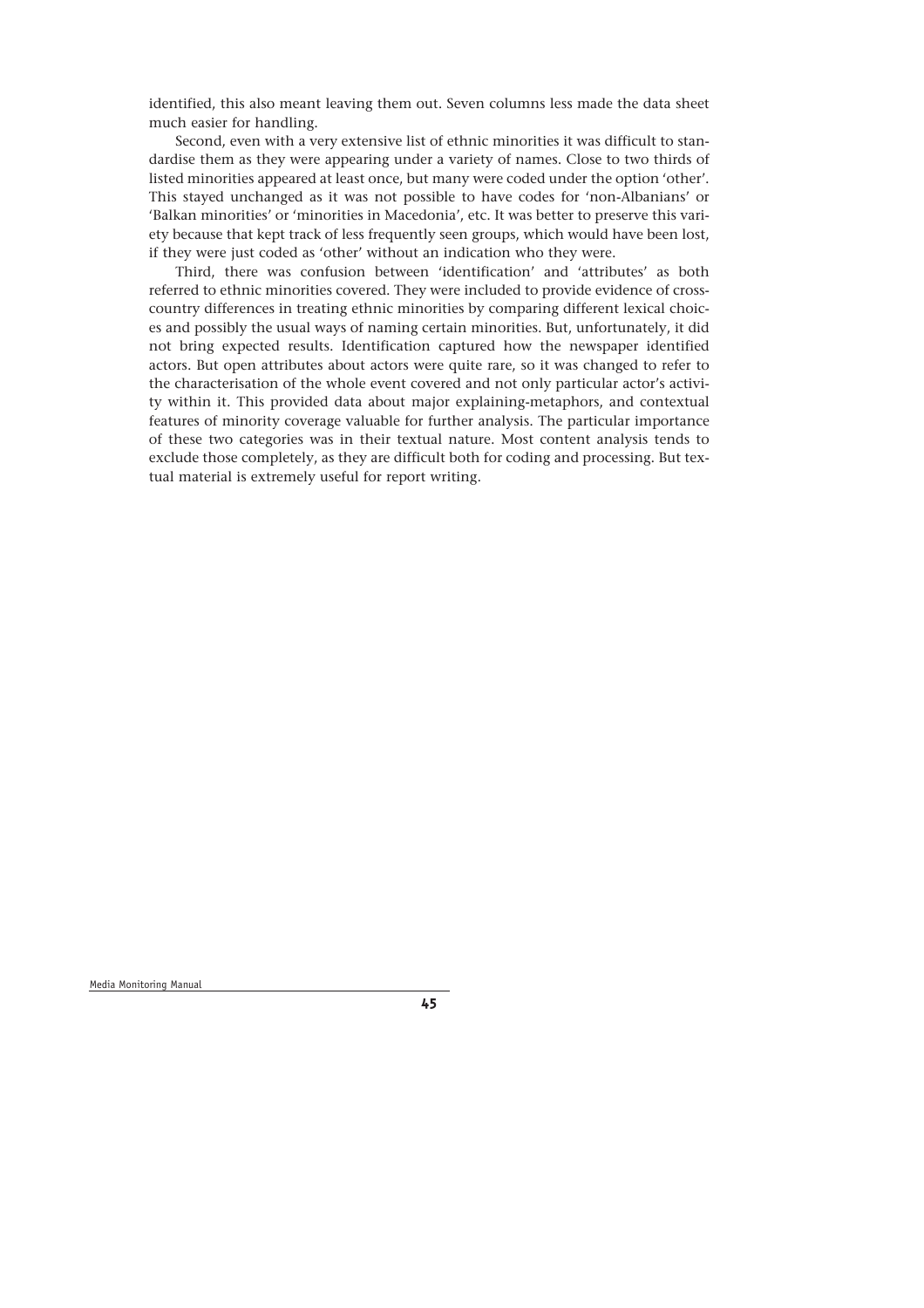identified, this also meant leaving them out. Seven columns less made the data sheet much easier for handling.

Second, even with a very extensive list of ethnic minorities it was difficult to standardise them as they were appearing under a variety of names. Close to two thirds of listed minorities appeared at least once, but many were coded under the option 'other'. This stayed unchanged as it was not possible to have codes for 'non-Albanians' or 'Balkan minorities' or 'minorities in Macedonia', etc. It was better to preserve this variety because that kept track of less frequently seen groups, which would have been lost, if they were just coded as 'other' without an indication who they were.

Third, there was confusion between 'identification' and 'attributes' as both referred to ethnic minorities covered. They were included to provide evidence of crosscountry differences in treating ethnic minorities by comparing different lexical choices and possibly the usual ways of naming certain minorities. But, unfortunately, it did not bring expected results. Identification captured how the newspaper identified actors. But open attributes about actors were quite rare, so it was changed to refer to the characterisation of the whole event covered and not only particular actor's activity within it. This provided data about major explaining-metaphors, and contextual features of minority coverage valuable for further analysis. The particular importance of these two categories was in their textual nature. Most content analysis tends to exclude those completely, as they are difficult both for coding and processing. But textual material is extremely useful for report writing.

Media Monitoring Manual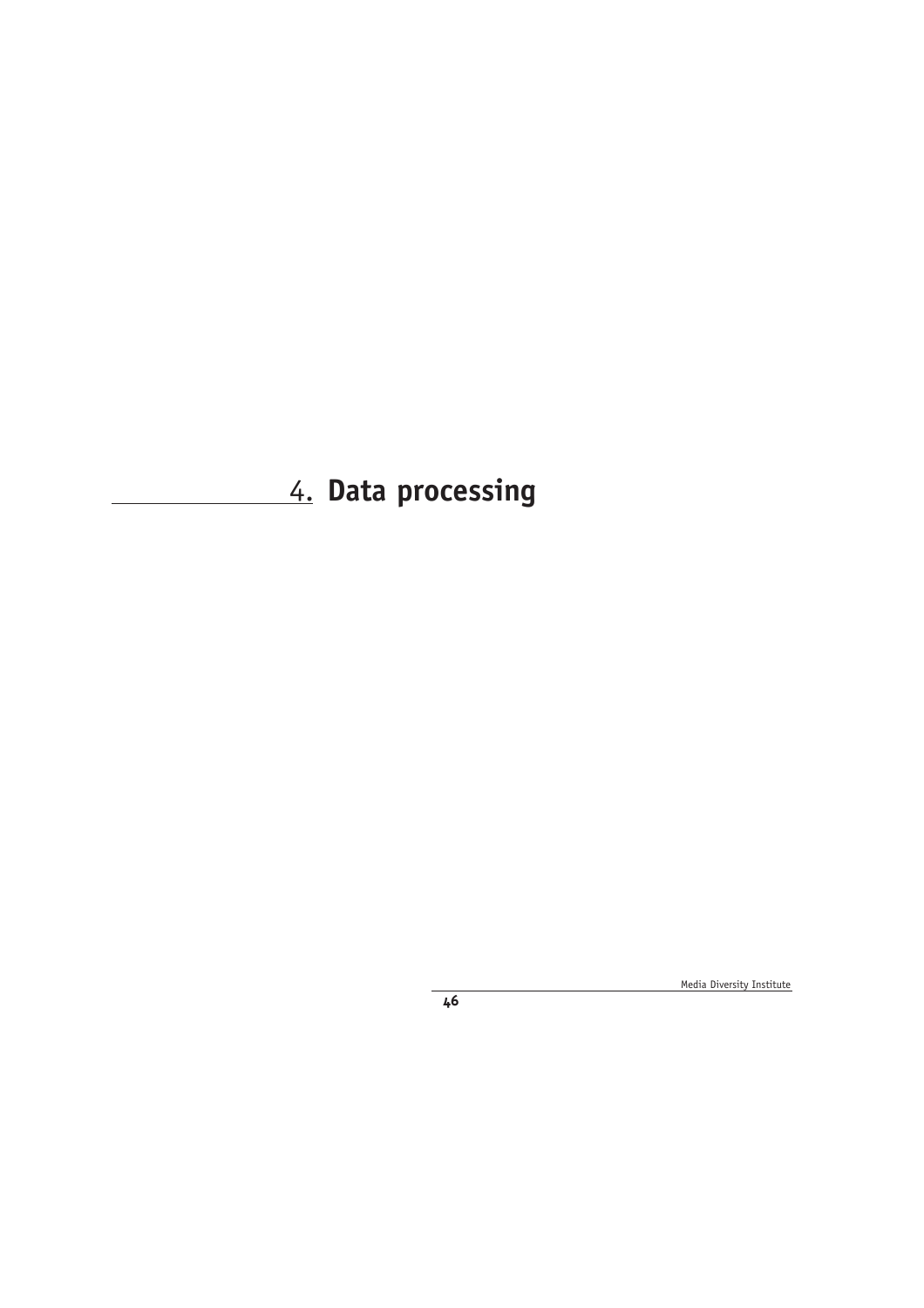4. **Data processing**

Media Diversity Institute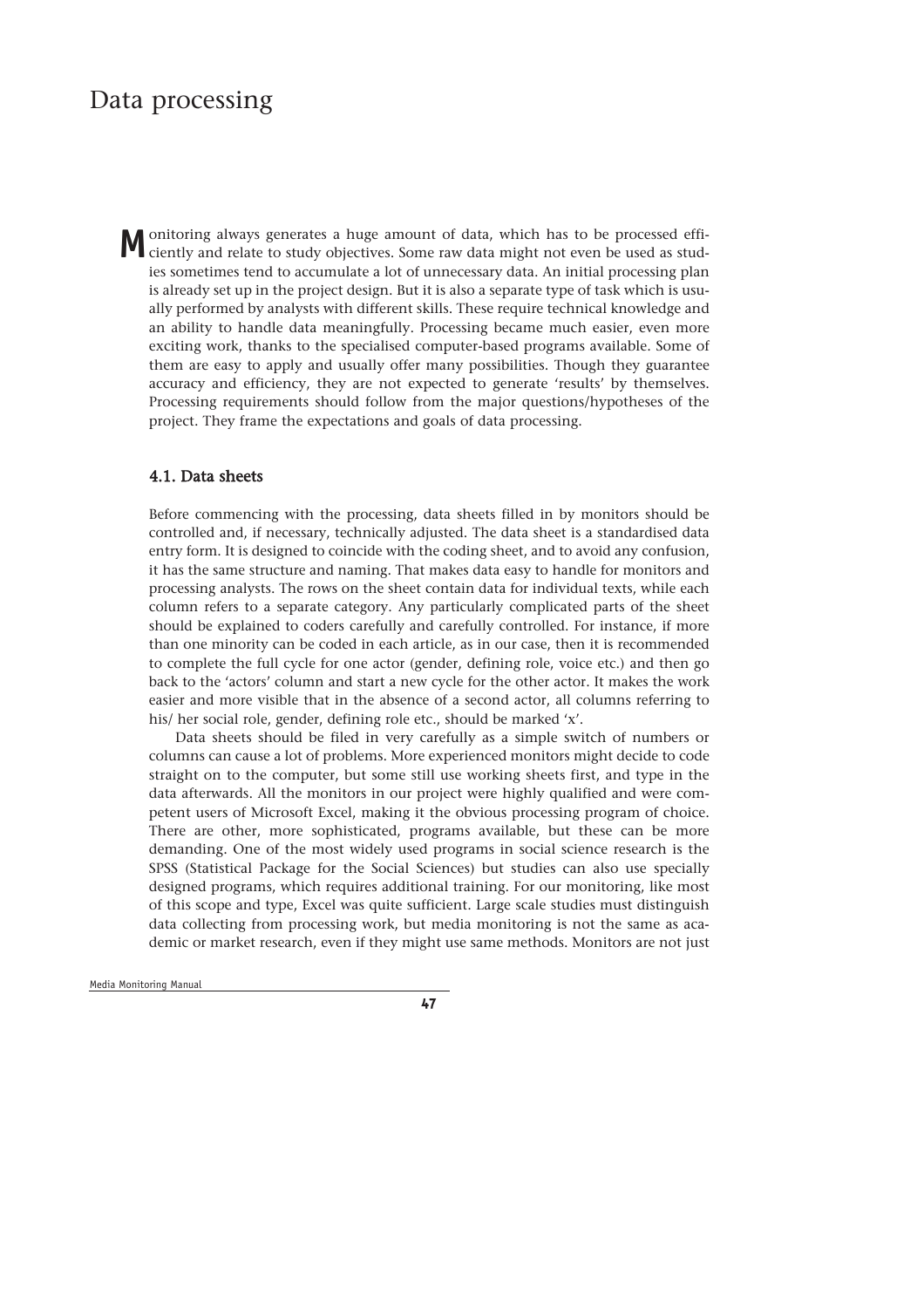## Data processing

onitoring always generates a huge amount of data, which has to be processed effi-**M** onitoring always generates a huge amount of data, which has to be processed efficiently and relate to study objectives. Some raw data might not even be used as studies sometimes tend to accumulate a lot of unnecessary data. An initial processing plan is already set up in the project design. But it is also a separate type of task which is usually performed by analysts with different skills. These require technical knowledge and an ability to handle data meaningfully. Processing became much easier, even more exciting work, thanks to the specialised computer-based programs available. Some of them are easy to apply and usually offer many possibilities. Though they guarantee accuracy and efficiency, they are not expected to generate 'results' by themselves. Processing requirements should follow from the major questions/hypotheses of the project. They frame the expectations and goals of data processing.

#### 4.1. Data sheets

Before commencing with the processing, data sheets filled in by monitors should be controlled and, if necessary, technically adjusted. The data sheet is a standardised data entry form. It is designed to coincide with the coding sheet, and to avoid any confusion, it has the same structure and naming. That makes data easy to handle for monitors and processing analysts. The rows on the sheet contain data for individual texts, while each column refers to a separate category. Any particularly complicated parts of the sheet should be explained to coders carefully and carefully controlled. For instance, if more than one minority can be coded in each article, as in our case, then it is recommended to complete the full cycle for one actor (gender, defining role, voice etc.) and then go back to the ëactorsí column and start a new cycle for the other actor. It makes the work easier and more visible that in the absence of a second actor, all columns referring to his/ her social role, gender, defining role etc., should be marked 'x'.

Data sheets should be filed in very carefully as a simple switch of numbers or columns can cause a lot of problems. More experienced monitors might decide to code straight on to the computer, but some still use working sheets first, and type in the data afterwards. All the monitors in our project were highly qualified and were competent users of Microsoft Excel, making it the obvious processing program of choice. There are other, more sophisticated, programs available, but these can be more demanding. One of the most widely used programs in social science research is the SPSS (Statistical Package for the Social Sciences) but studies can also use specially designed programs, which requires additional training. For our monitoring, like most of this scope and type, Excel was quite sufficient. Large scale studies must distinguish data collecting from processing work, but media monitoring is not the same as academic or market research, even if they might use same methods. Monitors are not just

Media Monitoring Manual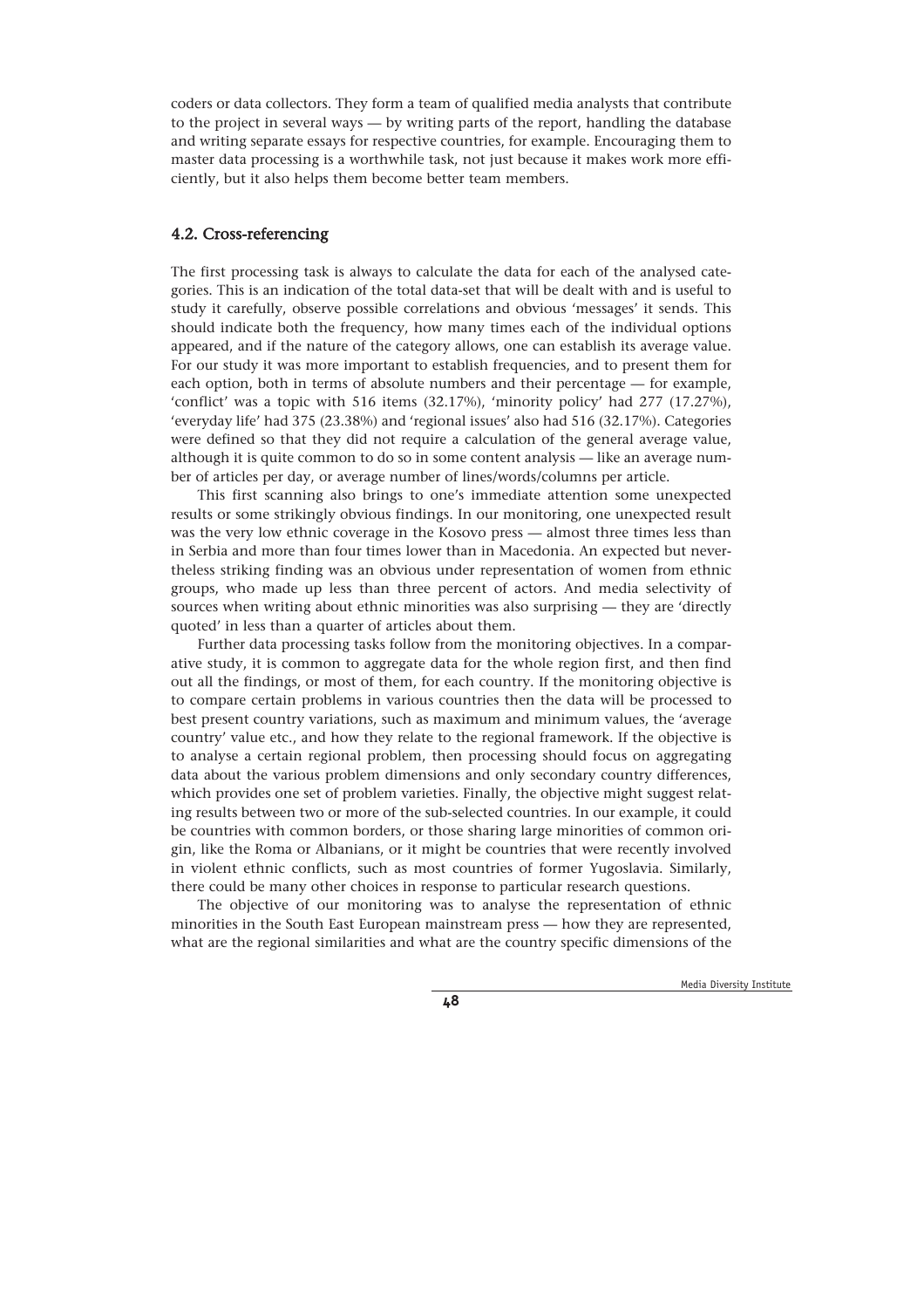coders or data collectors. They form a team of qualified media analysts that contribute to the project in several ways  $-$  by writing parts of the report, handling the database and writing separate essays for respective countries, for example. Encouraging them to master data processing is a worthwhile task, not just because it makes work more efficiently, but it also helps them become better team members.

#### 4.2. Cross-referencing

The first processing task is always to calculate the data for each of the analysed categories. This is an indication of the total data-set that will be dealt with and is useful to study it carefully, observe possible correlations and obvious 'messages' it sends. This should indicate both the frequency, how many times each of the individual options appeared, and if the nature of the category allows, one can establish its average value. For our study it was more important to establish frequencies, and to present them for each option, both in terms of absolute numbers and their percentage  $-$  for example, 'conflict' was a topic with 516 items  $(32.17%)$ , 'minority policy' had 277  $(17.27%)$ , 'everyday life' had 375 (23.38%) and 'regional issues' also had 516 (32.17%). Categories were defined so that they did not require a calculation of the general average value, although it is quite common to do so in some content analysis  $-$  like an average number of articles per day, or average number of lines/words/columns per article.

This first scanning also brings to one's immediate attention some unexpected results or some strikingly obvious findings. In our monitoring, one unexpected result was the very low ethnic coverage in the Kosovo press – almost three times less than in Serbia and more than four times lower than in Macedonia. An expected but nevertheless striking finding was an obvious under representation of women from ethnic groups, who made up less than three percent of actors. And media selectivity of sources when writing about ethnic minorities was also surprising — they are 'directly quoted' in less than a quarter of articles about them.

Further data processing tasks follow from the monitoring objectives. In a comparative study, it is common to aggregate data for the whole region first, and then find out all the findings, or most of them, for each country. If the monitoring objective is to compare certain problems in various countries then the data will be processed to best present country variations, such as maximum and minimum values, the 'average country' value etc., and how they relate to the regional framework. If the objective is to analyse a certain regional problem, then processing should focus on aggregating data about the various problem dimensions and only secondary country differences, which provides one set of problem varieties. Finally, the objective might suggest relating results between two or more of the sub-selected countries. In our example, it could be countries with common borders, or those sharing large minorities of common origin, like the Roma or Albanians, or it might be countries that were recently involved in violent ethnic conflicts, such as most countries of former Yugoslavia. Similarly, there could be many other choices in response to particular research questions.

The objective of our monitoring was to analyse the representation of ethnic minorities in the South East European mainstream press — how they are represented, what are the regional similarities and what are the country specific dimensions of the

Media Diversity Institute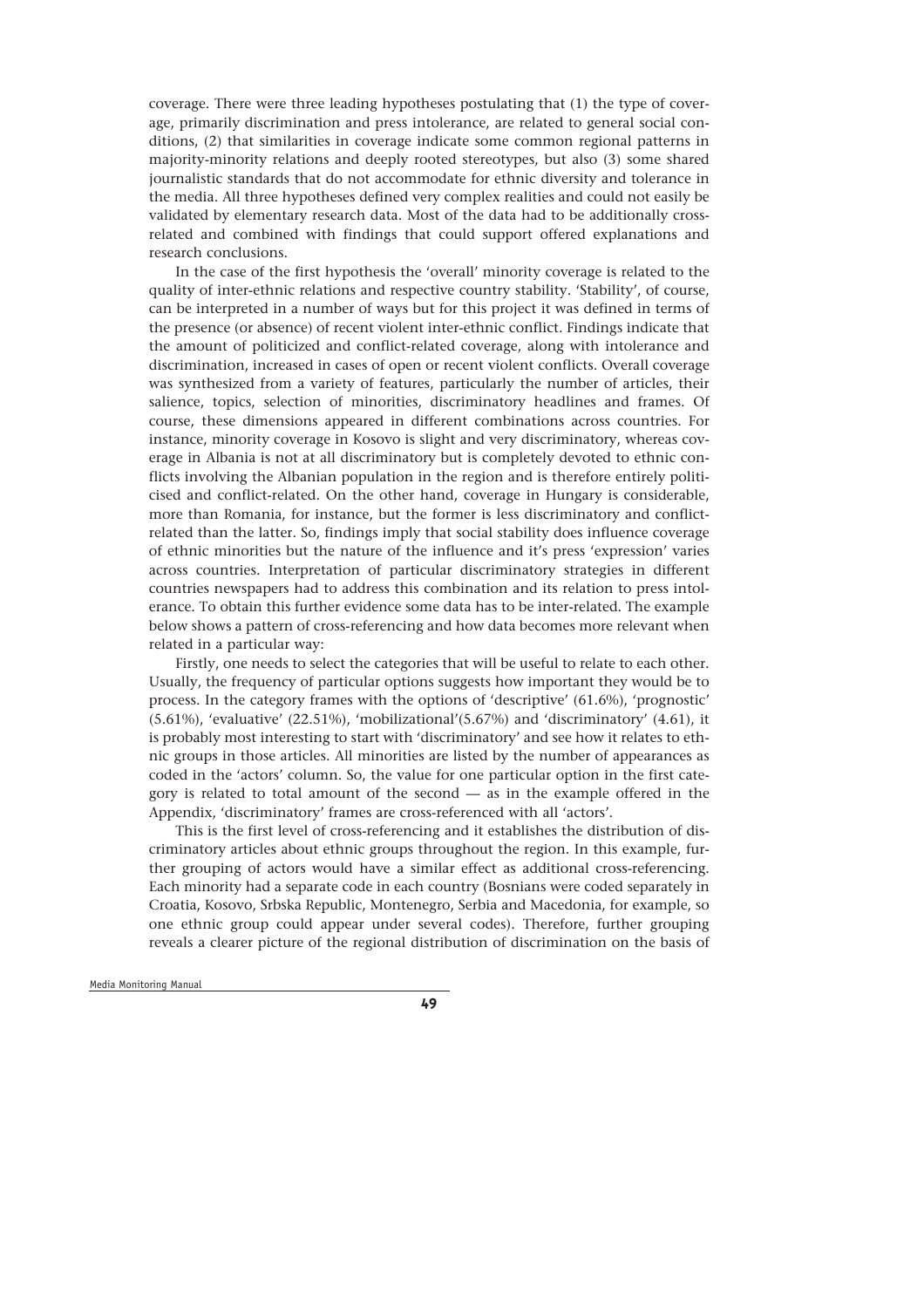coverage. There were three leading hypotheses postulating that (1) the type of coverage, primarily discrimination and press intolerance, are related to general social conditions, (2) that similarities in coverage indicate some common regional patterns in majority-minority relations and deeply rooted stereotypes, but also (3) some shared journalistic standards that do not accommodate for ethnic diversity and tolerance in the media. All three hypotheses defined very complex realities and could not easily be validated by elementary research data. Most of the data had to be additionally crossrelated and combined with findings that could support offered explanations and research conclusions.

In the case of the first hypothesis the 'overall' minority coverage is related to the quality of inter-ethnic relations and respective country stability. 'Stability', of course, can be interpreted in a number of ways but for this project it was defined in terms of the presence (or absence) of recent violent inter-ethnic conflict. Findings indicate that the amount of politicized and conflict-related coverage, along with intolerance and discrimination, increased in cases of open or recent violent conflicts. Overall coverage was synthesized from a variety of features, particularly the number of articles, their salience, topics, selection of minorities, discriminatory headlines and frames. Of course, these dimensions appeared in different combinations across countries. For instance, minority coverage in Kosovo is slight and very discriminatory, whereas coverage in Albania is not at all discriminatory but is completely devoted to ethnic conflicts involving the Albanian population in the region and is therefore entirely politicised and conflict-related. On the other hand, coverage in Hungary is considerable, more than Romania, for instance, but the former is less discriminatory and conflictrelated than the latter. So, findings imply that social stability does influence coverage of ethnic minorities but the nature of the influence and it's press 'expression' varies across countries. Interpretation of particular discriminatory strategies in different countries newspapers had to address this combination and its relation to press intolerance. To obtain this further evidence some data has to be inter-related. The example below shows a pattern of cross-referencing and how data becomes more relevant when related in a particular way:

Firstly, one needs to select the categories that will be useful to relate to each other. Usually, the frequency of particular options suggests how important they would be to process. In the category frames with the options of 'descriptive'  $(61.6\%)$ , 'prognostic' (5.61%), 'evaluative' (22.51%), 'mobilizational'(5.67%) and 'discriminatory' (4.61), it is probably most interesting to start with 'discriminatory' and see how it relates to ethnic groups in those articles. All minorities are listed by the number of appearances as coded in the 'actors' column. So, the value for one particular option in the first category is related to total amount of the second  $-$  as in the example offered in the Appendix, 'discriminatory' frames are cross-referenced with all 'actors'.

This is the first level of cross-referencing and it establishes the distribution of discriminatory articles about ethnic groups throughout the region. In this example, further grouping of actors would have a similar effect as additional cross-referencing. Each minority had a separate code in each country (Bosnians were coded separately in Croatia, Kosovo, Srbska Republic, Montenegro, Serbia and Macedonia, for example, so one ethnic group could appear under several codes). Therefore, further grouping reveals a clearer picture of the regional distribution of discrimination on the basis of

Media Monitoring Manual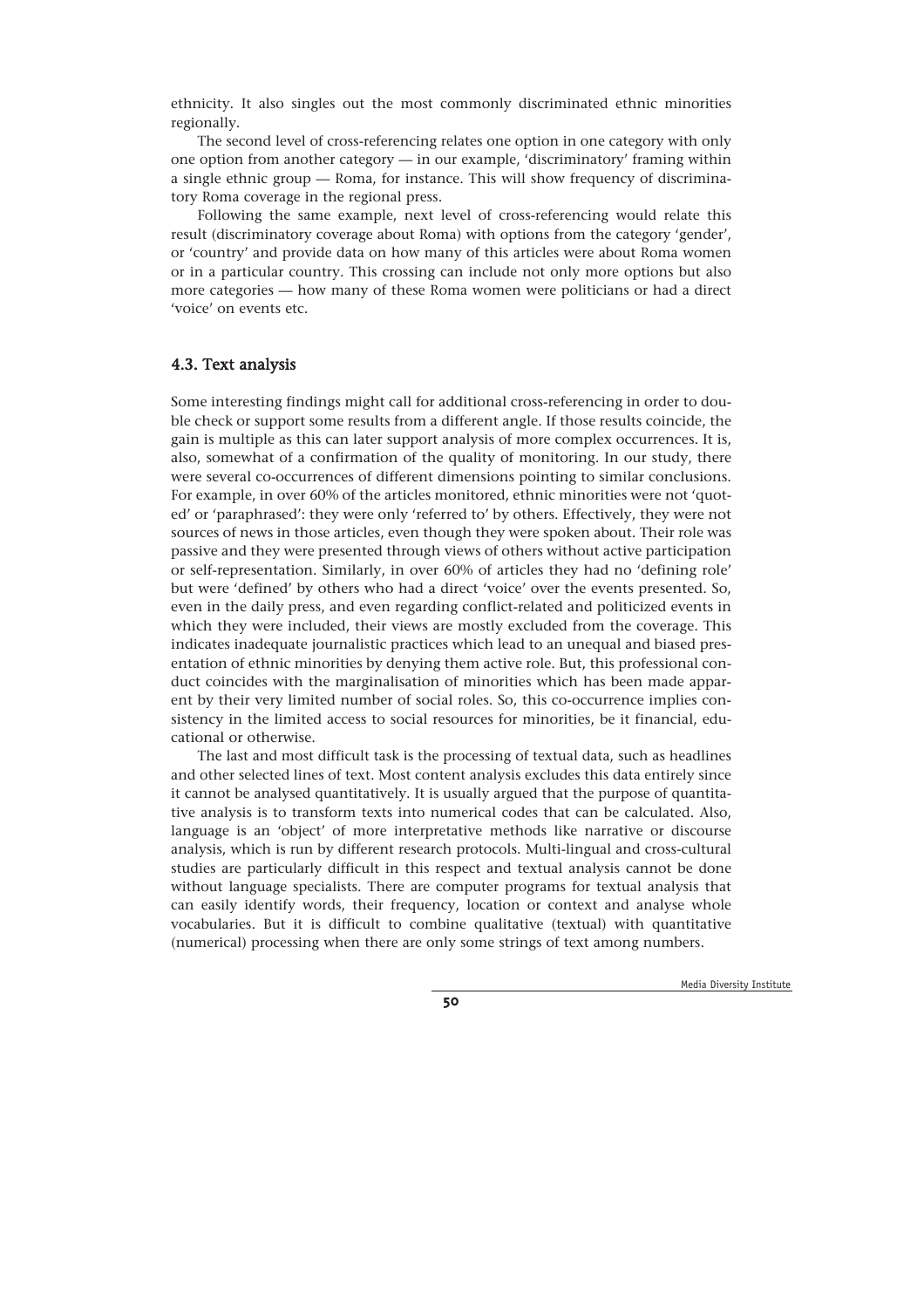ethnicity. It also singles out the most commonly discriminated ethnic minorities regionally.

The second level of cross-referencing relates one option in one category with only one option from another category  $-$  in our example, 'discriminatory' framing within a single ethnic group  $-$  Roma, for instance. This will show frequency of discriminatory Roma coverage in the regional press.

Following the same example, next level of cross-referencing would relate this result (discriminatory coverage about Roma) with options from the category 'gender'. or ëcountryí and provide data on how many of this articles were about Roma women or in a particular country. This crossing can include not only more options but also more categories – how many of these Roma women were politicians or had a direct 'voice' on events etc.

#### 4.3. Text analysis

Some interesting findings might call for additional cross-referencing in order to double check or support some results from a different angle. If those results coincide, the gain is multiple as this can later support analysis of more complex occurrences. It is, also, somewhat of a confirmation of the quality of monitoring. In our study, there were several co-occurrences of different dimensions pointing to similar conclusions. For example, in over 60% of the articles monitored, ethnic minorities were not 'quoted' or 'paraphrased': they were only 'referred to' by others. Effectively, they were not sources of news in those articles, even though they were spoken about. Their role was passive and they were presented through views of others without active participation or self-representation. Similarly, in over 60% of articles they had no 'defining role' but were 'defined' by others who had a direct 'voice' over the events presented. So, even in the daily press, and even regarding conflict-related and politicized events in which they were included, their views are mostly excluded from the coverage. This indicates inadequate journalistic practices which lead to an unequal and biased presentation of ethnic minorities by denying them active role. But, this professional conduct coincides with the marginalisation of minorities which has been made apparent by their very limited number of social roles. So, this co-occurrence implies consistency in the limited access to social resources for minorities, be it financial, educational or otherwise.

The last and most difficult task is the processing of textual data, such as headlines and other selected lines of text. Most content analysis excludes this data entirely since it cannot be analysed quantitatively. It is usually argued that the purpose of quantitative analysis is to transform texts into numerical codes that can be calculated. Also, language is an 'object' of more interpretative methods like narrative or discourse analysis, which is run by different research protocols. Multi-lingual and cross-cultural studies are particularly difficult in this respect and textual analysis cannot be done without language specialists. There are computer programs for textual analysis that can easily identify words, their frequency, location or context and analyse whole vocabularies. But it is difficult to combine qualitative (textual) with quantitative (numerical) processing when there are only some strings of text among numbers.

Media Diversity Institute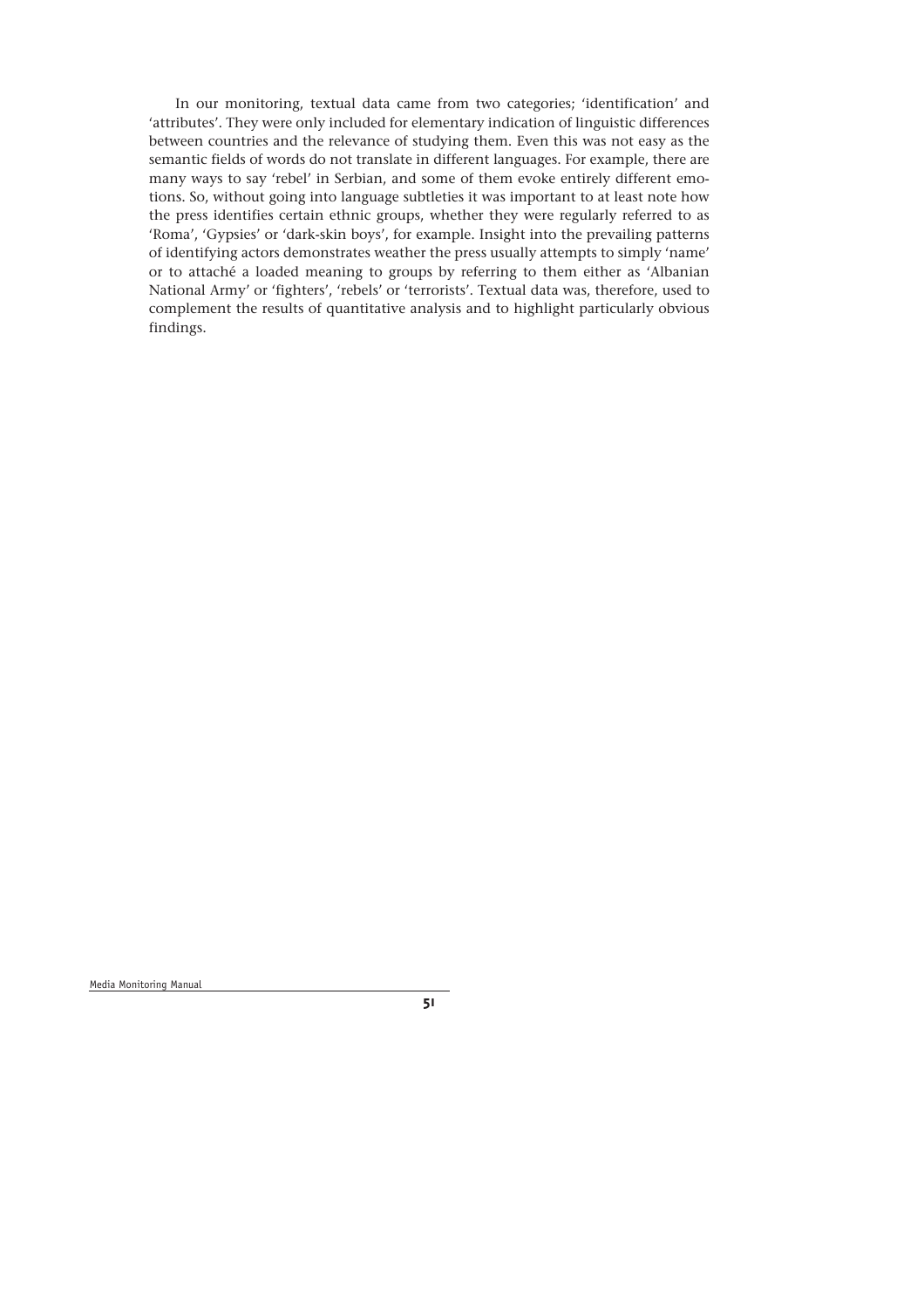In our monitoring, textual data came from two categories; 'identification' and ëattributesí. They were only included for elementary indication of linguistic differences between countries and the relevance of studying them. Even this was not easy as the semantic fields of words do not translate in different languages. For example, there are many ways to say 'rebel' in Serbian, and some of them evoke entirely different emotions. So, without going into language subtleties it was important to at least note how the press identifies certain ethnic groups, whether they were regularly referred to as 'Roma', 'Gypsies' or 'dark-skin boys', for example. Insight into the prevailing patterns of identifying actors demonstrates weather the press usually attempts to simply 'name' or to attaché a loaded meaning to groups by referring to them either as 'Albanian National Army' or 'fighters', 'rebels' or 'terrorists'. Textual data was, therefore, used to complement the results of quantitative analysis and to highlight particularly obvious findings.

Media Monitoring Manual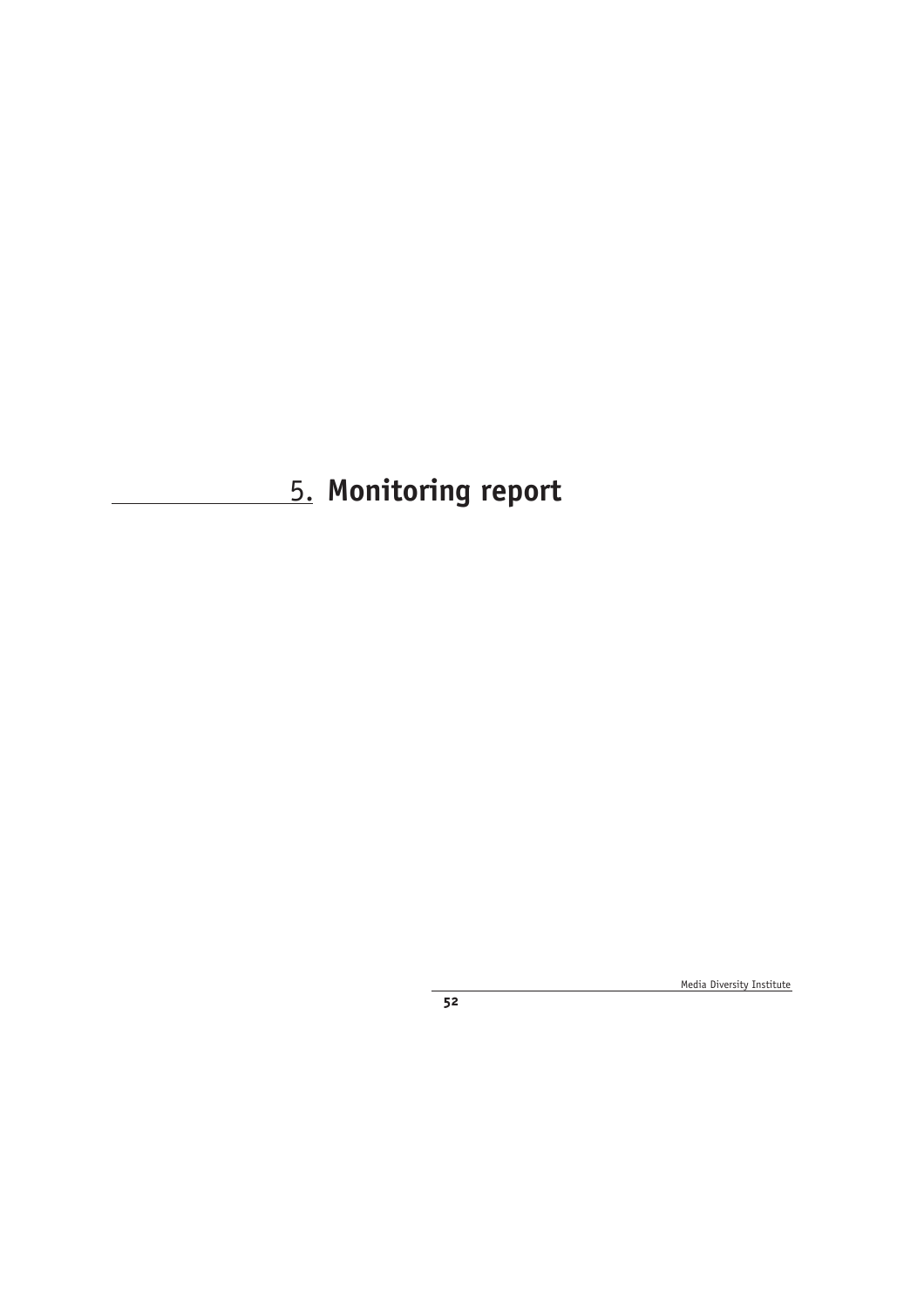5. **Monitoring report** 

Media Diversity Institute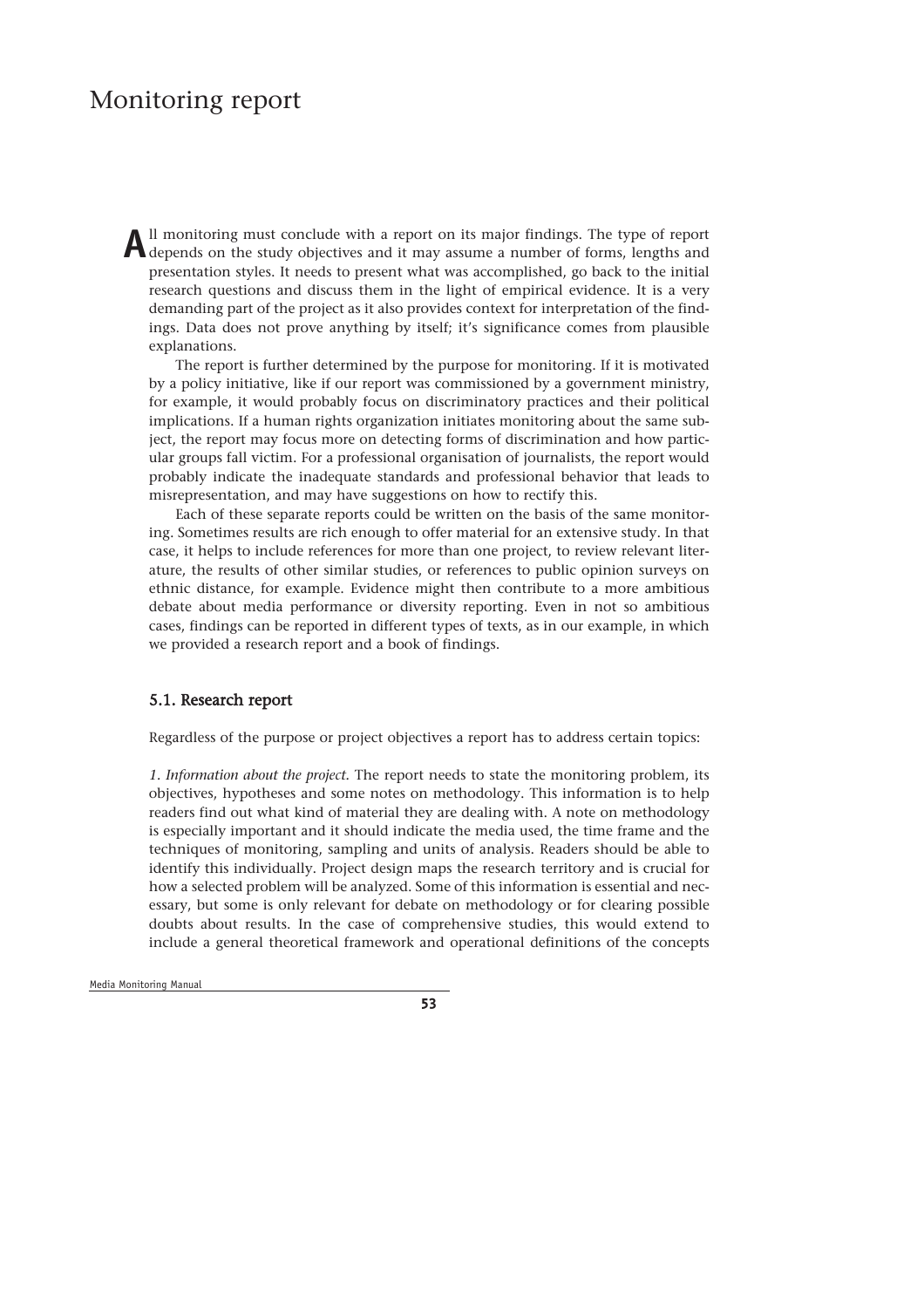### Monitoring report

ll monitoring must conclude with a report on its major findings. The type of report All monitoring must conclude with a report on its major findings. The type of report depends on the study objectives and it may assume a number of forms, lengths and presentation styles. It needs to present what was accomplished, go back to the initial research questions and discuss them in the light of empirical evidence. It is a very demanding part of the project as it also provides context for interpretation of the findings. Data does not prove anything by itself; it's significance comes from plausible explanations.

The report is further determined by the purpose for monitoring. If it is motivated by a policy initiative, like if our report was commissioned by a government ministry, for example, it would probably focus on discriminatory practices and their political implications. If a human rights organization initiates monitoring about the same subject, the report may focus more on detecting forms of discrimination and how particular groups fall victim. For a professional organisation of journalists, the report would probably indicate the inadequate standards and professional behavior that leads to misrepresentation, and may have suggestions on how to rectify this.

Each of these separate reports could be written on the basis of the same monitoring. Sometimes results are rich enough to offer material for an extensive study. In that case, it helps to include references for more than one project, to review relevant literature, the results of other similar studies, or references to public opinion surveys on ethnic distance, for example. Evidence might then contribute to a more ambitious debate about media performance or diversity reporting. Even in not so ambitious cases, findings can be reported in different types of texts, as in our example, in which we provided a research report and a book of findings.

#### 5.1. Research report

Regardless of the purpose or project objectives a report has to address certain topics:

*1. Information about the project.* The report needs to state the monitoring problem, its objectives, hypotheses and some notes on methodology. This information is to help readers find out what kind of material they are dealing with. A note on methodology is especially important and it should indicate the media used, the time frame and the techniques of monitoring, sampling and units of analysis. Readers should be able to identify this individually. Project design maps the research territory and is crucial for how a selected problem will be analyzed. Some of this information is essential and necessary, but some is only relevant for debate on methodology or for clearing possible doubts about results. In the case of comprehensive studies, this would extend to include a general theoretical framework and operational definitions of the concepts

Media Monitoring Manual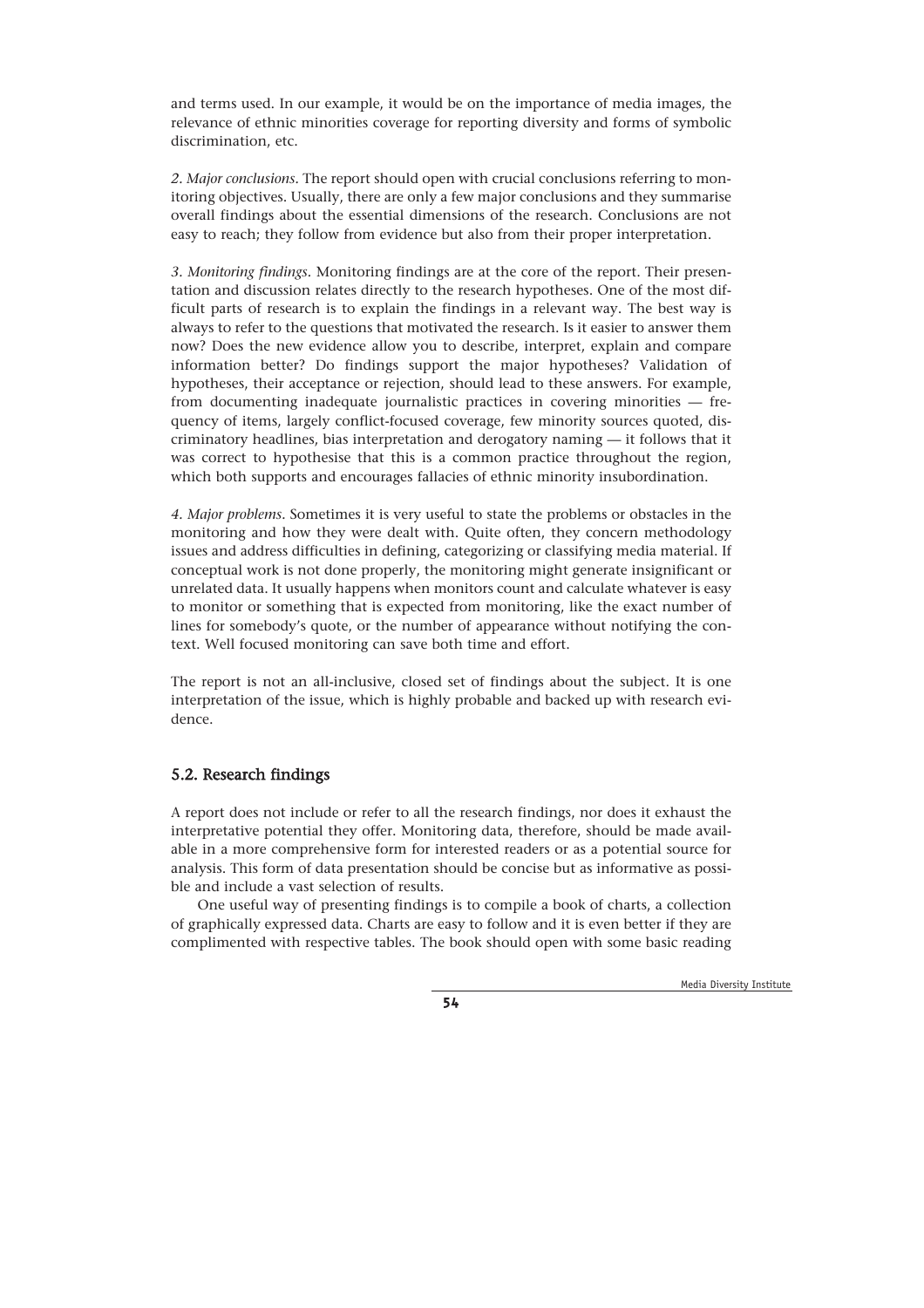and terms used. In our example, it would be on the importance of media images, the relevance of ethnic minorities coverage for reporting diversity and forms of symbolic discrimination, etc.

*2. Major conclusions.* The report should open with crucial conclusions referring to monitoring objectives. Usually, there are only a few major conclusions and they summarise overall findings about the essential dimensions of the research. Conclusions are not easy to reach; they follow from evidence but also from their proper interpretation.

*3. Monitoring findings.* Monitoring findings are at the core of the report. Their presentation and discussion relates directly to the research hypotheses. One of the most difficult parts of research is to explain the findings in a relevant way. The best way is always to refer to the questions that motivated the research. Is it easier to answer them now? Does the new evidence allow you to describe, interpret, explain and compare information better? Do findings support the major hypotheses? Validation of hypotheses, their acceptance or rejection, should lead to these answers. For example, from documenting inadequate journalistic practices in covering minorities  $-$  frequency of items, largely conflict-focused coverage, few minority sources quoted, discriminatory headlines, bias interpretation and derogatory naming  $-$  it follows that it was correct to hypothesise that this is a common practice throughout the region, which both supports and encourages fallacies of ethnic minority insubordination.

*4. Major problems.* Sometimes it is very useful to state the problems or obstacles in the monitoring and how they were dealt with. Quite often, they concern methodology issues and address difficulties in defining, categorizing or classifying media material. If conceptual work is not done properly, the monitoring might generate insignificant or unrelated data. It usually happens when monitors count and calculate whatever is easy to monitor or something that is expected from monitoring, like the exact number of lines for somebodyís quote, or the number of appearance without notifying the context. Well focused monitoring can save both time and effort.

The report is not an all-inclusive, closed set of findings about the subject. It is one interpretation of the issue, which is highly probable and backed up with research evidence.

#### 5.2. Research findings

A report does not include or refer to all the research findings, nor does it exhaust the interpretative potential they offer. Monitoring data, therefore, should be made available in a more comprehensive form for interested readers or as a potential source for analysis. This form of data presentation should be concise but as informative as possible and include a vast selection of results.

One useful way of presenting findings is to compile a book of charts, a collection of graphically expressed data. Charts are easy to follow and it is even better if they are complimented with respective tables. The book should open with some basic reading

Media Diversity Institute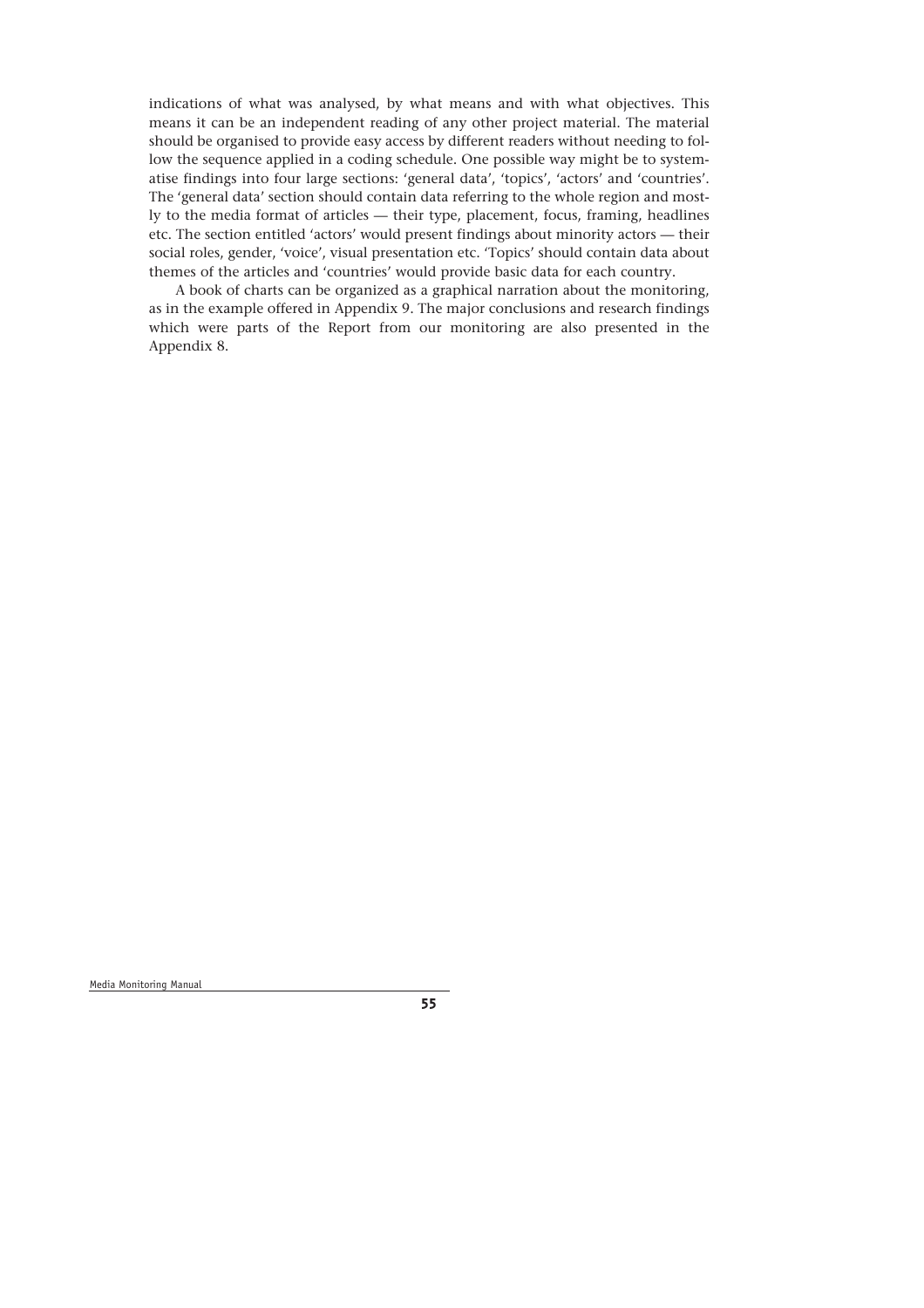indications of what was analysed, by what means and with what objectives. This means it can be an independent reading of any other project material. The material should be organised to provide easy access by different readers without needing to follow the sequence applied in a coding schedule. One possible way might be to systematise findings into four large sections: 'general data', 'topics', 'actors' and 'countries'. The 'general data' section should contain data referring to the whole region and mostly to the media format of articles - their type, placement, focus, framing, headlines etc. The section entitled 'actors' would present findings about minority actors — their social roles, gender, 'voice', visual presentation etc. 'Topics' should contain data about themes of the articles and 'countries' would provide basic data for each country.

A book of charts can be organized as a graphical narration about the monitoring, as in the example offered in Appendix 9. The major conclusions and research findings which were parts of the Report from our monitoring are also presented in the Appendix 8.

Media Monitoring Manual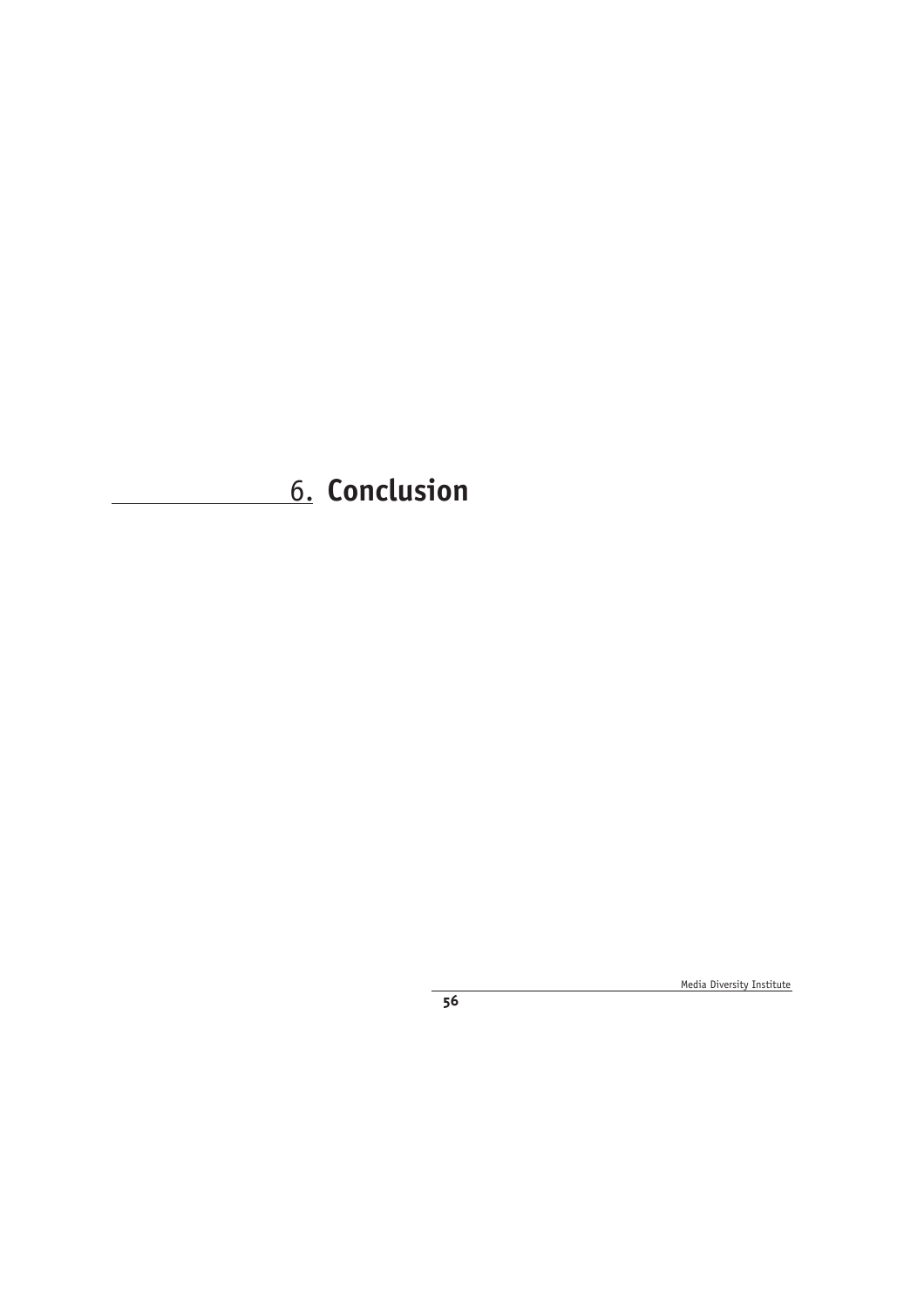6. **Conclusion**

Media Diversity Institute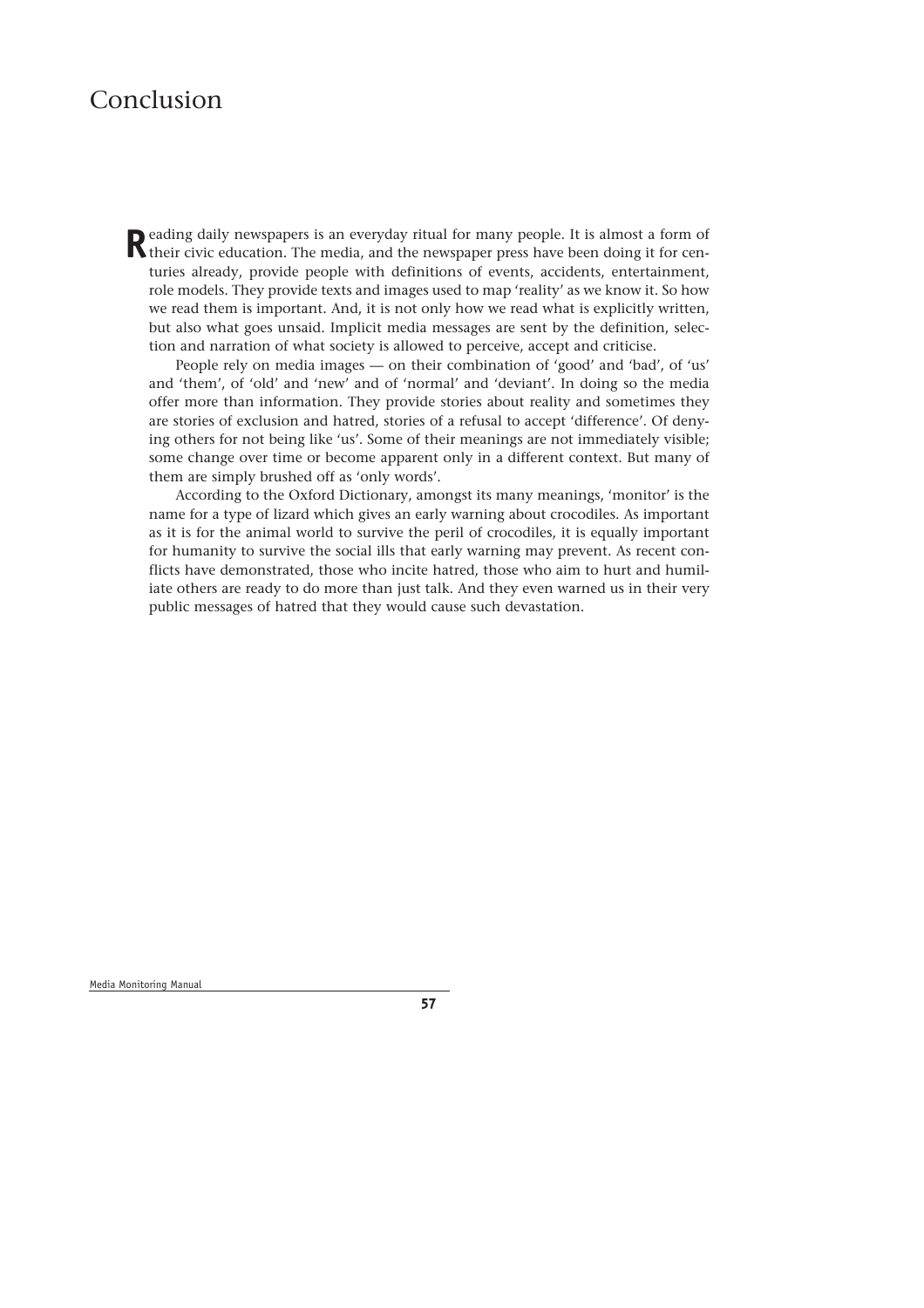## Conclusion

eading daily newspapers is an everyday ritual for many people. It is almost a form of Reading daily newspapers is an everyday ritual for many people. It is almost a form of their civic education. The media, and the newspaper press have been doing it for centuries already, provide people with definitions of events, accidents, entertainment, role models. They provide texts and images used to map 'reality' as we know it. So how we read them is important. And, it is not only how we read what is explicitly written, but also what goes unsaid. Implicit media messages are sent by the definition, selection and narration of what society is allowed to perceive, accept and criticise.

People rely on media images  $-$  on their combination of 'good' and 'bad', of 'us' and 'them', of 'old' and 'new' and of 'normal' and 'deviant'. In doing so the media offer more than information. They provide stories about reality and sometimes they are stories of exclusion and hatred, stories of a refusal to accept 'difference'. Of denying others for not being like 'us'. Some of their meanings are not immediately visible; some change over time or become apparent only in a different context. But many of them are simply brushed off as 'only words'.

According to the Oxford Dictionary, amongst its many meanings, 'monitor' is the name for a type of lizard which gives an early warning about crocodiles. As important as it is for the animal world to survive the peril of crocodiles, it is equally important for humanity to survive the social ills that early warning may prevent. As recent conflicts have demonstrated, those who incite hatred, those who aim to hurt and humiliate others are ready to do more than just talk. And they even warned us in their very public messages of hatred that they would cause such devastation.

Media Monitoring Manual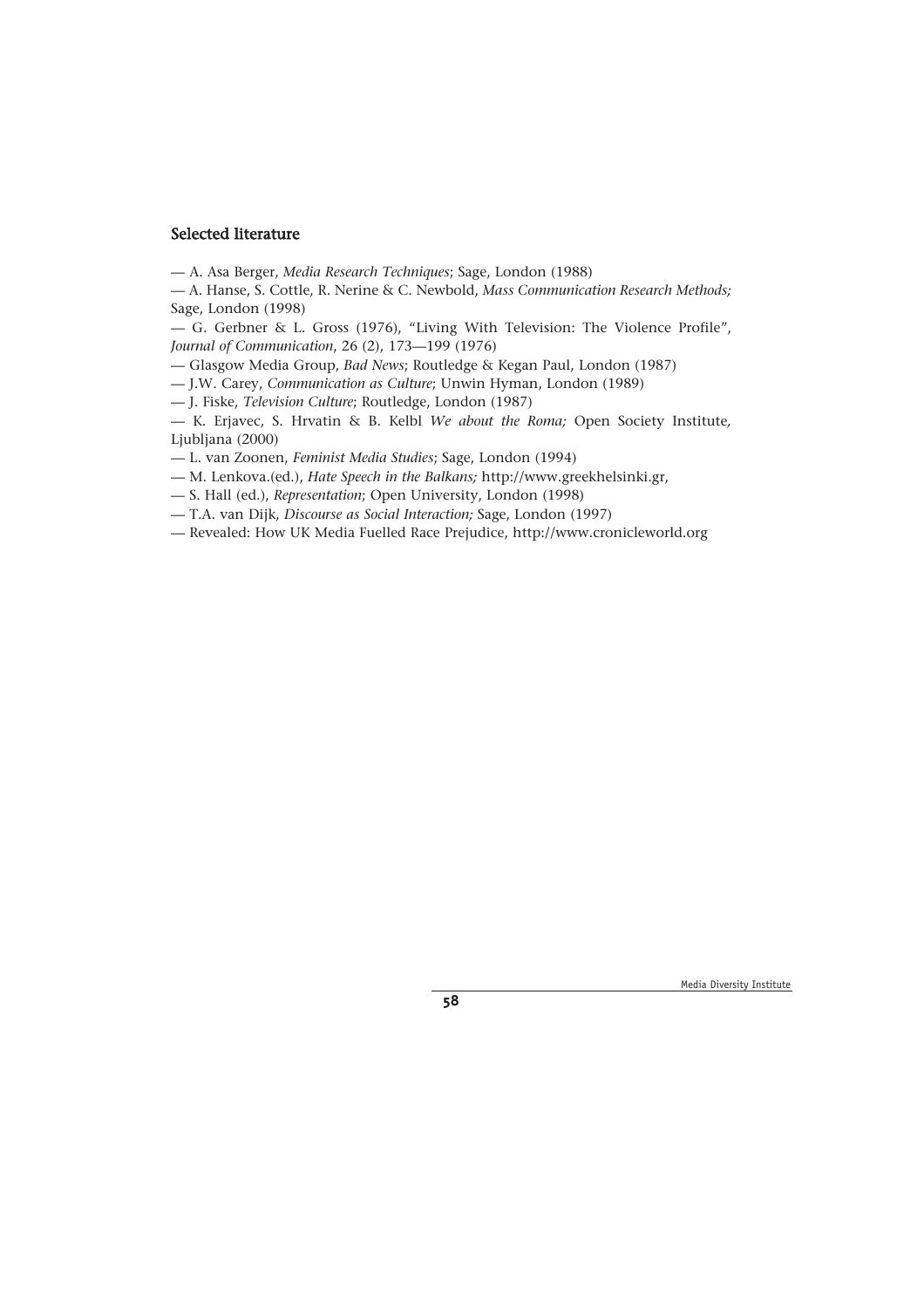#### Selected literature

- ó A. Asa Berger, *Media Research Techniques*; Sage, London (1988)
- ó A. Hanse, S. Cottle, R. Nerine & C. Newbold, *Mass Communication Research Methods;* Sage, London (1998)
- $-$  G. Gerbner & L. Gross (1976), "Living With Television: The Violence Profile", *Journal of Communication, 26 (2), 173*-199 (1976)
- ó Glasgow Media Group, *Bad News*; Routledge & Kegan Paul, London (1987)
- ó J.W. Carey, *Communication as Culture*; Unwin Hyman, London (1989)
- ó J. Fiske, *Television Culture*; Routledge, London (1987)
- ó K. Erjavec, S. Hrvatin & B. Kelbl *We about the Roma;* Open Society Institute*,* Ljubljana (2000)
- ó L. van Zoonen, *Feminist Media Studies*; Sage, London (1994)
- ó M. Lenkova.(ed.), *Hate Speech in the Balkans;* http://www.greekhelsinki.gr,
- ó S. Hall (ed.), *Representation*; Open University, London (1998)
- ó T.A. van Dijk, *Discourse as Social Interaction;* Sage, London (1997)
- ó Revealed: How UK Media Fuelled Race Prejudice, http://www.cronicleworld.org

Media Diversity Institute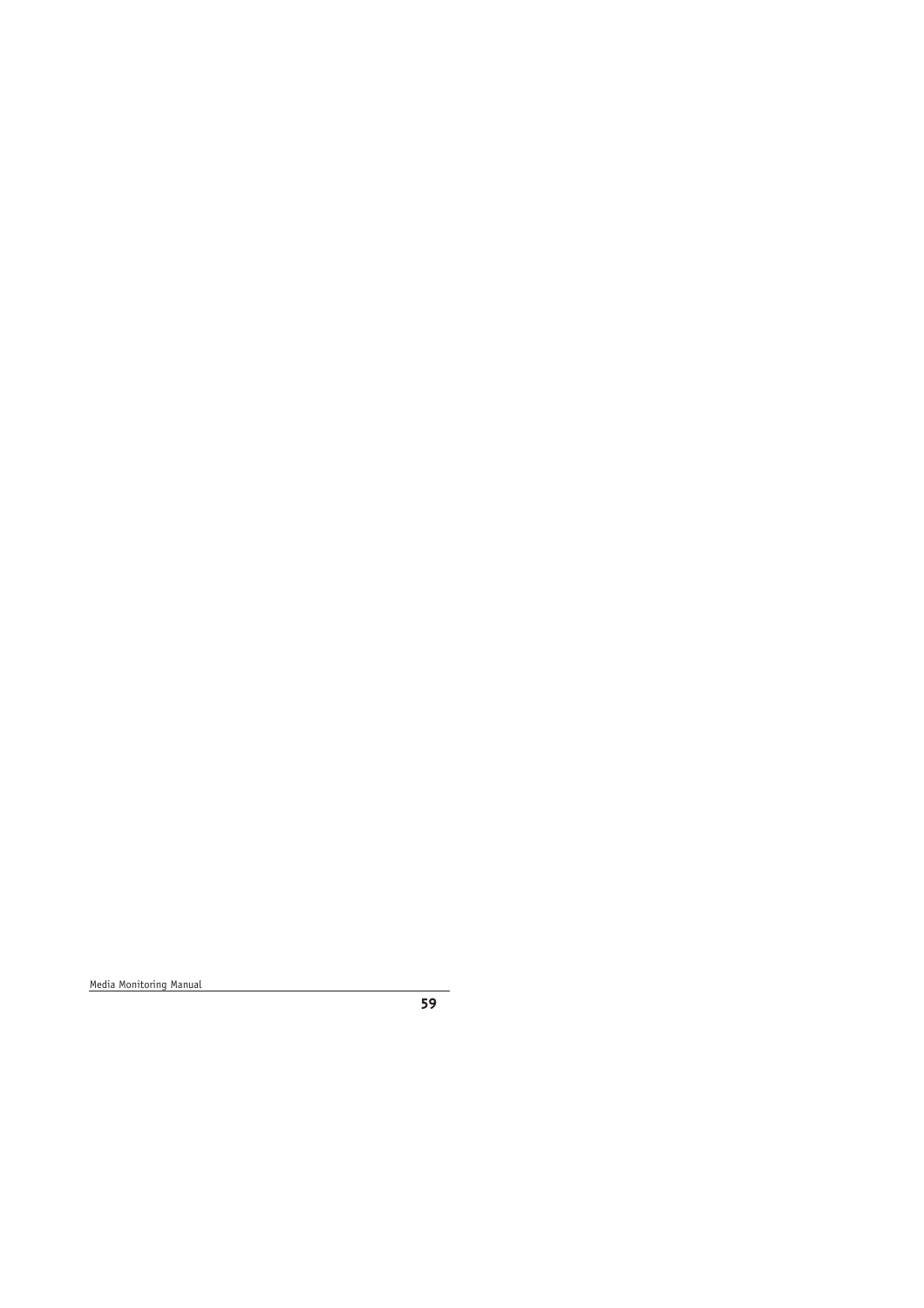Media Monitoring Manual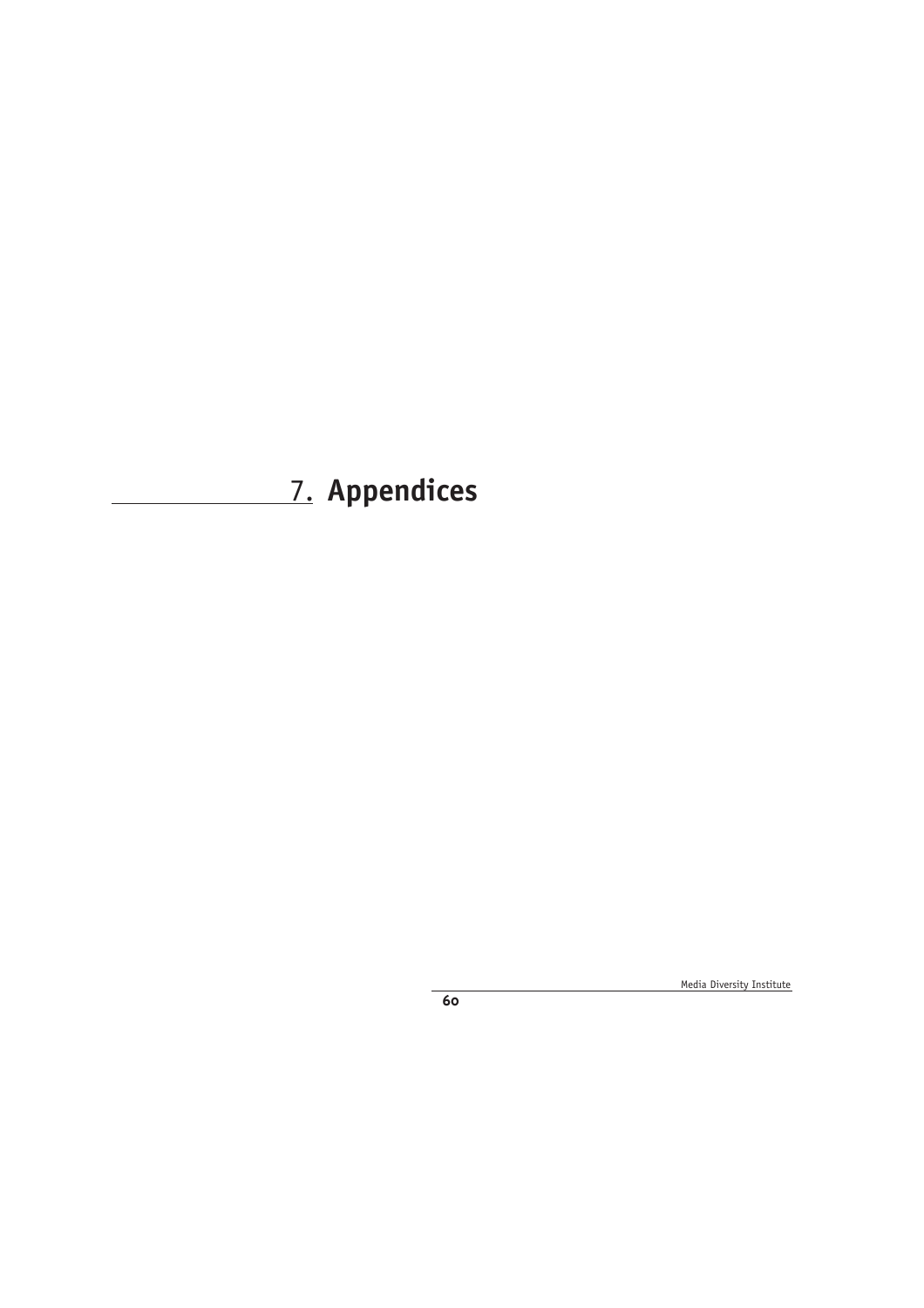7. **Appendices**

Media Diversity Institute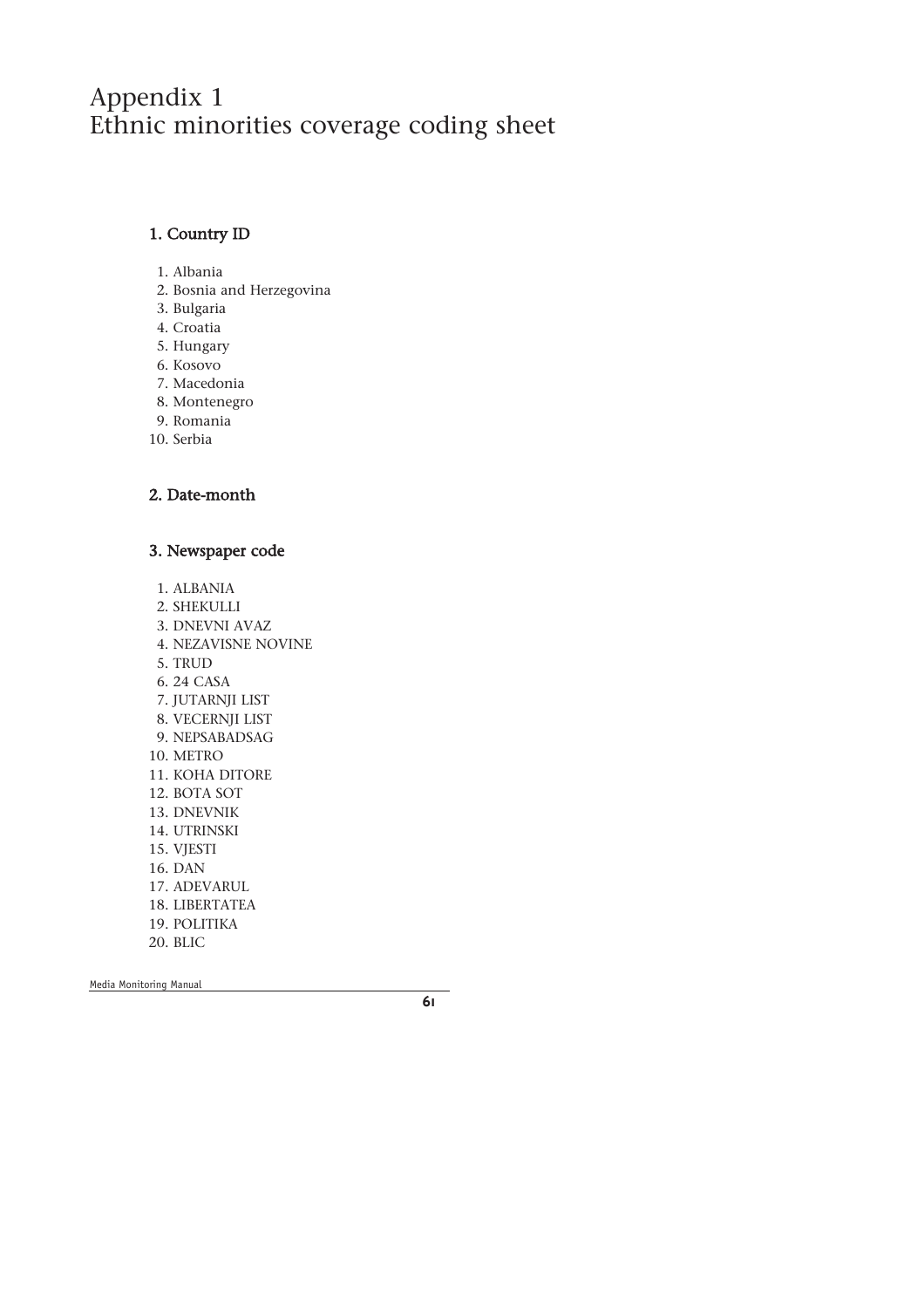# Appendix 1 Ethnic minorities coverage coding sheet

#### 1. Country ID

- 1. Albania
- 2. Bosnia and Herzegovina
- 3. Bulgaria
- 4. Croatia
- 5. Hungary
- 6. Kosovo
- 7. Macedonia
- 8. Montenegro
- 9. Romania
- 10. Serbia

#### 2. Date-month

#### 3. Newspaper code

1. ALBANIA 2. SHEKULLI 3. DNEVNI AVAZ 4. NEZAVISNE NOVINE 5. TRUD 6. 24 CASA 7. JUTARNJI LIST 8. VECERNJI LIST 9. NEPSABADSAG 10. METRO 11. KOHA DITORE 12. BOTA SOT 13. DNEVNIK 14. UTRINSKI 15. VJESTI 16. DAN 17. ADEVARUL 18. LIBERTATEA 19. POLITIKA 20. BLIC

Media Monitoring Manual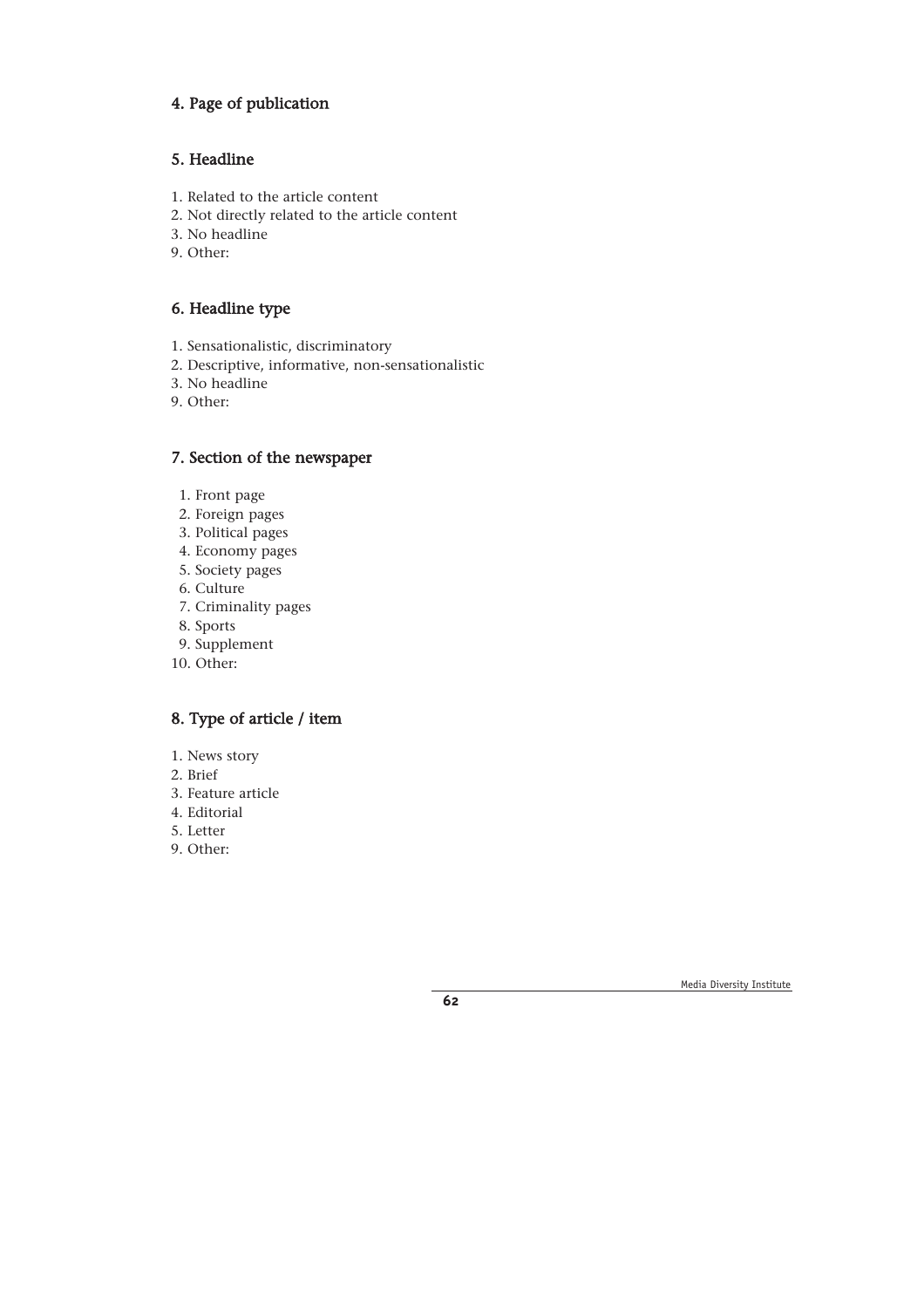#### 4. Page of publication

#### 5. Headline

- 1. Related to the article content
- 2. Not directly related to the article content
- 3. No headline
- 9. Other:

#### 6. Headline type

- 1. Sensationalistic, discriminatory
- 2. Descriptive, informative, non-sensationalistic
- 3. No headline
- 9. Other:

#### 7. Section of the newspaper

- 1. Front page
- 2. Foreign pages
- 3. Political pages
- 4. Economy pages
- 5. Society pages
- 6. Culture
- 7. Criminality pages
- 8. Sports
- 9. Supplement
- 10. Other:

#### 8. Type of article / item

- 1. News story
- 2. Brief
- 3. Feature article
- 4. Editorial
- 5. Letter
- 9. Other:

Media Diversity Institute

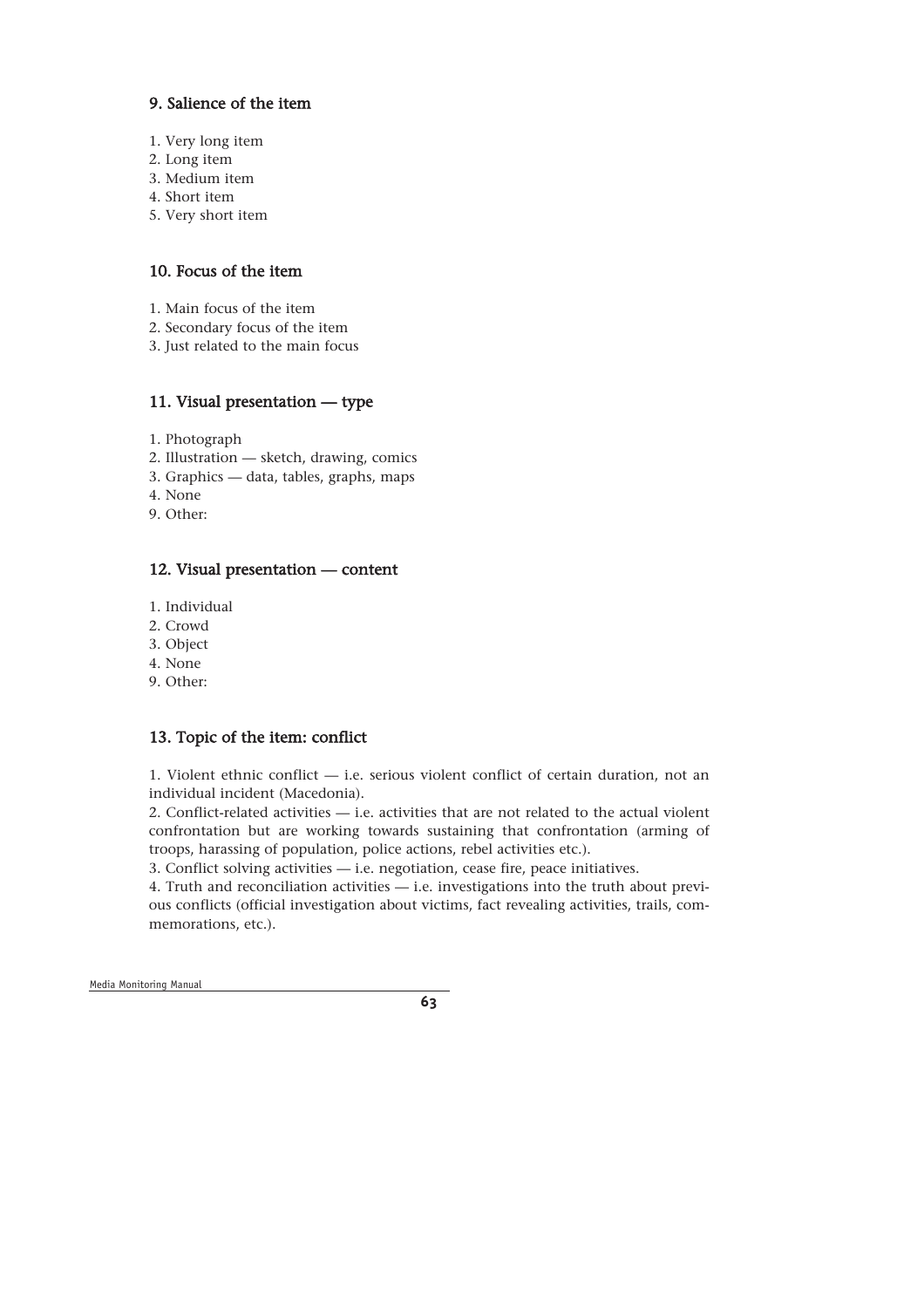#### 9. Salience of the item

- 1. Very long item
- 2. Long item
- 3. Medium item
- 4. Short item
- 5. Very short item

#### 10. Focus of the item

- 1. Main focus of the item
- 2. Secondary focus of the item
- 3. Just related to the main focus

#### 11. Visual presentation  $-$  type

- 1. Photograph
- 2. Illustration  $-$  sketch, drawing, comics
- 3. Graphics data, tables, graphs, maps
- 4. None
- 9. Other:

#### 12. Visual presentation  $-$  content

- 1. Individual
- 2. Crowd
- 3. Object
- 4. None
- 9. Other:

#### 13. Topic of the item: conflict

1. Violent ethnic conflict  $-$  i.e. serious violent conflict of certain duration, not an individual incident (Macedonia).

2. Conflict-related activities  $-$  i.e. activities that are not related to the actual violent confrontation but are working towards sustaining that confrontation (arming of troops, harassing of population, police actions, rebel activities etc.).

3. Conflict solving activities - i.e. negotiation, cease fire, peace initiatives.

4. Truth and reconciliation activities  $-$  i.e. investigations into the truth about previous conflicts (official investigation about victims, fact revealing activities, trails, commemorations, etc.).

Media Monitoring Manual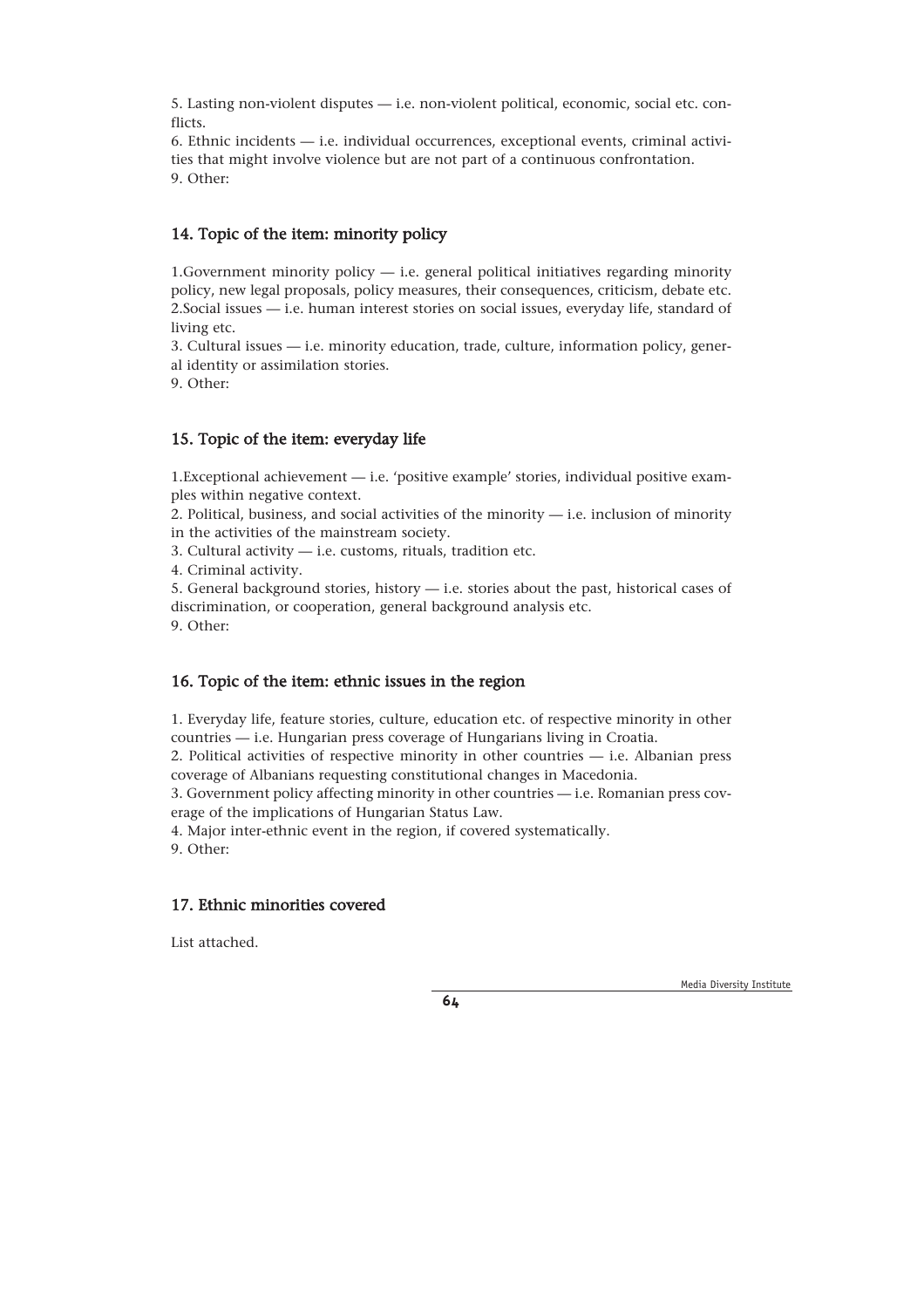5. Lasting non-violent disputes  $-$  i.e. non-violent political, economic, social etc. conflicts.

6. Ethnic incidents  $-$  i.e. individual occurrences, exceptional events, criminal activities that might involve violence but are not part of a continuous confrontation. 9. Other:

#### 14. Topic of the item: minority policy

1. Government minority policy  $-$  i.e. general political initiatives regarding minority policy, new legal proposals, policy measures, their consequences, criticism, debate etc. 2. Social issues – i.e. human interest stories on social issues, everyday life, standard of living etc.

3. Cultural issues — i.e. minority education, trade, culture, information policy, general identity or assimilation stories.

9. Other:

#### 15. Topic of the item: everyday life

1. Exceptional achievement  $-$  i.e. 'positive example' stories, individual positive examples within negative context.

2. Political, business, and social activities of the minority  $-$  i.e. inclusion of minority in the activities of the mainstream society.

3. Cultural activity  $-$  i.e. customs, rituals, tradition etc.

4. Criminal activity.

5. General background stories, history  $-$  i.e. stories about the past, historical cases of discrimination, or cooperation, general background analysis etc. 9. Other:

#### 16. Topic of the item: ethnic issues in the region

1. Everyday life, feature stories, culture, education etc. of respective minority in other countries - i.e. Hungarian press coverage of Hungarians living in Croatia.

2. Political activities of respective minority in other countries  $-$  i.e. Albanian press coverage of Albanians requesting constitutional changes in Macedonia.

3. Government policy affecting minority in other countries — i.e. Romanian press coverage of the implications of Hungarian Status Law.

4. Major inter-ethnic event in the region, if covered systematically.

9. Other:

#### 17. Ethnic minorities covered

List attached.

Media Diversity Institute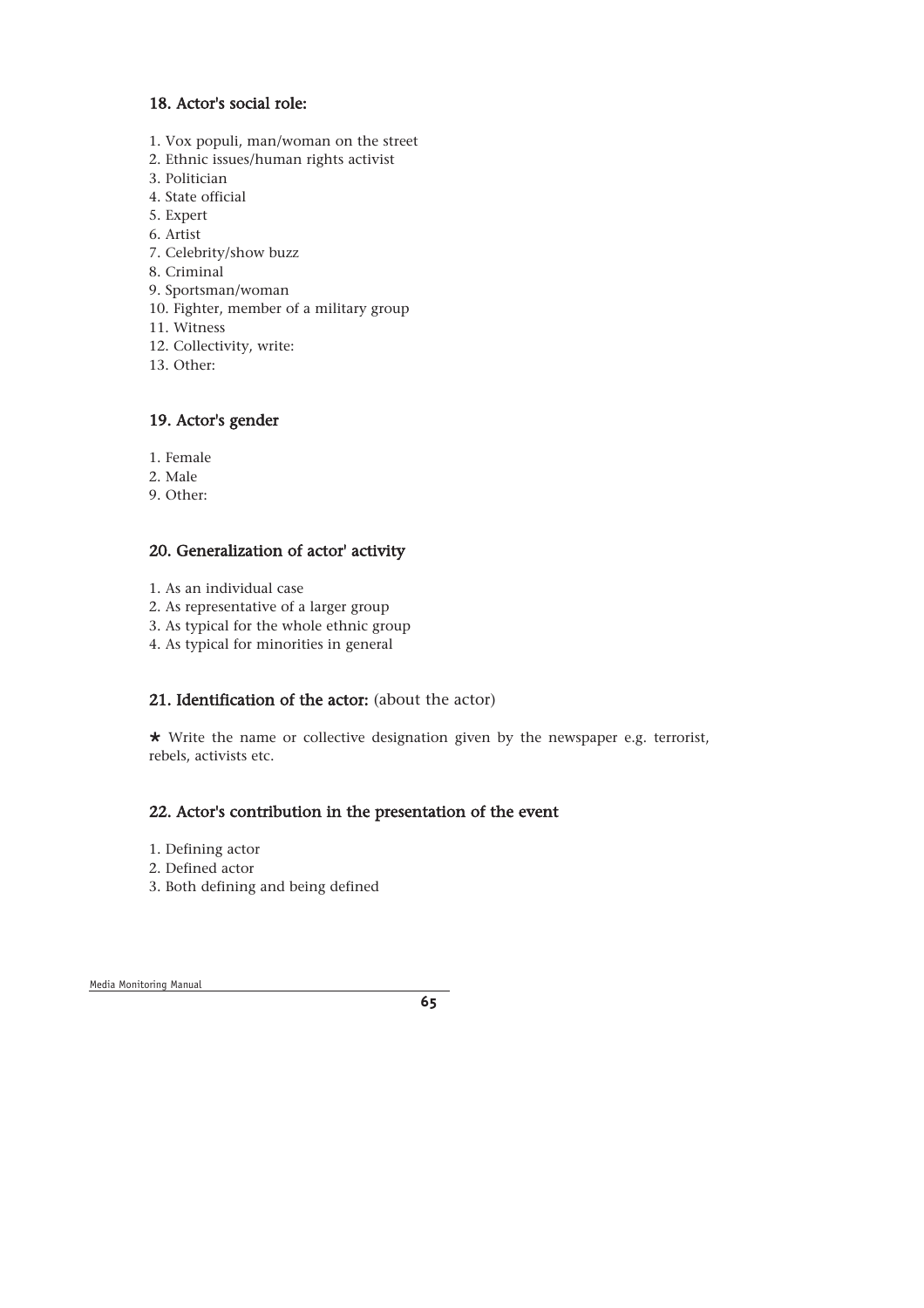#### 18. Actor's social role:

- 1. Vox populi, man/woman on the street
- 2. Ethnic issues/human rights activist
- 3. Politician
- 4. State official
- 5. Expert
- 6. Artist
- 7. Celebrity/show buzz
- 8. Criminal
- 9. Sportsman/woman
- 10. Fighter, member of a military group
- 11. Witness
- 12. Collectivity, write:
- 13. Other:

#### 19. Actor's gender

- 1. Female
- 2. Male
- 9. Other:

#### 20. Generalization of actor' activity

- 1. As an individual case
- 2. As representative of a larger group
- 3. As typical for the whole ethnic group
- 4. As typical for minorities in general

#### 21. Identification of the actor: (about the actor)

\* Write the name or collective designation given by the newspaper e.g. terrorist, rebels, activists etc.

#### 22. Actor's contribution in the presentation of the event

- 1. Defining actor
- 2. Defined actor
- 3. Both defining and being defined

Media Monitoring Manual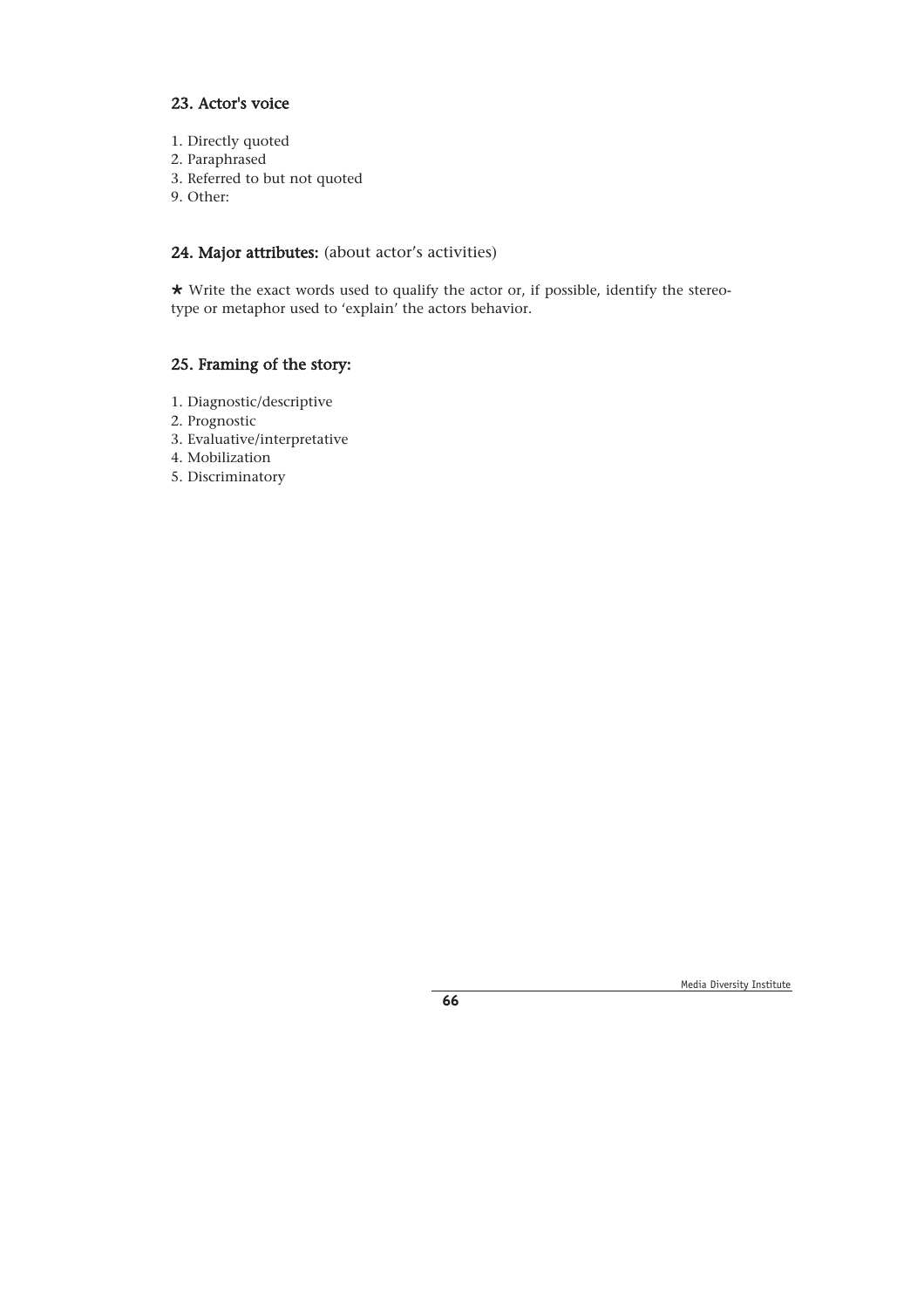#### 23. Actor's voice

- 1. Directly quoted
- 2. Paraphrased
- 3. Referred to but not quoted
- 9. Other:

#### 24. Major attributes: (about actor's activities)

\* Write the exact words used to qualify the actor or, if possible, identify the stereotype or metaphor used to 'explain' the actors behavior.

#### 25. Framing of the story:

- 1. Diagnostic/descriptive
- 2. Prognostic
- 3. Evaluative/interpretative
- 4. Mobilization
- 5. Discriminatory

Media Diversity Institute

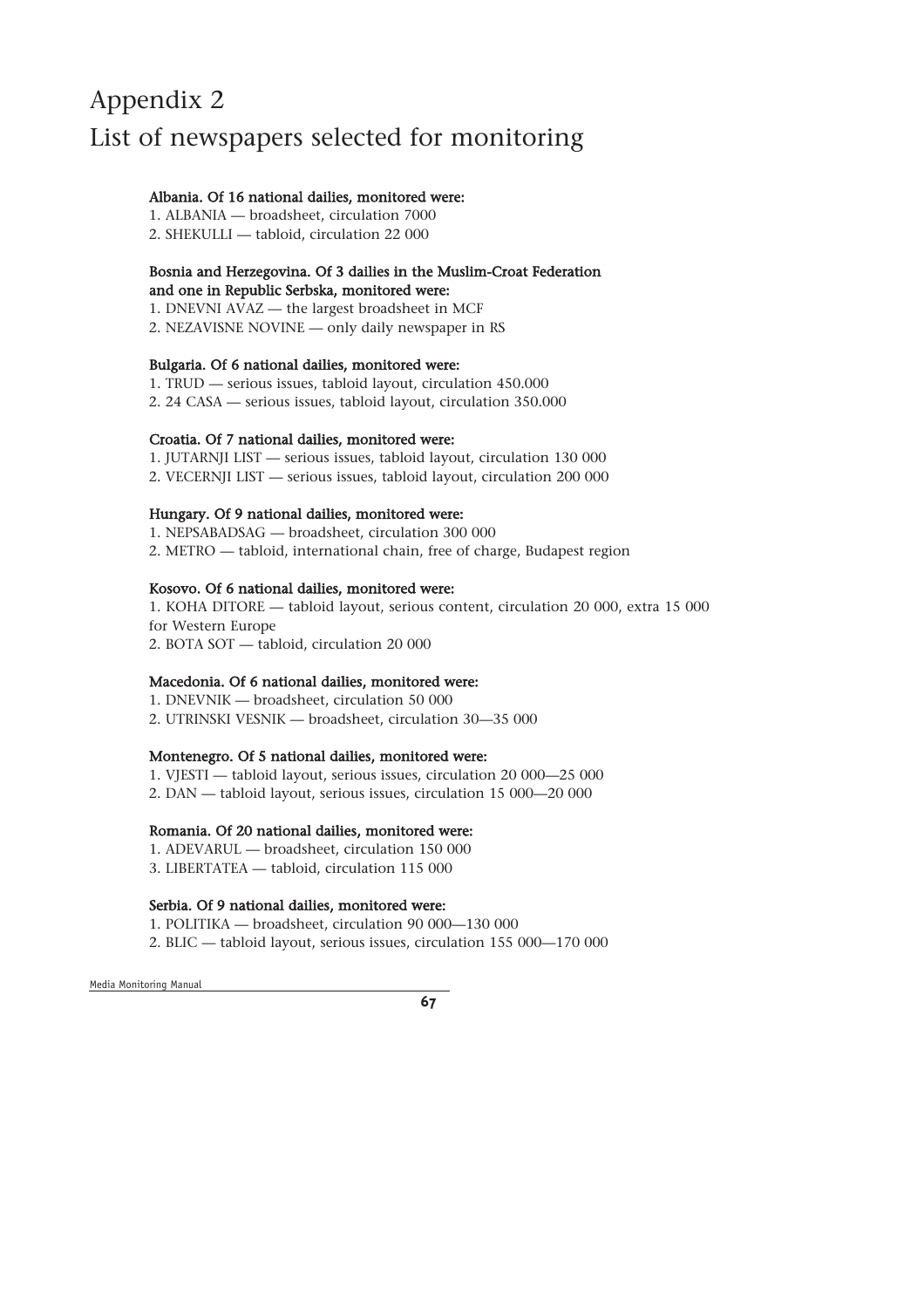# Appendix 2 List of newspapers selected for monitoring

#### Albania. Of 16 national dailies, monitored were:

1. ALBANIA  $-$  broadsheet, circulation 7000 2. SHEKULLI - tabloid, circulation 22 000

#### Bosnia and Herzegovina. Of 3 dailies in the Muslim-Croat Federation and one in Republic Serbska, monitored were:

1. DNEVNI AVAZ  $-$  the largest broadsheet in MCF 2. NEZAVISNE NOVINE - only daily newspaper in RS

#### Bulgaria. Of 6 national dailies, monitored were:

1. TRUD - serious issues, tabloid layout, circulation 450.000 2. 24 CASA  $-$  serious issues, tabloid layout, circulation 350.000

#### Croatia. Of 7 national dailies, monitored were:

1. JUTARNII LIST – serious issues, tabloid layout, circulation 130 000 2. VECERNJI LIST - serious issues, tabloid layout, circulation 200 000

#### Hungary. Of 9 national dailies, monitored were:

1. NEPSABADSAG — broadsheet, circulation 300 000 2. METRO - tabloid, international chain, free of charge, Budapest region

#### Kosovo. Of 6 national dailies, monitored were:

1. KOHA DITORE - tabloid layout, serious content, circulation 20 000, extra 15 000 for Western Europe 2. BOTA SOT - tabloid, circulation 20 000

#### Macedonia. Of 6 national dailies, monitored were:

1. DNEVNIK - broadsheet, circulation 50 000 2. UTRINSKI VESNIK - broadsheet, circulation 30-35 000

#### Montenegro. Of 5 national dailies, monitored were:

1. VJESTI – tabloid layout, serious issues, circulation 20 000–25 000

2. DAN - tabloid layout, serious issues, circulation 15 000-20 000

#### Romania. Of 20 national dailies, monitored were:

1. ADEVARUL – broadsheet, circulation 150 000 3. LIBERTATEA - tabloid, circulation 115 000

#### Serbia. Of 9 national dailies, monitored were:

1. POLITIKA  $-$  broadsheet, circulation 90 000 $-130$  000

2. BLIC - tabloid layout, serious issues, circulation 155 000-170 000

Media Monitoring Manual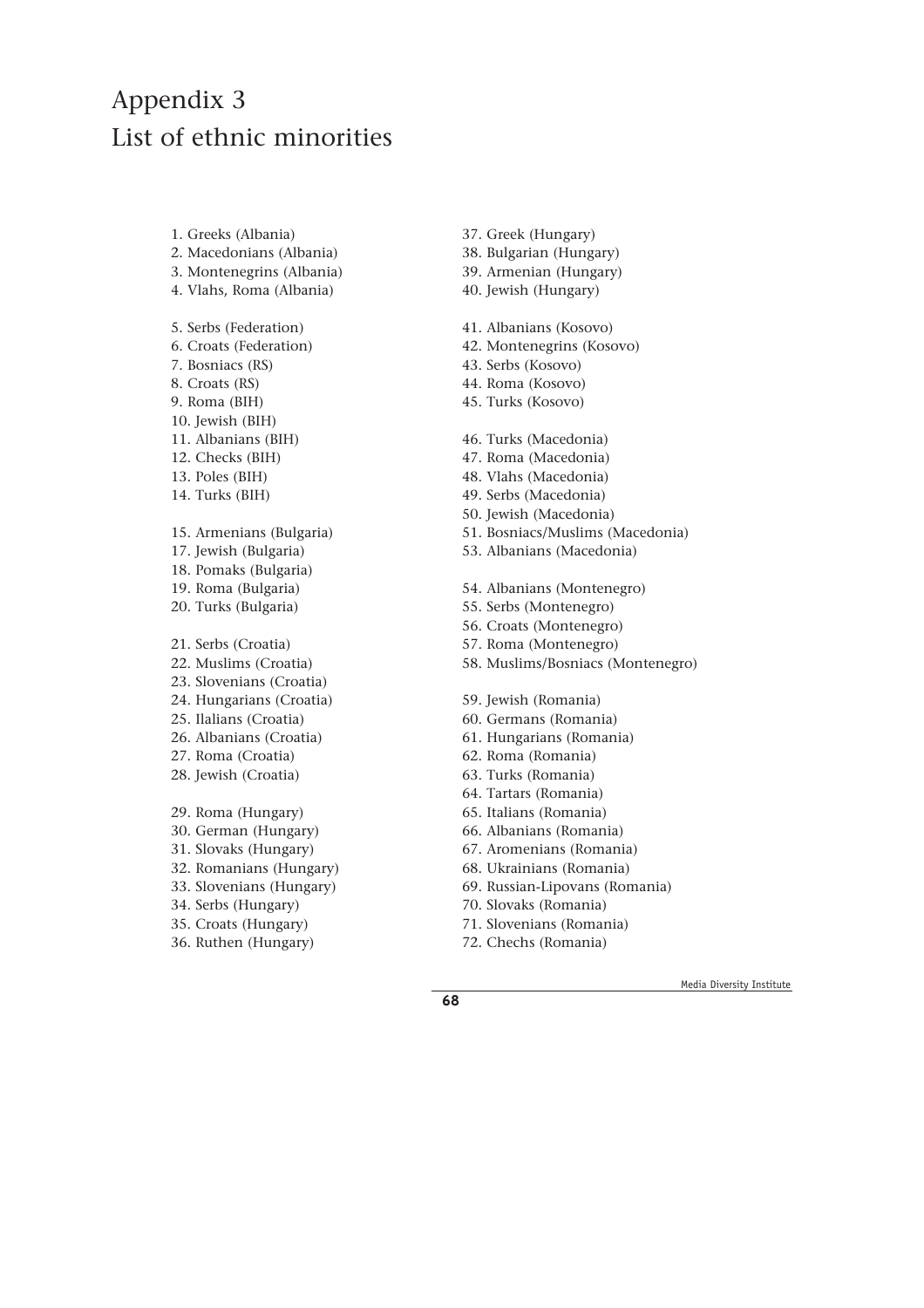# Appendix 3 List of ethnic minorities

1. Greeks (Albania) 2. Macedonians (Albania) 3. Montenegrins (Albania) 4. Vlahs, Roma (Albania) 5. Serbs (Federation) 6. Croats (Federation) 7. Bosniacs (RS) 8. Croats (RS) 9. Roma (BIH) 10. Jewish (BIH) 11. Albanians (BIH) 12. Checks (BIH) 13. Poles (BIH) 14. Turks (BIH) 15. Armenians (Bulgaria) 17. Jewish (Bulgaria) 18. Pomaks (Bulgaria) 19. Roma (Bulgaria) 20. Turks (Bulgaria) 21. Serbs (Croatia) 22. Muslims (Croatia) 23. Slovenians (Croatia) 24. Hungarians (Croatia) 25. Ilalians (Croatia) 26. Albanians (Croatia) 27. Roma (Croatia) 28. Jewish (Croatia) 29. Roma (Hungary) 30. German (Hungary) 31. Slovaks (Hungary) 32. Romanians (Hungary) 33. Slovenians (Hungary) 34. Serbs (Hungary)

- 35. Croats (Hungary)
- 36. Ruthen (Hungary)
- 37. Greek (Hungary)
- 38. Bulgarian (Hungary)
- 39. Armenian (Hungary)
- 40. Jewish (Hungary)
- 41. Albanians (Kosovo)
- 42. Montenegrins (Kosovo)
- 43. Serbs (Kosovo)
- 44. Roma (Kosovo)
- 45. Turks (Kosovo)
- 46. Turks (Macedonia)
- 47. Roma (Macedonia)
- 48. Vlahs (Macedonia)
- 49. Serbs (Macedonia)
- 50. Jewish (Macedonia)
- 51. Bosniacs/Muslims (Macedonia)
- 53. Albanians (Macedonia)
- 54. Albanians (Montenegro)
- 55. Serbs (Montenegro)
- 56. Croats (Montenegro)
- 57. Roma (Montenegro)
- 58. Muslims/Bosniacs (Montenegro)
- 59. Jewish (Romania)
- 60. Germans (Romania)
- 61. Hungarians (Romania)
- 62. Roma (Romania)
- 63. Turks (Romania)
- 64. Tartars (Romania)
- 65. Italians (Romania)
- 66. Albanians (Romania)
- 67. Aromenians (Romania)
- 68. Ukrainians (Romania)
- 69. Russian-Lipovans (Romania)
- 70. Slovaks (Romania)
- 71. Slovenians (Romania)
- 72. Chechs (Romania)

**68**

Media Diversity Institute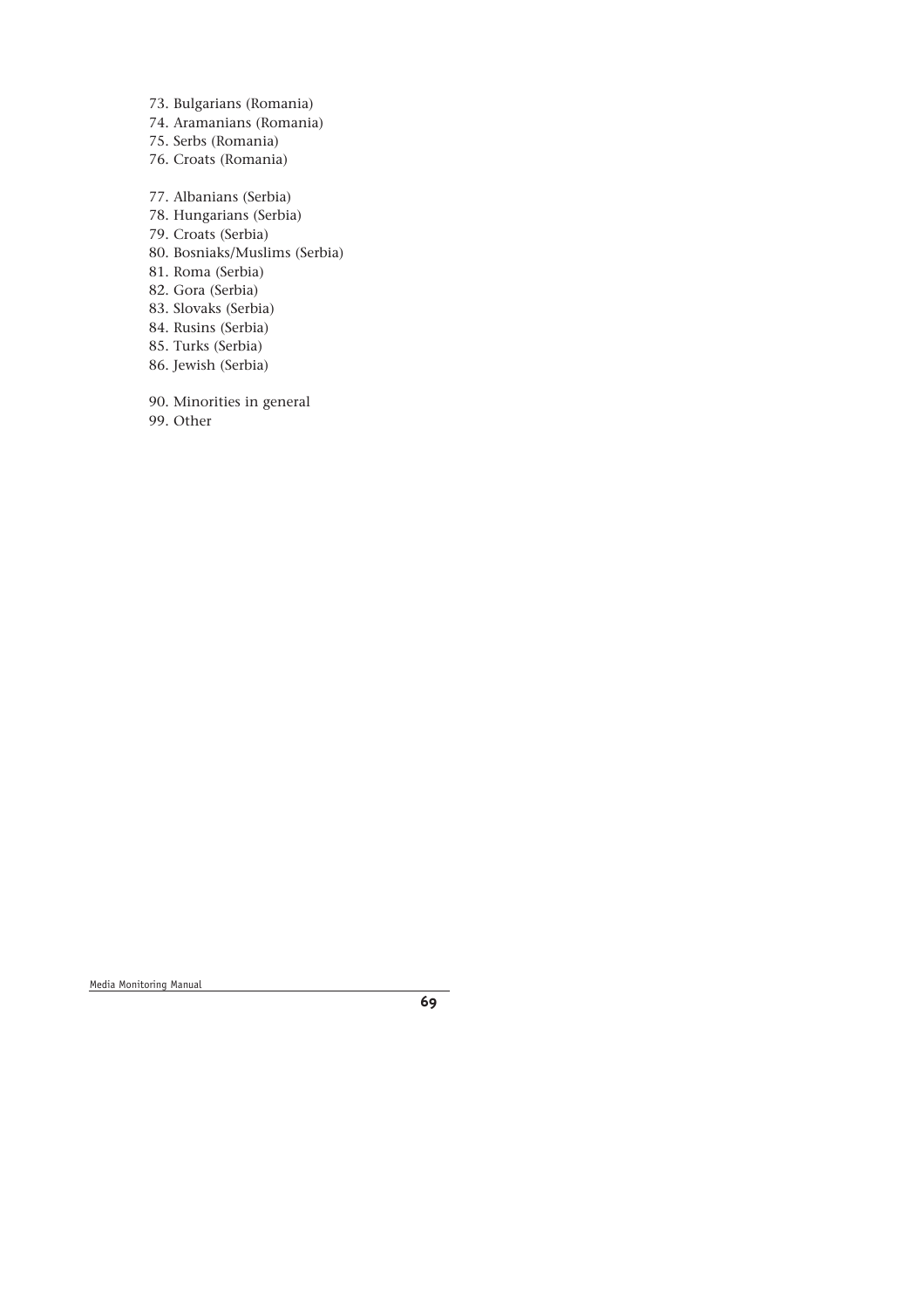- 73. Bulgarians (Romania)
- 74. Aramanians (Romania)
- 75. Serbs (Romania)
- 76. Croats (Romania)
- 77. Albanians (Serbia)
- 78. Hungarians (Serbia)
- 79. Croats (Serbia)
- 80. Bosniaks/Muslims (Serbia)
- 81. Roma (Serbia)
- 82. Gora (Serbia)
- 83. Slovaks (Serbia)
- 84. Rusins (Serbia)
- 85. Turks (Serbia)
- 86. Jewish (Serbia)

90. Minorities in general

99. Other

Media Monitoring Manual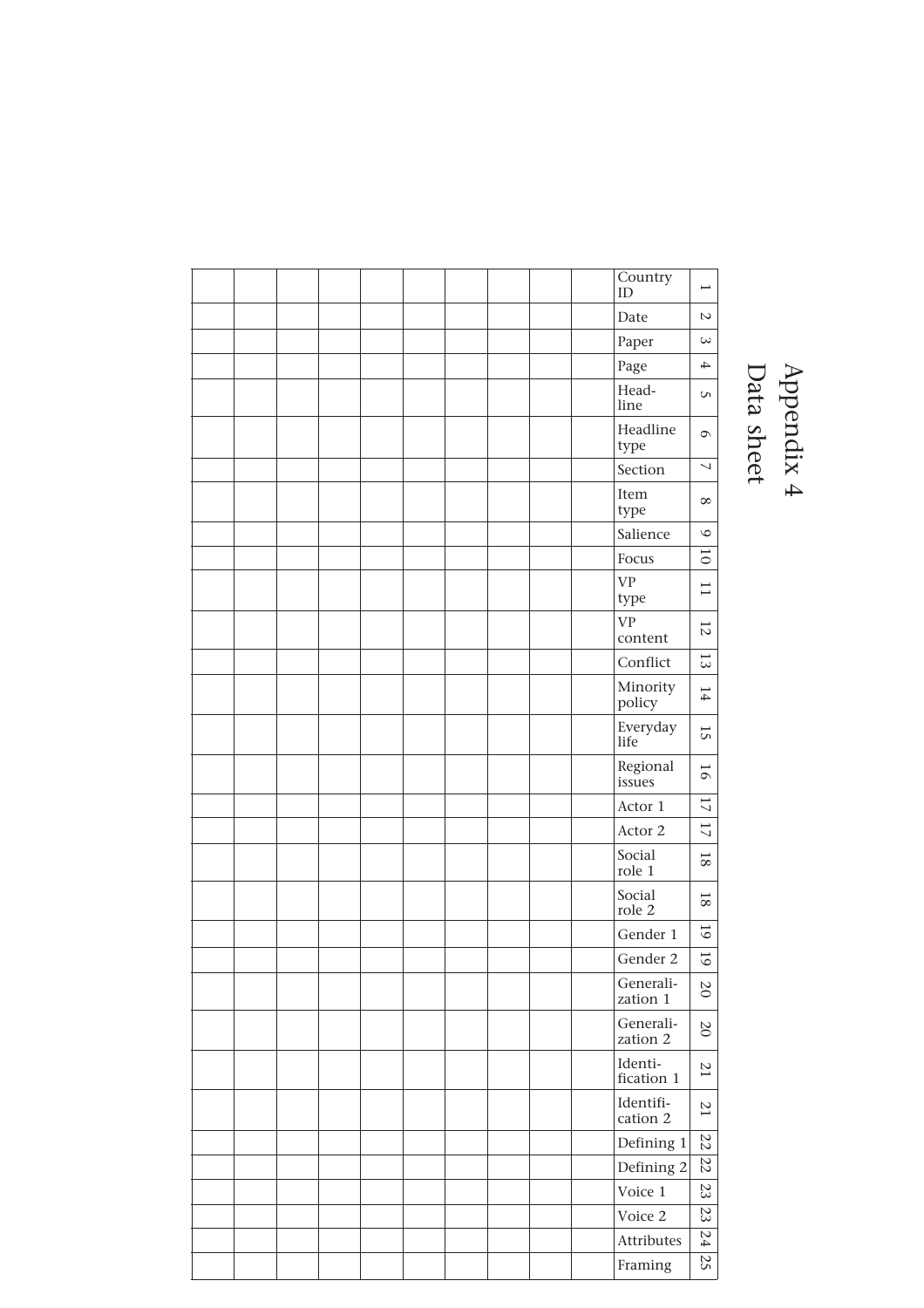# Appendix 4<br>Data sheet Data sheet Appendix 4

|  |  |  |  |  | Country<br>${\rm ID}$                     |                          |
|--|--|--|--|--|-------------------------------------------|--------------------------|
|  |  |  |  |  | Date                                      | $\mathcal{L}$            |
|  |  |  |  |  | Paper                                     | $\mathbf{\omega}$        |
|  |  |  |  |  | Page                                      | 4                        |
|  |  |  |  |  | Head-<br>line                             | S                        |
|  |  |  |  |  | Headline<br>type                          | $\circ$                  |
|  |  |  |  |  | Section                                   | $\overline{\phantom{0}}$ |
|  |  |  |  |  | Item<br>type                              | $\infty$                 |
|  |  |  |  |  | Salience                                  | $\circ$                  |
|  |  |  |  |  | Focus                                     | $\overline{0}$           |
|  |  |  |  |  | $\ensuremath{\mathsf{VP}}\xspace$<br>type | $\Box$                   |
|  |  |  |  |  | VP<br>content                             | $\overline{z}$           |
|  |  |  |  |  | Conflict                                  | $\overline{3}$           |
|  |  |  |  |  | Minority<br>policy                        | 14                       |
|  |  |  |  |  | Everyday<br>life                          | 51                       |
|  |  |  |  |  | Regional<br>issues                        | $\overline{6}$           |
|  |  |  |  |  | Actor 1                                   | 17                       |
|  |  |  |  |  | Actor 2                                   | 17                       |
|  |  |  |  |  | Social<br>role 1                          | $\overline{8}$           |
|  |  |  |  |  | Social<br>role 2                          | $\overline{8}$           |
|  |  |  |  |  | Gender 1                                  | $\overline{61}$          |
|  |  |  |  |  | Gender 2                                  | $\overline{61}$          |
|  |  |  |  |  | Generali-<br>zation 1                     | $\overline{0}$           |
|  |  |  |  |  | Generali-<br>zation 2                     | $\overline{0}$           |
|  |  |  |  |  | Identi-<br>fication 1                     | 17                       |
|  |  |  |  |  | Identifi-<br>cation 2                     | $\overline{17}$          |
|  |  |  |  |  | Defining 1                                | 22                       |
|  |  |  |  |  | Defining 2                                | 22                       |
|  |  |  |  |  | Voice 1                                   | 23                       |
|  |  |  |  |  | Voice 2                                   | $\overline{23}$          |
|  |  |  |  |  | Attributes                                | $24\,$                   |
|  |  |  |  |  | Framing                                   | 25                       |
|  |  |  |  |  |                                           |                          |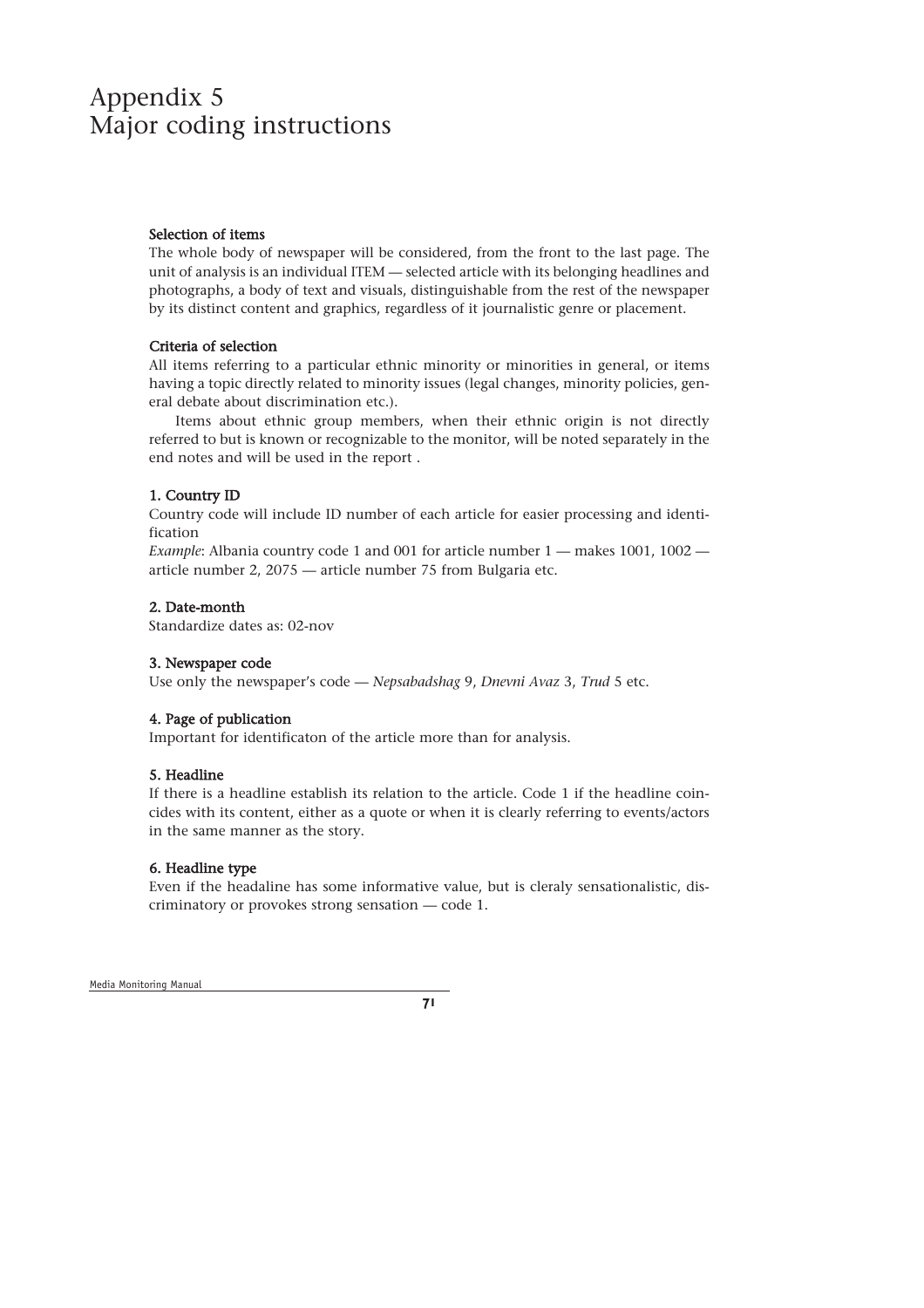# Appendix 5 Major coding instructions

#### Selection of items

The whole body of newspaper will be considered, from the front to the last page. The unit of analysis is an individual ITEM — selected article with its belonging headlines and photographs, a body of text and visuals, distinguishable from the rest of the newspaper by its distinct content and graphics, regardless of it journalistic genre or placement.

#### Criteria of selection

All items referring to a particular ethnic minority or minorities in general, or items having a topic directly related to minority issues (legal changes, minority policies, general debate about discrimination etc.).

Items about ethnic group members, when their ethnic origin is not directly referred to but is known or recognizable to the monitor, will be noted separately in the end notes and will be used in the report .

#### 1. Country ID

Country code will include ID number of each article for easier processing and identification

*Example*: Albania country code 1 and 001 for article number  $1 -$  makes 1001, 1002  $$ article number 2,  $2075$  — article number 75 from Bulgaria etc.

#### 2. Date-month

Standardize dates as: 02-nov

#### 3. Newspaper code

Use only the newspaper's code - *Nepsabadshag* 9, *Dnevni Avaz* 3, *Trud* 5 etc.

#### 4. Page of publication

Important for identificaton of the article more than for analysis.

#### 5. Headline

If there is a headline establish its relation to the article. Code 1 if the headline coincides with its content, either as a quote or when it is clearly referring to events/actors in the same manner as the story.

#### 6. Headline type

Even if the headaline has some informative value, but is cleraly sensationalistic, discriminatory or provokes strong sensation  $-$  code 1.

Media Monitoring Manual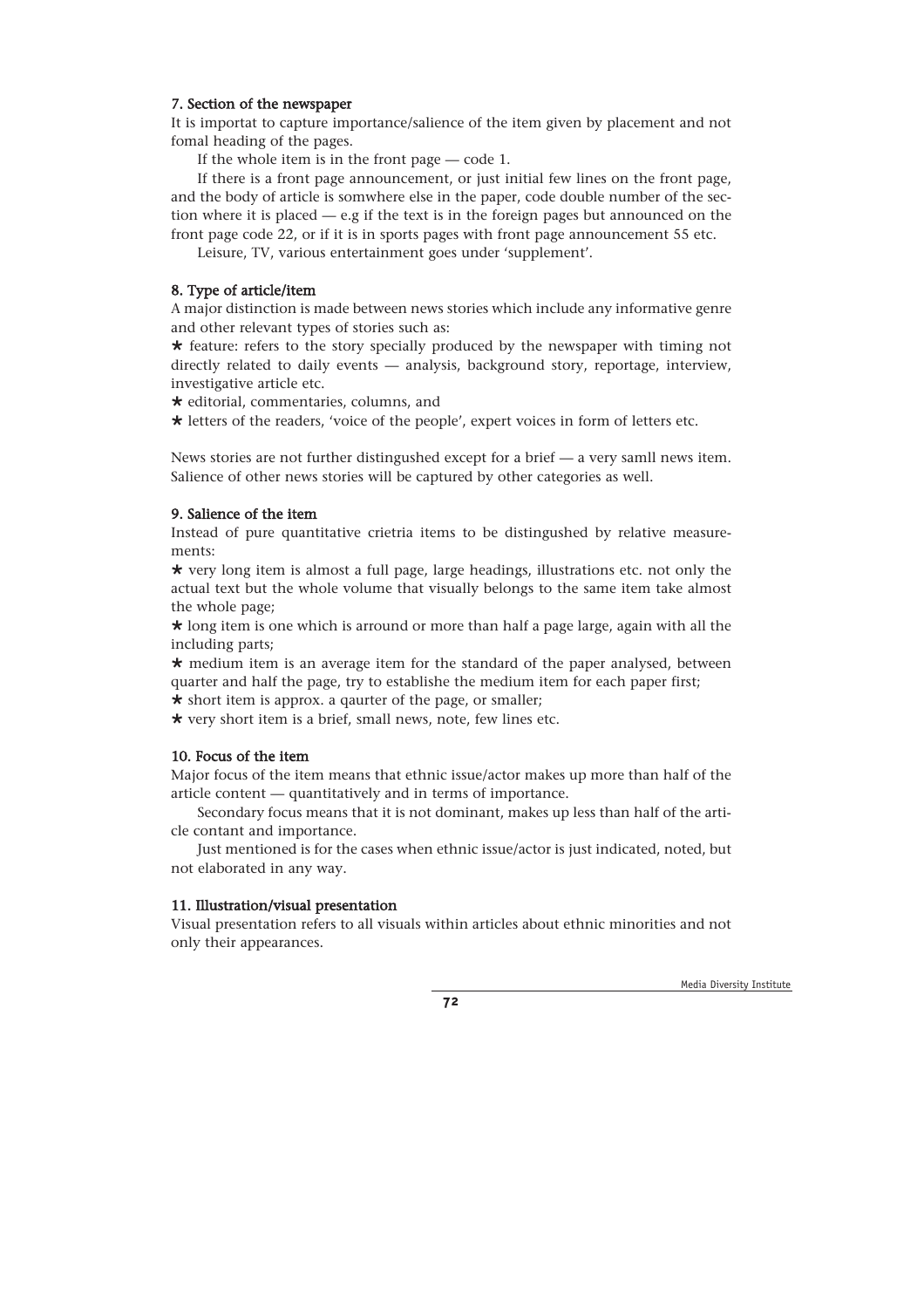#### 7. Section of the newspaper

It is importat to capture importance/salience of the item given by placement and not fomal heading of the pages.

If the whole item is in the front page  $-$  code 1.

If there is a front page announcement, or just initial few lines on the front page, and the body of article is somwhere else in the paper, code double number of the section where it is placed  $-$  e.g if the text is in the foreign pages but announced on the front page code 22, or if it is in sports pages with front page announcement 55 etc.

Leisure, TV, various entertainment goes under 'supplement'.

### 8. Type of article/item

A major distinction is made between news stories which include any informative genre and other relevant types of stories such as:

 $\star$  feature: refers to the story specially produced by the newspaper with timing not directly related to daily events — analysis, background story, reportage, interview, investigative article etc.

ÿ editorial, commentaries, columns, and

\* letters of the readers, 'voice of the people', expert voices in form of letters etc.

News stories are not further distingushed except for a brief  $\sim$  a very samll news item. Salience of other news stories will be captured by other categories as well.

#### 9. Salience of the item

Instead of pure quantitative crietria items to be distingushed by relative measurements:

 $\star$  very long item is almost a full page, large headings, illustrations etc. not only the actual text but the whole volume that visually belongs to the same item take almost the whole page;

 $\star$  long item is one which is arround or more than half a page large, again with all the including parts;

\* medium item is an average item for the standard of the paper analysed, between quarter and half the page, try to establishe the medium item for each paper first;

 $\star$  short item is approx. a qaurter of the page, or smaller;

\* very short item is a brief, small news, note, few lines etc.

### 10. Focus of the item

Major focus of the item means that ethnic issue/actor makes up more than half of the article content  $-$  quantitatively and in terms of importance.

Secondary focus means that it is not dominant, makes up less than half of the article contant and importance.

Just mentioned is for the cases when ethnic issue/actor is just indicated, noted, but not elaborated in any way.

#### 11. Illustration/visual presentation

Visual presentation refers to all visuals within articles about ethnic minorities and not only their appearances.

Media Diversity Institute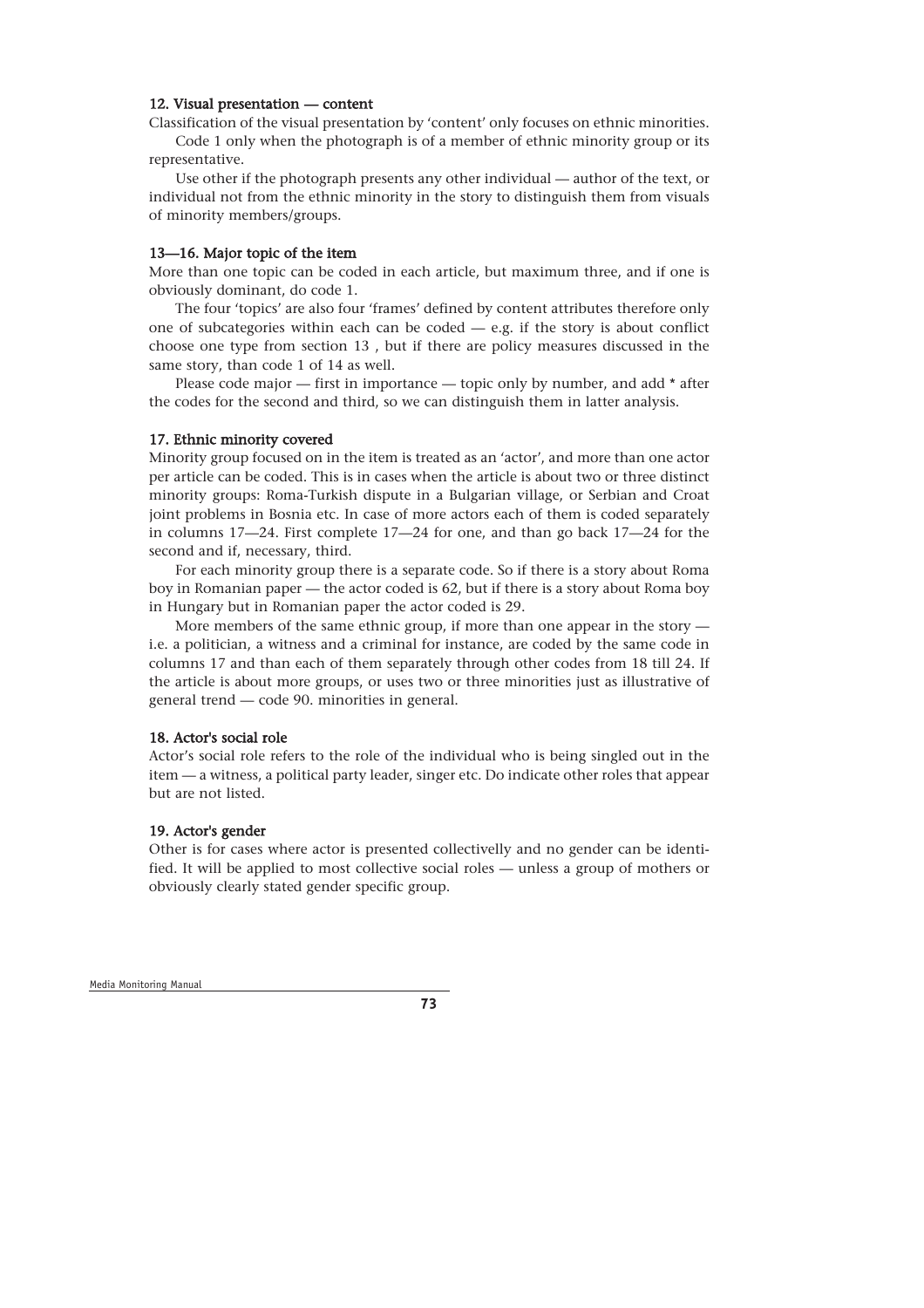#### 12. Visual presentation  $-$  content

Classification of the visual presentation by 'content' only focuses on ethnic minorities.

Code 1 only when the photograph is of a member of ethnic minority group or its representative.

Use other if the photograph presents any other individual – author of the text, or individual not from the ethnic minority in the story to distinguish them from visuals of minority members/groups.

### 13-16. Major topic of the item

More than one topic can be coded in each article, but maximum three, and if one is obviously dominant, do code 1.

The four 'topics' are also four 'frames' defined by content attributes therefore only one of subcategories within each can be coded  $-$  e.g. if the story is about conflict choose one type from section 13 , but if there are policy measures discussed in the same story, than code 1 of 14 as well.

Please code major  $-$  first in importance  $-$  topic only by number, and add  $*$  after the codes for the second and third, so we can distinguish them in latter analysis.

#### 17. Ethnic minority covered

Minority group focused on in the item is treated as an 'actor', and more than one actor per article can be coded. This is in cases when the article is about two or three distinct minority groups: Roma-Turkish dispute in a Bulgarian village, or Serbian and Croat joint problems in Bosnia etc. In case of more actors each of them is coded separately in columns  $17-24$ . First complete  $17-24$  for one, and than go back  $17-24$  for the second and if, necessary, third.

For each minority group there is a separate code. So if there is a story about Roma boy in Romanian paper — the actor coded is 62, but if there is a story about Roma boy in Hungary but in Romanian paper the actor coded is 29.

More members of the same ethnic group, if more than one appear in the story  $$ i.e. a politician, a witness and a criminal for instance, are coded by the same code in columns 17 and than each of them separately through other codes from 18 till 24. If the article is about more groups, or uses two or three minorities just as illustrative of general trend — code 90. minorities in general.

#### 18. Actor's social role

Actor's social role refers to the role of the individual who is being singled out in the item  $-$  a witness, a political party leader, singer etc. Do indicate other roles that appear but are not listed.

#### 19. Actor's gender

Other is for cases where actor is presented collectivelly and no gender can be identified. It will be applied to most collective social roles  $-$  unless a group of mothers or obviously clearly stated gender specific group.

Media Monitoring Manual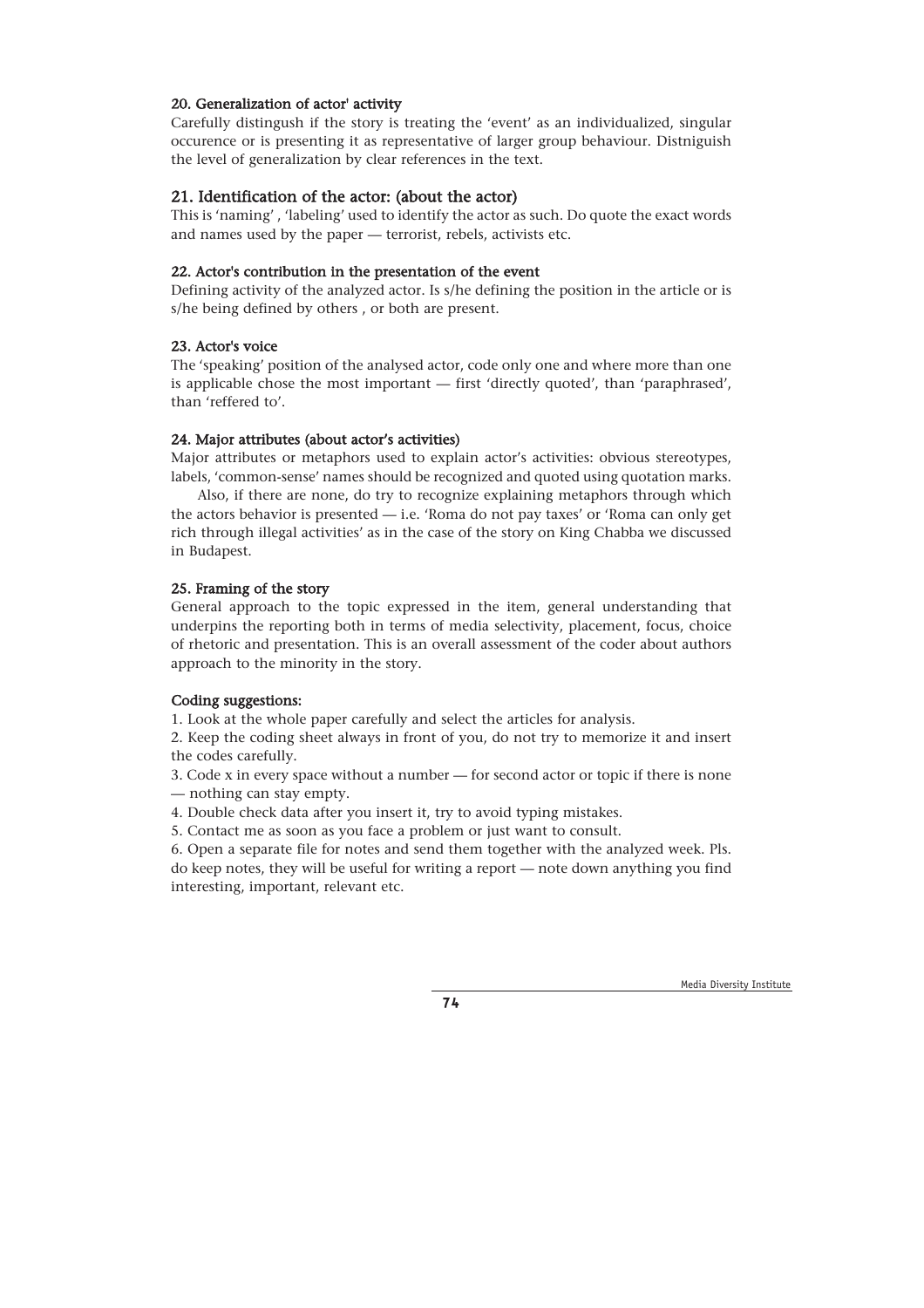#### 20. Generalization of actor' activity

Carefully distingush if the story is treating the 'event' as an individualized, singular occurence or is presenting it as representative of larger group behaviour. Distniguish the level of generalization by clear references in the text.

## 21. Identification of the actor: (about the actor)

This is 'naming', 'labeling' used to identify the actor as such. Do quote the exact words and names used by the paper – terrorist, rebels, activists etc.

### 22. Actor's contribution in the presentation of the event

Defining activity of the analyzed actor. Is s/he defining the position in the article or is s/he being defined by others , or both are present.

#### 23. Actor's voice

The 'speaking' position of the analysed actor, code only one and where more than one is applicable chose the most important — first 'directly quoted', than 'paraphrased', than 'reffered to'.

#### 24. Major attributes (about actor's activities)

Major attributes or metaphors used to explain actor's activities: obvious stereotypes, labels, 'common-sense' names should be recognized and quoted using quotation marks.

Also, if there are none, do try to recognize explaining metaphors through which the actors behavior is presented  $-$  i.e. 'Roma do not pay taxes' or 'Roma can only get rich through illegal activities' as in the case of the story on King Chabba we discussed in Budapest.

### 25. Framing of the story

General approach to the topic expressed in the item, general understanding that underpins the reporting both in terms of media selectivity, placement, focus, choice of rhetoric and presentation. This is an overall assessment of the coder about authors approach to the minority in the story.

#### Coding suggestions:

1. Look at the whole paper carefully and select the articles for analysis.

2. Keep the coding sheet always in front of you, do not try to memorize it and insert the codes carefully.

3. Code x in every space without a number  $-$  for second actor or topic if there is none  $-$  nothing can stay empty.

4. Double check data after you insert it, try to avoid typing mistakes.

5. Contact me as soon as you face a problem or just want to consult.

6. Open a separate file for notes and send them together with the analyzed week. Pls. do keep notes, they will be useful for writing a report — note down anything you find interesting, important, relevant etc.

Media Diversity Institute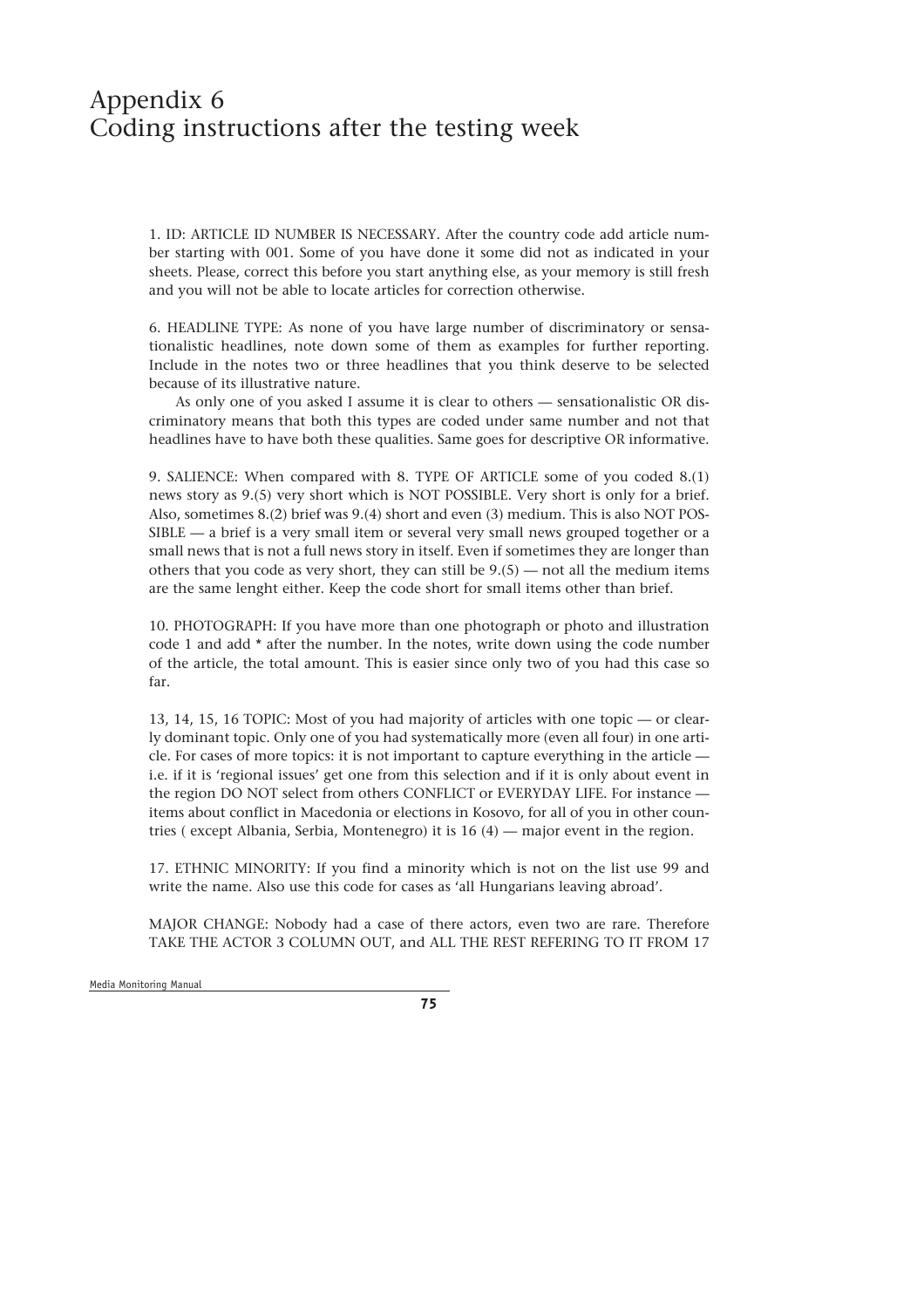## Appendix 6 Coding instructions after the testing week

1. ID: ARTICLE ID NUMBER IS NECESSARY. After the country code add article number starting with 001. Some of you have done it some did not as indicated in your sheets. Please, correct this before you start anything else, as your memory is still fresh and you will not be able to locate articles for correction otherwise.

6. HEADLINE TYPE: As none of you have large number of discriminatory or sensationalistic headlines, note down some of them as examples for further reporting. Include in the notes two or three headlines that you think deserve to be selected because of its illustrative nature.

As only one of you asked I assume it is clear to others — sensationalistic OR discriminatory means that both this types are coded under same number and not that headlines have to have both these qualities. Same goes for descriptive OR informative.

9. SALIENCE: When compared with 8. TYPE OF ARTICLE some of you coded 8.(1) news story as 9.(5) very short which is NOT POSSIBLE. Very short is only for a brief. Also, sometimes 8.(2) brief was 9.(4) short and even (3) medium. This is also NOT POS- $SIBLE - a brief is a very small item or several very small news grouped together or a$ small news that is not a full news story in itself. Even if sometimes they are longer than others that you code as very short, they can still be  $9(5)$  — not all the medium items are the same lenght either. Keep the code short for small items other than brief.

10. PHOTOGRAPH: If you have more than one photograph or photo and illustration code 1 and add \* after the number. In the notes, write down using the code number of the article, the total amount. This is easier since only two of you had this case so far.

13, 14, 15, 16 TOPIC: Most of you had majority of articles with one topic — or clearly dominant topic. Only one of you had systematically more (even all four) in one article. For cases of more topics: it is not important to capture everything in the article  $$ i.e. if it is 'regional issues' get one from this selection and if it is only about event in the region DO NOT select from others CONFLICT or EVERYDAY LIFE. For instance items about conflict in Macedonia or elections in Kosovo, for all of you in other countries ( except Albania, Serbia, Montenegro) it is  $16(4)$  – major event in the region.

17. ETHNIC MINORITY: If you find a minority which is not on the list use 99 and write the name. Also use this code for cases as 'all Hungarians leaving abroad'.

MAJOR CHANGE: Nobody had a case of there actors, even two are rare. Therefore TAKE THE ACTOR 3 COLUMN OUT, and ALL THE REST REFERING TO IT FROM 17

Media Monitoring Manual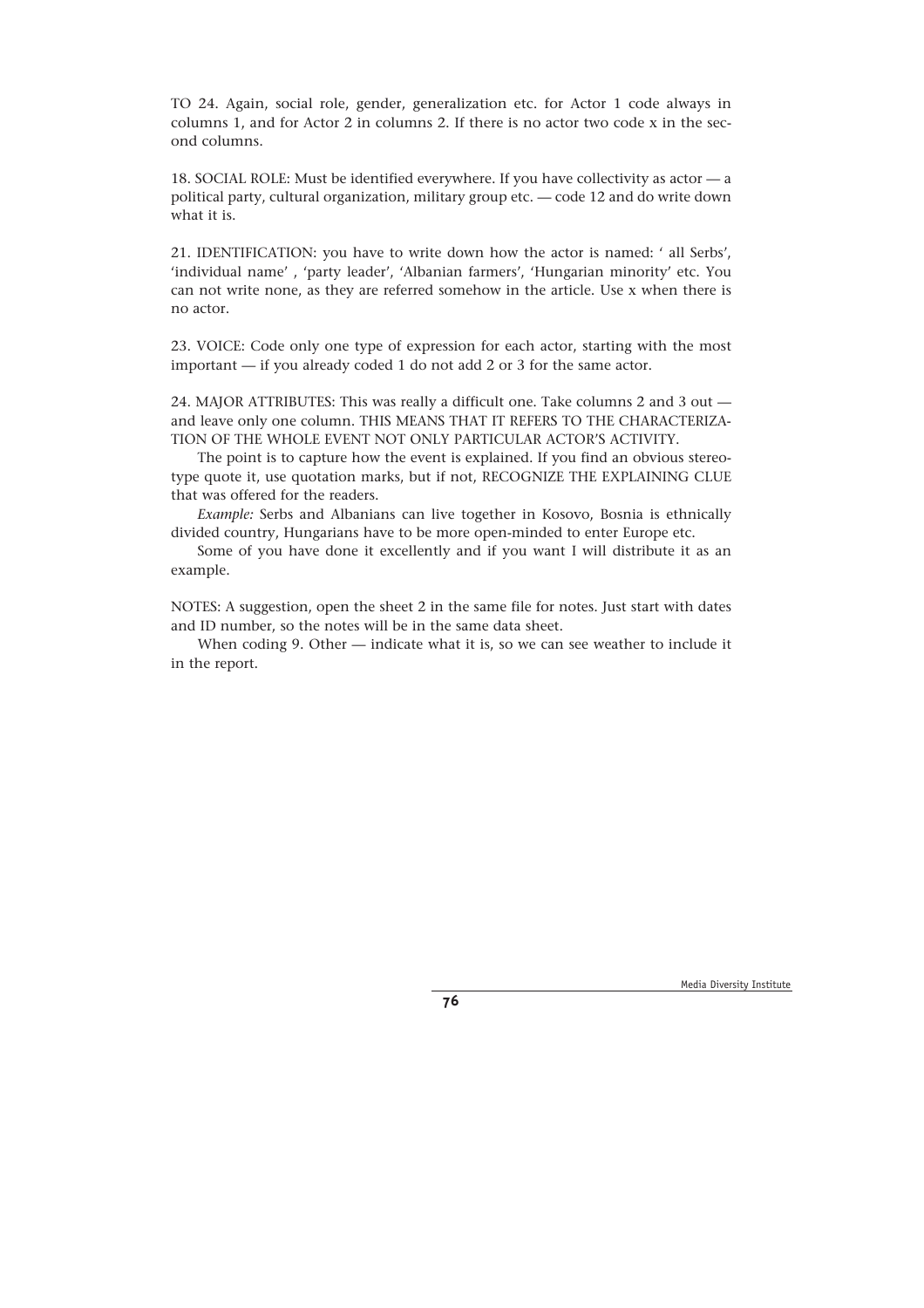TO 24. Again, social role, gender, generalization etc. for Actor 1 code always in columns 1, and for Actor 2 in columns 2. If there is no actor two code x in the second columns.

18. SOCIAL ROLE: Must be identified everywhere. If you have collectivity as actor  $-\mathbf{a}$ political party, cultural organization, military group etc. — code 12 and do write down what it is.

21. IDENTIFICATION: you have to write down how the actor is named: ë all Serbsí, 'individual name', 'party leader', 'Albanian farmers', 'Hungarian minority' etc. You can not write none, as they are referred somehow in the article. Use x when there is no actor.

23. VOICE: Code only one type of expression for each actor, starting with the most important  $-$  if you already coded 1 do not add 2 or 3 for the same actor.

24. MAJOR ATTRIBUTES: This was really a difficult one. Take columns 2 and 3 out  $$ and leave only one column. THIS MEANS THAT IT REFERS TO THE CHARACTERIZA-TION OF THE WHOLE EVENT NOT ONLY PARTICULAR ACTOR'S ACTIVITY.

The point is to capture how the event is explained. If you find an obvious stereotype quote it, use quotation marks, but if not, RECOGNIZE THE EXPLAINING CLUE that was offered for the readers.

*Example:* Serbs and Albanians can live together in Kosovo, Bosnia is ethnically divided country, Hungarians have to be more open-minded to enter Europe etc.

Some of you have done it excellently and if you want I will distribute it as an example.

NOTES: A suggestion, open the sheet 2 in the same file for notes. Just start with dates and ID number, so the notes will be in the same data sheet.

When coding 9. Other  $-$  indicate what it is, so we can see weather to include it in the report.

Media Diversity Institute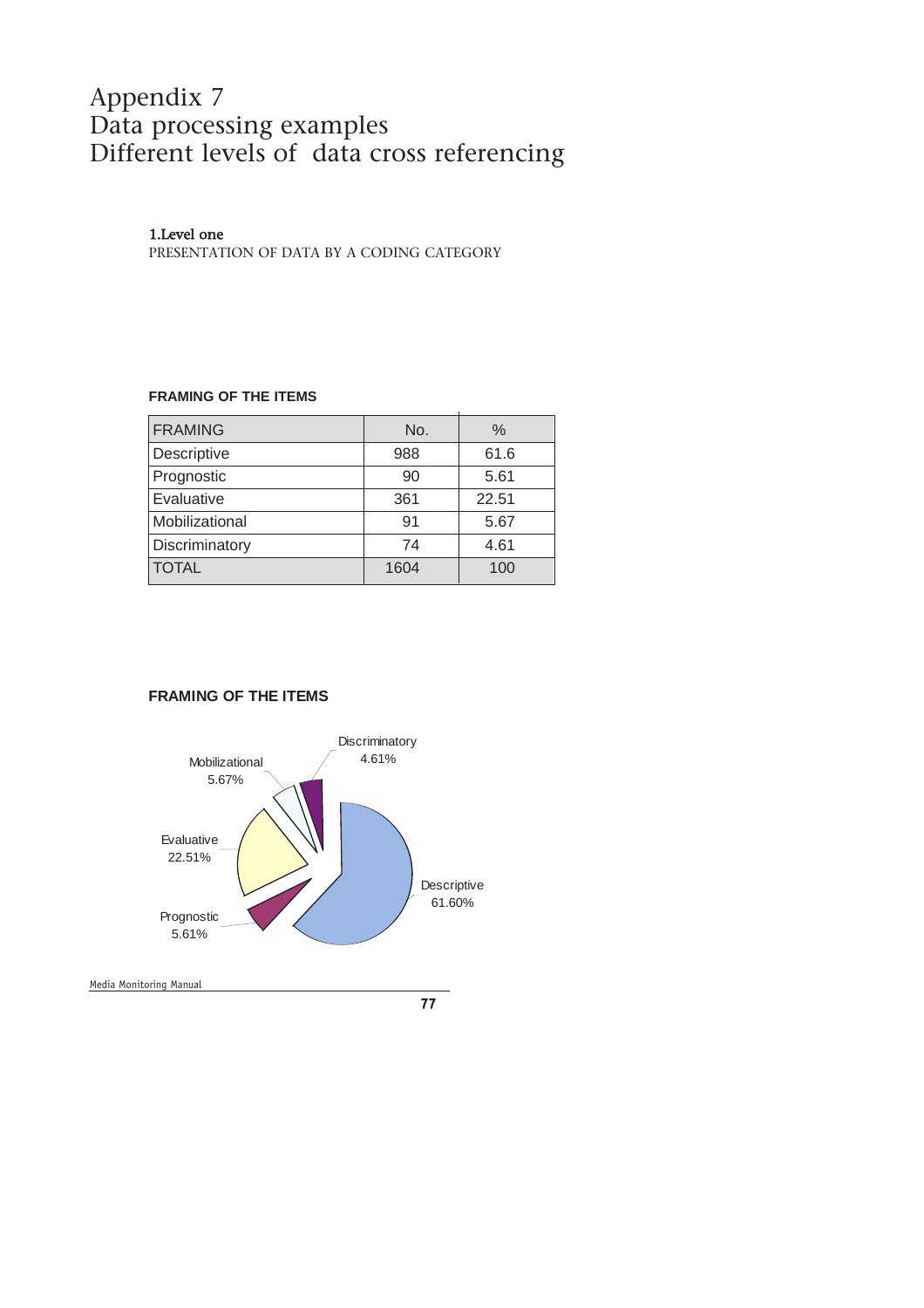## Appendix 7 Data processing examples Different levels of data cross referencing

## 1.Level one

PRESENTATION OF DATA BY A CODING CATEGORY

## **FRAMING OF THE ITEMS**

| <b>FRAMING</b> | No.  | $\%$  |
|----------------|------|-------|
| Descriptive    | 988  | 61.6  |
| Prognostic     | 90   | 5.61  |
| Evaluative     | 361  | 22.51 |
| Mobilizational | 91   | 5.67  |
| Discriminatory | 74   | 4.61  |
| <b>TOTAL</b>   | 1604 | 100   |

## **FRAMING OF THE ITEMS**



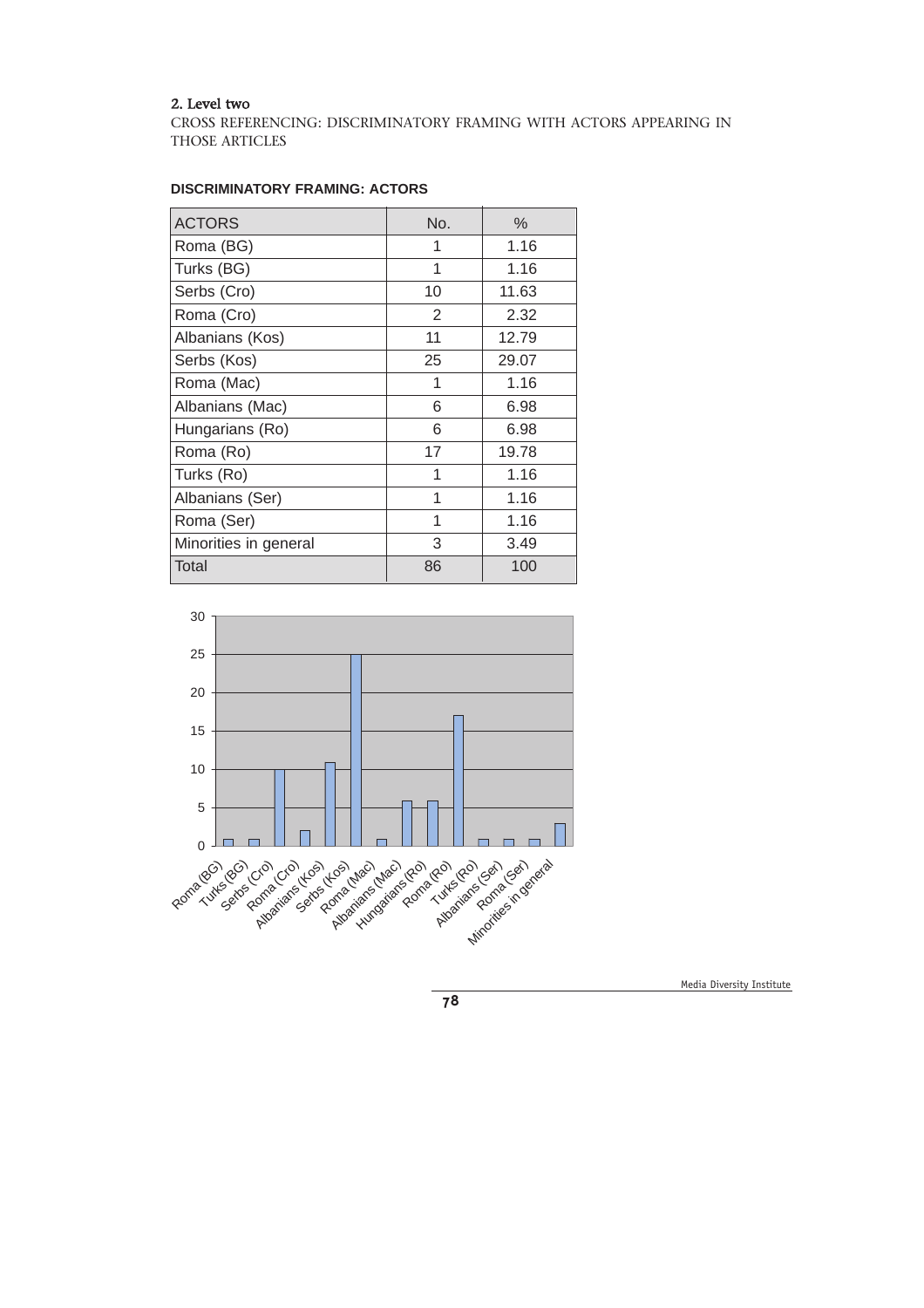## 2. Level two

CROSS REFERENCING: DISCRIMINATORY FRAMING WITH ACTORS APPEARING IN THOSE ARTICLES

## **DISCRIMINATORY FRAMING: ACTORS**

| <b>ACTORS</b>         | No.            | $\frac{0}{0}$ |
|-----------------------|----------------|---------------|
| Roma (BG)             | 1              | 1.16          |
| Turks (BG)            | 1              | 1.16          |
| Serbs (Cro)           | 10             | 11.63         |
| Roma (Cro)            | $\overline{2}$ | 2.32          |
| Albanians (Kos)       | 11             | 12.79         |
| Serbs (Kos)           | 25             | 29.07         |
| Roma (Mac)            | 1              | 1.16          |
| Albanians (Mac)       | 6              | 6.98          |
| Hungarians (Ro)       | 6              | 6.98          |
| Roma (Ro)             | 17             | 19.78         |
| Turks (Ro)            | 1              | 1.16          |
| Albanians (Ser)       | 1              | 1.16          |
| Roma (Ser)            | 1              | 1.16          |
| Minorities in general | 3              | 3.49          |
| Total                 | 86             | 100           |



Media Diversity Institute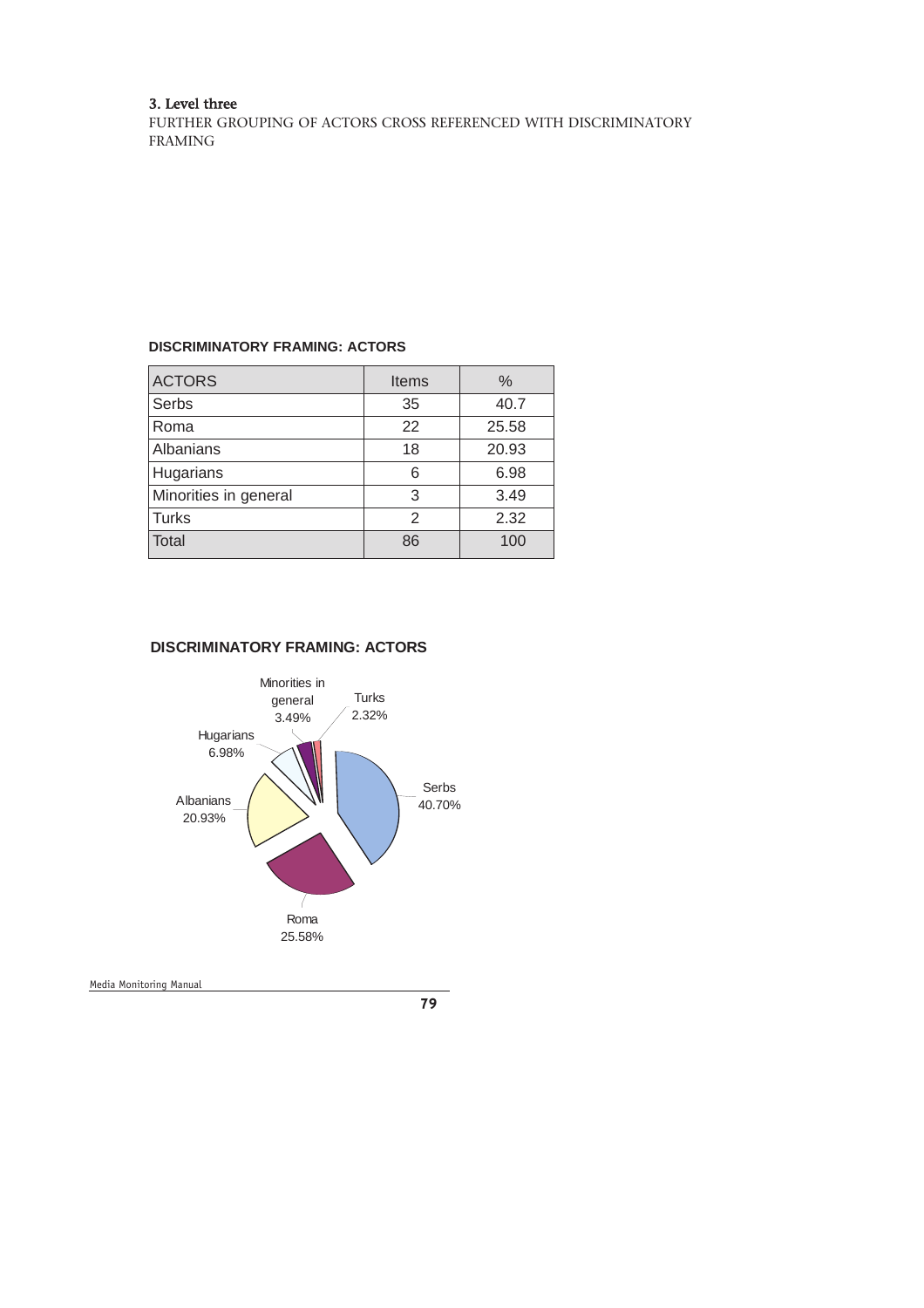## 3. Level three

FURTHER GROUPING OF ACTORS CROSS REFERENCED WITH DISCRIMINATORY FRAMING

## **DISCRIMINATORY FRAMING: ACTORS**

| <b>ACTORS</b>         | <b>Items</b>  | $\%$  |
|-----------------------|---------------|-------|
| Serbs                 | 35            | 40.7  |
| Roma                  | 22            | 25.58 |
| Albanians             | 18            | 20.93 |
| Hugarians             | 6             | 6.98  |
| Minorities in general | 3             | 3.49  |
| <b>Turks</b>          | $\mathcal{P}$ | 2.32  |
| Total                 | 86            | 100   |

## **DISCRIMINATORY FRAMING: ACTORS**



Media Monitoring Manual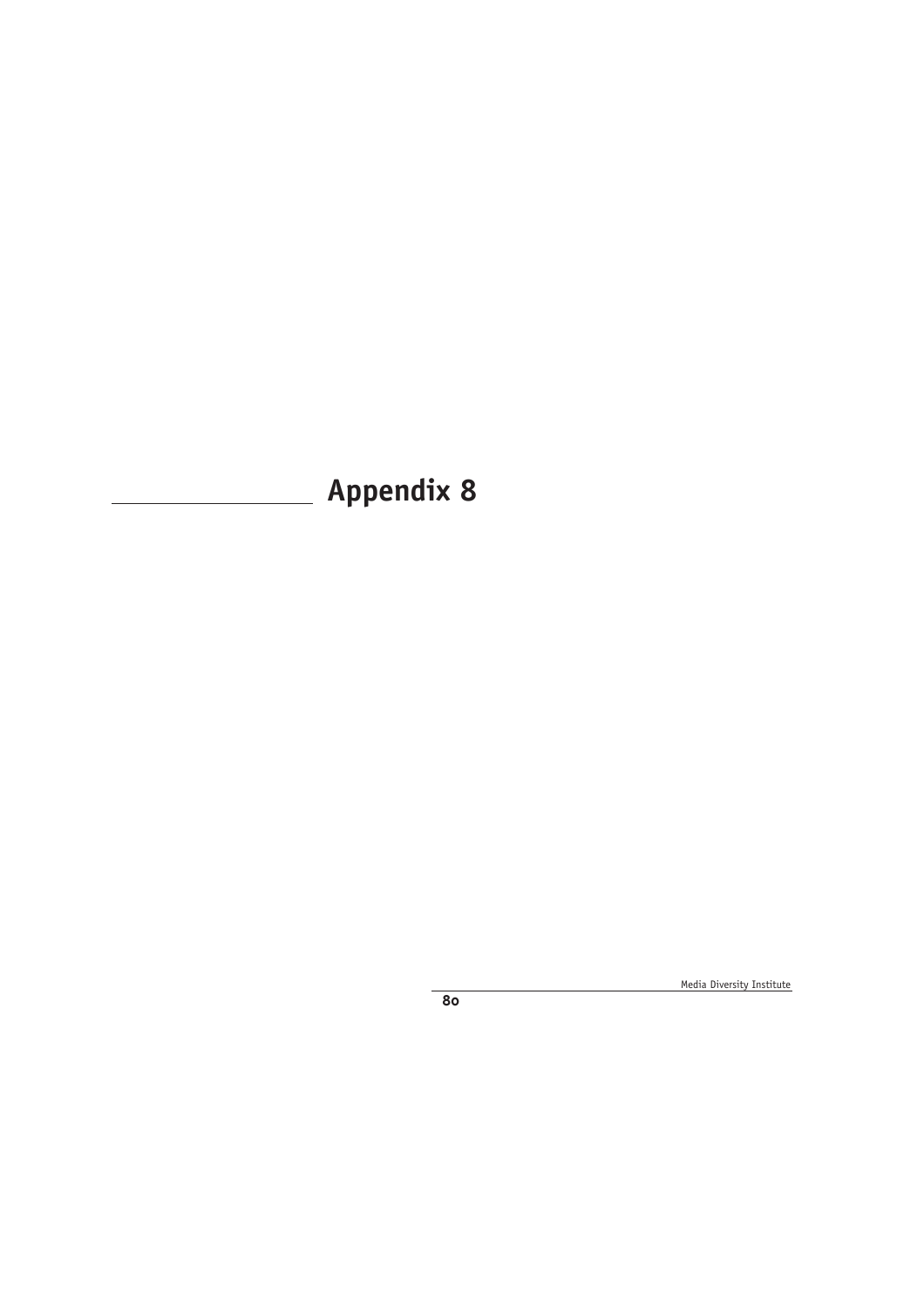**Appendix 8**

Media Diversity Institute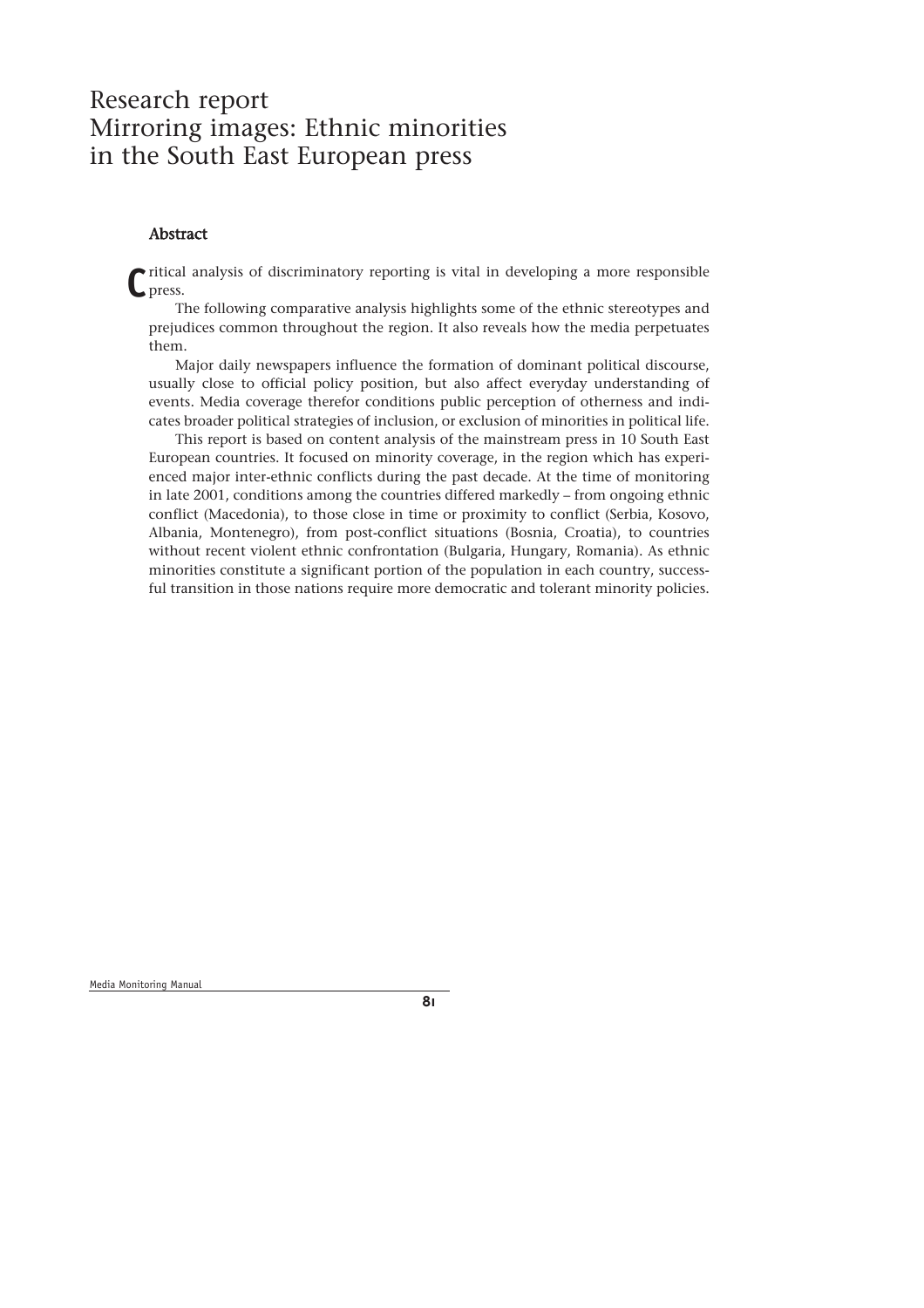## Research report Mirroring images: Ethnic minorities in the South East European press

## Abstract

**C** ritical analysis of discriminatory reporting is vital in developing a more responsible<br> **C** press. press.

The following comparative analysis highlights some of the ethnic stereotypes and prejudices common throughout the region. It also reveals how the media perpetuates them.

Major daily newspapers influence the formation of dominant political discourse, usually close to official policy position, but also affect everyday understanding of events. Media coverage therefor conditions public perception of otherness and indicates broader political strategies of inclusion, or exclusion of minorities in political life.

This report is based on content analysis of the mainstream press in 10 South East European countries. It focused on minority coverage, in the region which has experienced major inter-ethnic conflicts during the past decade. At the time of monitoring in late  $2001$ , conditions among the countries differed markedly  $-$  from ongoing ethnic conflict (Macedonia), to those close in time or proximity to conflict (Serbia, Kosovo, Albania, Montenegro), from post-conflict situations (Bosnia, Croatia), to countries without recent violent ethnic confrontation (Bulgaria, Hungary, Romania). As ethnic minorities constitute a significant portion of the population in each country, successful transition in those nations require more democratic and tolerant minority policies.

Media Monitoring Manual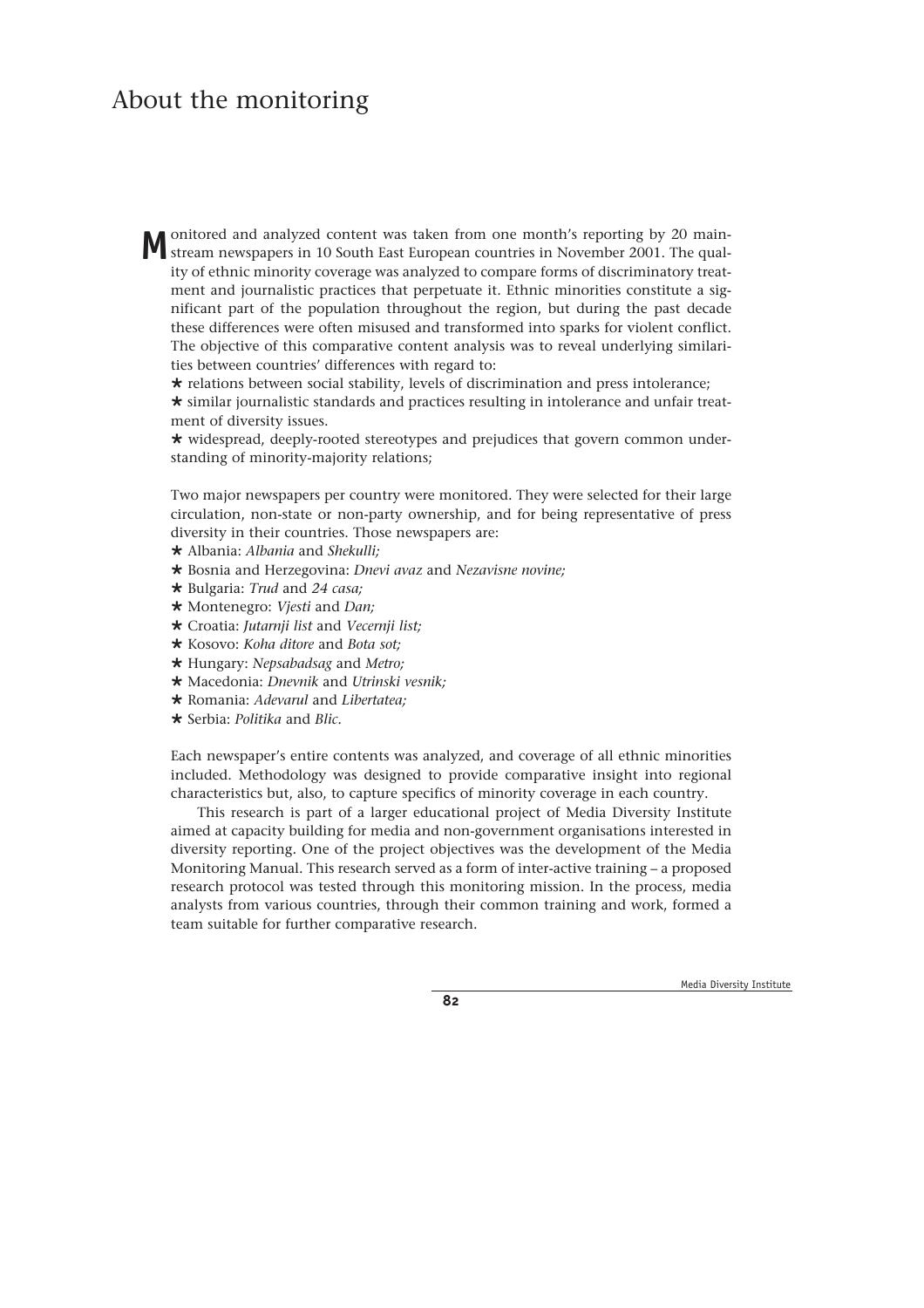## About the monitoring

onitored and analyzed content was taken from one month's reporting by 20 main-M onitored and analyzed content was taken from one month's reporting by 20 main-<br>stream newspapers in 10 South East European countries in November 2001. The quality of ethnic minority coverage was analyzed to compare forms of discriminatory treatment and journalistic practices that perpetuate it. Ethnic minorities constitute a significant part of the population throughout the region, but during the past decade these differences were often misused and transformed into sparks for violent conflict. The objective of this comparative content analysis was to reveal underlying similarities between countries' differences with regard to:

 $\star$  relations between social stability, levels of discrimination and press intolerance;

 $\star$  similar journalistic standards and practices resulting in intolerance and unfair treatment of diversity issues.

 $\star$  widespread, deeply-rooted stereotypes and prejudices that govern common understanding of minority-majority relations;

Two major newspapers per country were monitored. They were selected for their large circulation, non-state or non-party ownership, and for being representative of press diversity in their countries. Those newspapers are:

- ÿ Albania: *Albania* and *Shekulli;*
- ÿ Bosnia and Herzegovina: *Dnevi avaz* and *Nezavisne novine;*
- ÿ Bulgaria: *Trud* and *24 casa;*
- ÿ Montenegro: *Vjesti* and *Dan;*
- ÿ Croatia: *Jutarnji list* and *Vecernji list;*
- ÿ Kosovo: *Koha ditore* and *Bota sot;*
- ÿ Hungary: *Nepsabadsag* and *Metro;*
- ÿ Macedonia: *Dnevnik* and *Utrinski vesnik;*
- ÿ Romania: *Adevarul* and *Libertatea;*
- ÿ Serbia: *Politika* and *Blic.*

Each newspaperís entire contents was analyzed, and coverage of all ethnic minorities included. Methodology was designed to provide comparative insight into regional characteristics but, also, to capture specifics of minority coverage in each country.

This research is part of a larger educational project of Media Diversity Institute aimed at capacity building for media and non-government organisations interested in diversity reporting. One of the project objectives was the development of the Media Monitoring Manual. This research served as a form of inter-active training - a proposed research protocol was tested through this monitoring mission. In the process, media analysts from various countries, through their common training and work, formed a team suitable for further comparative research.

Media Diversity Institute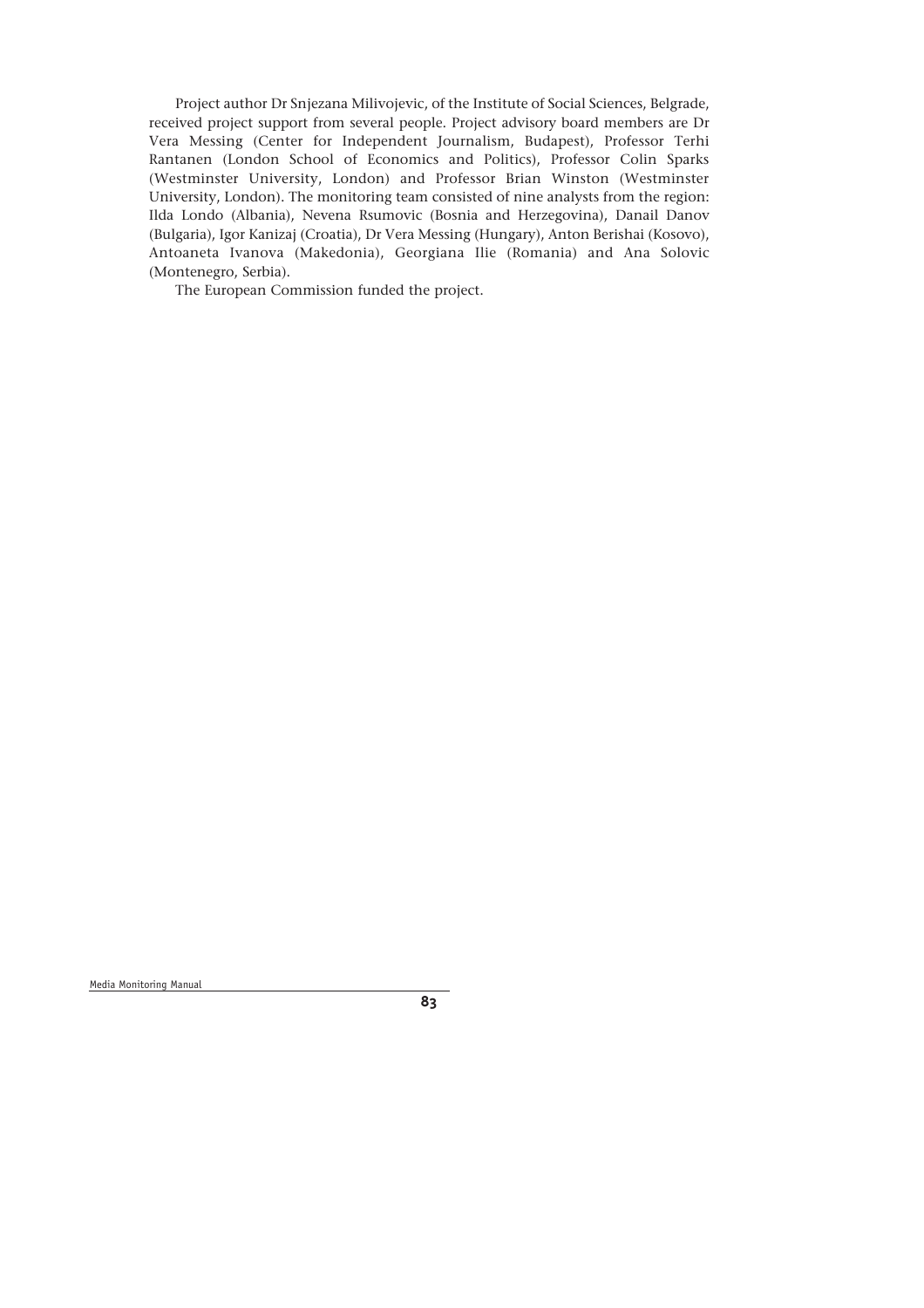Project author Dr Snjezana Milivojevic, of the Institute of Social Sciences, Belgrade, received project support from several people. Project advisory board members are Dr Vera Messing (Center for Independent Journalism, Budapest), Professor Terhi Rantanen (London School of Economics and Politics), Professor Colin Sparks (Westminster University, London) and Professor Brian Winston (Westminster University, London). The monitoring team consisted of nine analysts from the region: Ilda Londo (Albania), Nevena Rsumovic (Bosnia and Herzegovina), Danail Danov (Bulgaria), Igor Kanizaj (Croatia), Dr Vera Messing (Hungary), Anton Berishai (Kosovo), Antoaneta Ivanova (Makedonia), Georgiana Ilie (Romania) and Ana Solovic (Montenegro, Serbia).

The European Commission funded the project.

Media Monitoring Manual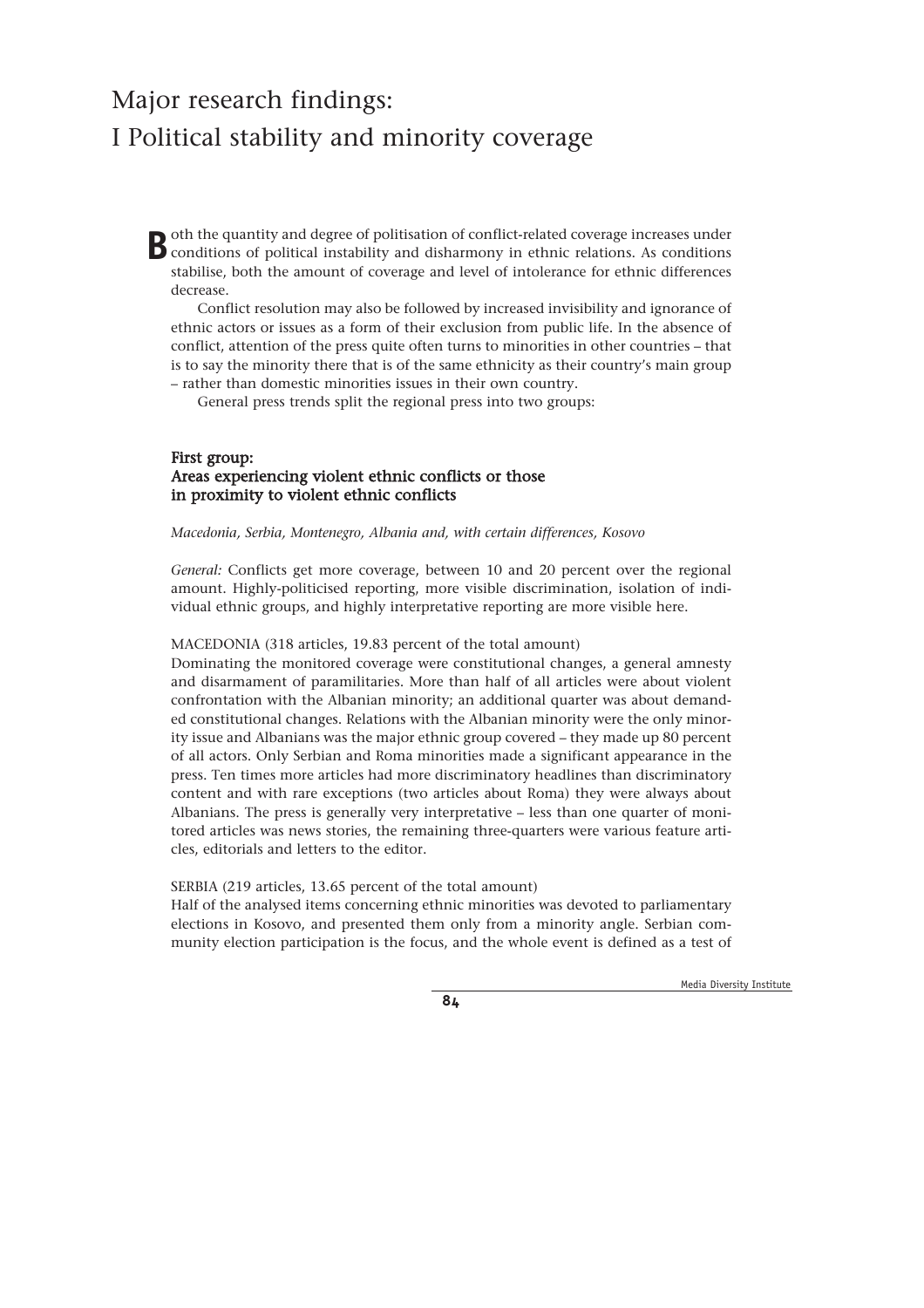# Major research findings: I Political stability and minority coverage

oth the quantity and degree of politisation of conflict-related coverage increases under **B** oth the quantity and degree of politisation of conflict-related coverage increases under conditions of political instability and disharmony in ethnic relations. As conditions stabilise, both the amount of coverage and level of intolerance for ethnic differences decrease.

Conflict resolution may also be followed by increased invisibility and ignorance of ethnic actors or issues as a form of their exclusion from public life. In the absence of conflict, attention of the press quite often turns to minorities in other countries - that is to say the minority there that is of the same ethnicity as their country's main group - rather than domestic minorities issues in their own country.

General press trends split the regional press into two groups:

## First group: Areas experiencing violent ethnic conflicts or those in proximity to violent ethnic conflicts

#### *Macedonia, Serbia, Montenegro, Albania and, with certain differences, Kosovo*

*General:* Conflicts get more coverage, between 10 and 20 percent over the regional amount. Highly-politicised reporting, more visible discrimination, isolation of individual ethnic groups, and highly interpretative reporting are more visible here.

#### MACEDONIA (318 articles, 19.83 percent of the total amount)

Dominating the monitored coverage were constitutional changes, a general amnesty and disarmament of paramilitaries. More than half of all articles were about violent confrontation with the Albanian minority; an additional quarter was about demanded constitutional changes. Relations with the Albanian minority were the only minority issue and Albanians was the major ethnic group covered - they made up 80 percent of all actors. Only Serbian and Roma minorities made a significant appearance in the press. Ten times more articles had more discriminatory headlines than discriminatory content and with rare exceptions (two articles about Roma) they were always about Albanians. The press is generally very interpretative  $-$  less than one quarter of monitored articles was news stories, the remaining three-quarters were various feature articles, editorials and letters to the editor.

#### SERBIA (219 articles, 13.65 percent of the total amount)

Half of the analysed items concerning ethnic minorities was devoted to parliamentary elections in Kosovo, and presented them only from a minority angle. Serbian community election participation is the focus, and the whole event is defined as a test of

Media Diversity Institute

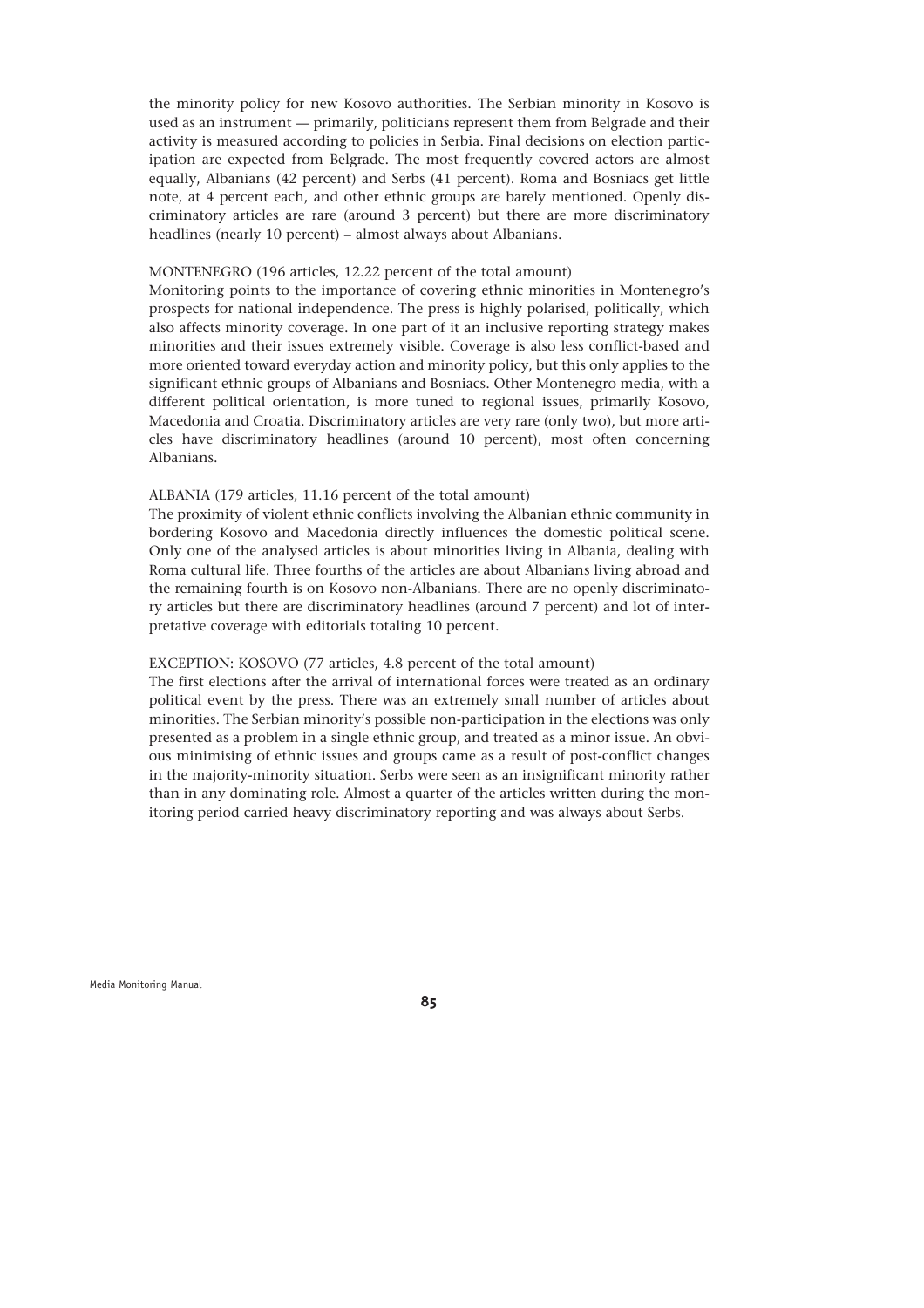the minority policy for new Kosovo authorities. The Serbian minority in Kosovo is used as an instrument — primarily, politicians represent them from Belgrade and their activity is measured according to policies in Serbia. Final decisions on election participation are expected from Belgrade. The most frequently covered actors are almost equally, Albanians (42 percent) and Serbs (41 percent). Roma and Bosniacs get little note, at 4 percent each, and other ethnic groups are barely mentioned. Openly discriminatory articles are rare (around 3 percent) but there are more discriminatory headlines (nearly 10 percent) – almost always about Albanians.

#### MONTENEGRO (196 articles, 12.22 percent of the total amount)

Monitoring points to the importance of covering ethnic minorities in Montenegroís prospects for national independence. The press is highly polarised, politically, which also affects minority coverage. In one part of it an inclusive reporting strategy makes minorities and their issues extremely visible. Coverage is also less conflict-based and more oriented toward everyday action and minority policy, but this only applies to the significant ethnic groups of Albanians and Bosniacs. Other Montenegro media, with a different political orientation, is more tuned to regional issues, primarily Kosovo, Macedonia and Croatia. Discriminatory articles are very rare (only two), but more articles have discriminatory headlines (around 10 percent), most often concerning Albanians.

#### ALBANIA (179 articles, 11.16 percent of the total amount)

The proximity of violent ethnic conflicts involving the Albanian ethnic community in bordering Kosovo and Macedonia directly influences the domestic political scene. Only one of the analysed articles is about minorities living in Albania, dealing with Roma cultural life. Three fourths of the articles are about Albanians living abroad and the remaining fourth is on Kosovo non-Albanians. There are no openly discriminatory articles but there are discriminatory headlines (around 7 percent) and lot of interpretative coverage with editorials totaling 10 percent.

#### EXCEPTION: KOSOVO (77 articles, 4.8 percent of the total amount)

The first elections after the arrival of international forces were treated as an ordinary political event by the press. There was an extremely small number of articles about minorities. The Serbian minorityís possible non-participation in the elections was only presented as a problem in a single ethnic group, and treated as a minor issue. An obvious minimising of ethnic issues and groups came as a result of post-conflict changes in the majority-minority situation. Serbs were seen as an insignificant minority rather than in any dominating role. Almost a quarter of the articles written during the monitoring period carried heavy discriminatory reporting and was always about Serbs.

Media Monitoring Manual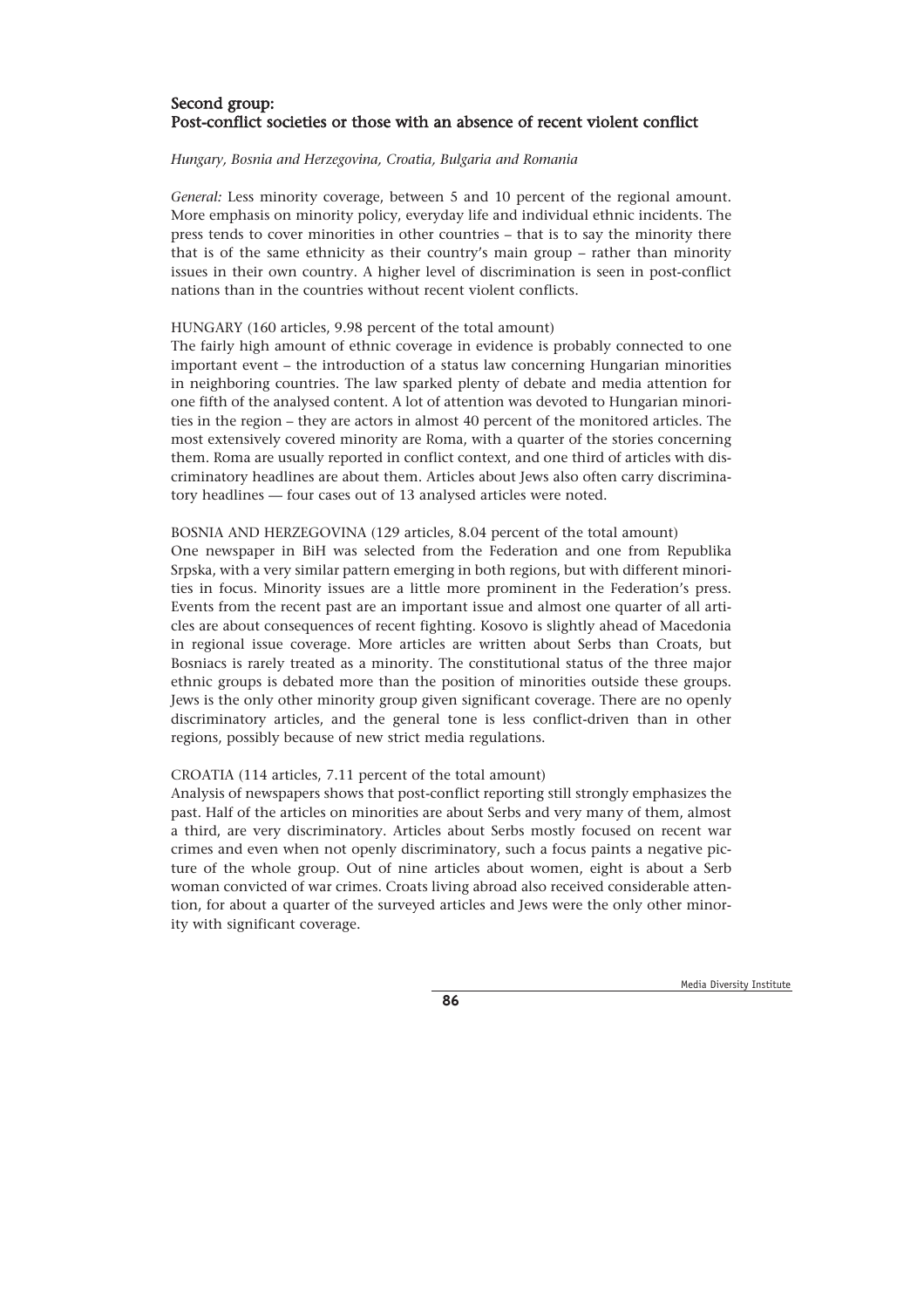## Second group: Post-conflict societies or those with an absence of recent violent conflict

#### *Hungary, Bosnia and Herzegovina, Croatia, Bulgaria and Romania*

*General:* Less minority coverage, between 5 and 10 percent of the regional amount. More emphasis on minority policy, everyday life and individual ethnic incidents. The press tends to cover minorities in other countries – that is to say the minority there that is of the same ethnicity as their country's main group  $-$  rather than minority issues in their own country. A higher level of discrimination is seen in post-conflict nations than in the countries without recent violent conflicts.

#### HUNGARY (160 articles, 9.98 percent of the total amount)

The fairly high amount of ethnic coverage in evidence is probably connected to one important event – the introduction of a status law concerning Hungarian minorities in neighboring countries. The law sparked plenty of debate and media attention for one fifth of the analysed content. A lot of attention was devoted to Hungarian minorities in the region – they are actors in almost 40 percent of the monitored articles. The most extensively covered minority are Roma, with a quarter of the stories concerning them. Roma are usually reported in conflict context, and one third of articles with discriminatory headlines are about them. Articles about Jews also often carry discriminatory headlines – four cases out of 13 analysed articles were noted.

#### BOSNIA AND HERZEGOVINA (129 articles, 8.04 percent of the total amount)

One newspaper in BiH was selected from the Federation and one from Republika Srpska, with a very similar pattern emerging in both regions, but with different minorities in focus. Minority issues are a little more prominent in the Federation's press. Events from the recent past are an important issue and almost one quarter of all articles are about consequences of recent fighting. Kosovo is slightly ahead of Macedonia in regional issue coverage. More articles are written about Serbs than Croats, but Bosniacs is rarely treated as a minority. The constitutional status of the three major ethnic groups is debated more than the position of minorities outside these groups. Jews is the only other minority group given significant coverage. There are no openly discriminatory articles, and the general tone is less conflict-driven than in other regions, possibly because of new strict media regulations.

#### CROATIA (114 articles, 7.11 percent of the total amount)

Analysis of newspapers shows that post-conflict reporting still strongly emphasizes the past. Half of the articles on minorities are about Serbs and very many of them, almost a third, are very discriminatory. Articles about Serbs mostly focused on recent war crimes and even when not openly discriminatory, such a focus paints a negative picture of the whole group. Out of nine articles about women, eight is about a Serb woman convicted of war crimes. Croats living abroad also received considerable attention, for about a quarter of the surveyed articles and Jews were the only other minority with significant coverage.

Media Diversity Institute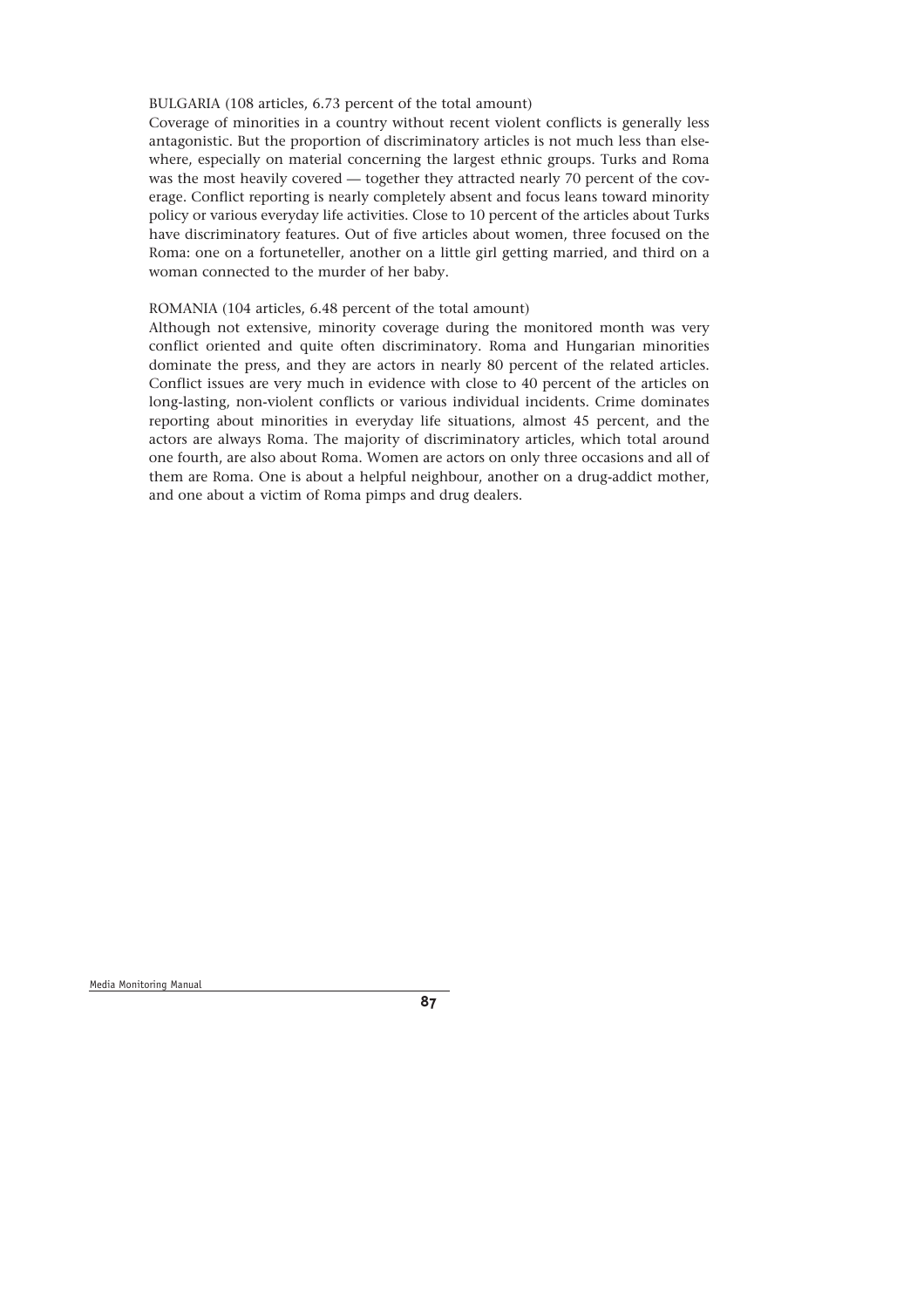#### BULGARIA (108 articles, 6.73 percent of the total amount)

Coverage of minorities in a country without recent violent conflicts is generally less antagonistic. But the proportion of discriminatory articles is not much less than elsewhere, especially on material concerning the largest ethnic groups. Turks and Roma was the most heavily covered — together they attracted nearly 70 percent of the coverage. Conflict reporting is nearly completely absent and focus leans toward minority policy or various everyday life activities. Close to 10 percent of the articles about Turks have discriminatory features. Out of five articles about women, three focused on the Roma: one on a fortuneteller, another on a little girl getting married, and third on a woman connected to the murder of her baby.

#### ROMANIA (104 articles, 6.48 percent of the total amount)

Although not extensive, minority coverage during the monitored month was very conflict oriented and quite often discriminatory. Roma and Hungarian minorities dominate the press, and they are actors in nearly 80 percent of the related articles. Conflict issues are very much in evidence with close to 40 percent of the articles on long-lasting, non-violent conflicts or various individual incidents. Crime dominates reporting about minorities in everyday life situations, almost 45 percent, and the actors are always Roma. The majority of discriminatory articles, which total around one fourth, are also about Roma. Women are actors on only three occasions and all of them are Roma. One is about a helpful neighbour, another on a drug-addict mother, and one about a victim of Roma pimps and drug dealers.

Media Monitoring Manual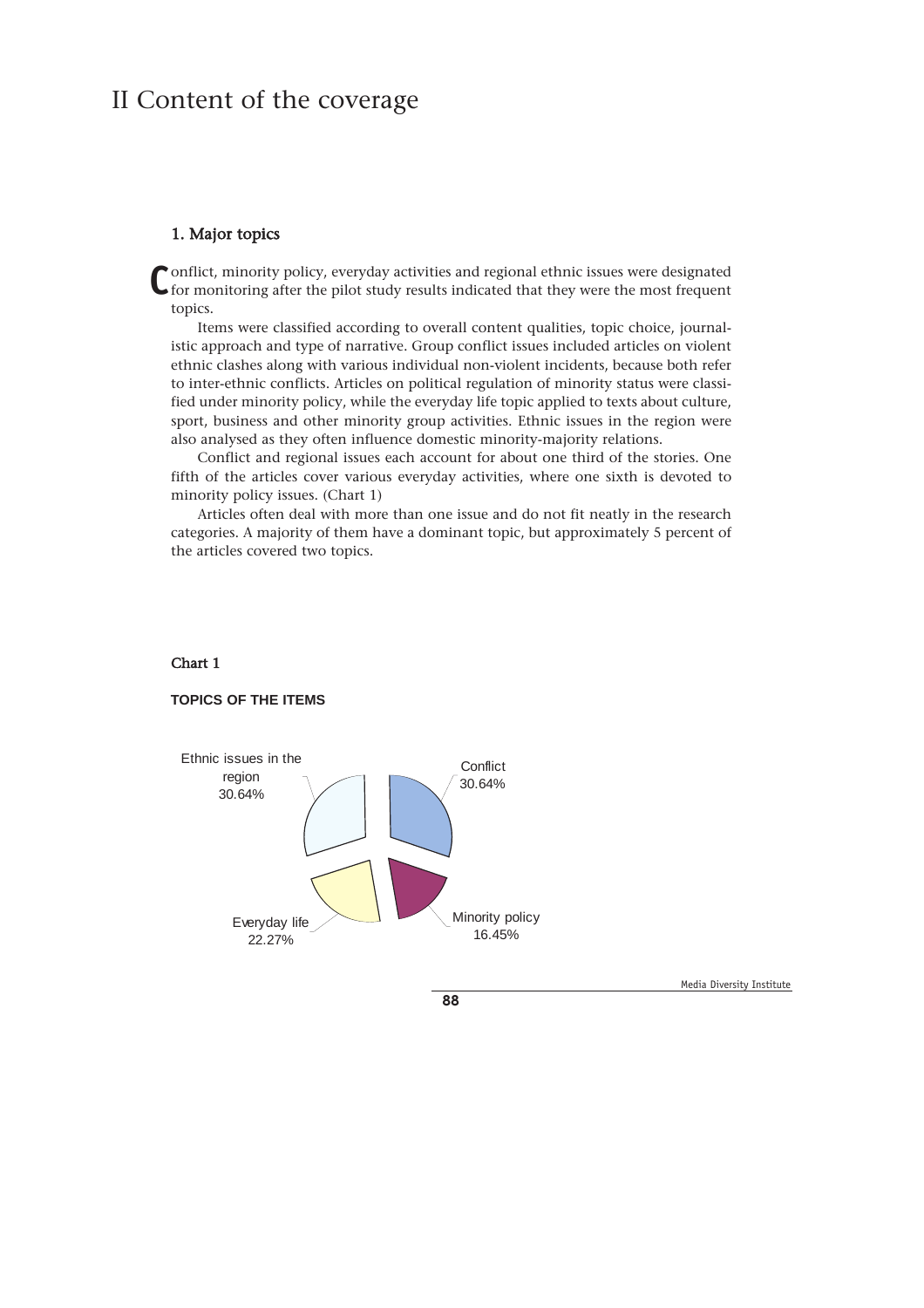## II Content of the coverage

## 1. Major topics

onflict, minority policy, everyday activities and regional ethnic issues were designated **C** for monitoring after the pilot study results indicated that they were the most frequent topics.

Items were classified according to overall content qualities, topic choice, journalistic approach and type of narrative. Group conflict issues included articles on violent ethnic clashes along with various individual non-violent incidents, because both refer to inter-ethnic conflicts. Articles on political regulation of minority status were classified under minority policy, while the everyday life topic applied to texts about culture, sport, business and other minority group activities. Ethnic issues in the region were also analysed as they often influence domestic minority-majority relations.

Conflict and regional issues each account for about one third of the stories. One fifth of the articles cover various everyday activities, where one sixth is devoted to minority policy issues. (Chart 1)

Articles often deal with more than one issue and do not fit neatly in the research categories. A majority of them have a dominant topic, but approximately 5 percent of the articles covered two topics.

## Chart 1

#### **TOPICS OF THE ITEMS**



Media Diversity Institute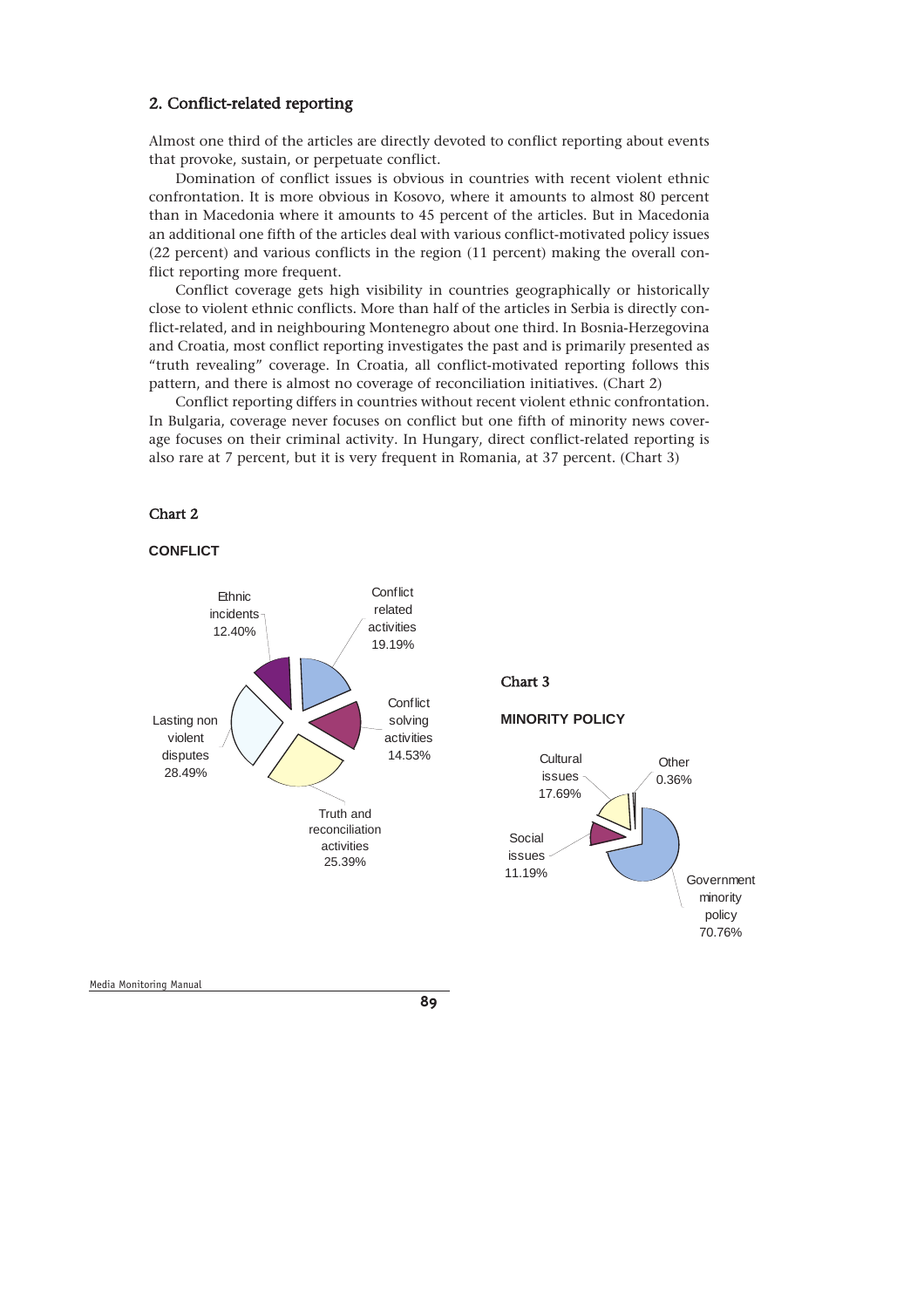### 2. Conflict-related reporting

Almost one third of the articles are directly devoted to conflict reporting about events that provoke, sustain, or perpetuate conflict.

Domination of conflict issues is obvious in countries with recent violent ethnic confrontation. It is more obvious in Kosovo, where it amounts to almost 80 percent than in Macedonia where it amounts to 45 percent of the articles. But in Macedonia an additional one fifth of the articles deal with various conflict-motivated policy issues (22 percent) and various conflicts in the region (11 percent) making the overall conflict reporting more frequent.

Conflict coverage gets high visibility in countries geographically or historically close to violent ethnic conflicts. More than half of the articles in Serbia is directly conflict-related, and in neighbouring Montenegro about one third. In Bosnia-Herzegovina and Croatia, most conflict reporting investigates the past and is primarily presented as "truth revealing" coverage. In Croatia, all conflict-motivated reporting follows this pattern, and there is almost no coverage of reconciliation initiatives. (Chart 2)

Conflict reporting differs in countries without recent violent ethnic confrontation. In Bulgaria, coverage never focuses on conflict but one fifth of minority news coverage focuses on their criminal activity. In Hungary, direct conflict-related reporting is also rare at 7 percent, but it is very frequent in Romania, at 37 percent. (Chart 3)

#### Chart 2

### **CONFLICT**





Media Monitoring Manual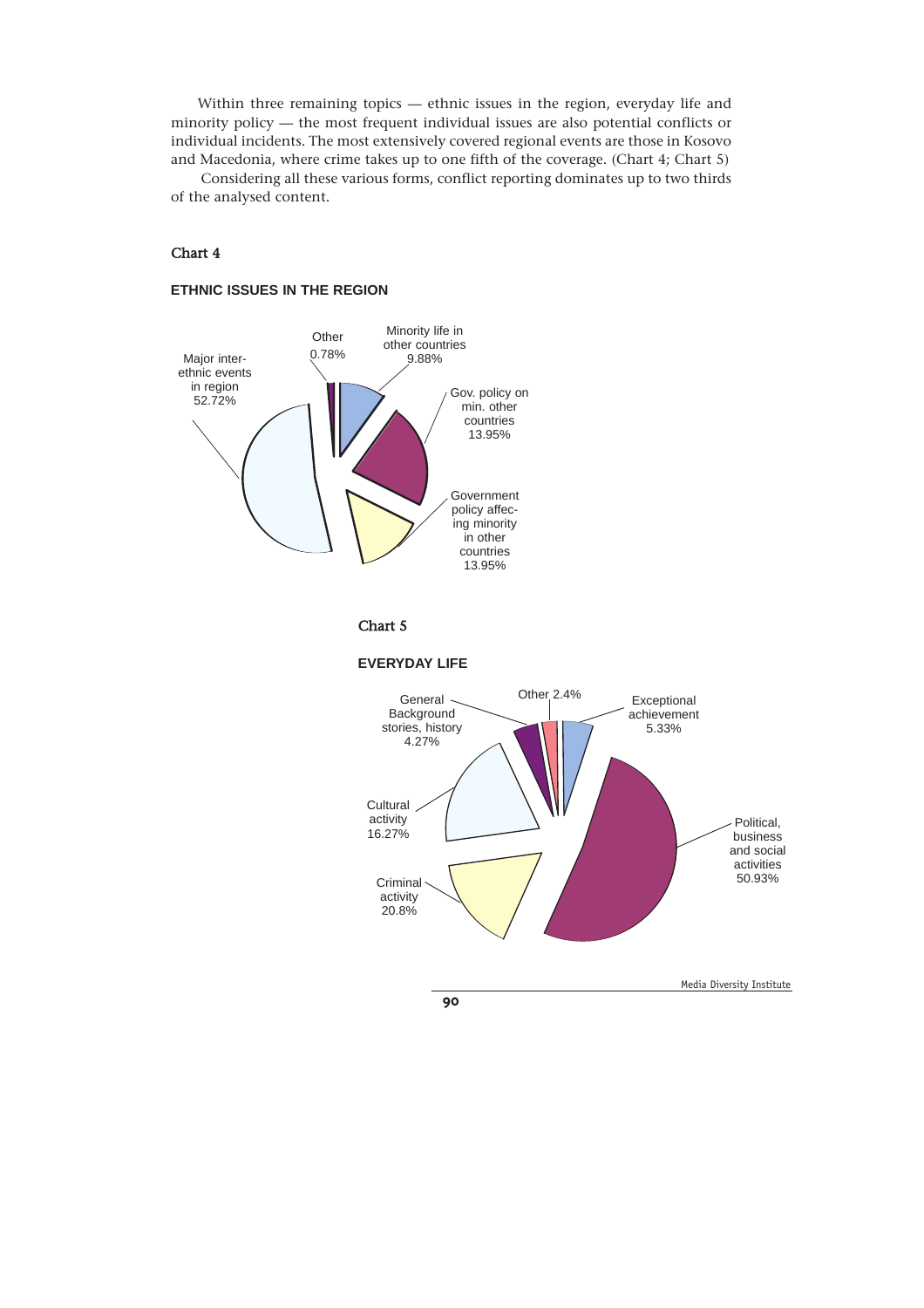Within three remaining topics  $-$  ethnic issues in the region, everyday life and minority policy – the most frequent individual issues are also potential conflicts or individual incidents. The most extensively covered regional events are those in Kosovo and Macedonia, where crime takes up to one fifth of the coverage. (Chart 4; Chart 5)

Considering all these various forms, conflict reporting dominates up to two thirds of the analysed content.

## Chart 4

## **ETHNIC ISSUES IN THE REGION**





#### **EVERYDAY LIFE**

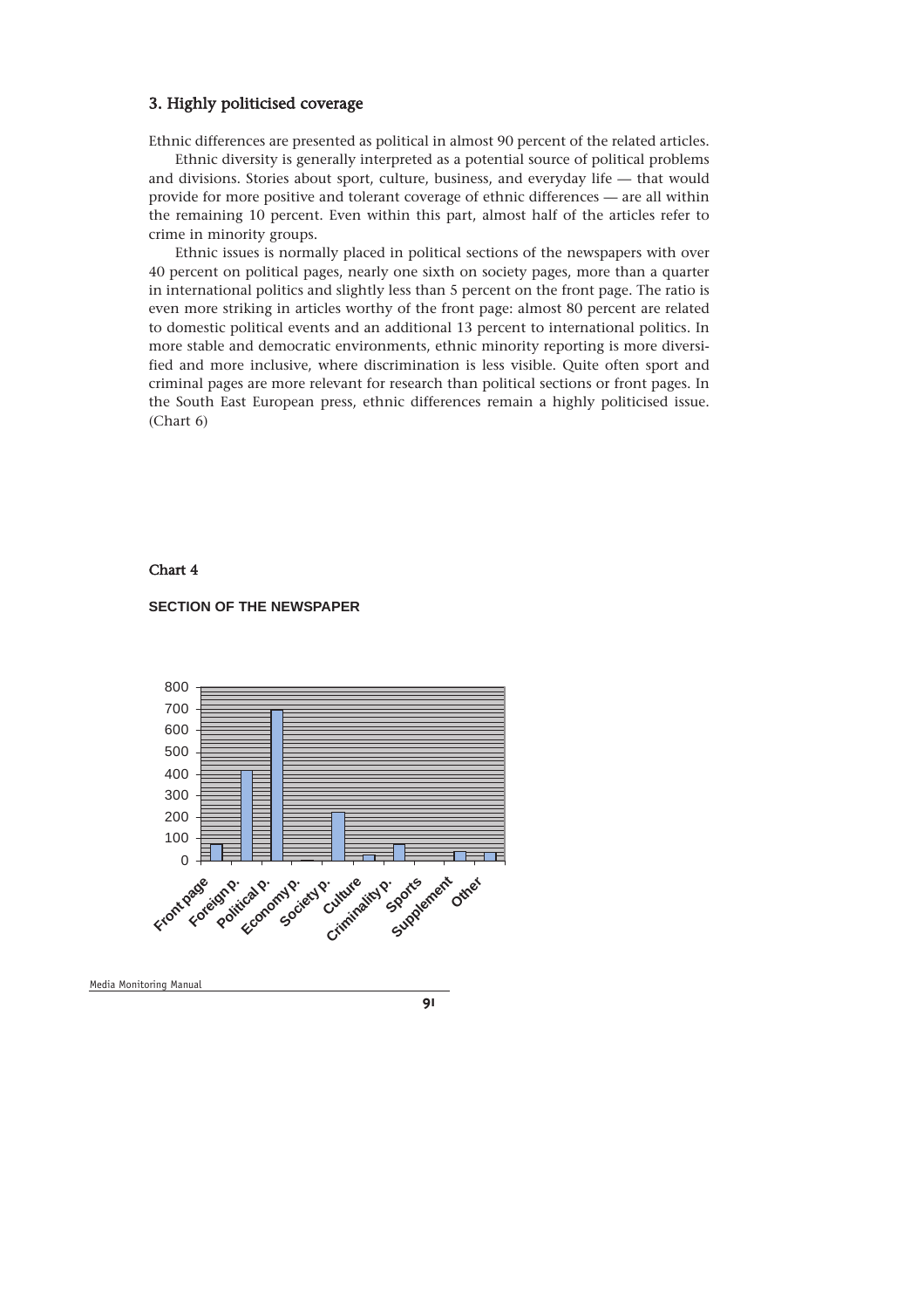## 3. Highly politicised coverage

Ethnic differences are presented as political in almost 90 percent of the related articles.

Ethnic diversity is generally interpreted as a potential source of political problems and divisions. Stories about sport, culture, business, and everyday life - that would provide for more positive and tolerant coverage of ethnic differences — are all within the remaining 10 percent. Even within this part, almost half of the articles refer to crime in minority groups.

Ethnic issues is normally placed in political sections of the newspapers with over 40 percent on political pages, nearly one sixth on society pages, more than a quarter in international politics and slightly less than 5 percent on the front page. The ratio is even more striking in articles worthy of the front page: almost 80 percent are related to domestic political events and an additional 13 percent to international politics. In more stable and democratic environments, ethnic minority reporting is more diversified and more inclusive, where discrimination is less visible. Quite often sport and criminal pages are more relevant for research than political sections or front pages. In the South East European press, ethnic differences remain a highly politicised issue. (Chart 6)

## Chart 4

#### **SECTION OF THE NEWSPAPER**

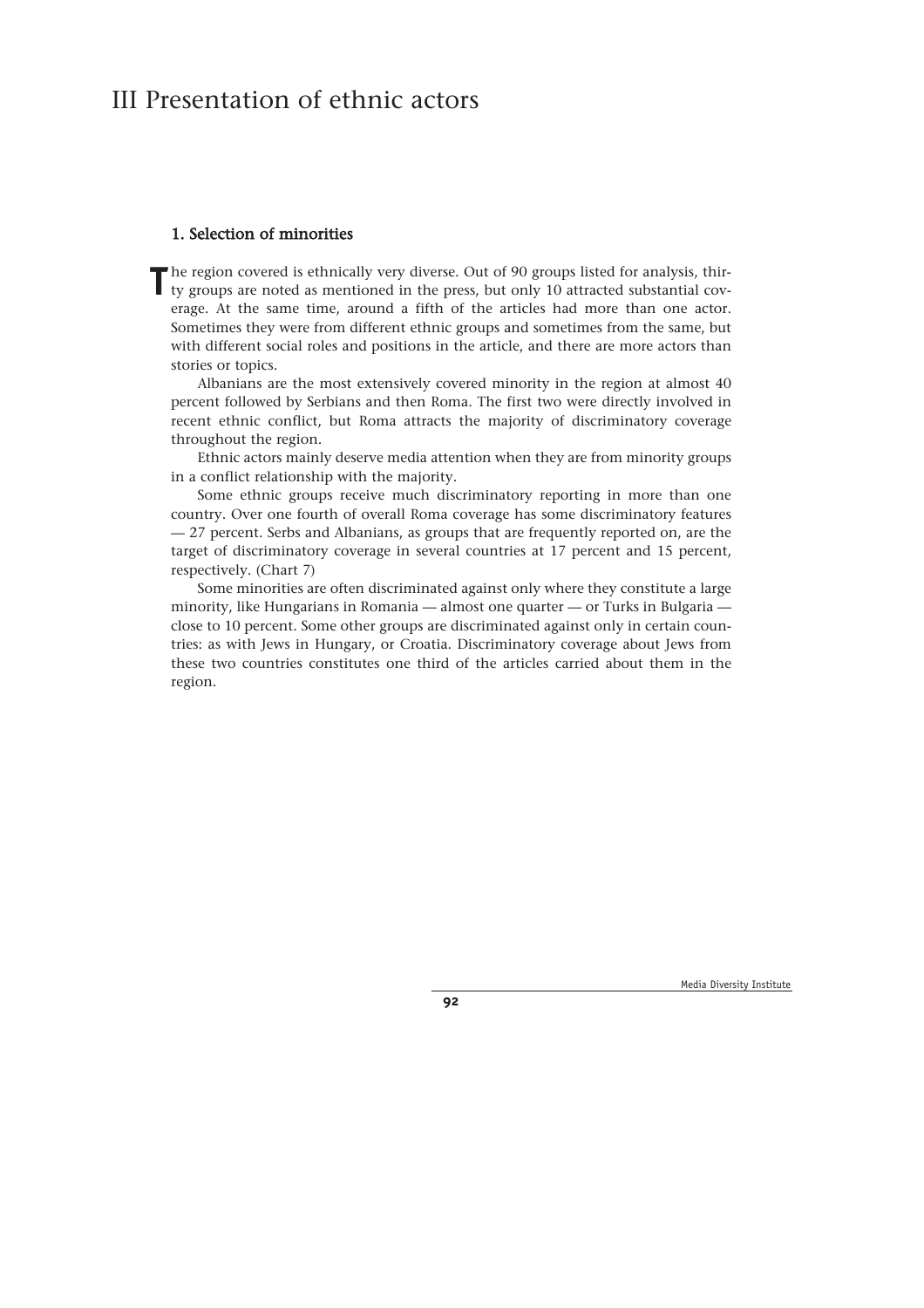## III Presentation of ethnic actors

## 1. Selection of minorities

he region covered is ethnically very diverse. Out of 90 groups listed for analysis, thirty groups are noted as mentioned in the press, but only 10 attracted substantial coverage. At the same time, around a fifth of the articles had more than one actor. Sometimes they were from different ethnic groups and sometimes from the same, but with different social roles and positions in the article, and there are more actors than stories or topics. **T**

Albanians are the most extensively covered minority in the region at almost 40 percent followed by Serbians and then Roma. The first two were directly involved in recent ethnic conflict, but Roma attracts the majority of discriminatory coverage throughout the region.

Ethnic actors mainly deserve media attention when they are from minority groups in a conflict relationship with the majority.

Some ethnic groups receive much discriminatory reporting in more than one country. Over one fourth of overall Roma coverage has some discriminatory features  $-27$  percent. Serbs and Albanians, as groups that are frequently reported on, are the target of discriminatory coverage in several countries at 17 percent and 15 percent, respectively. (Chart 7)

Some minorities are often discriminated against only where they constitute a large minority, like Hungarians in Romania - almost one quarter - or Turks in Bulgaria close to 10 percent. Some other groups are discriminated against only in certain countries: as with Jews in Hungary, or Croatia. Discriminatory coverage about Jews from these two countries constitutes one third of the articles carried about them in the region.

Media Diversity Institute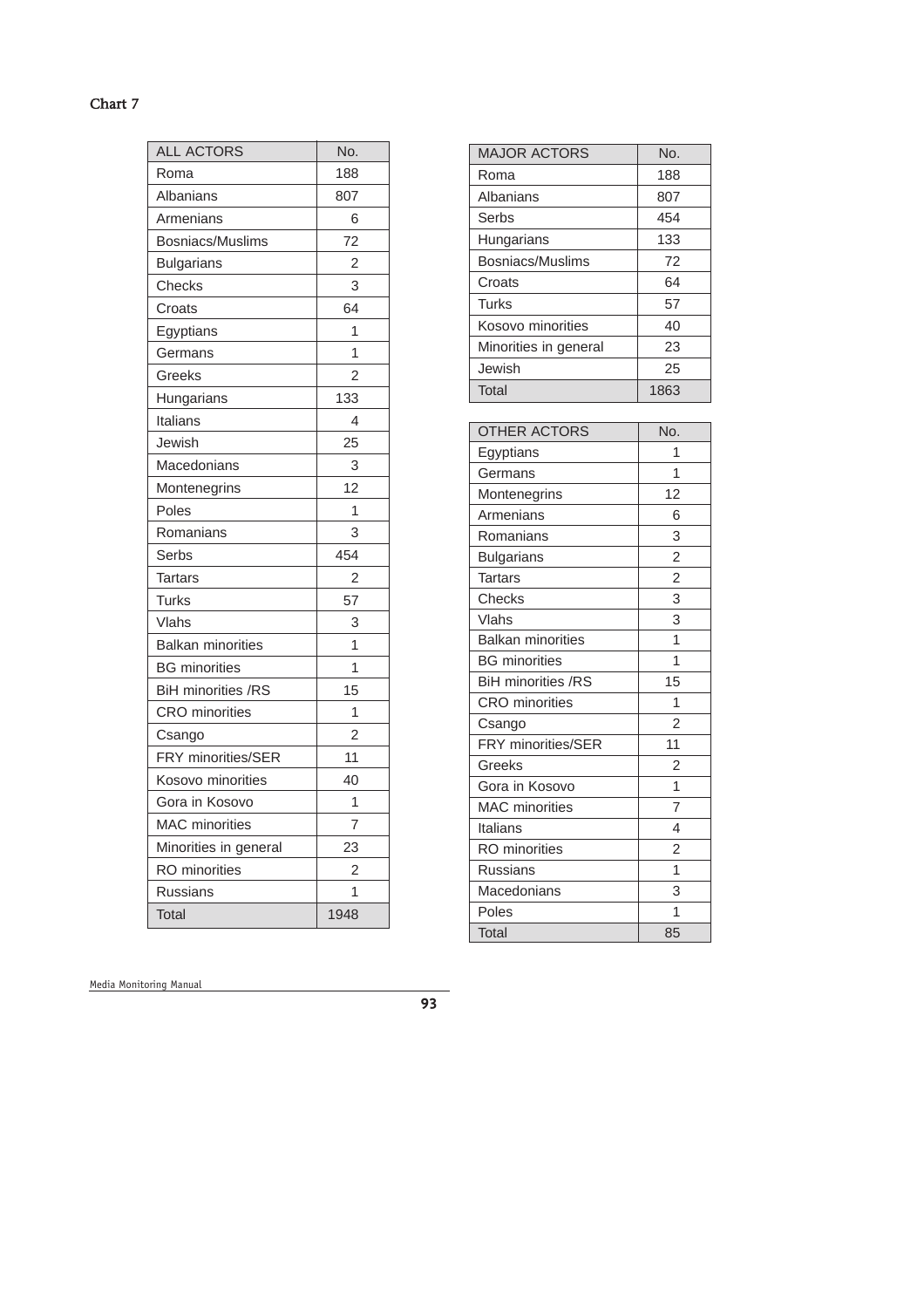## Chart 7

| Roma<br>188<br>Albanians<br>807<br>Armenians<br>6<br>Bosniacs/Muslims<br>72<br>2<br><b>Bulgarians</b><br>Checks<br>3<br>Croats<br>64<br>1<br>Egyptians<br>1<br>Germans<br>$\overline{2}$<br>Greeks<br>133<br>Hungarians<br>Italians<br>4<br>Jewish<br>25<br>Macedonians<br>3<br>12<br>Montenegrins<br>1<br>Poles<br>3<br>Romanians<br>454<br>Serbs<br>$\overline{c}$<br>Tartars<br>57<br><b>Turks</b><br>Vlahs<br>3<br><b>Balkan minorities</b><br>1<br><b>BG</b> minorities<br>1<br><b>BiH minorities /RS</b><br>15 |
|----------------------------------------------------------------------------------------------------------------------------------------------------------------------------------------------------------------------------------------------------------------------------------------------------------------------------------------------------------------------------------------------------------------------------------------------------------------------------------------------------------------------|
|                                                                                                                                                                                                                                                                                                                                                                                                                                                                                                                      |
|                                                                                                                                                                                                                                                                                                                                                                                                                                                                                                                      |
|                                                                                                                                                                                                                                                                                                                                                                                                                                                                                                                      |
|                                                                                                                                                                                                                                                                                                                                                                                                                                                                                                                      |
|                                                                                                                                                                                                                                                                                                                                                                                                                                                                                                                      |
|                                                                                                                                                                                                                                                                                                                                                                                                                                                                                                                      |
|                                                                                                                                                                                                                                                                                                                                                                                                                                                                                                                      |
|                                                                                                                                                                                                                                                                                                                                                                                                                                                                                                                      |
|                                                                                                                                                                                                                                                                                                                                                                                                                                                                                                                      |
|                                                                                                                                                                                                                                                                                                                                                                                                                                                                                                                      |
|                                                                                                                                                                                                                                                                                                                                                                                                                                                                                                                      |
|                                                                                                                                                                                                                                                                                                                                                                                                                                                                                                                      |
|                                                                                                                                                                                                                                                                                                                                                                                                                                                                                                                      |
|                                                                                                                                                                                                                                                                                                                                                                                                                                                                                                                      |
|                                                                                                                                                                                                                                                                                                                                                                                                                                                                                                                      |
|                                                                                                                                                                                                                                                                                                                                                                                                                                                                                                                      |
|                                                                                                                                                                                                                                                                                                                                                                                                                                                                                                                      |
|                                                                                                                                                                                                                                                                                                                                                                                                                                                                                                                      |
|                                                                                                                                                                                                                                                                                                                                                                                                                                                                                                                      |
|                                                                                                                                                                                                                                                                                                                                                                                                                                                                                                                      |
|                                                                                                                                                                                                                                                                                                                                                                                                                                                                                                                      |
|                                                                                                                                                                                                                                                                                                                                                                                                                                                                                                                      |
|                                                                                                                                                                                                                                                                                                                                                                                                                                                                                                                      |
|                                                                                                                                                                                                                                                                                                                                                                                                                                                                                                                      |
| 1<br><b>CRO</b> minorities                                                                                                                                                                                                                                                                                                                                                                                                                                                                                           |
| $\overline{2}$<br>Csango                                                                                                                                                                                                                                                                                                                                                                                                                                                                                             |
| FRY minorities/SER<br>11                                                                                                                                                                                                                                                                                                                                                                                                                                                                                             |
| Kosovo minorities<br>40                                                                                                                                                                                                                                                                                                                                                                                                                                                                                              |
| Gora in Kosovo<br>1                                                                                                                                                                                                                                                                                                                                                                                                                                                                                                  |
| <b>MAC</b> minorities<br>7                                                                                                                                                                                                                                                                                                                                                                                                                                                                                           |
| 23<br>Minorities in general                                                                                                                                                                                                                                                                                                                                                                                                                                                                                          |
| <b>RO</b> minorities<br>2                                                                                                                                                                                                                                                                                                                                                                                                                                                                                            |
| <b>Russians</b><br>1                                                                                                                                                                                                                                                                                                                                                                                                                                                                                                 |
| 1948<br>Total                                                                                                                                                                                                                                                                                                                                                                                                                                                                                                        |

| <b>MAJOR ACTORS</b>   | No.  |
|-----------------------|------|
| Roma                  | 188  |
| Albanians             | 807  |
| Serbs                 | 454  |
| Hungarians            | 133  |
| Bosniacs/Muslims      | 72   |
| Croats                | 64   |
| <b>Turks</b>          | 57   |
| Kosovo minorities     | 40   |
| Minorities in general | 23   |
| Jewish                | 25   |
| Total                 | 1863 |

| <b>OTHER ACTORS</b>       | No.            |
|---------------------------|----------------|
| Egyptians                 | 1              |
| Germans                   | 1              |
| Montenegrins              | 12             |
| Armenians                 | 6              |
| Romanians                 | 3              |
| <b>Bulgarians</b>         | $\overline{2}$ |
| <b>Tartars</b>            | $\overline{2}$ |
| Checks                    | 3              |
| Vlahs                     | 3              |
| <b>Balkan minorities</b>  | 1              |
| <b>BG</b> minorities      | 1              |
| <b>BiH minorities /RS</b> | 15             |
| <b>CRO</b> minorities     | 1              |
| Csango                    | 2              |
| <b>FRY</b> minorities/SER | 11             |
| Greeks                    | $\overline{2}$ |
| Gora in Kosovo            | 1              |
| <b>MAC</b> minorities     | 7              |
| Italians                  | 4              |
| <b>RO</b> minorities      | $\overline{2}$ |
| <b>Russians</b>           | 1              |
| Macedonians               | 3              |
| Poles                     | 1              |
| Total                     | 85             |

Media Monitoring Manual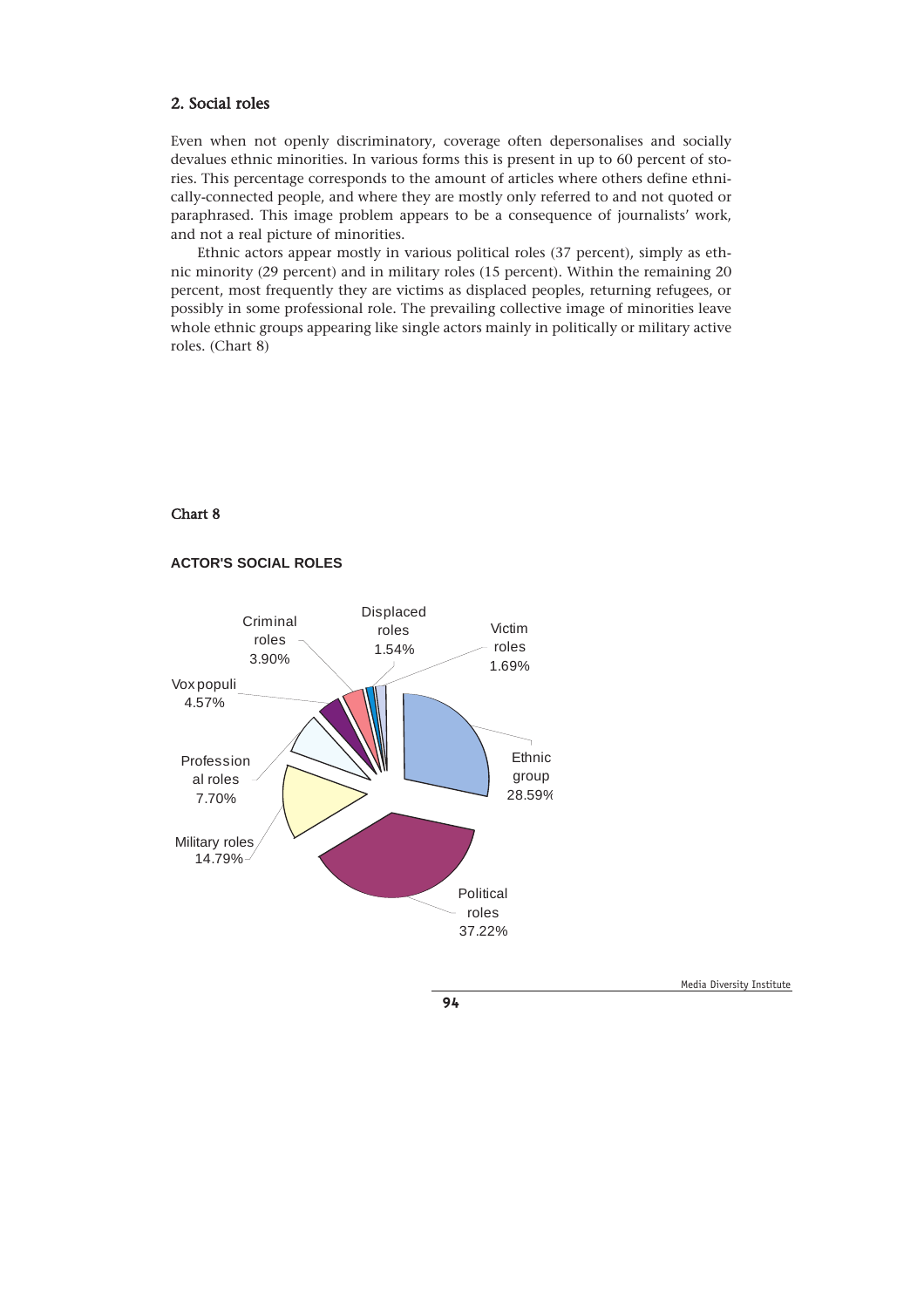### 2. Social roles

Even when not openly discriminatory, coverage often depersonalises and socially devalues ethnic minorities. In various forms this is present in up to 60 percent of stories. This percentage corresponds to the amount of articles where others define ethnically-connected people, and where they are mostly only referred to and not quoted or paraphrased. This image problem appears to be a consequence of journalists' work, and not a real picture of minorities.

Ethnic actors appear mostly in various political roles (37 percent), simply as ethnic minority (29 percent) and in military roles (15 percent). Within the remaining 20 percent, most frequently they are victims as displaced peoples, returning refugees, or possibly in some professional role. The prevailing collective image of minorities leave whole ethnic groups appearing like single actors mainly in politically or military active roles. (Chart 8)

### Chart 8



#### **ACTOR'S SOCIAL ROLES**

**94**

Media Diversity Institute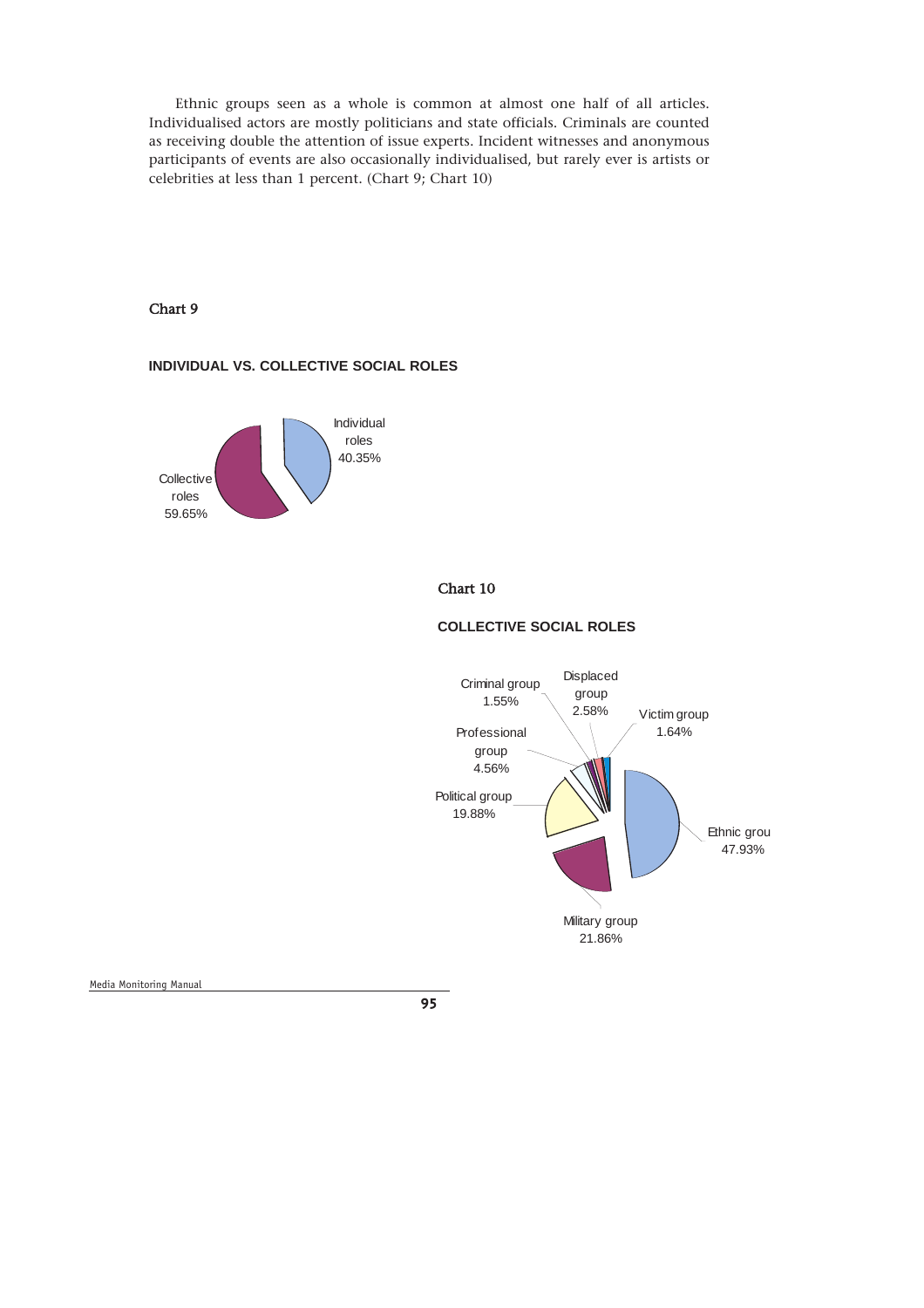Ethnic groups seen as a whole is common at almost one half of all articles. Individualised actors are mostly politicians and state officials. Criminals are counted as receiving double the attention of issue experts. Incident witnesses and anonymous participants of events are also occasionally individualised, but rarely ever is artists or celebrities at less than 1 percent. (Chart 9; Chart 10)

Chart 9

## **INDIVIDUAL VS. COLLECTIVE SOCIAL ROLES**



## Chart 10





Media Monitoring Manual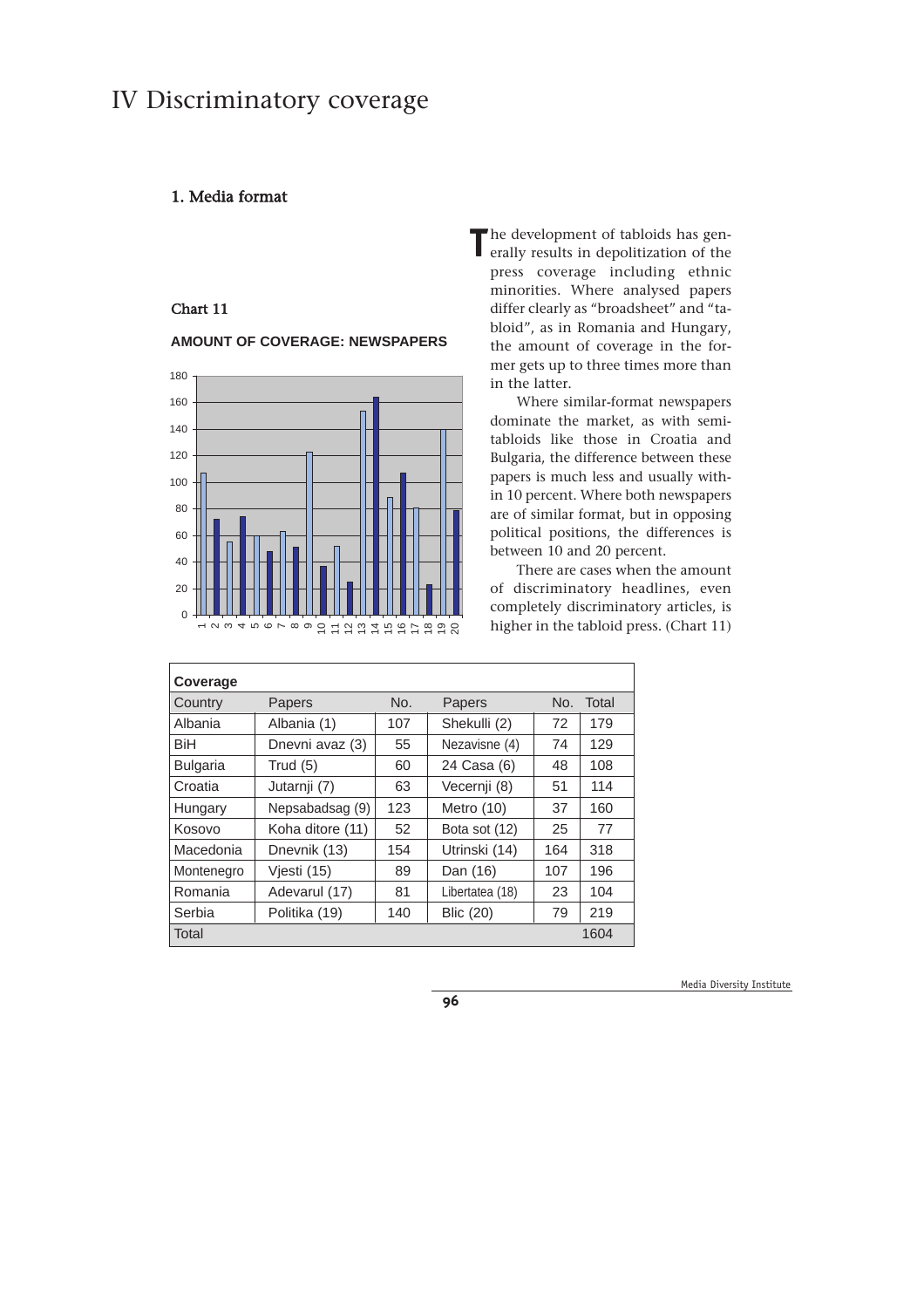## 1. Media format

### Chart 11

## **AMOUNT OF COVERAGE: NEWSPAPERS**



The development of tabloids has generally results in depolitization of the erally results in depolitization of the press coverage including ethnic minorities. Where analysed papers differ clearly as "broadsheet" and "tabloid", as in Romania and Hungary, the amount of coverage in the former gets up to three times more than in the latter.

Where similar-format newspapers dominate the market, as with semitabloids like those in Croatia and Bulgaria, the difference between these papers is much less and usually within 10 percent. Where both newspapers are of similar format, but in opposing political positions, the differences is between 10 and 20 percent.

There are cases when the amount of discriminatory headlines, even completely discriminatory articles, is higher in the tabloid press. (Chart 11)

| Coverage        |                  |     |                 |     |       |
|-----------------|------------------|-----|-----------------|-----|-------|
| Country         | Papers           | No. | Papers          | No. | Total |
| Albania         | Albania (1)      | 107 | Shekulli (2)    | 72  | 179   |
| <b>BiH</b>      | Dnevni avaz (3)  | 55  | Nezavisne (4)   | 74  | 129   |
| <b>Bulgaria</b> | Trud $(5)$       | 60  | 24 Casa (6)     | 48  | 108   |
| Croatia         | Jutarnji (7)     | 63  | Vecernji (8)    | 51  | 114   |
| Hungary         | Nepsabadsag (9)  | 123 | Metro $(10)$    | 37  | 160   |
| Kosovo          | Koha ditore (11) | 52  | Bota sot (12)   | 25  | 77    |
| Macedonia       | Dnevnik (13)     | 154 | Utrinski (14)   | 164 | 318   |
| Montenegro      | Viesti (15)      | 89  | Dan (16)        | 107 | 196   |
| Romania         | Adevarul (17)    | 81  | Libertatea (18) | 23  | 104   |
| Serbia          | Politika (19)    | 140 | Blic (20)       | 79  | 219   |
| Total           |                  |     |                 |     | 1604  |

Media Diversity Institute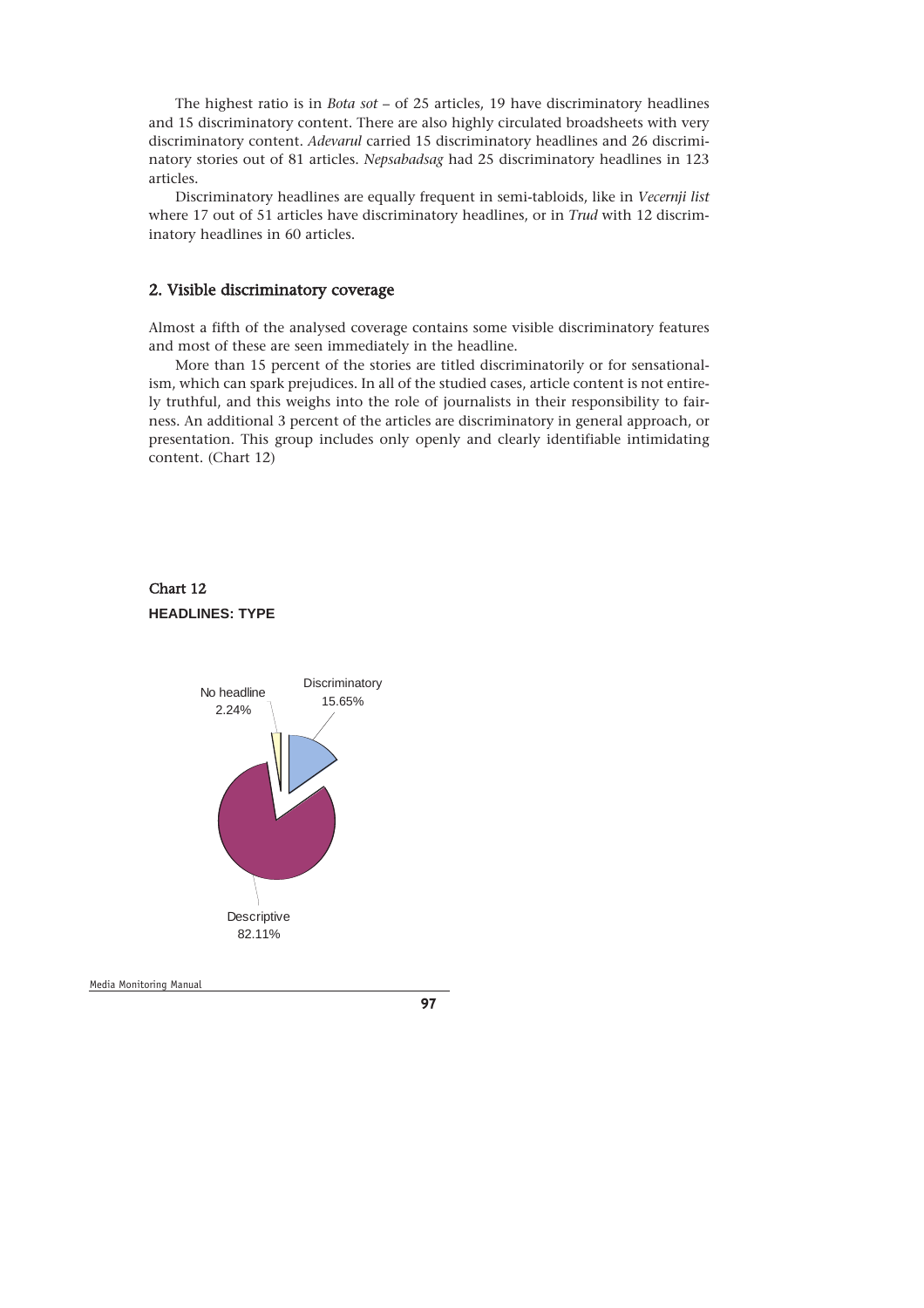The highest ratio is in *Bota sot* – of 25 articles, 19 have discriminatory headlines and 15 discriminatory content. There are also highly circulated broadsheets with very discriminatory content. *Adevarul* carried 15 discriminatory headlines and 26 discriminatory stories out of 81 articles. *Nepsabadsag* had 25 discriminatory headlines in 123 articles.

Discriminatory headlines are equally frequent in semi-tabloids, like in *Vecernji list* where 17 out of 51 articles have discriminatory headlines, or in *Trud* with 12 discriminatory headlines in 60 articles.

## 2. Visible discriminatory coverage

Almost a fifth of the analysed coverage contains some visible discriminatory features and most of these are seen immediately in the headline.

More than 15 percent of the stories are titled discriminatorily or for sensationalism, which can spark prejudices. In all of the studied cases, article content is not entirely truthful, and this weighs into the role of journalists in their responsibility to fairness. An additional 3 percent of the articles are discriminatory in general approach, or presentation. This group includes only openly and clearly identifiable intimidating content. (Chart 12)

## Chart 12 **HEADLINES: TYPE**



Media Monitoring Manual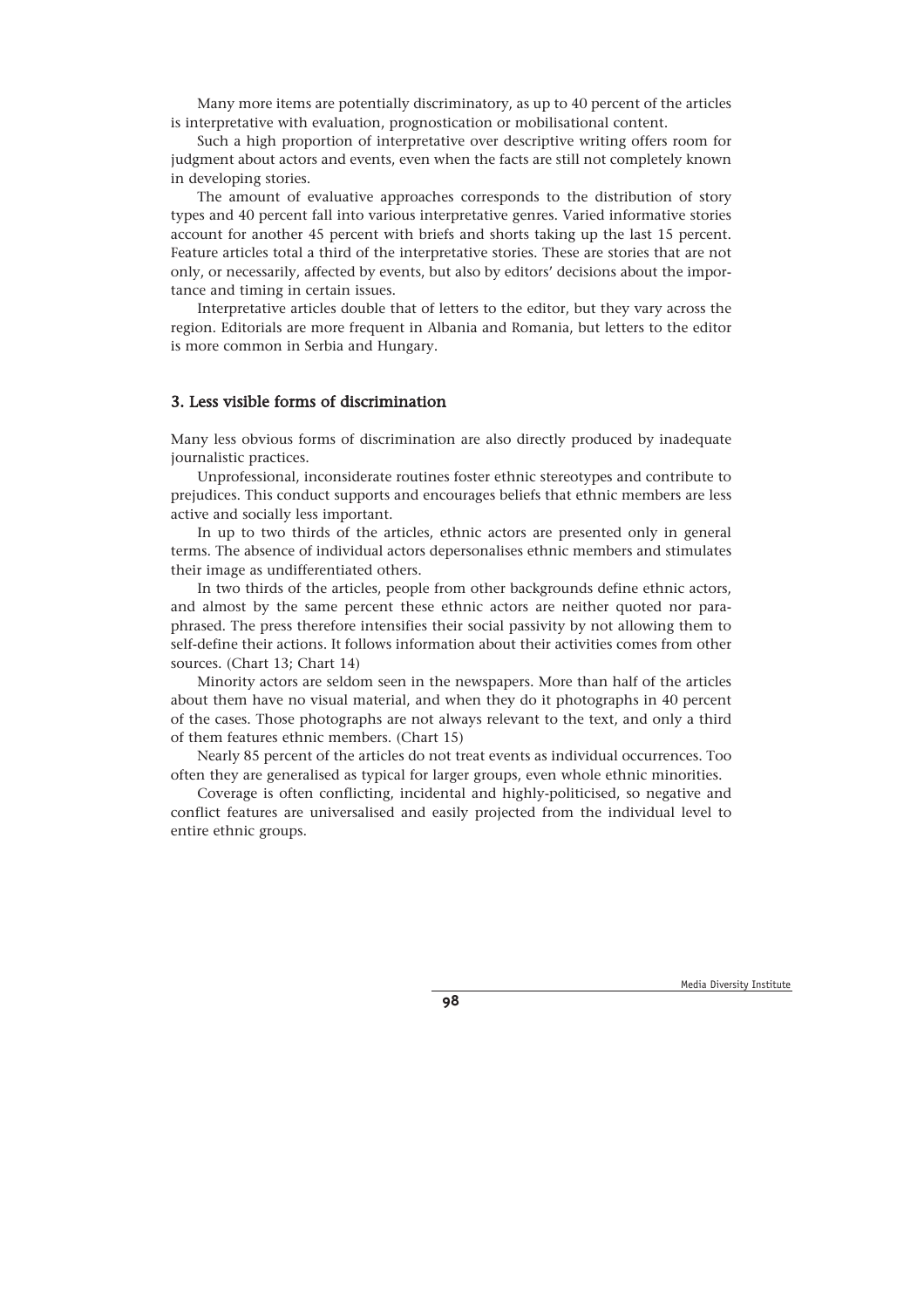Many more items are potentially discriminatory, as up to 40 percent of the articles is interpretative with evaluation, prognostication or mobilisational content.

Such a high proportion of interpretative over descriptive writing offers room for judgment about actors and events, even when the facts are still not completely known in developing stories.

The amount of evaluative approaches corresponds to the distribution of story types and 40 percent fall into various interpretative genres. Varied informative stories account for another 45 percent with briefs and shorts taking up the last 15 percent. Feature articles total a third of the interpretative stories. These are stories that are not only, or necessarily, affected by events, but also by editors' decisions about the importance and timing in certain issues.

Interpretative articles double that of letters to the editor, but they vary across the region. Editorials are more frequent in Albania and Romania, but letters to the editor is more common in Serbia and Hungary.

### 3. Less visible forms of discrimination

Many less obvious forms of discrimination are also directly produced by inadequate journalistic practices.

Unprofessional, inconsiderate routines foster ethnic stereotypes and contribute to prejudices. This conduct supports and encourages beliefs that ethnic members are less active and socially less important.

In up to two thirds of the articles, ethnic actors are presented only in general terms. The absence of individual actors depersonalises ethnic members and stimulates their image as undifferentiated others.

In two thirds of the articles, people from other backgrounds define ethnic actors, and almost by the same percent these ethnic actors are neither quoted nor paraphrased. The press therefore intensifies their social passivity by not allowing them to self-define their actions. It follows information about their activities comes from other sources. (Chart 13; Chart 14)

Minority actors are seldom seen in the newspapers. More than half of the articles about them have no visual material, and when they do it photographs in 40 percent of the cases. Those photographs are not always relevant to the text, and only a third of them features ethnic members. (Chart 15)

Nearly 85 percent of the articles do not treat events as individual occurrences. Too often they are generalised as typical for larger groups, even whole ethnic minorities.

Coverage is often conflicting, incidental and highly-politicised, so negative and conflict features are universalised and easily projected from the individual level to entire ethnic groups.

Media Diversity Institute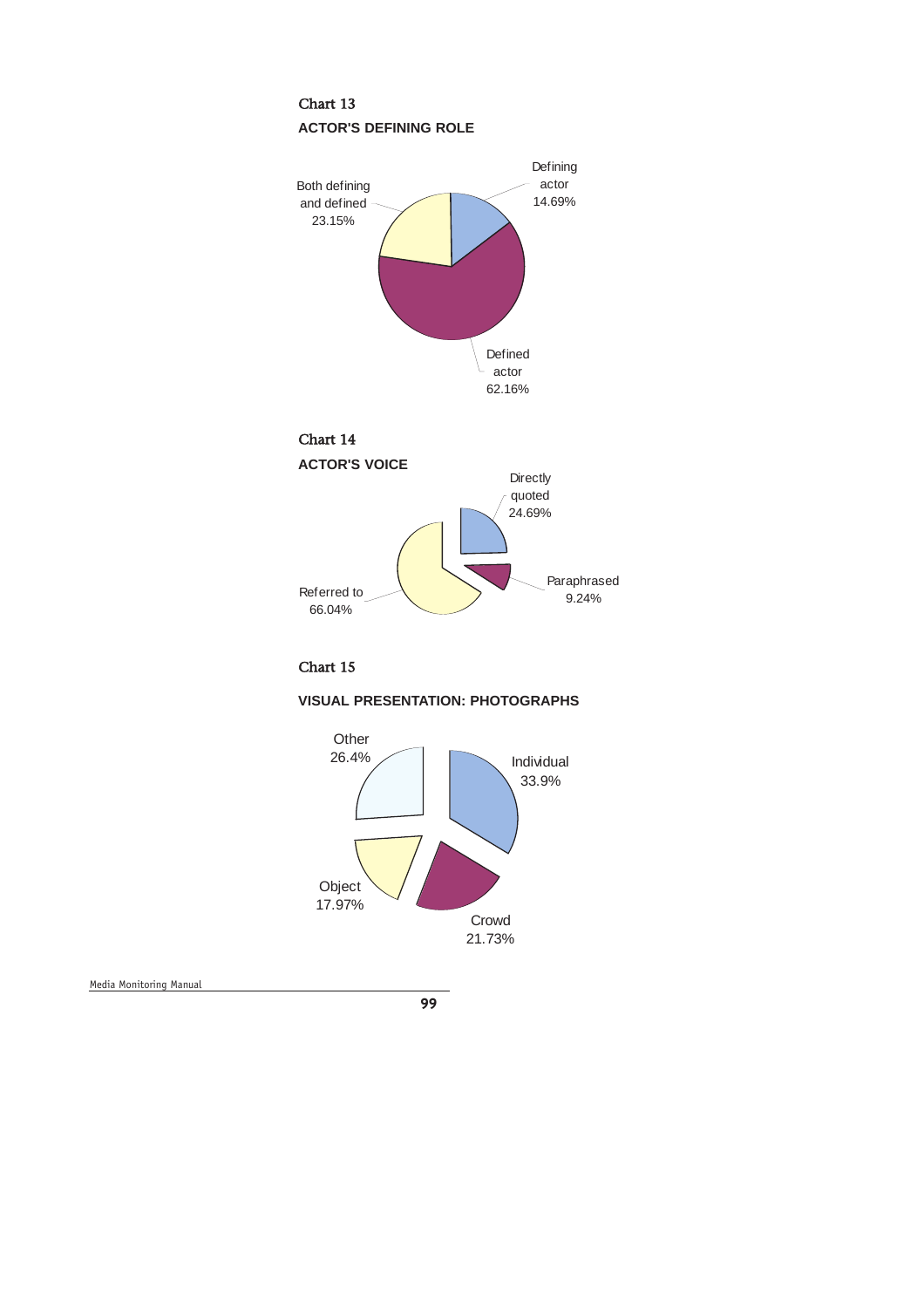## Chart 13 **ACTOR'S DEFINING ROLE**







## Chart 15

## **VISUAL PRESENTATION: PHOTOGRAPHS**



**99**

Media Monitoring Manual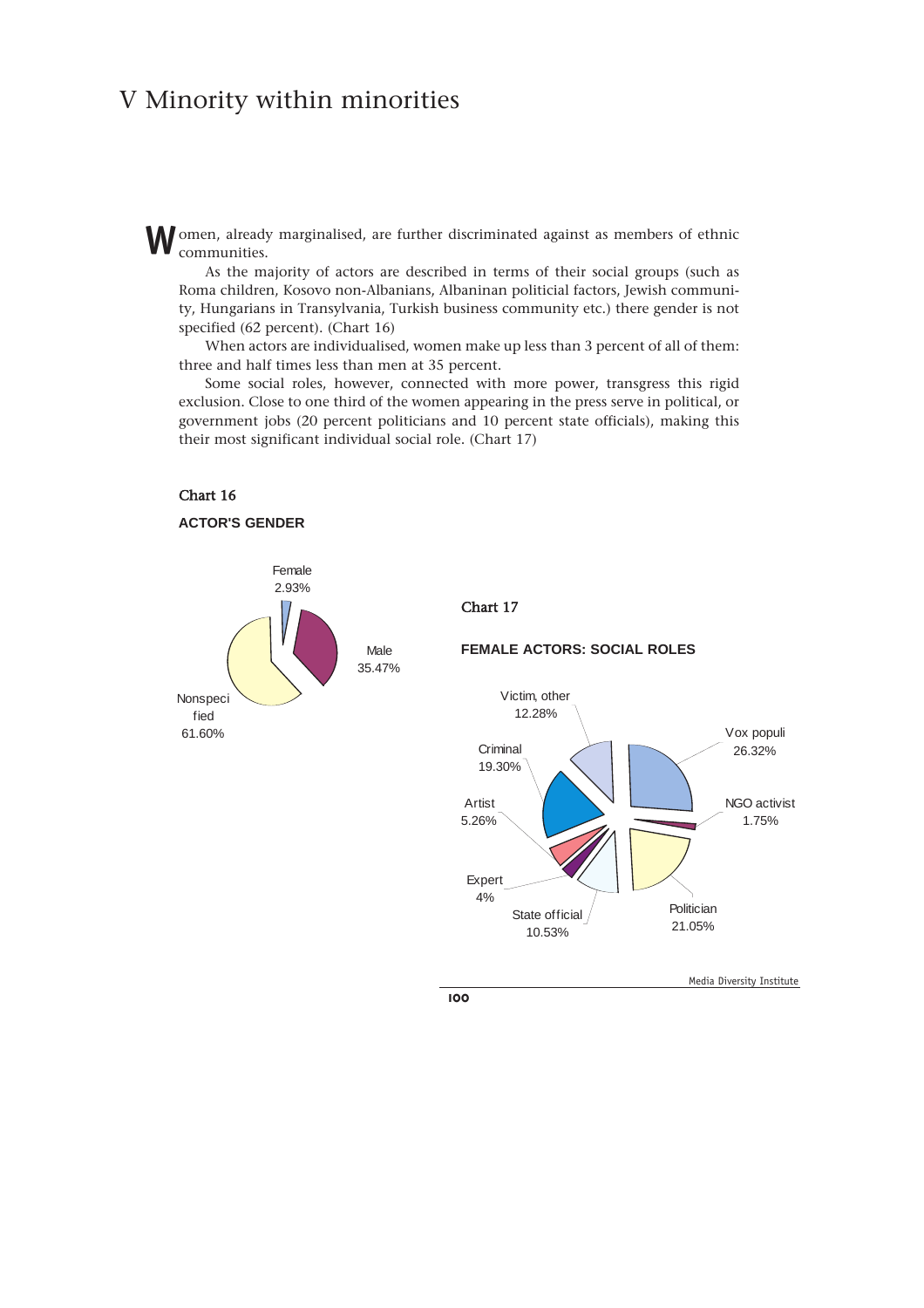## V Minority within minorities

**W** omen, already marginalised, are further discriminated against as members of ethnic communities. communities.

As the majority of actors are described in terms of their social groups (such as Roma children, Kosovo non-Albanians, Albaninan politicial factors, Jewish community, Hungarians in Transylvania, Turkish business community etc.) there gender is not specified (62 percent). (Chart 16)

When actors are individualised, women make up less than 3 percent of all of them: three and half times less than men at 35 percent.

Some social roles, however, connected with more power, transgress this rigid exclusion. Close to one third of the women appearing in the press serve in political, or government jobs (20 percent politicians and 10 percent state officials), making this their most significant individual social role. (Chart 17)

## Chart 16

**ACTOR'S GENDER**

### Media Diversity Institute Male 35.47% Nonspeci fied 61.60% Female 2.93% **Criminal** 19.30% **Expert** 4% Artist 5.26% State official 10.53% Politician 21.05% NGO activist 1.75% Vox populi 26.32% Victim, other 12.28% Chart 17 **FEMALE ACTORS: SOCIAL ROLES**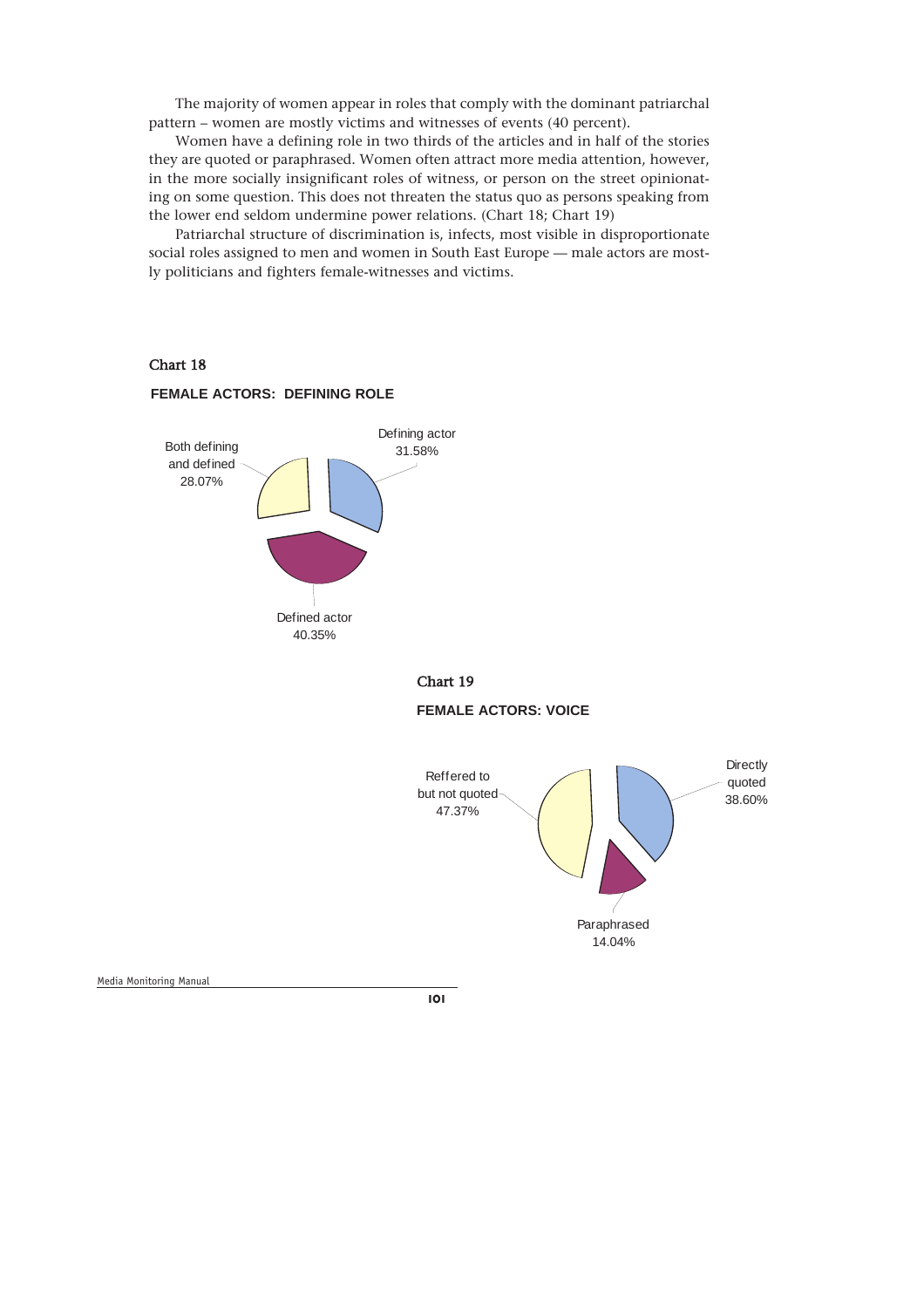The majority of women appear in roles that comply with the dominant patriarchal pattern – women are mostly victims and witnesses of events (40 percent).

Women have a defining role in two thirds of the articles and in half of the stories they are quoted or paraphrased. Women often attract more media attention, however, in the more socially insignificant roles of witness, or person on the street opinionating on some question. This does not threaten the status quo as persons speaking from the lower end seldom undermine power relations. (Chart 18; Chart 19)

Patriarchal structure of discrimination is, infects, most visible in disproportionate social roles assigned to men and women in South East Europe – male actors are mostly politicians and fighters female-witnesses and victims.

## Chart 18









Media Monitoring Manual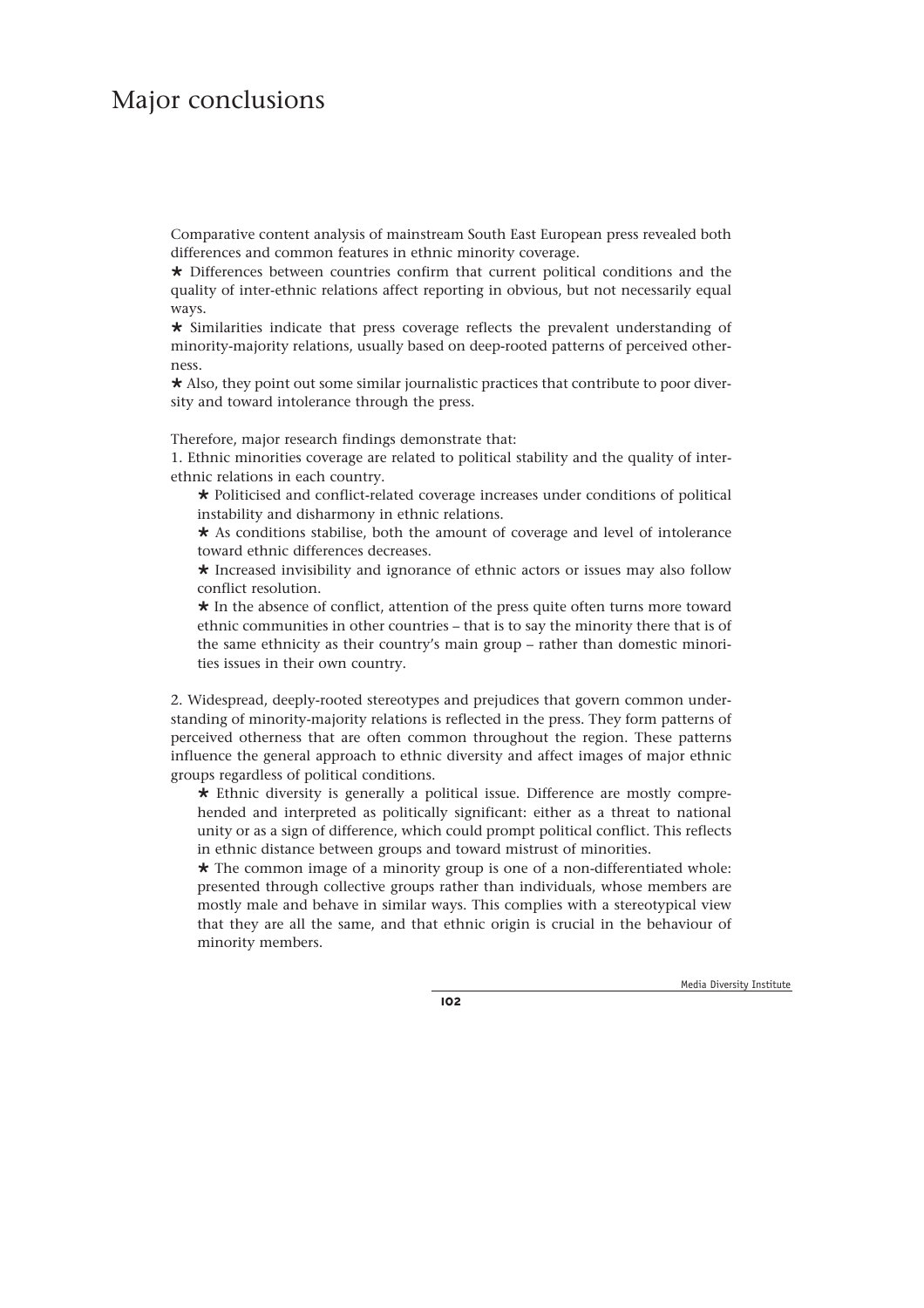## Major conclusions

Comparative content analysis of mainstream South East European press revealed both differences and common features in ethnic minority coverage.

 $\star$  Differences between countries confirm that current political conditions and the quality of inter-ethnic relations affect reporting in obvious, but not necessarily equal ways.

 $\star$  Similarities indicate that press coverage reflects the prevalent understanding of minority-majority relations, usually based on deep-rooted patterns of perceived otherness.

 $\star$  Also, they point out some similar journalistic practices that contribute to poor diversity and toward intolerance through the press.

Therefore, major research findings demonstrate that:

1. Ethnic minorities coverage are related to political stability and the quality of interethnic relations in each country.

ÿ Politicised and conflict-related coverage increases under conditions of political instability and disharmony in ethnic relations.

 $\star$  As conditions stabilise, both the amount of coverage and level of intolerance toward ethnic differences decreases.

 $\star$  Increased invisibility and ignorance of ethnic actors or issues may also follow conflict resolution.

\* In the absence of conflict, attention of the press quite often turns more toward ethnic communities in other countries – that is to say the minority there that is of the same ethnicity as their country's main group – rather than domestic minorities issues in their own country.

2. Widespread, deeply-rooted stereotypes and prejudices that govern common understanding of minority-majority relations is reflected in the press. They form patterns of perceived otherness that are often common throughout the region. These patterns influence the general approach to ethnic diversity and affect images of major ethnic groups regardless of political conditions.

\* Ethnic diversity is generally a political issue. Difference are mostly comprehended and interpreted as politically significant: either as a threat to national unity or as a sign of difference, which could prompt political conflict. This reflects in ethnic distance between groups and toward mistrust of minorities.

\* The common image of a minority group is one of a non-differentiated whole: presented through collective groups rather than individuals, whose members are mostly male and behave in similar ways. This complies with a stereotypical view that they are all the same, and that ethnic origin is crucial in the behaviour of minority members.

Media Diversity Institute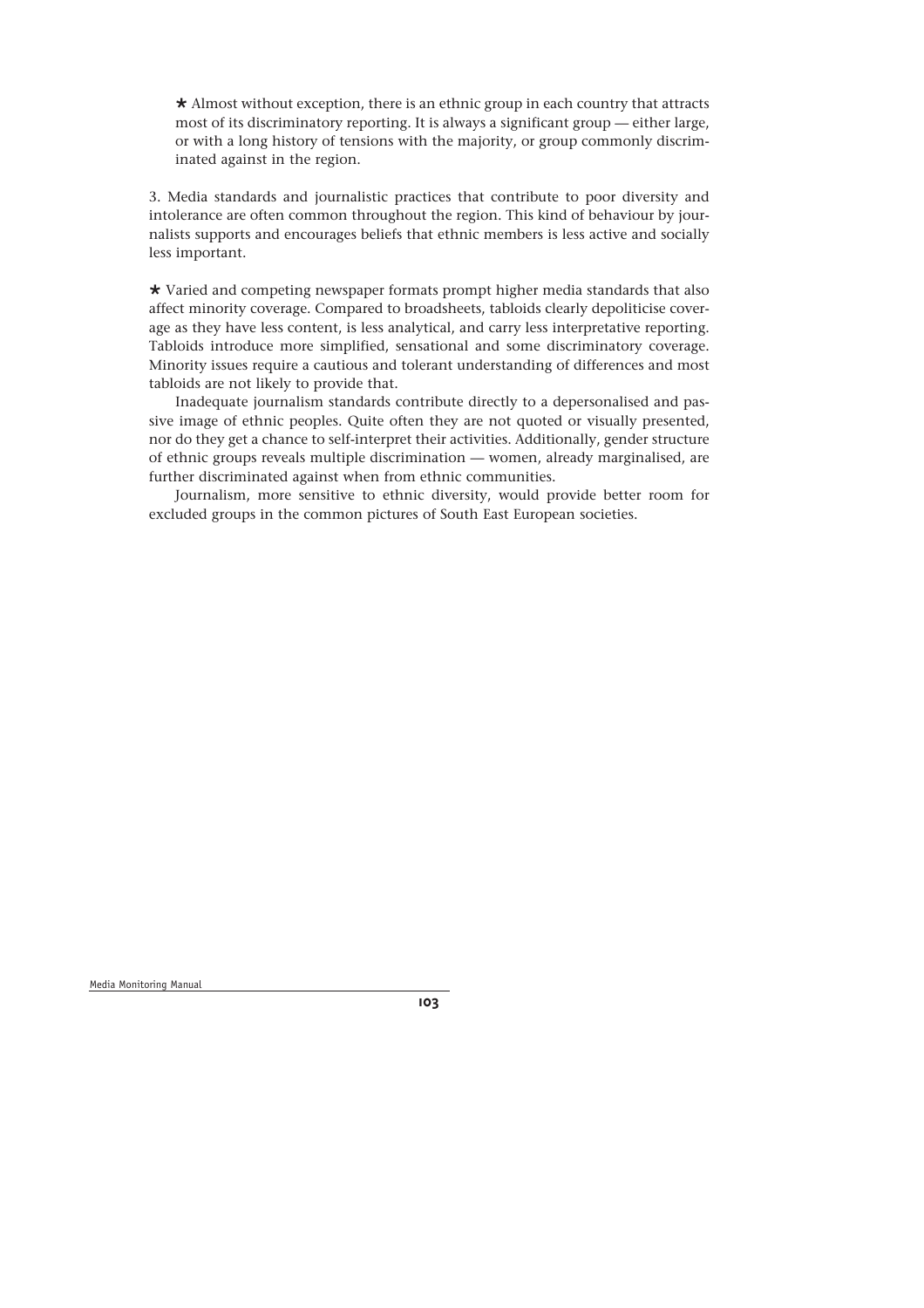$\star$  Almost without exception, there is an ethnic group in each country that attracts most of its discriminatory reporting. It is always a significant group  $-$  either large, or with a long history of tensions with the majority, or group commonly discriminated against in the region.

3. Media standards and journalistic practices that contribute to poor diversity and intolerance are often common throughout the region. This kind of behaviour by journalists supports and encourages beliefs that ethnic members is less active and socially less important.

 $\star$  Varied and competing newspaper formats prompt higher media standards that also affect minority coverage. Compared to broadsheets, tabloids clearly depoliticise coverage as they have less content, is less analytical, and carry less interpretative reporting. Tabloids introduce more simplified, sensational and some discriminatory coverage. Minority issues require a cautious and tolerant understanding of differences and most tabloids are not likely to provide that.

Inadequate journalism standards contribute directly to a depersonalised and passive image of ethnic peoples. Quite often they are not quoted or visually presented, nor do they get a chance to self-interpret their activities. Additionally, gender structure of ethnic groups reveals multiple discrimination – women, already marginalised, are further discriminated against when from ethnic communities.

Journalism, more sensitive to ethnic diversity, would provide better room for excluded groups in the common pictures of South East European societies.

Media Monitoring Manual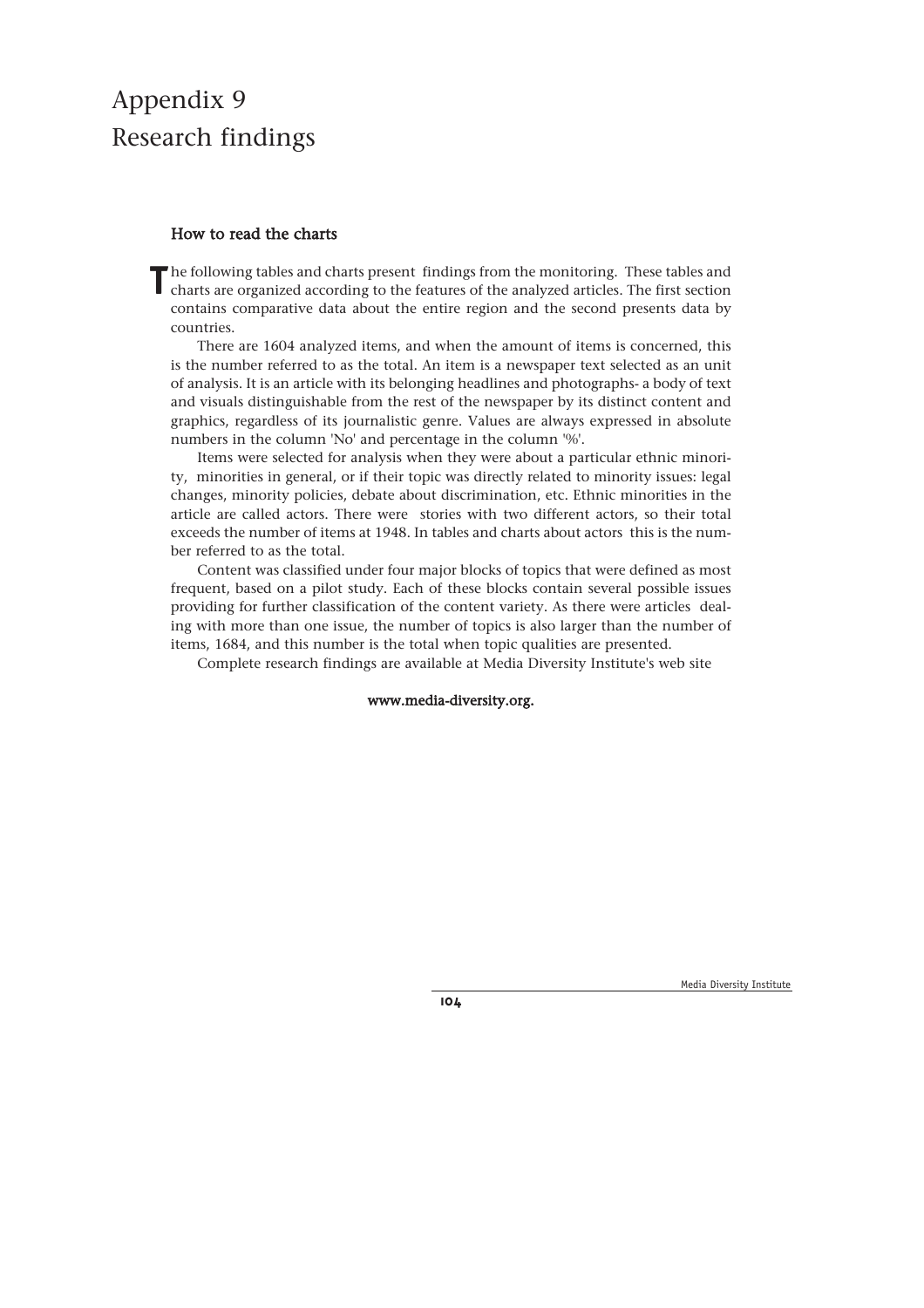# Appendix 9 Research findings

## How to read the charts

**h** he following tables and charts present findings from the monitoring. These tables and charts are organized according to the features of the analyzed articles. The first section contains comparative data about the entire region and the second presents data by countries. **T**

There are 1604 analyzed items, and when the amount of items is concerned, this is the number referred to as the total. An item is a newspaper text selected as an unit of analysis. It is an article with its belonging headlines and photographs- a body of text and visuals distinguishable from the rest of the newspaper by its distinct content and graphics, regardless of its journalistic genre. Values are always expressed in absolute numbers in the column 'No' and percentage in the column '%'.

Items were selected for analysis when they were about a particular ethnic minority, minorities in general, or if their topic was directly related to minority issues: legal changes, minority policies, debate about discrimination, etc. Ethnic minorities in the article are called actors. There were stories with two different actors, so their total exceeds the number of items at 1948. In tables and charts about actors this is the number referred to as the total.

Content was classified under four major blocks of topics that were defined as most frequent, based on a pilot study. Each of these blocks contain several possible issues providing for further classification of the content variety. As there were articles dealing with more than one issue, the number of topics is also larger than the number of items, 1684, and this number is the total when topic qualities are presented.

Complete research findings are available at Media Diversity Institute's web site

#### www.media-diversity.org.

Media Diversity Institute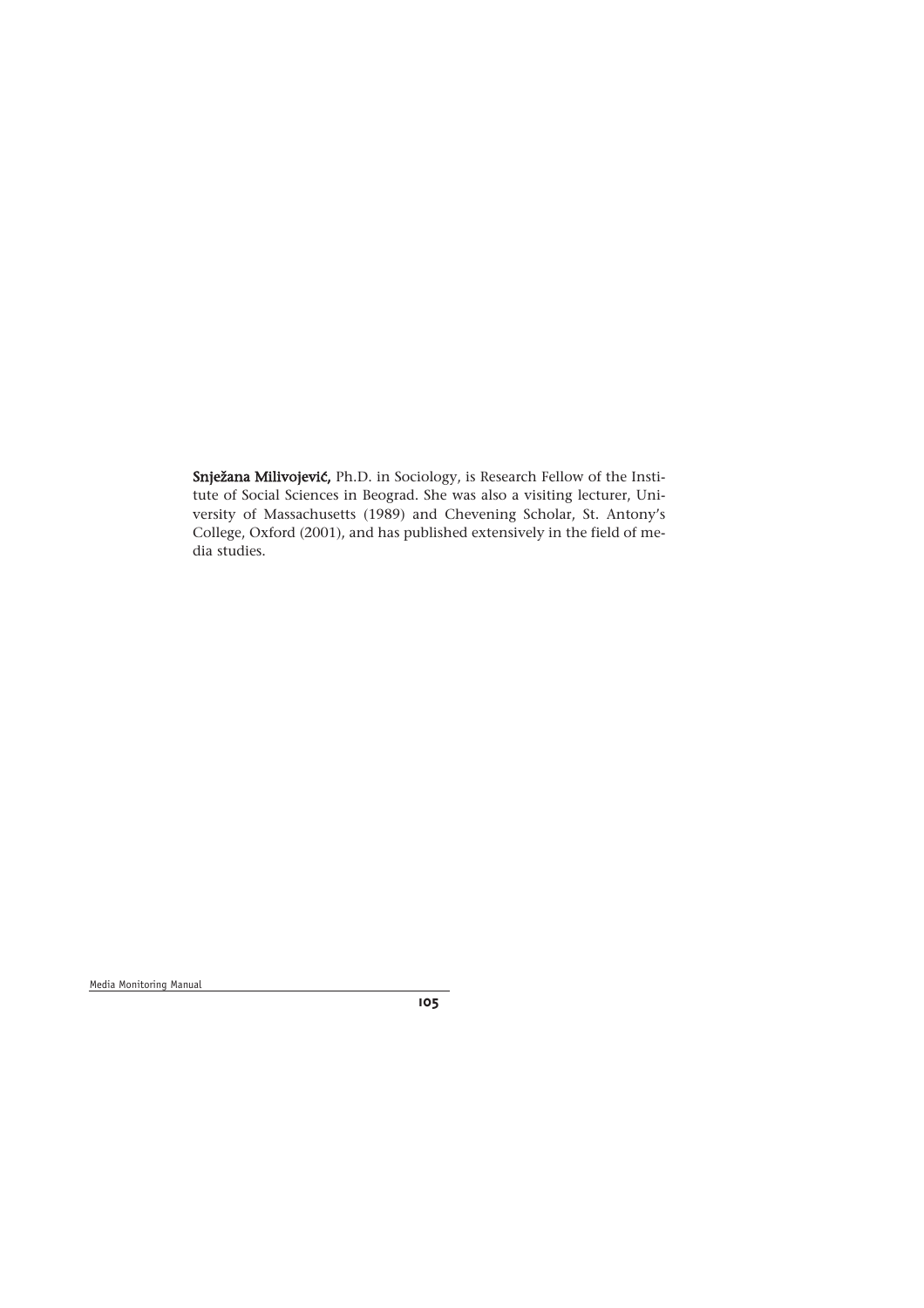Snježana Milivojević, Ph.D. in Sociology, is Research Fellow of the Institute of Social Sciences in Beograd. She was also a visiting lecturer, University of Massachusetts (1989) and Chevening Scholar, St. Antony's College, Oxford (2001), and has published extensively in the field of media studies.

Media Monitoring Manual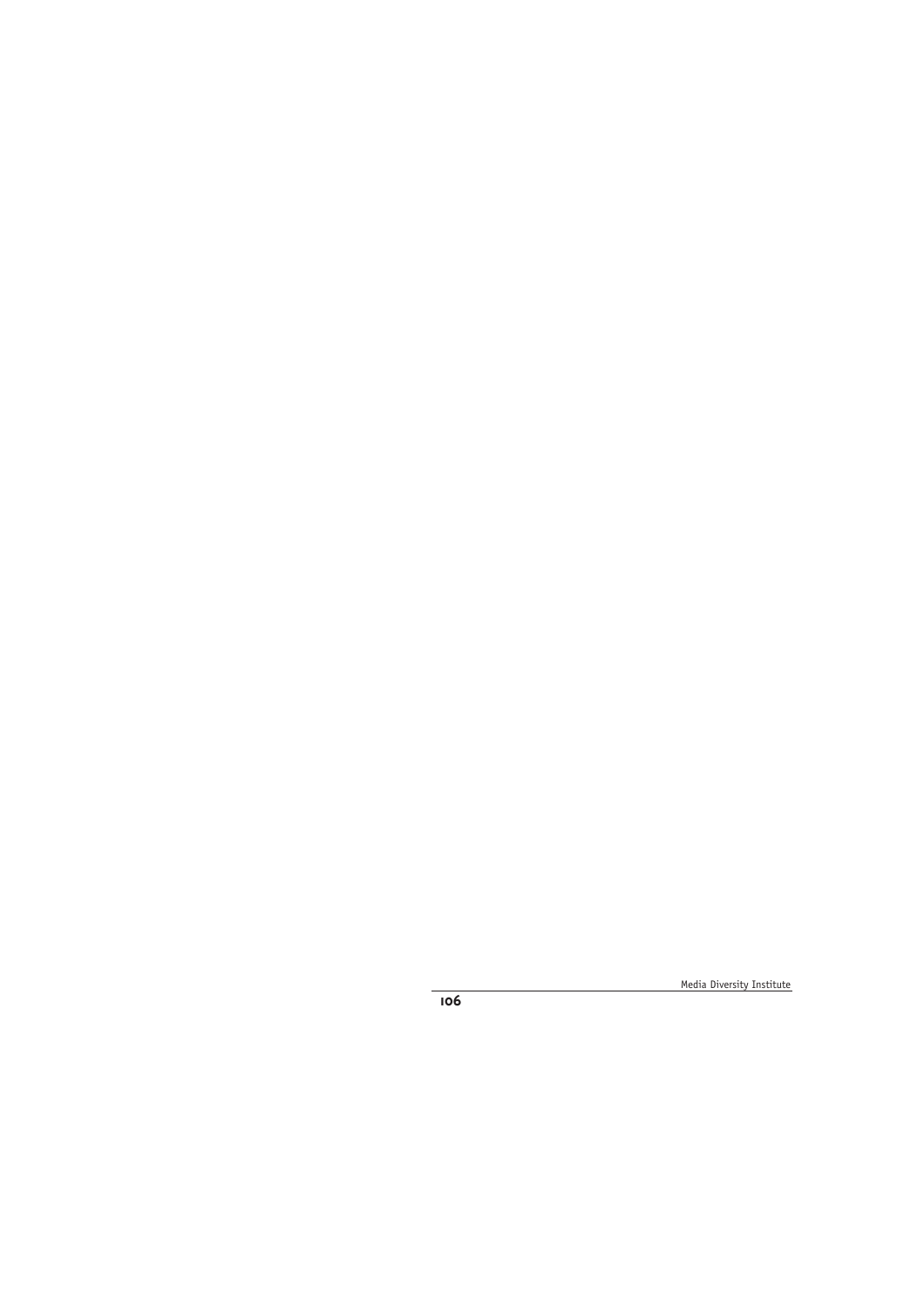Media Diversity Institute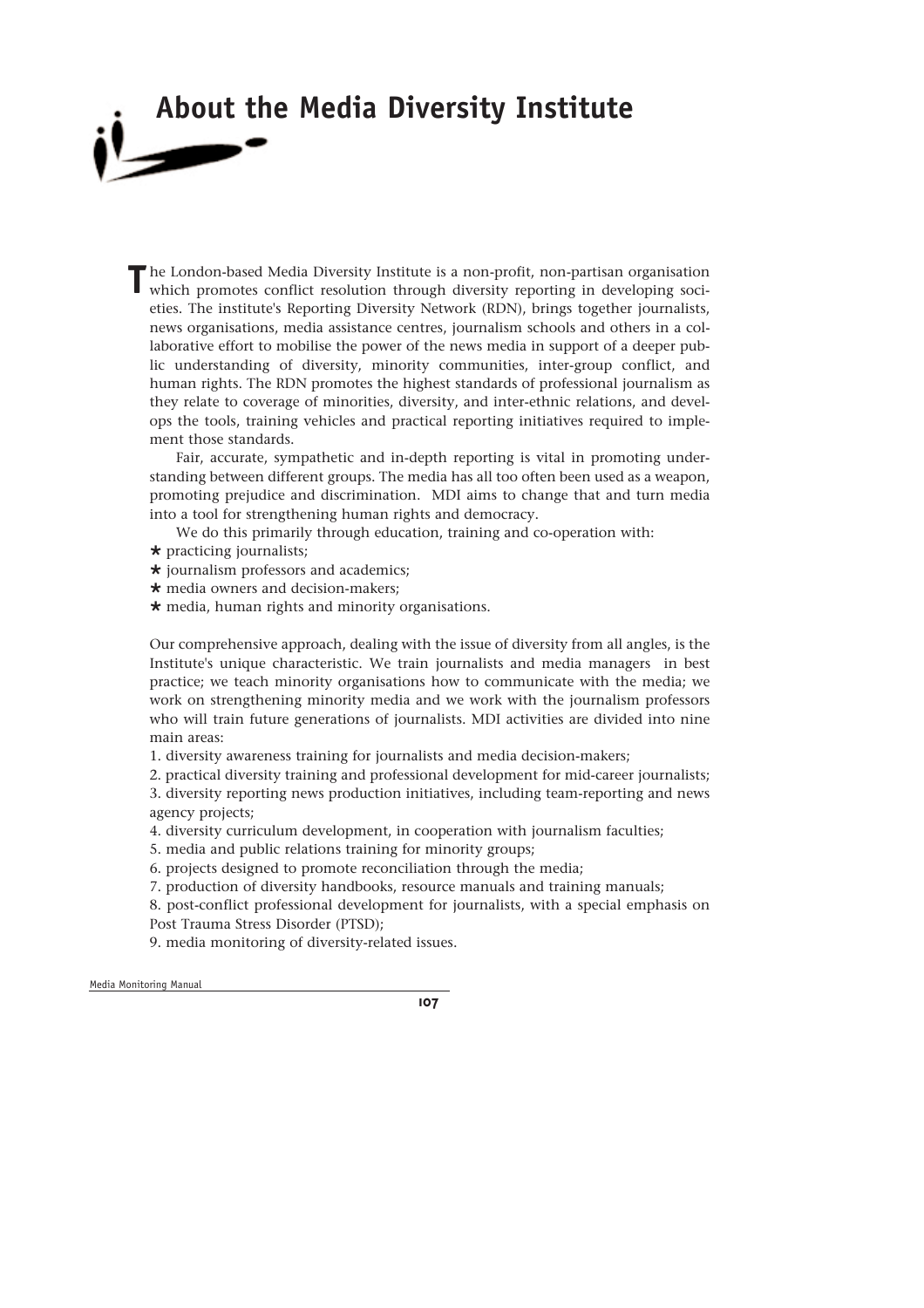

<sup>*I*</sup> he London-based Media Diversity Institute is a non-profit, non-partisan organisation which promotes conflict resolution through diversity reporting in developing societies. The institute's Reporting Diversity Network (RDN), brings together journalists, news organisations, media assistance centres, journalism schools and others in a collaborative effort to mobilise the power of the news media in support of a deeper public understanding of diversity, minority communities, inter-group conflict, and human rights. The RDN promotes the highest standards of professional journalism as they relate to coverage of minorities, diversity, and inter-ethnic relations, and develops the tools, training vehicles and practical reporting initiatives required to implement those standards.

Fair, accurate, sympathetic and in-depth reporting is vital in promoting understanding between different groups. The media has all too often been used as a weapon, promoting prejudice and discrimination. MDI aims to change that and turn media into a tool for strengthening human rights and democracy.

We do this primarily through education, training and co-operation with:

 $\star$  practicing journalists;

**T**

- $\star$  journalism professors and academics;
- $\star$  media owners and decision-makers:
- $\star$  media, human rights and minority organisations.

Our comprehensive approach, dealing with the issue of diversity from all angles, is the Institute's unique characteristic. We train journalists and media managers in best practice; we teach minority organisations how to communicate with the media; we work on strengthening minority media and we work with the journalism professors who will train future generations of journalists. MDI activities are divided into nine main areas:

1. diversity awareness training for journalists and media decision-makers;

2. practical diversity training and professional development for mid-career journalists; 3. diversity reporting news production initiatives, including team-reporting and news agency projects;

4. diversity curriculum development, in cooperation with journalism faculties;

5. media and public relations training for minority groups;

6. projects designed to promote reconciliation through the media;

7. production of diversity handbooks, resource manuals and training manuals;

8. post-conflict professional development for journalists, with a special emphasis on Post Trauma Stress Disorder (PTSD);

9. media monitoring of diversity-related issues.

Media Monitoring Manual